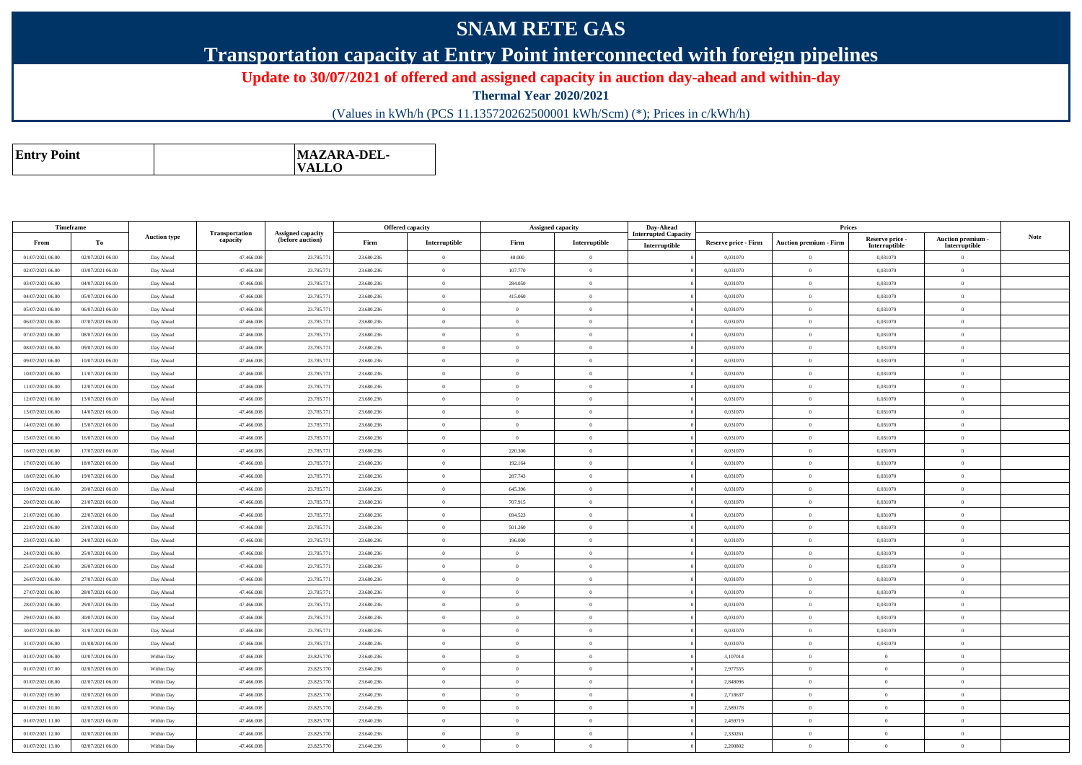## **SNAM RETE GAS**

## **Transportation capacity at Entry Point interconnected with foreign pipelines**

**Update to 30/07/2021 of offered and assigned capacity in auction day-ahead and within-day**

**Thermal Year 2020/2021**

(Values in kWh/h (PCS 11.135720262500001 kWh/Scm) (\*); Prices in c/kWh/h)

| <b>MAZARA-DEL-</b><br><b>Entry Point</b><br><b>VALLO</b> |
|----------------------------------------------------------|
|----------------------------------------------------------|

| Timeframe        |                  |                     |                            |                                              |            | <b>Offered capacity</b> | Assigned capacity |                | Day-Ahead                                    |                             | Prices                        |                                  |                                    |             |
|------------------|------------------|---------------------|----------------------------|----------------------------------------------|------------|-------------------------|-------------------|----------------|----------------------------------------------|-----------------------------|-------------------------------|----------------------------------|------------------------------------|-------------|
| From             | To               | <b>Auction type</b> | Transportation<br>capacity | <b>Assigned capacity</b><br>(before auction) | Firm       | Interruptible           | Firm              | Interruptible  | <b>Interrupted Capacity</b><br>Interruptible | <b>Reserve price - Firm</b> | <b>Auction premium - Firm</b> | Reserve price -<br>Interruptible | Auction premium -<br>Interruptible | <b>Note</b> |
| 01/07/2021 06:00 | 02/07/2021 06:00 | Day Ahead           | 47.466.008                 | 23.785.77                                    | 23.680.236 | $\Omega$                | 40.000            | $\overline{0}$ |                                              | 0.031070                    | $\Omega$                      | 0,031070                         | $\Omega$                           |             |
| 02/07/2021 06:00 | 03/07/2021 06:00 | Day Ahead           | 47.466.008                 | 23.785.77                                    | 23.680.236 | $\overline{0}$          | 107.770           | $\overline{0}$ |                                              | 0,031070                    | $\mathbf{0}$                  | 0,031070                         | $\overline{0}$                     |             |
| 03/07/2021 06:00 | 04/07/2021 06:00 | Day Ahead           | 47.466.008                 | 23.785.77                                    | 23.680.236 | $\theta$                | 284,050           | $\overline{0}$ |                                              | 0.031070                    | $\theta$                      | 0.031070                         | $\overline{0}$                     |             |
| 04/07/2021 06:00 | 05/07/2021 06:00 | Day Ahead           | 47.466.008                 | 23.785.77                                    | 23.680.236 | $\overline{0}$          | 415.060           | $\overline{0}$ |                                              | 0.031070                    | $\mathbf{0}$                  | 0,031070                         | $\overline{0}$                     |             |
| 05/07/2021 06:00 | 06/07/2021 06:00 | Day Ahead           | 47,466,008                 | 23.785.77                                    | 23.680.236 | $\theta$                | $\Omega$          | $\overline{0}$ |                                              | 0.031070                    | $\Omega$                      | 0.031070                         | $\overline{0}$                     |             |
| 06/07/2021 06:00 | 07/07/2021 06:00 | Day Ahead           | 47.466.008                 | 23.785.77                                    | 23.680.236 | $\theta$                | $\Omega$          | $\overline{0}$ |                                              | 0,031070                    | $\Omega$                      | 0,031070                         | $\overline{0}$                     |             |
| 07/07/2021 06:00 | 08/07/2021 06:00 | Day Ahead           | 47.466.008                 | 23.785.77                                    | 23.680.236 | $\overline{0}$          | $\Omega$          | $\overline{0}$ |                                              | 0,031070                    | $\overline{0}$                | 0,031070                         | $\overline{0}$                     |             |
| 08/07/2021 06:00 | 09/07/2021 06:00 | Day Ahead           | 47.466.008                 | 23.785.771                                   | 23.680.236 | $\overline{0}$          | $\Omega$          | $\overline{0}$ |                                              | 0,031070                    | $\Omega$                      | 0,031070                         | $\mathbf{0}$                       |             |
| 09/07/2021 06:00 | 10/07/2021 06:00 | Day Ahead           | 47.466.008                 | 23.785.771                                   | 23.680.236 | $\theta$                | $\Omega$          | $\overline{0}$ |                                              | 0.031070                    | $\theta$                      | 0.031070                         | $\theta$                           |             |
| 10/07/2021 06:00 | 11/07/2021 06:00 | Day Ahead           | 47.466.008                 | 23.785.77                                    | 23.680.236 | $\Omega$                | $\Omega$          | $\Omega$       |                                              | 0.031070                    | $\Omega$                      | 0,031070                         | $\theta$                           |             |
| 11/07/2021 06:00 | 12/07/2021 06:00 | Day Ahead           | 47.466.008                 | 23.785.77                                    | 23.680.236 | $\theta$                | $\Omega$          | $\overline{0}$ |                                              | 0,031070                    | $\mathbf{0}$                  | 0,031070                         | $\overline{0}$                     |             |
| 12/07/2021 06:00 | 13/07/2021 06:00 | Day Ahead           | 47.466.008                 | 23.785.77                                    | 23.680.236 | $\overline{0}$          | $\overline{0}$    | $\overline{0}$ |                                              | 0,031070                    | $\mathbf{0}$                  | 0,031070                         | $\overline{0}$                     |             |
| 13/07/2021 06:00 | 14/07/2021 06:00 | Day Ahead           | 47.466.008                 | 23.785.77                                    | 23.680.236 | $\theta$                | $\Omega$          | $\overline{0}$ |                                              | 0,031070                    | $\mathbf{0}$                  | 0,031070                         | $\mathbf{0}$                       |             |
| 14/07/2021 06:00 | 15/07/2021 06:00 | Day Ahead           | 47,466,008                 | 23.785.77                                    | 23.680.236 | $\theta$                | $\Omega$          | $\overline{0}$ |                                              | 0.031070                    | $\theta$                      | 0,031070                         | $\theta$                           |             |
| 15/07/2021 06:00 | 16/07/2021 06:00 | Day Ahead           | 47.466.008                 | 23.785.77                                    | 23.680.236 | $\theta$                | $\Omega$          | $\theta$       |                                              | 0.031070                    | $\Omega$                      | 0.031070                         | $\Omega$                           |             |
| 16/07/2021 06:00 | 17/07/2021 06:00 | Day Ahead           | 47.466.008                 | 23.785.77                                    | 23.680.236 | $\theta$                | 220.300           | $\Omega$       |                                              | 0,031070                    | $\theta$                      | 0,031070                         | $\overline{0}$                     |             |
| 17/07/2021 06:00 | 18/07/2021 06:00 | Day Ahead           | 47.466.008                 | 23.785.77                                    | 23.680.236 | $\overline{0}$          | 192.164           | $\overline{0}$ |                                              | 0,031070                    | $\mathbf{0}$                  | 0,031070                         | $\overline{0}$                     |             |
| 18/07/2021 06:00 | 19/07/2021 06:00 | Day Ahead           | 47.466.008                 | 23.785.77                                    | 23.680.236 | $\overline{0}$          | 287.743           | $\overline{0}$ |                                              | 0,031070                    | $\mathbf{0}$                  | 0,031070                         | $\overline{0}$                     |             |
| 19/07/2021 06:00 | 20/07/2021 06:00 | Day Ahead           | 47.466.008                 | 23.785.771                                   | 23.680.236 | $\Omega$                | 645.396           | $\overline{0}$ |                                              | 0,031070                    | $\mathbf{0}$                  | 0,031070                         | $\overline{0}$                     |             |
| 20/07/2021 06:00 | 21/07/2021 06:00 | Day Ahead           | 47.466.008                 | 23.785.771                                   | 23.680.236 | $\theta$                | 707.915           | $\theta$       |                                              | 0.031070                    | $\theta$                      | 0.031070                         | $\Omega$                           |             |
| 21/07/2021 06:00 | 22/07/2021 06:00 | Day Ahead           | 47.466.008                 | 23.785.77                                    | 23.680.236 | $\overline{0}$          | 694.523           | $\overline{0}$ |                                              | 0,031070                    | $\overline{0}$                | 0,031070                         | $\overline{0}$                     |             |
| 22/07/2021 06:00 | 23/07/2021 06:00 | Day Ahead           | 47.466.008                 | 23.785.77                                    | 23.680.236 | $\,$ 0                  | 501.260           | $\overline{0}$ |                                              | 0,031070                    | $\,0\,$                       | 0,031070                         | $\overline{0}$                     |             |
| 23/07/2021 06:00 | 24/07/2021 06:00 | Day Ahead           | 47.466.008                 | 23.785.77                                    | 23.680.236 | $\overline{0}$          | 196.000           | $\bf{0}$       |                                              | 0,031070                    | $\mathbf{0}$                  | 0,031070                         | $\overline{0}$                     |             |
| 24/07/2021 06:00 | 25/07/2021 06:00 | Day Ahead           | 47.466.008                 | 23.785.77                                    | 23.680.236 | $\overline{0}$          | $\Omega$          | $\overline{0}$ |                                              | 0,031070                    | $\mathbf{0}$                  | 0,031070                         | $\overline{0}$                     |             |
| 25/07/2021 06:00 | 26/07/2021 06:00 | Day Ahead           | 47.466.008                 | 23.785.77                                    | 23.680.236 | $\theta$                | $\Omega$          | $\overline{0}$ |                                              | 0,031070                    | $\theta$                      | 0,031070                         | $\mathbf{0}$                       |             |
| 26/07/2021 06:00 | 27/07/2021 06:00 | Day Ahead           | 47,466,008                 | 23.785.77                                    | 23.680.236 | $\overline{0}$          | $\overline{0}$    | $\overline{0}$ |                                              | 0.031070                    | $\theta$                      | 0.031070                         | $\overline{0}$                     |             |
| 27/07/2021 06:00 | 28/07/2021 06:00 | Day Ahead           | 47.466.008                 | 23.785.77                                    | 23.680.236 | $\bf{0}$                | $\Omega$          | $\overline{0}$ |                                              | 0,031070                    | $\mathbf{0}$                  | 0,031070                         | $\overline{0}$                     |             |
| 28/07/2021 06:00 | 29/07/2021 06:00 | Day Ahead           | 47.466.008                 | 23.785.77                                    | 23.680.236 | $\theta$                | $\Omega$          | $\overline{0}$ |                                              | 0,031070                    | $\mathbf{0}$                  | 0,031070                         | $\overline{0}$                     |             |
| 29/07/2021 06:00 | 30/07/2021 06:00 | Day Ahead           | 47.466.008                 | 23.785.771                                   | 23.680.236 | $\theta$                | $\Omega$          | $\overline{0}$ |                                              | 0,031070                    | $\theta$                      | 0,031070                         | $\theta$                           |             |
| 30/07/2021 06:00 | 31/07/2021 06:00 | Day Ahead           | 47.466.008                 | 23.785.771                                   | 23.680.236 | $\theta$                | $\Omega$          | $\theta$       |                                              | 0,031070                    | $\Omega$                      | 0,031070                         | $\Omega$                           |             |
| 31/07/2021 06:00 | 01/08/2021 06:00 | Day Ahead           | 47.466.008                 | 23,785,771                                   | 23.680.236 | $\theta$                | $\theta$          | $\overline{0}$ |                                              | 0.031070                    | $\theta$                      | 0.031070                         | $\Omega$                           |             |
| 01/07/2021 06:00 | 02/07/2021 06:00 | Within Day          | 47.466.008                 | 23.825.770                                   | 23.640.236 | $\overline{0}$          | $\Omega$          | $\overline{0}$ |                                              | 3,107014                    | $\Omega$                      | $\Omega$                         | $\overline{0}$                     |             |
| 01/07/2021 07:00 | 02/07/2021 06:00 | Within Day          | 47,466,008                 | 23.825.770                                   | 23.640.236 | $\overline{0}$          | $\Omega$          | $\overline{0}$ |                                              | 2,977555                    | $\theta$                      | $\theta$                         | $\overline{0}$                     |             |
| 01/07/2021 08:00 | 02/07/2021 06:00 | Within Day          | 47.466.008                 | 23.825.770                                   | 23.640.236 | $\overline{0}$          | $\Omega$          | $\overline{0}$ |                                              | 2,848096                    | $\mathbf{0}$                  | $\theta$                         | $\bf{0}$                           |             |
| 01/07/2021 09:00 | 02/07/2021 06:00 | Within Day          | 47.466.008                 | 23.825.770                                   | 23.640.236 | $\theta$                | $\Omega$          | $\overline{0}$ |                                              | 2,718637                    | $\Omega$                      | $\theta$                         | $\overline{0}$                     |             |
| 01/07/2021 10:00 | 02/07/2021 06:00 | Within Day          | 47.466.008                 | 23.825.770                                   | 23.640.236 | $\overline{0}$          | $\Omega$          | $\overline{0}$ |                                              | 2,589178                    | $\mathbf{0}$                  | $\overline{0}$                   | $\overline{0}$                     |             |
| 01/07/2021 11:00 | 02/07/2021 06:00 | Within Day          | 47.466.008                 | 23.825.770                                   | 23.640.236 | $\theta$                | $\Omega$          | $\theta$       |                                              | 2.459719                    | $\theta$                      | $\Omega$                         | $\theta$                           |             |
| 01/07/2021 12:00 | 02/07/2021 06:00 | Within Day          | 47 466 008                 | 23.825.770                                   | 23.640.236 | $\theta$                | $\Omega$          | $\overline{0}$ |                                              | 2.330261                    | $\Omega$                      | $\Omega$                         | $\bf{0}$                           |             |
| 01/07/2021 13:00 | 02/07/2021 06:00 | Within Day          | 47.466.008                 | 23.825.770                                   | 23.640.236 | $\theta$                | $\Omega$          | $\theta$       |                                              | 2.200802                    | $\Omega$                      | $\mathbf{a}$                     | $\Omega$                           |             |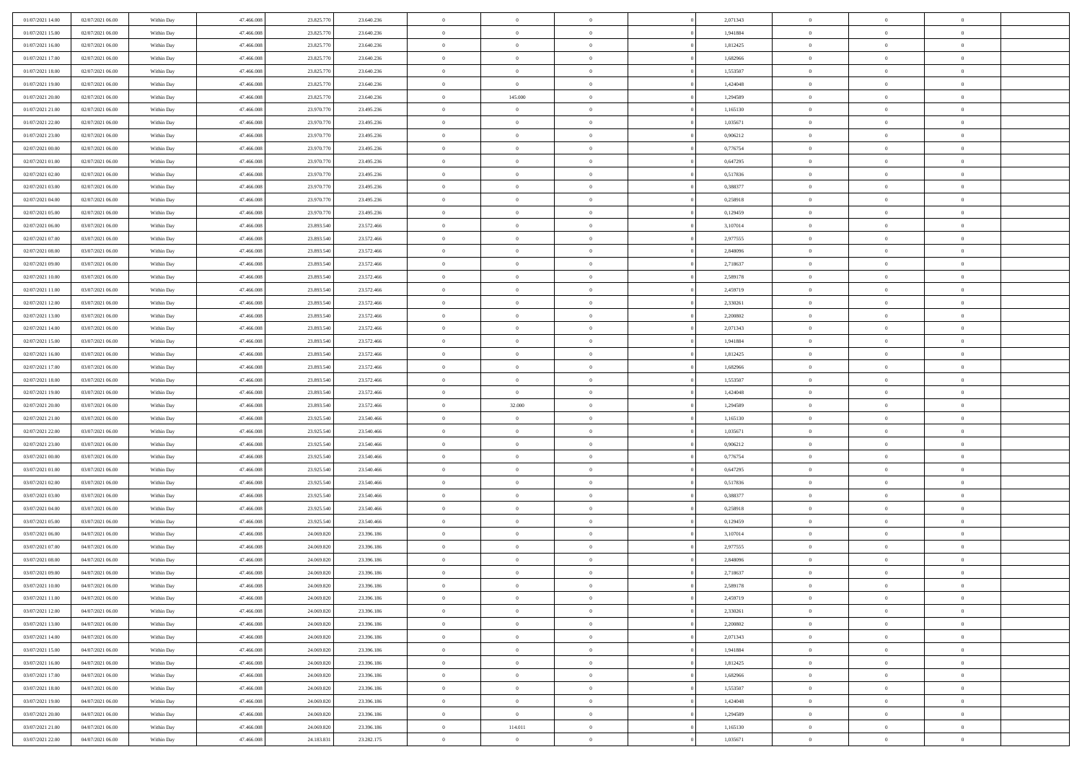| 01/07/2021 14:00 | 02/07/2021 06:00 | Within Day | 47.466.008               | 23.825.770 | 23.640.236 | $\,$ 0         | $\bf{0}$       | $\theta$       |          | 2,071343 | $\bf{0}$       | $\overline{0}$ | $\,0\,$        |  |
|------------------|------------------|------------|--------------------------|------------|------------|----------------|----------------|----------------|----------|----------|----------------|----------------|----------------|--|
| 01/07/2021 15:00 | 02/07/2021 06:00 | Within Day | 47,466,008               | 23.825.770 | 23.640.236 | $\overline{0}$ | $\overline{0}$ | $\overline{0}$ |          | 1,941884 | $\overline{0}$ | $\overline{0}$ | $\theta$       |  |
| 01/07/2021 16:00 | 02/07/2021 06:00 | Within Dav | 47.466.008               | 23.825.770 | 23.640.236 | $\mathbf{0}$   | $\overline{0}$ | $\overline{0}$ |          | 1,812425 | $\mathbf{0}$   | $\overline{0}$ | $\overline{0}$ |  |
| 01/07/2021 17:00 | 02/07/2021 06:00 | Within Day | 47.466.008               | 23.825.770 | 23.640.236 | $\bf{0}$       | $\overline{0}$ | $\bf{0}$       |          | 1,682966 | $\bf{0}$       | $\overline{0}$ | $\bf{0}$       |  |
| 01/07/2021 18:00 | 02/07/2021 06:00 | Within Day | 47,466,008               | 23.825.770 | 23.640.236 | $\bf{0}$       | $\bf{0}$       | $\overline{0}$ |          | 1,553507 | $\bf{0}$       | $\bf{0}$       | $\,0\,$        |  |
| 01/07/2021 19:00 | 02/07/2021 06:00 | Within Dav | 47.466.008               | 23.825.770 | 23.640.236 | $\mathbf{0}$   | $\overline{0}$ |                |          | 1,424048 | $\mathbf{0}$   | $\overline{0}$ | $\overline{0}$ |  |
|                  |                  |            |                          |            |            |                |                | $\overline{0}$ |          |          |                |                |                |  |
| 01/07/2021 20:00 | 02/07/2021 06:00 | Within Day | 47.466.008               | 23.825.770 | 23.640.236 | $\bf{0}$       | 145.000        | $\overline{0}$ |          | 1,294589 | $\bf{0}$       | $\overline{0}$ | $\,0\,$        |  |
| 01/07/2021 21:00 | 02/07/2021 06:00 | Within Day | 47,466,008               | 23.970.770 | 23.495.236 | $\overline{0}$ | $\overline{0}$ | $\overline{0}$ |          | 1,165130 | $\,$ 0 $\,$    | $\overline{0}$ | $\theta$       |  |
| 01/07/2021 22:00 | 02/07/2021 06:00 | Within Dav | 47.466.008               | 23.970.770 | 23.495.236 | $\mathbf{0}$   | $\overline{0}$ | $\overline{0}$ |          | 1,035671 | $\mathbf{0}$   | $\overline{0}$ | $\overline{0}$ |  |
| 01/07/2021 23.00 | 02/07/2021 06:00 | Within Day | 47.466.008               | 23.970.770 | 23.495.236 | $\bf{0}$       | $\overline{0}$ | $\overline{0}$ |          | 0,906212 | $\bf{0}$       | $\overline{0}$ | $\,0\,$        |  |
| 02/07/2021 00:00 | 02/07/2021 06:00 | Within Day | 47,466,008               | 23.970.770 | 23.495.236 | $\overline{0}$ | $\overline{0}$ | $\overline{0}$ |          | 0,776754 | $\bf{0}$       | $\mathbf{0}$   | $\theta$       |  |
| 02/07/2021 01:00 | 02/07/2021 06:00 | Within Dav | 47.466.008               | 23.970.770 | 23.495.236 | $\mathbf{0}$   | $\overline{0}$ | $\overline{0}$ |          | 0,647295 | $\mathbf{0}$   | $\overline{0}$ | $\overline{0}$ |  |
| 02/07/2021 02:00 | 02/07/2021 06:00 | Within Day | 47.466.008               | 23.970.770 | 23.495.236 | $\bf{0}$       | $\overline{0}$ | $\bf{0}$       |          | 0,517836 | $\bf{0}$       | $\overline{0}$ | $\bf{0}$       |  |
| 02/07/2021 03:00 | 02/07/2021 06:00 | Within Day | 47,466,008               | 23.970.770 | 23.495.236 | $\bf{0}$       | $\overline{0}$ | $\overline{0}$ |          | 0,388377 | $\bf{0}$       | $\mathbf{0}$   | $\,0\,$        |  |
| 02/07/2021 04:00 | 02/07/2021 06:00 | Within Dav | 47.466.008               | 23.970.770 | 23.495.236 | $\overline{0}$ | $\overline{0}$ | $\overline{0}$ |          | 0,258918 | $\mathbf{0}$   | $\overline{0}$ | $\overline{0}$ |  |
| 02/07/2021 05:00 | 02/07/2021 06:00 | Within Day | 47.466.008               | 23.970.770 | 23.495.236 | $\bf{0}$       | $\overline{0}$ | $\overline{0}$ |          | 0,129459 | $\bf{0}$       | $\overline{0}$ | $\bf{0}$       |  |
| 02/07/2021 06:00 | 03/07/2021 06:00 | Within Day | 47,466,008               | 23.893.540 | 23.572.466 | $\overline{0}$ | $\overline{0}$ | $\overline{0}$ |          | 3,107014 | $\bf{0}$       | $\overline{0}$ | $\theta$       |  |
| 02/07/2021 07:00 | 03/07/2021 06:00 | Within Day | 47.466.008               | 23.893.540 | 23.572.466 | $\mathbf{0}$   | $\overline{0}$ | $\overline{0}$ |          | 2,977555 | $\mathbf{0}$   | $\overline{0}$ | $\overline{0}$ |  |
| 02/07/2021 08:00 | 03/07/2021 06:00 | Within Day | 47.466.008               | 23.893.540 | 23.572.466 | $\,$ 0         | $\overline{0}$ | $\overline{0}$ |          | 2,848096 | $\bf{0}$       | $\overline{0}$ | $\,0\,$        |  |
| 02/07/2021 09:00 | 03/07/2021 06:00 | Within Day | 47,466,008               | 23.893.540 | 23.572.466 | $\overline{0}$ | $\overline{0}$ | $\overline{0}$ |          | 2,718637 | $\bf{0}$       | $\overline{0}$ | $\overline{0}$ |  |
| 02/07/2021 10:00 | 03/07/2021 06:00 | Within Dav | 47.466.008               | 23.893.540 | 23.572.466 | $\mathbf{0}$   | $\overline{0}$ | $\overline{0}$ |          | 2,589178 | $\mathbf{0}$   | $\overline{0}$ | $\overline{0}$ |  |
| 02/07/2021 11:00 | 03/07/2021 06:00 | Within Day | 47.466.008               | 23.893.540 | 23.572.466 | $\bf{0}$       | $\overline{0}$ | $\overline{0}$ |          | 2,459719 | $\bf{0}$       | $\overline{0}$ | $\bf{0}$       |  |
| 02/07/2021 12:00 | 03/07/2021 06:00 | Within Day | 47,466,008               | 23.893.540 | 23.572.466 | $\bf{0}$       | $\overline{0}$ | $\overline{0}$ |          | 2,330261 | $\bf{0}$       | $\overline{0}$ | $\,0\,$        |  |
| 02/07/2021 13:00 | 03/07/2021 06:00 | Within Dav | 47.466.008               | 23.893.540 | 23.572.466 | $\mathbf{0}$   | $\overline{0}$ | $\overline{0}$ |          | 2,200802 | $\mathbf{0}$   | $\overline{0}$ | $\overline{0}$ |  |
| 02/07/2021 14:00 | 03/07/2021 06:00 | Within Day | 47.466.008               | 23.893.540 | 23.572.466 | $\bf{0}$       | $\overline{0}$ | $\overline{0}$ |          | 2,071343 | $\bf{0}$       | $\overline{0}$ | $\,0\,$        |  |
| 02/07/2021 15:00 | 03/07/2021 06:00 | Within Day | 47,466,008               | 23.893.540 | 23.572.466 | $\overline{0}$ | $\overline{0}$ | $\overline{0}$ |          | 1,941884 | $\bf{0}$       | $\overline{0}$ | $\overline{0}$ |  |
| 02/07/2021 16:00 | 03/07/2021 06:00 | Within Dav | 47.466.008               | 23.893.540 | 23.572.466 | $\mathbf{0}$   | $\overline{0}$ | $\overline{0}$ |          | 1,812425 | $\mathbf{0}$   | $\overline{0}$ | $\overline{0}$ |  |
| 02/07/2021 17:00 | 03/07/2021 06:00 | Within Day | 47.466.008               | 23.893.540 | 23.572.466 | $\bf{0}$       | $\overline{0}$ | $\overline{0}$ |          | 1,682966 | $\bf{0}$       | $\overline{0}$ | $\,0\,$        |  |
| 02/07/2021 18:00 | 03/07/2021 06:00 | Within Day | 47,466,008               | 23.893.540 | 23.572.466 | $\bf{0}$       | $\overline{0}$ | $\overline{0}$ |          | 1,553507 | $\bf{0}$       | $\overline{0}$ | $\overline{0}$ |  |
| 02/07/2021 19:00 | 03/07/2021 06:00 | Within Dav | 47.466.008               | 23.893.540 | 23.572.466 | $\mathbf{0}$   | $\overline{0}$ | $\overline{0}$ |          | 1,424048 | $\mathbf{0}$   | $\overline{0}$ | $\overline{0}$ |  |
|                  |                  |            |                          |            |            | $\bf{0}$       |                | $\theta$       |          |          | $\,$ 0         | $\overline{0}$ | $\theta$       |  |
| 02/07/2021 20:00 | 03/07/2021 06:00 | Within Day | 47.466.008<br>47,466,008 | 23.893.540 | 23.572.466 |                | 32.000         |                |          | 1,294589 |                | $\overline{0}$ |                |  |
| 02/07/2021 21:00 | 03/07/2021 06:00 | Within Day |                          | 23.925.540 | 23.540.466 | $\bf{0}$       | $\overline{0}$ | $\overline{0}$ |          | 1,165130 | $\bf{0}$       |                | $\overline{0}$ |  |
| 02/07/2021 22:00 | 03/07/2021 06:00 | Within Dav | 47.466.008               | 23.925.540 | 23.540.466 | $\overline{0}$ | $\overline{0}$ | $\overline{0}$ |          | 1,035671 | $\mathbf{0}$   | $\overline{0}$ | $\overline{0}$ |  |
| 02/07/2021 23:00 | 03/07/2021 06:00 | Within Day | 47.466.008               | 23.925.540 | 23.540.466 | $\bf{0}$       | $\overline{0}$ | $\theta$       |          | 0,906212 | $\,$ 0         | $\overline{0}$ | $\theta$       |  |
| 03/07/2021 00:00 | 03/07/2021 06:00 | Within Day | 47,466,008               | 23.925.540 | 23.540.466 | $\overline{0}$ | $\overline{0}$ | $\overline{0}$ |          | 0,776754 | $\bf{0}$       | $\overline{0}$ | $\overline{0}$ |  |
| 03/07/2021 01:00 | 03/07/2021 06:00 | Within Day | 47.466.008               | 23.925.540 | 23.540.466 | $\mathbf{0}$   | $\overline{0}$ | $\overline{0}$ |          | 0,647295 | $\mathbf{0}$   | $\overline{0}$ | $\overline{0}$ |  |
| 03/07/2021 02:00 | 03/07/2021 06:00 | Within Day | 47.466.008               | 23.925.540 | 23.540.466 | $\bf{0}$       | $\overline{0}$ | $\theta$       |          | 0,517836 | $\,$ 0         | $\overline{0}$ | $\theta$       |  |
| 03/07/2021 03:00 | 03/07/2021 06:00 | Within Day | 47,466,008               | 23.925.540 | 23.540.466 | $\bf{0}$       | $\overline{0}$ | $\overline{0}$ |          | 0.388377 | $\bf{0}$       | $\overline{0}$ | $\overline{0}$ |  |
| 03/07/2021 04:00 | 03/07/2021 06:00 | Within Dav | 47.466.008               | 23.925.540 | 23.540.466 | $\mathbf{0}$   | $\overline{0}$ | $\overline{0}$ |          | 0,258918 | $\mathbf{0}$   | $\overline{0}$ | $\overline{0}$ |  |
| 03/07/2021 05:00 | 03/07/2021 06:00 | Within Day | 47.466.008               | 23.925.540 | 23.540.466 | $\,0\,$        | $\overline{0}$ | $\theta$       |          | 0,129459 | $\,$ 0         | $\overline{0}$ | $\theta$       |  |
| 03/07/2021 06:00 | 04/07/2021 06:00 | Within Day | 47,466,008               | 24.069.820 | 23.396.186 | $\bf{0}$       | $\bf{0}$       | $\overline{0}$ |          | 3,107014 | $\bf{0}$       | $\overline{0}$ | $\overline{0}$ |  |
| 03/07/2021 07:00 | 04/07/2021 06:00 | Within Dav | 47.466.008               | 24.069.820 | 23.396.186 | $\mathbf{0}$   | $\overline{0}$ | $\overline{0}$ |          | 2,977555 | $\mathbf{0}$   | $\overline{0}$ | $\overline{0}$ |  |
| 03/07/2021 08:00 | 04/07/2021 06:00 | Within Day | 47.466.008               | 24.069.820 | 23.396.186 | $\bf{0}$       | $\overline{0}$ | $\theta$       |          | 2,848096 | $\,$ 0         | $\overline{0}$ | $\theta$       |  |
| 03/07/2021 09:00 | 04/07/2021 06:00 | Within Day | 47.466.008               | 24.069.820 | 23.396.186 | $\bf{0}$       | $\overline{0}$ | $\overline{0}$ |          | 2,718637 | $\,$ 0 $\,$    | $\overline{0}$ | $\bf{0}$       |  |
| 03/07/2021 10:00 | 04/07/2021 06:00 | Within Day | 47.466.008               | 24.069.820 | 23.396.186 | $\bf{0}$       | $\overline{0}$ |                |          | 2,589178 | $\overline{0}$ | $\theta$       | $\theta$       |  |
| 03/07/2021 11:00 | 04/07/2021 06:00 | Within Day | 47.466.008               | 24.069.820 | 23.396.186 | $\,0\,$        | $\overline{0}$ | $\theta$       |          | 2,459719 | $\,$ 0 $\,$    | $\bf{0}$       | $\theta$       |  |
| 03/07/2021 12:00 | 04/07/2021 06:00 | Within Day | 47,466,008               | 24.069.820 | 23.396.186 | $\overline{0}$ | $\overline{0}$ | $\overline{0}$ |          | 2,330261 | $\overline{0}$ | $\overline{0}$ | $\overline{0}$ |  |
| 03/07/2021 13:00 | 04/07/2021 06:00 | Within Day | 47.466.008               | 24.069.820 | 23.396.186 | $\bf{0}$       | $\overline{0}$ | $\overline{0}$ |          | 2,200802 | $\overline{0}$ | $\bf{0}$       | $\mathbf{0}$   |  |
| 03/07/2021 14:00 | 04/07/2021 06:00 | Within Day | 47.466.008               | 24.069.820 | 23.396.186 | $\bf{0}$       | $\overline{0}$ | $\overline{0}$ | $\theta$ | 2,071343 | $\mathbf{0}$   | $\bf{0}$       | $\,$ 0 $\,$    |  |
| 03/07/2021 15:00 | 04/07/2021 06:00 | Within Day | 47,466,008               | 24.069.820 | 23.396.186 | $\bf{0}$       | $\overline{0}$ | $\overline{0}$ |          | 1,941884 | $\,$ 0 $\,$    | $\overline{0}$ | $\overline{0}$ |  |
| 03/07/2021 16:00 | 04/07/2021 06:00 | Within Day | 47.466.008               | 24.069.820 | 23.396.186 | $\bf{0}$       | $\overline{0}$ | $\overline{0}$ |          | 1,812425 | $\mathbf{0}$   | $\overline{0}$ | $\overline{0}$ |  |
| 03/07/2021 17:00 | 04/07/2021 06:00 | Within Day | 47.466.008               | 24.069.820 | 23.396.186 | $\,$ 0 $\,$    | $\overline{0}$ | $\mathbf{0}$   | $\theta$ | 1,682966 | $\,$ 0 $\,$    | $\mathbf{0}$   | $\overline{0}$ |  |
|                  |                  |            |                          |            |            |                |                |                |          |          |                |                |                |  |
| 03/07/2021 18:00 | 04/07/2021 06:00 | Within Day | 47,466,008               | 24.069.820 | 23.396.186 | $\bf{0}$       | $\overline{0}$ | $\overline{0}$ |          | 1,553507 | $\overline{0}$ | $\overline{0}$ | $\overline{0}$ |  |
| 03/07/2021 19:00 | 04/07/2021 06:00 | Within Day | 47.466.008               | 24.069.820 | 23.396.186 | $\bf{0}$       | $\overline{0}$ | $\overline{0}$ |          | 1,424048 | $\mathbf{0}$   | $\overline{0}$ | $\overline{0}$ |  |
| 03/07/2021 20:00 | 04/07/2021 06:00 | Within Day | 47.466.008               | 24.069.820 | 23.396.186 | $\,0\,$        | $\overline{0}$ | $\overline{0}$ |          | 1,294589 | $\,$ 0 $\,$    | $\mathbf{0}$   | $\overline{0}$ |  |
| 03/07/2021 21:00 | 04/07/2021 06:00 | Within Day | 47,466,008               | 24.069.820 | 23.396.186 | $\overline{0}$ | 114.011        | $\overline{0}$ |          | 1,165130 | $\bf{0}$       | $\mathbf{0}$   | $\overline{0}$ |  |
| 03/07/2021 22:00 | 04/07/2021 06:00 | Within Day | 47.466.008               | 24.183.831 | 23.282.175 | $\bf{0}$       | $\overline{0}$ | $\overline{0}$ |          | 1,035671 | $\mathbf{0}$   | $\overline{0}$ | $\overline{0}$ |  |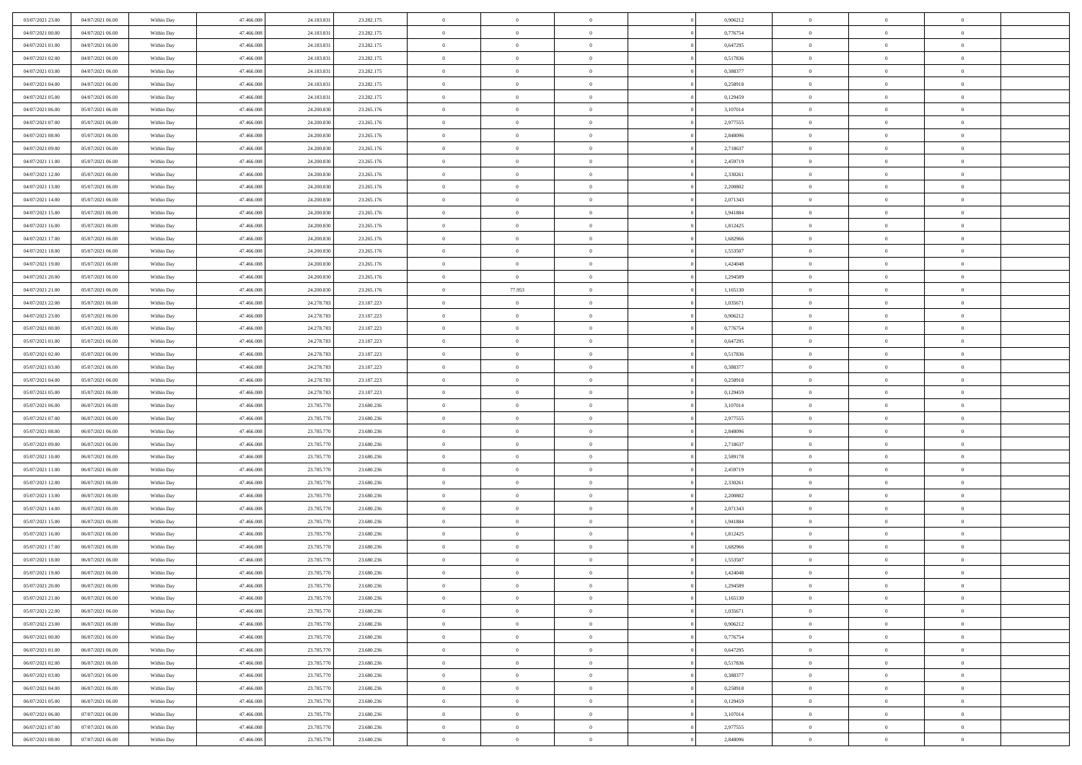| 03/07/2021 23:00 | 04/07/2021 06:00 | Within Day | 47,466,008 | 24.183.831 | 23.282.175 | $\overline{0}$ | $\overline{0}$ | $\Omega$       |          | 0,906212 | $\bf{0}$       | $\mathbf{0}$   | $\bf{0}$       |  |
|------------------|------------------|------------|------------|------------|------------|----------------|----------------|----------------|----------|----------|----------------|----------------|----------------|--|
| 04/07/2021 00:00 | 04/07/2021 06:00 | Within Day | 47.466.008 | 24.183.831 | 23.282.175 | $\mathbf{0}$   | $\overline{0}$ | $\overline{0}$ |          | 0,776754 | $\overline{0}$ | $\overline{0}$ | $\overline{0}$ |  |
| 04/07/2021 01:00 | 04/07/2021 06:00 | Within Day | 47.466.008 | 24.183.831 | 23.282.175 | $\,$ 0         | $\overline{0}$ | $\bf{0}$       |          | 0,647295 | $\,$ 0         | $\overline{0}$ | $\,$ 0 $\,$    |  |
| 04/07/2021 02.00 | 04/07/2021 06:00 | Within Day | 47,466,008 | 24.183.831 | 23.282.175 | $\bf{0}$       | $\overline{0}$ | $\Omega$       |          | 0,517836 | $\bf{0}$       | $\mathbf{0}$   | $\theta$       |  |
| 04/07/2021 03:00 | 04/07/2021 06:00 | Within Dav | 47.466.008 | 24.183.831 | 23.282.175 | $\bf{0}$       | $\overline{0}$ | $\overline{0}$ |          | 0,388377 | $\mathbf{0}$   | $\overline{0}$ | $\overline{0}$ |  |
| 04/07/2021 04:00 | 04/07/2021 06:00 | Within Day | 47.466.008 | 24.183.831 | 23.282.175 | $\bf{0}$       | $\overline{0}$ | $\bf{0}$       |          | 0,258918 | $\,$ 0         | $\overline{0}$ | $\,$ 0 $\,$    |  |
| 04/07/2021 05:00 | 04/07/2021 06:00 | Within Day | 47,466,008 | 24.183.831 | 23.282.175 | $\bf{0}$       | $\overline{0}$ | $\Omega$       |          | 0,129459 | $\theta$       | $\mathbf{0}$   | $\theta$       |  |
| 04/07/2021 06:00 | 05/07/2021 06:00 | Within Day | 47.466.008 | 24.200.830 | 23.265.176 | $\overline{0}$ | $\overline{0}$ | $\overline{0}$ |          | 3,107014 | $\mathbf{0}$   | $\overline{0}$ | $\overline{0}$ |  |
| 04/07/2021 07:00 | 05/07/2021 06:00 | Within Day | 47.466.008 | 24.200.830 | 23.265.176 | $\bf{0}$       | $\overline{0}$ | $\bf{0}$       |          | 2,977555 | $\,$ 0         | $\overline{0}$ | $\,$ 0 $\,$    |  |
| 04/07/2021 08:00 | 05/07/2021 06:00 | Within Day | 47,466,008 | 24.200.830 | 23.265.176 | $\bf{0}$       | $\overline{0}$ | $\Omega$       |          | 2.848096 | $\theta$       | $\mathbf{0}$   | $\theta$       |  |
| 04/07/2021 09:00 | 05/07/2021 06:00 | Within Day | 47.466.008 | 24.200.830 | 23.265.176 | $\overline{0}$ | $\overline{0}$ | $\overline{0}$ |          | 2,718637 | $\mathbf{0}$   | $\overline{0}$ | $\overline{0}$ |  |
| 04/07/2021 11:00 | 05/07/2021 06:00 | Within Day | 47.466.008 | 24.200.830 | 23.265.176 | $\,$ 0         | $\overline{0}$ | $\bf{0}$       |          | 2,459719 | $\,$ 0         | $\overline{0}$ | $\,$ 0 $\,$    |  |
| 04/07/2021 12:00 | 05/07/2021 06:00 | Within Day | 47,466,008 | 24.200.830 | 23.265.176 | $\bf{0}$       | $\overline{0}$ | $\Omega$       |          | 2,330261 | $\overline{0}$ | $\mathbf{0}$   | $\theta$       |  |
| 04/07/2021 13:00 | 05/07/2021 06:00 | Within Dav | 47.466.008 | 24.200.830 | 23.265.176 | $\overline{0}$ | $\overline{0}$ | $\overline{0}$ |          | 2,200802 | $\mathbf{0}$   | $\overline{0}$ | $\overline{0}$ |  |
| 04/07/2021 14:00 | 05/07/2021 06:00 | Within Day | 47.466.008 | 24.200.830 | 23.265.176 | $\bf{0}$       | $\overline{0}$ | $\bf{0}$       |          | 2,071343 | $\,$ 0         | $\overline{0}$ | $\,$ 0 $\,$    |  |
| 04/07/2021 15:00 | 05/07/2021 06:00 | Within Day | 47,466,008 | 24.200.830 | 23.265.176 | $\bf{0}$       | $\overline{0}$ | $\overline{0}$ |          | 1,941884 | $\theta$       | $\mathbf{0}$   | $\theta$       |  |
| 04/07/2021 16:00 | 05/07/2021 06:00 | Within Day | 47.466.008 | 24.200.830 | 23.265.176 | $\overline{0}$ | $\overline{0}$ | $\overline{0}$ |          | 1,812425 | $\mathbf{0}$   | $\overline{0}$ | $\overline{0}$ |  |
| 04/07/2021 17:00 | 05/07/2021 06:00 | Within Day | 47.466.008 | 24.200.830 | 23.265.176 | $\bf{0}$       | $\overline{0}$ | $\bf{0}$       |          | 1,682966 | $\,$ 0         | $\overline{0}$ | $\,0\,$        |  |
| 04/07/2021 18:00 | 05/07/2021 06:00 | Within Day | 47,466,008 | 24.200.830 | 23.265.176 | $\bf{0}$       | $\overline{0}$ | $\Omega$       |          | 1,553507 | $\theta$       | $\mathbf{0}$   | $\theta$       |  |
| 04/07/2021 19:00 | 05/07/2021 06:00 | Within Day | 47.466.008 | 24.200.830 | 23.265.176 | $\overline{0}$ | $\overline{0}$ | $\overline{0}$ |          | 1,424048 | $\mathbf{0}$   | $\overline{0}$ | $\overline{0}$ |  |
| 04/07/2021 20:00 | 05/07/2021 06:00 | Within Day | 47.466.008 | 24.200.830 | 23.265.176 | $\bf{0}$       | $\overline{0}$ | $\bf{0}$       |          | 1,294589 | $\,$ 0         | $\overline{0}$ | $\,$ 0 $\,$    |  |
| 04/07/2021 21:00 | 05/07/2021 06:00 | Within Day | 47.466.008 | 24.200.830 | 23.265.176 | $\bf{0}$       | 77.953         | $\Omega$       |          | 1.165130 | $\bf{0}$       | $\theta$       | $\theta$       |  |
| 04/07/2021 22:00 | 05/07/2021 06:00 | Within Day | 47.466.008 | 24.278.783 | 23.187.223 | $\overline{0}$ | $\overline{0}$ | $\overline{0}$ |          | 1,035671 | $\mathbf{0}$   | $\overline{0}$ | $\overline{0}$ |  |
| 04/07/2021 23:00 | 05/07/2021 06:00 | Within Day | 47.466.008 | 24.278.783 | 23.187.223 | $\bf{0}$       | $\overline{0}$ | $\bf{0}$       |          | 0,906212 | $\,$ 0         | $\overline{0}$ | $\,$ 0 $\,$    |  |
| 05/07/2021 00:00 | 05/07/2021 06:00 | Within Day | 47,466,008 | 24.278.783 | 23.187.223 | $\bf{0}$       | $\overline{0}$ | $\overline{0}$ |          | 0,776754 | $\bf{0}$       | $\overline{0}$ | $\bf{0}$       |  |
| 05/07/2021 01:00 | 05/07/2021 06:00 | Within Day | 47.466.008 | 24.278.783 | 23.187.223 | $\overline{0}$ | $\overline{0}$ | $\overline{0}$ |          | 0,647295 | $\mathbf{0}$   | $\overline{0}$ | $\overline{0}$ |  |
| 05/07/2021 02:00 | 05/07/2021 06:00 | Within Day | 47.466.008 | 24.278.783 | 23.187.223 | $\bf{0}$       | $\overline{0}$ | $\bf{0}$       |          | 0,517836 | $\,$ 0         | $\overline{0}$ | $\,$ 0 $\,$    |  |
| 05/07/2021 03:00 | 05/07/2021 06:00 | Within Day | 47,466,008 | 24.278.783 | 23.187.223 | $\bf{0}$       | $\overline{0}$ | $\Omega$       |          | 0.388377 | $\theta$       | $\mathbf{0}$   | $\theta$       |  |
| 05/07/2021 04:00 | 05/07/2021 06:00 | Within Day | 47.466.008 | 24.278.783 | 23.187.223 | $\overline{0}$ | $\overline{0}$ | $\overline{0}$ |          | 0,258918 | $\mathbf{0}$   | $\overline{0}$ | $\overline{0}$ |  |
| 05/07/2021 05:00 | 05/07/2021 06:00 | Within Day | 47.466.008 | 24.278.783 | 23.187.223 | $\bf{0}$       | $\overline{0}$ | $\bf{0}$       |          | 0,129459 | $\,$ 0         | $\overline{0}$ | $\,$ 0 $\,$    |  |
| 05/07/2021 06:00 | 06/07/2021 06:00 | Within Day | 47.466.008 | 23.785.770 | 23.680.236 | $\,$ 0         | $\bf{0}$       | $\overline{0}$ |          | 3,107014 | $\bf{0}$       | $\overline{0}$ | $\,0\,$        |  |
| 05/07/2021 07:00 | 06/07/2021 06:00 | Within Dav | 47.466.008 | 23.785.770 | 23.680.236 | $\overline{0}$ | $\overline{0}$ | $\overline{0}$ |          | 2,977555 | $\mathbf{0}$   | $\overline{0}$ | $\overline{0}$ |  |
| 05/07/2021 08:00 | 06/07/2021 06:00 | Within Day | 47.466.008 | 23.785.770 | 23.680.236 | $\bf{0}$       | $\overline{0}$ | $\bf{0}$       |          | 2,848096 | $\,$ 0         | $\overline{0}$ | $\,$ 0 $\,$    |  |
| 05/07/2021 09:00 | 06/07/2021 06:00 | Within Day | 47.466.008 | 23.785.770 | 23.680.236 | $\bf{0}$       | $\bf{0}$       | $\bf{0}$       |          | 2,718637 | $\bf{0}$       | $\overline{0}$ | $\,0\,$        |  |
| 05/07/2021 10:00 | 06/07/2021 06:00 | Within Day | 47.466.008 | 23.785.770 | 23.680.236 | $\overline{0}$ | $\overline{0}$ | $\overline{0}$ |          | 2,589178 | $\overline{0}$ | $\overline{0}$ | $\overline{0}$ |  |
| 05/07/2021 11:00 | 06/07/2021 06:00 | Within Day | 47.466.008 | 23.785.770 | 23.680.236 | $\bf{0}$       | $\overline{0}$ | $\bf{0}$       |          | 2,459719 | $\,$ 0         | $\overline{0}$ | $\,$ 0 $\,$    |  |
| 05/07/2021 12:00 | 06/07/2021 06:00 | Within Day | 47.466.008 | 23.785.770 | 23.680.236 | $\bf{0}$       | $\bf{0}$       | $\overline{0}$ |          | 2,330261 | $\bf{0}$       | $\overline{0}$ | $\,0\,$        |  |
| 05/07/2021 13:00 | 06/07/2021 06:00 | Within Day | 47.466.008 | 23.785.770 | 23.680.236 | $\overline{0}$ | $\overline{0}$ | $\overline{0}$ |          | 2,200802 | $\mathbf{0}$   | $\overline{0}$ | $\overline{0}$ |  |
| 05/07/2021 14:00 | 06/07/2021 06:00 | Within Day | 47.466.008 | 23.785.770 | 23.680.236 | $\bf{0}$       | $\overline{0}$ | $\bf{0}$       |          | 2,071343 | $\,$ 0         | $\overline{0}$ | $\,$ 0 $\,$    |  |
| 05/07/2021 15:00 | 06/07/2021 06:00 | Within Day | 47.466.008 | 23.785.770 | 23.680.236 | $\bf{0}$       | $\bf{0}$       | $\overline{0}$ |          | 1,941884 | $\bf{0}$       | $\overline{0}$ | $\,0\,$        |  |
| 05/07/2021 16:00 | 06/07/2021 06:00 | Within Dav | 47.466.008 | 23.785.770 | 23.680.236 | $\overline{0}$ | $\overline{0}$ | $\overline{0}$ |          | 1,812425 | $\overline{0}$ | $\overline{0}$ | $\overline{0}$ |  |
| 05/07/2021 17:00 | 06/07/2021 06:00 | Within Day | 47.466.008 | 23.785.770 | 23.680.236 | $\bf{0}$       | $\overline{0}$ | $\bf{0}$       |          | 1,682966 | $\,$ 0         | $\overline{0}$ | $\,$ 0 $\,$    |  |
| 05/07/2021 18:00 | 06/07/2021 06:00 | Within Day | 47.466.008 | 23.785.770 | 23.680.236 | $\bf{0}$       | $\bf{0}$       | $\bf{0}$       |          | 1,553507 | $\bf{0}$       | $\overline{0}$ | $\,0\,$        |  |
| 05/07/2021 19:00 | 06/07/2021 06:00 | Within Dav | 47.466.008 | 23.785.770 | 23.680.236 | $\mathbf{0}$   | $\overline{0}$ | $\overline{0}$ |          | 1,424048 | $\mathbf{0}$   | $\overline{0}$ | $\overline{0}$ |  |
| 05/07/2021 20:00 | 06/07/2021 06:00 | Within Day | 47.466.008 | 23.785.770 | 23.680.236 | $\bf{0}$       | $\overline{0}$ | $\theta$       |          | 1,294589 | $\overline{0}$ | $\theta$       | $\theta$       |  |
| 05/07/2021 21:00 | 06/07/2021 06:00 | Within Day | 47.466.008 | 23.785.770 | 23.680.236 | $\bf{0}$       | $\bf{0}$       | $\bf{0}$       |          | 1,165130 | $\bf{0}$       | $\overline{0}$ | $\,0\,$        |  |
| 05/07/2021 22:00 | 06/07/2021 06:00 | Within Day | 47.466.008 | 23.785.770 | 23.680.236 | $\overline{0}$ | $\overline{0}$ | $\overline{0}$ |          | 1,035671 | $\overline{0}$ | $\bf{0}$       | $\overline{0}$ |  |
| 05/07/2021 23:00 | 06/07/2021 06:00 | Within Day | 47.466.008 | 23.785.770 | 23.680.236 | $\,$ 0 $\,$    | $\overline{0}$ | $\overline{0}$ |          | 0,906212 | $\mathbf{0}$   | $\overline{0}$ | $\,$ 0 $\,$    |  |
| 06/07/2021 00:00 | 06/07/2021 06:00 | Within Day | 47.466.008 | 23.785.770 | 23.680.236 | $\bf{0}$       | $\bf{0}$       | $\overline{0}$ |          | 0,776754 | $\bf{0}$       | $\overline{0}$ | $\bf{0}$       |  |
| 06/07/2021 01:00 | 06/07/2021 06:00 | Within Day | 47.466.008 | 23.785.770 | 23.680.236 | $\overline{0}$ | $\overline{0}$ | $\overline{0}$ |          | 0,647295 | $\overline{0}$ | $\overline{0}$ | $\overline{0}$ |  |
| 06/07/2021 02:00 | 06/07/2021 06:00 | Within Day | 47.466.008 | 23.785.770 | 23.680.236 | $\,$ 0 $\,$    | $\overline{0}$ | $\overline{0}$ |          | 0,517836 | $\,$ 0 $\,$    | $\overline{0}$ | $\,$ 0 $\,$    |  |
| 06/07/2021 03:00 | 06/07/2021 06:00 | Within Day | 47.466.008 | 23.785.770 | 23.680.236 | $\overline{0}$ | $\overline{0}$ | $\overline{0}$ | $\Omega$ | 0,388377 | $\bf{0}$       | $\overline{0}$ | $\overline{0}$ |  |
| 06/07/2021 04:00 | 06/07/2021 06:00 | Within Day | 47.466.008 | 23.785.770 | 23.680.236 | $\overline{0}$ | $\overline{0}$ | $\overline{0}$ |          | 0,258918 | $\overline{0}$ | $\bf{0}$       | $\overline{0}$ |  |
| 06/07/2021 05:00 | 06/07/2021 06:00 | Within Day | 47.466.008 | 23.785.770 | 23.680.236 | $\,$ 0 $\,$    | $\overline{0}$ | $\overline{0}$ |          | 0,129459 | $\,$ 0 $\,$    | $\overline{0}$ | $\,$ 0 $\,$    |  |
| 06/07/2021 06:00 | 07/07/2021 06:00 | Within Day | 47.466.008 | 23.785.770 | 23.680.236 | $\bf{0}$       | $\bf{0}$       | $\overline{0}$ |          | 3,107014 | $\mathbf{0}$   | $\overline{0}$ | $\bf{0}$       |  |
| 06/07/2021 07:00 | 07/07/2021 06:00 | Within Day | 47.466.008 | 23.785.770 | 23.680.236 | $\overline{0}$ | $\overline{0}$ | $\overline{0}$ |          | 2,977555 | $\mathbf{0}$   | $\bf{0}$       | $\overline{0}$ |  |
| 06/07/2021 08:00 | 07/07/2021 06:00 | Within Day | 47.466.008 | 23.785.770 | 23.680.236 | $\,0\,$        | $\overline{0}$ | $\overline{0}$ |          | 2,848096 | $\,$ 0         | $\overline{0}$ | $\,$ 0 $\,$    |  |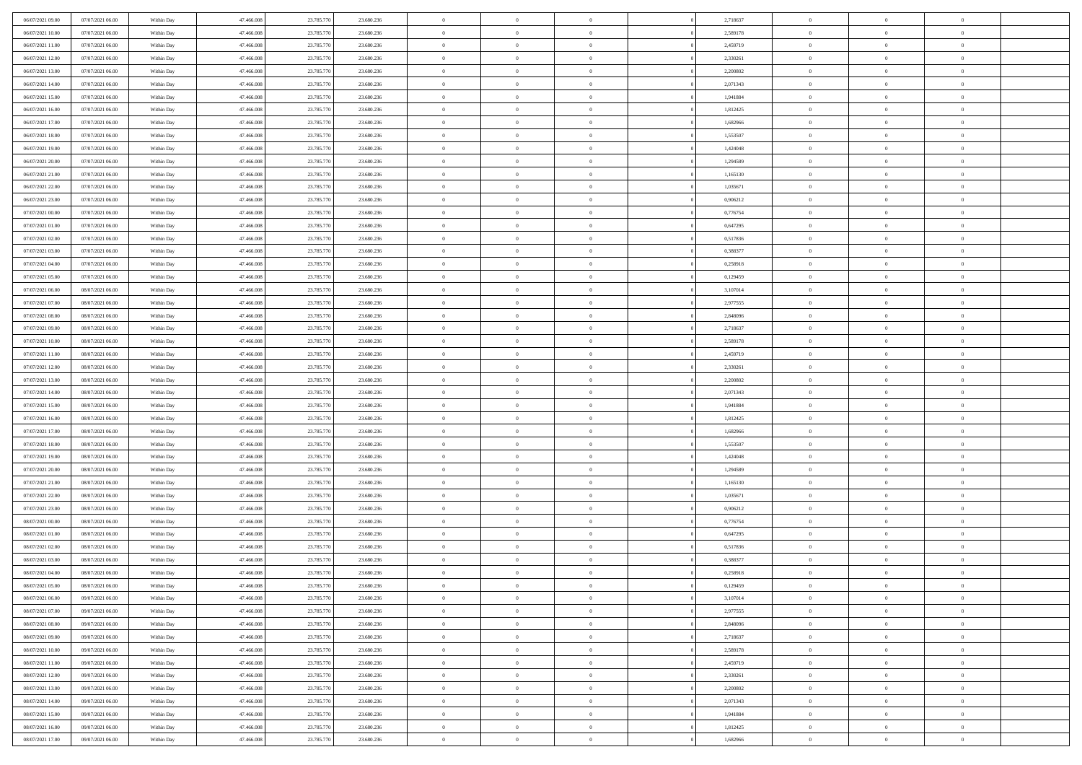| 06/07/2021 09:00                     | 07/07/2021 06:00 | Within Day | 47.466.008 | 23.785.770 | 23.680.236 | $\,$ 0         | $\bf{0}$       | $\theta$       |          | 2,718637 | $\bf{0}$       | $\overline{0}$ | $\,0\,$        |  |
|--------------------------------------|------------------|------------|------------|------------|------------|----------------|----------------|----------------|----------|----------|----------------|----------------|----------------|--|
| 06/07/2021 10:00                     | 07/07/2021 06:00 | Within Day | 47,466,008 | 23.785.770 | 23.680.236 | $\overline{0}$ | $\overline{0}$ | $\overline{0}$ |          | 2,589178 | $\overline{0}$ | $\overline{0}$ | $\theta$       |  |
| 06/07/2021 11:00                     | 07/07/2021 06:00 | Within Dav | 47.466.008 | 23.785.770 | 23.680.236 | $\mathbf{0}$   | $\overline{0}$ | $\overline{0}$ |          | 2,459719 | $\mathbf{0}$   | $\overline{0}$ | $\overline{0}$ |  |
| 06/07/2021 12:00                     | 07/07/2021 06:00 | Within Day | 47.466.008 | 23.785.770 | 23.680.236 | $\bf{0}$       | $\overline{0}$ | $\bf{0}$       |          | 2,330261 | $\bf{0}$       | $\overline{0}$ | $\bf{0}$       |  |
| 06/07/2021 13:00                     | 07/07/2021 06:00 | Within Day | 47,466,008 | 23.785.770 | 23.680.236 | $\bf{0}$       | $\overline{0}$ | $\overline{0}$ |          | 2,200802 | $\bf{0}$       | $\bf{0}$       | $\,0\,$        |  |
| 06/07/2021 14:00                     | 07/07/2021 06:00 | Within Dav | 47.466.008 | 23.785.770 | 23.680.236 | $\mathbf{0}$   | $\overline{0}$ | $\overline{0}$ |          | 2,071343 | $\mathbf{0}$   | $\overline{0}$ | $\overline{0}$ |  |
| 06/07/2021 15:00                     | 07/07/2021 06:00 | Within Day | 47.466.008 | 23.785.770 | 23.680.236 | $\bf{0}$       | $\overline{0}$ | $\overline{0}$ |          | 1,941884 | $\bf{0}$       | $\overline{0}$ | $\,0\,$        |  |
| 06/07/2021 16:00                     | 07/07/2021 06:00 | Within Day | 47,466,008 | 23.785.770 | 23.680.236 | $\overline{0}$ | $\overline{0}$ | $\overline{0}$ |          | 1,812425 | $\,$ 0 $\,$    | $\overline{0}$ | $\theta$       |  |
| 06/07/2021 17:00                     | 07/07/2021 06:00 | Within Day | 47.466.008 | 23.785.770 | 23.680.236 | $\mathbf{0}$   | $\overline{0}$ | $\overline{0}$ |          | 1,682966 | $\mathbf{0}$   | $\overline{0}$ | $\overline{0}$ |  |
| 06/07/2021 18:00                     | 07/07/2021 06:00 |            | 47.466.008 | 23.785.770 | 23.680.236 | $\bf{0}$       | $\overline{0}$ | $\overline{0}$ |          | 1,553507 | $\bf{0}$       | $\overline{0}$ | $\,0\,$        |  |
|                                      |                  | Within Day | 47,466,008 |            |            | $\overline{0}$ | $\overline{0}$ |                |          |          |                | $\overline{0}$ | $\theta$       |  |
| 06/07/2021 19:00<br>06/07/2021 20:00 | 07/07/2021 06:00 | Within Day |            | 23.785.770 | 23.680.236 |                |                | $\overline{0}$ |          | 1,424048 | $\bf{0}$       |                |                |  |
|                                      | 07/07/2021 06:00 | Within Dav | 47.466.008 | 23.785.770 | 23.680.236 | $\mathbf{0}$   | $\overline{0}$ | $\overline{0}$ |          | 1,294589 | $\mathbf{0}$   | $\overline{0}$ | $\overline{0}$ |  |
| 06/07/2021 21:00                     | 07/07/2021 06:00 | Within Day | 47.466.008 | 23.785.770 | 23.680.236 | $\bf{0}$       | $\overline{0}$ | $\bf{0}$       |          | 1,165130 | $\bf{0}$       | $\overline{0}$ | $\bf{0}$       |  |
| 06/07/2021 22:00                     | 07/07/2021 06:00 | Within Day | 47,466,008 | 23.785.770 | 23.680.236 | $\bf{0}$       | $\overline{0}$ | $\overline{0}$ |          | 1,035671 | $\bf{0}$       | $\mathbf{0}$   | $\,0\,$        |  |
| 06/07/2021 23:00                     | 07/07/2021 06:00 | Within Dav | 47.466.008 | 23.785.770 | 23.680.236 | $\overline{0}$ | $\overline{0}$ | $\overline{0}$ |          | 0,906212 | $\mathbf{0}$   | $\overline{0}$ | $\overline{0}$ |  |
| 07/07/2021 00:00                     | 07/07/2021 06:00 | Within Day | 47.466.008 | 23.785.770 | 23.680.236 | $\bf{0}$       | $\overline{0}$ | $\overline{0}$ |          | 0,776754 | $\bf{0}$       | $\overline{0}$ | $\bf{0}$       |  |
| 07/07/2021 01:00                     | 07/07/2021 06:00 | Within Day | 47,466,008 | 23.785.770 | 23.680.236 | $\overline{0}$ | $\overline{0}$ | $\overline{0}$ |          | 0,647295 | $\bf{0}$       | $\overline{0}$ | $\theta$       |  |
| 07/07/2021 02:00                     | 07/07/2021 06:00 | Within Day | 47.466.008 | 23.785.770 | 23.680.236 | $\mathbf{0}$   | $\overline{0}$ | $\overline{0}$ |          | 0,517836 | $\mathbf{0}$   | $\overline{0}$ | $\overline{0}$ |  |
| 07/07/2021 03:00                     | 07/07/2021 06:00 | Within Day | 47.466.008 | 23.785.770 | 23.680.236 | $\bf{0}$       | $\overline{0}$ | $\overline{0}$ |          | 0,388377 | $\bf{0}$       | $\overline{0}$ | $\,0\,$        |  |
| 07/07/2021 04:00                     | 07/07/2021 06:00 | Within Day | 47,466,008 | 23.785.770 | 23.680.236 | $\overline{0}$ | $\overline{0}$ | $\overline{0}$ |          | 0,258918 | $\bf{0}$       | $\overline{0}$ | $\overline{0}$ |  |
| 07/07/2021 05:00                     | 07/07/2021 06:00 | Within Dav | 47.466.008 | 23.785.770 | 23.680.236 | $\mathbf{0}$   | $\overline{0}$ | $\overline{0}$ |          | 0,129459 | $\mathbf{0}$   | $\overline{0}$ | $\overline{0}$ |  |
| 07/07/2021 06:00                     | 08/07/2021 06:00 | Within Day | 47.466.008 | 23.785.770 | 23.680.236 | $\bf{0}$       | $\overline{0}$ | $\overline{0}$ |          | 3,107014 | $\bf{0}$       | $\overline{0}$ | $\bf{0}$       |  |
| 07/07/2021 07:00                     | 08/07/2021 06:00 | Within Day | 47,466,008 | 23.785.770 | 23.680.236 | $\bf{0}$       | $\overline{0}$ | $\overline{0}$ |          | 2,977555 | $\bf{0}$       | $\overline{0}$ | $\,0\,$        |  |
| 07/07/2021 08:00                     | 08/07/2021 06:00 | Within Dav | 47.466.008 | 23.785.770 | 23.680.236 | $\mathbf{0}$   | $\overline{0}$ | $\overline{0}$ |          | 2,848096 | $\mathbf{0}$   | $\overline{0}$ | $\overline{0}$ |  |
| 07/07/2021 09:00                     | 08/07/2021 06:00 | Within Day | 47.466.008 | 23.785.770 | 23.680.236 | $\bf{0}$       | $\bf{0}$       | $\overline{0}$ |          | 2,718637 | $\bf{0}$       | $\overline{0}$ | $\,0\,$        |  |
| 07/07/2021 10:00                     | 08/07/2021 06:00 | Within Day | 47,466,008 | 23.785.770 | 23.680.236 | $\overline{0}$ | $\overline{0}$ | $\overline{0}$ |          | 2,589178 | $\bf{0}$       | $\mathbf{0}$   | $\overline{0}$ |  |
| 07/07/2021 11:00                     | 08/07/2021 06:00 | Within Dav | 47.466.008 | 23.785.770 | 23.680.236 | $\mathbf{0}$   | $\overline{0}$ | $\overline{0}$ |          | 2,459719 | $\mathbf{0}$   | $\overline{0}$ | $\overline{0}$ |  |
| 07/07/2021 12:00                     | 08/07/2021 06:00 | Within Day | 47.466.008 | 23.785.770 | 23.680.236 | $\bf{0}$       | $\bf{0}$       | $\overline{0}$ |          | 2,330261 | $\bf{0}$       | $\overline{0}$ | $\,0\,$        |  |
| 07/07/2021 13:00                     | 08/07/2021 06:00 | Within Day | 47,466,008 | 23.785.770 | 23.680.236 | $\bf{0}$       | $\bf{0}$       | $\overline{0}$ |          | 2,200802 | $\bf{0}$       | $\overline{0}$ | $\overline{0}$ |  |
| 07/07/2021 14:00                     | 08/07/2021 06:00 | Within Dav | 47.466.008 | 23.785.770 | 23.680.236 | $\mathbf{0}$   | $\overline{0}$ | $\overline{0}$ |          | 2,071343 | $\mathbf{0}$   | $\overline{0}$ | $\overline{0}$ |  |
| 07/07/2021 15:00                     | 08/07/2021 06:00 | Within Day | 47.466.008 | 23.785.770 | 23.680.236 | $\bf{0}$       | $\overline{0}$ | $\theta$       |          | 1,941884 | $\,$ 0         | $\overline{0}$ | $\theta$       |  |
| 07/07/2021 16:00                     | 08/07/2021 06:00 | Within Day | 47,466,008 | 23.785.770 | 23.680.236 | $\bf{0}$       | $\bf{0}$       | $\overline{0}$ |          | 1,812425 | $\bf{0}$       | $\overline{0}$ | $\overline{0}$ |  |
| 07/07/2021 17:00                     | 08/07/2021 06:00 | Within Dav | 47.466.008 | 23.785.770 | 23.680.236 | $\overline{0}$ | $\overline{0}$ | $\overline{0}$ |          | 1,682966 | $\mathbf{0}$   | $\overline{0}$ | $\overline{0}$ |  |
| 07/07/2021 18:00                     | 08/07/2021 06:00 | Within Day | 47.466.008 | 23.785.770 | 23.680.236 | $\bf{0}$       | $\overline{0}$ | $\theta$       |          | 1,553507 | $\,$ 0         | $\overline{0}$ | $\theta$       |  |
| 07/07/2021 19:00                     | 08/07/2021 06:00 | Within Day | 47,466,008 | 23.785.770 | 23.680.236 | $\bf{0}$       | $\overline{0}$ | $\overline{0}$ |          | 1,424048 | $\bf{0}$       | $\overline{0}$ | $\overline{0}$ |  |
| 07/07/2021 20:00                     | 08/07/2021 06:00 | Within Day | 47.466.008 | 23.785.770 | 23.680.236 | $\mathbf{0}$   | $\overline{0}$ | $\overline{0}$ |          | 1,294589 | $\mathbf{0}$   | $\overline{0}$ | $\overline{0}$ |  |
| 07/07/2021 21:00                     | 08/07/2021 06:00 | Within Day | 47.466.008 | 23.785.770 | 23.680.236 | $\bf{0}$       | $\overline{0}$ | $\theta$       |          | 1,165130 | $\,$ 0         | $\overline{0}$ | $\theta$       |  |
| 07/07/2021 22.00                     | 08/07/2021 06:00 | Within Day | 47,466,008 | 23.785.770 | 23.680.236 | $\bf{0}$       | $\overline{0}$ | $\overline{0}$ |          | 1,035671 | $\bf{0}$       | $\overline{0}$ | $\bf{0}$       |  |
| 07/07/2021 23:00                     | 08/07/2021 06:00 | Within Dav | 47.466.008 | 23.785.770 | 23.680.236 | $\mathbf{0}$   | $\overline{0}$ | $\overline{0}$ |          | 0,906212 | $\mathbf{0}$   | $\overline{0}$ | $\overline{0}$ |  |
| 08/07/2021 00:00                     | 08/07/2021 06:00 | Within Day | 47.466.008 | 23.785.770 | 23.680.236 | $\,0\,$        | $\overline{0}$ | $\theta$       |          | 0,776754 | $\,$ 0         | $\overline{0}$ | $\theta$       |  |
| 08/07/2021 01:00                     | 08/07/2021 06:00 | Within Day | 47,466,008 | 23.785.770 | 23.680.236 | $\bf{0}$       | $\bf{0}$       | $\overline{0}$ |          | 0,647295 | $\bf{0}$       | $\overline{0}$ | $\bf{0}$       |  |
| 08/07/2021 02:00                     | 08/07/2021 06:00 | Within Dav | 47.466.008 | 23.785.770 | 23.680.236 | $\mathbf{0}$   | $\overline{0}$ | $\overline{0}$ |          | 0,517836 | $\mathbf{0}$   | $\overline{0}$ | $\overline{0}$ |  |
| 08/07/2021 03:00                     | 08/07/2021 06:00 | Within Day | 47.466.008 | 23.785.770 | 23.680.236 | $\bf{0}$       | $\overline{0}$ | $\theta$       |          | 0,388377 | $\,$ 0         | $\overline{0}$ | $\theta$       |  |
| 08/07/2021 04:00                     | 08/07/2021 06:00 | Within Day | 47.466.008 | 23.785.770 | 23.680.236 | $\bf{0}$       | $\overline{0}$ | $\overline{0}$ |          | 0,258918 | $\bf{0}$       | $\overline{0}$ | $\bf{0}$       |  |
| 08/07/2021 05:00                     | 08/07/2021 06:00 | Within Day | 47.466.008 | 23.785.770 | 23.680.236 | $\bf{0}$       | $\overline{0}$ |                |          | 0,129459 | $\overline{0}$ | $\theta$       | $\theta$       |  |
| 08/07/2021 06:00                     | 09/07/2021 06:00 |            | 47.466.008 | 23.785.770 | 23.680.236 | $\,0\,$        | $\overline{0}$ | $\theta$       |          | 3,107014 | $\,$ 0 $\,$    | $\bf{0}$       | $\theta$       |  |
|                                      | 09/07/2021 06:00 | Within Day | 47,466,008 |            |            |                |                | $\overline{0}$ |          |          |                | $\overline{0}$ |                |  |
| 08/07/2021 07:00                     |                  | Within Day |            | 23.785.770 | 23.680.236 | $\overline{0}$ | $\overline{0}$ |                |          | 2,977555 | $\overline{0}$ |                | $\overline{0}$ |  |
| 08/07/2021 08:00                     | 09/07/2021 06:00 | Within Day | 47.466.008 | 23.785.770 | 23.680.236 | $\bf{0}$       | $\overline{0}$ | $\overline{0}$ |          | 2,848096 | $\overline{0}$ | $\bf{0}$       | $\mathbf{0}$   |  |
| 08/07/2021 09:00                     | 09/07/2021 06:00 | Within Day | 47.466.008 | 23.785.770 | 23.680.236 | $\bf{0}$       | $\overline{0}$ | $\overline{0}$ | $\theta$ | 2,718637 | $\,$ 0 $\,$    | $\bf{0}$       | $\,$ 0 $\,$    |  |
| 08/07/2021 10:00                     | 09/07/2021 06:00 | Within Day | 47,466,008 | 23.785.770 | 23.680.236 | $\bf{0}$       | $\overline{0}$ | $\overline{0}$ |          | 2,589178 | $\,$ 0 $\,$    | $\overline{0}$ | $\overline{0}$ |  |
| 08/07/2021 11:00                     | 09/07/2021 06:00 | Within Day | 47.466.008 | 23.785.770 | 23.680.236 | $\bf{0}$       | $\overline{0}$ | $\overline{0}$ |          | 2,459719 | $\mathbf{0}$   | $\overline{0}$ | $\overline{0}$ |  |
| 08/07/2021 12:00                     | 09/07/2021 06:00 | Within Day | 47.466.008 | 23.785.770 | 23.680.236 | $\,0\,$        | $\overline{0}$ | $\mathbf{0}$   | $\theta$ | 2,330261 | $\,$ 0 $\,$    | $\overline{0}$ | $\overline{0}$ |  |
| 08/07/2021 13:00                     | 09/07/2021 06:00 | Within Day | 47,466,008 | 23.785.770 | 23.680.236 | $\bf{0}$       | $\overline{0}$ | $\overline{0}$ |          | 2,200802 | $\overline{0}$ | $\overline{0}$ | $\overline{0}$ |  |
| 08/07/2021 14:00                     | 09/07/2021 06:00 | Within Day | 47.466.008 | 23.785.770 | 23.680.236 | $\bf{0}$       | $\overline{0}$ | $\overline{0}$ |          | 2,071343 | $\mathbf{0}$   | $\overline{0}$ | $\overline{0}$ |  |
| 08/07/2021 15:00                     | 09/07/2021 06:00 | Within Day | 47.466.008 | 23.785.770 | 23.680.236 | $\,0\,$        | $\overline{0}$ | $\overline{0}$ |          | 1,941884 | $\,$ 0 $\,$    | $\overline{0}$ | $\overline{0}$ |  |
| 08/07/2021 16:00                     | 09/07/2021 06:00 | Within Day | 47,466,008 | 23.785.770 | 23.680.236 | $\bf{0}$       | $\overline{0}$ | $\overline{0}$ |          | 1,812425 | $\bf{0}$       | $\mathbf{0}$   | $\overline{0}$ |  |
| 08/07/2021 17:00                     | 09/07/2021 06:00 | Within Day | 47.466.008 | 23.785.770 | 23.680.236 | $\bf{0}$       | $\overline{0}$ | $\overline{0}$ |          | 1,682966 | $\mathbf{0}$   | $\overline{0}$ | $\overline{0}$ |  |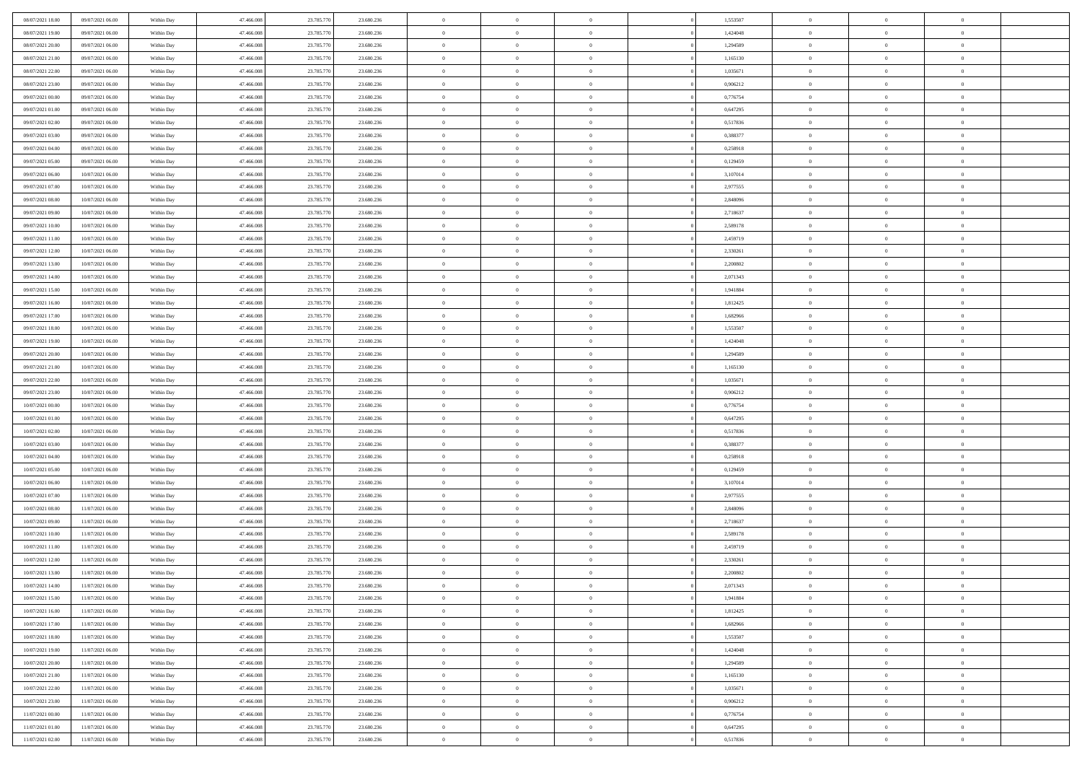| 08/07/2021 18:00 | 09/07/2021 06:00 | Within Day | 47,466,008 | 23.785.770 | 23.680.236 | $\overline{0}$ | $\overline{0}$ | $\Omega$       |          | 1,553507 | $\bf{0}$       | $\mathbf{0}$   | $\bf{0}$       |  |
|------------------|------------------|------------|------------|------------|------------|----------------|----------------|----------------|----------|----------|----------------|----------------|----------------|--|
| 08/07/2021 19:00 | 09/07/2021 06:00 | Within Dav | 47.466.008 | 23.785.770 | 23.680.236 | $\mathbf{0}$   | $\overline{0}$ | $\overline{0}$ |          | 1,424048 | $\overline{0}$ | $\overline{0}$ | $\overline{0}$ |  |
| 08/07/2021 20:00 | 09/07/2021 06:00 | Within Day | 47.466.008 | 23.785.770 | 23.680.236 | $\,$ 0         | $\overline{0}$ | $\bf{0}$       |          | 1,294589 | $\,$ 0         | $\overline{0}$ | $\,$ 0 $\,$    |  |
| 08/07/2021 21:00 | 09/07/2021 06:00 | Within Day | 47,466,008 | 23.785.770 | 23.680.236 | $\bf{0}$       | $\overline{0}$ | $\Omega$       |          | 1,165130 | $\bf{0}$       | $\mathbf{0}$   | $\theta$       |  |
| 08/07/2021 22:00 | 09/07/2021 06:00 | Within Dav | 47.466.008 | 23.785.770 | 23.680.236 | $\bf{0}$       | $\overline{0}$ | $\overline{0}$ |          | 1,035671 | $\mathbf{0}$   | $\overline{0}$ | $\overline{0}$ |  |
| 08/07/2021 23:00 | 09/07/2021 06:00 | Within Day | 47.466.008 | 23.785.770 | 23.680.236 | $\bf{0}$       | $\overline{0}$ | $\bf{0}$       |          | 0,906212 | $\,$ 0         | $\overline{0}$ | $\,$ 0 $\,$    |  |
| 09/07/2021 00:00 | 09/07/2021 06:00 | Within Day | 47,466,008 | 23.785.770 | 23.680.236 | $\bf{0}$       | $\overline{0}$ | $\Omega$       |          | 0,776754 | $\bf{0}$       | $\mathbf{0}$   | $\theta$       |  |
| 09/07/2021 01:00 | 09/07/2021 06:00 | Within Day | 47.466.008 | 23.785.770 | 23.680.236 | $\overline{0}$ | $\overline{0}$ | $\overline{0}$ |          | 0,647295 | $\mathbf{0}$   | $\overline{0}$ | $\overline{0}$ |  |
| 09/07/2021 02:00 | 09/07/2021 06:00 | Within Day | 47.466.008 | 23.785.770 | 23.680.236 | $\bf{0}$       | $\overline{0}$ | $\bf{0}$       |          | 0,517836 | $\,$ 0         | $\overline{0}$ | $\,$ 0 $\,$    |  |
| 09/07/2021 03:00 | 09/07/2021 06:00 | Within Day | 47,466,008 | 23.785.770 | 23,680,236 | $\bf{0}$       | $\overline{0}$ | $\Omega$       |          | 0.388377 | $\theta$       | $\mathbf{0}$   | $\theta$       |  |
| 09/07/2021 04:00 | 09/07/2021 06:00 | Within Day | 47.466.008 | 23.785.770 | 23.680.236 | $\overline{0}$ | $\overline{0}$ | $\overline{0}$ |          | 0,258918 | $\mathbf{0}$   | $\overline{0}$ | $\overline{0}$ |  |
| 09/07/2021 05:00 | 09/07/2021 06:00 | Within Day | 47.466.008 | 23.785.770 | 23.680.236 | $\bf{0}$       | $\overline{0}$ | $\bf{0}$       |          | 0,129459 | $\,$ 0         | $\overline{0}$ | $\,$ 0 $\,$    |  |
| 09/07/2021 06:00 | 10/07/2021 06:00 | Within Day | 47,466,008 | 23.785.770 | 23.680.236 | $\bf{0}$       | $\overline{0}$ | $\Omega$       |          | 3,107014 | $\overline{0}$ | $\mathbf{0}$   | $\theta$       |  |
| 09/07/2021 07:00 | 10/07/2021 06:00 | Within Dav | 47.466.008 | 23.785.770 | 23.680.236 | $\overline{0}$ | $\overline{0}$ | $\overline{0}$ |          | 2,977555 | $\mathbf{0}$   | $\overline{0}$ | $\overline{0}$ |  |
| 09/07/2021 08:00 | 10/07/2021 06:00 | Within Day | 47.466.008 | 23.785.770 | 23.680.236 | $\bf{0}$       | $\overline{0}$ | $\bf{0}$       |          | 2,848096 | $\,$ 0         | $\overline{0}$ | $\,$ 0 $\,$    |  |
| 09/07/2021 09:00 | 10/07/2021 06:00 | Within Day | 47,466,008 | 23.785.770 | 23.680.236 | $\bf{0}$       | $\overline{0}$ | $\overline{0}$ |          | 2,718637 | $\bf{0}$       | $\mathbf{0}$   | $\theta$       |  |
| 09/07/2021 10:00 | 10/07/2021 06:00 | Within Day | 47.466.008 | 23.785.770 | 23.680.236 | $\overline{0}$ | $\overline{0}$ | $\overline{0}$ |          | 2,589178 | $\mathbf{0}$   | $\overline{0}$ | $\overline{0}$ |  |
| 09/07/2021 11:00 | 10/07/2021 06:00 | Within Day | 47.466.008 | 23.785.770 | 23.680.236 | $\bf{0}$       | $\overline{0}$ | $\bf{0}$       |          | 2,459719 | $\,$ 0         | $\overline{0}$ | $\,0\,$        |  |
| 09/07/2021 12:00 | 10/07/2021 06:00 | Within Day | 47,466,008 | 23.785.770 | 23.680.236 | $\bf{0}$       | $\overline{0}$ | $\Omega$       |          | 2.330261 | $\theta$       | $\mathbf{0}$   | $\theta$       |  |
| 09/07/2021 13:00 | 10/07/2021 06:00 | Within Day | 47.466.008 | 23.785.770 | 23.680.236 | $\overline{0}$ | $\overline{0}$ | $\overline{0}$ |          | 2,200802 | $\mathbf{0}$   | $\overline{0}$ | $\overline{0}$ |  |
| 09/07/2021 14:00 | 10/07/2021 06:00 | Within Day | 47.466.008 | 23.785.770 | 23.680.236 | $\bf{0}$       | $\overline{0}$ | $\bf{0}$       |          | 2,071343 | $\,$ 0         | $\overline{0}$ | $\,$ 0 $\,$    |  |
| 09/07/2021 15:00 | 10/07/2021 06:00 | Within Day | 47,466,008 | 23.785.770 | 23.680.236 | $\bf{0}$       | $\overline{0}$ | $\Omega$       |          | 1.941884 | $\bf{0}$       | $\mathbf{0}$   | $\theta$       |  |
| 09/07/2021 16:00 | 10/07/2021 06:00 | Within Day | 47.466.008 | 23.785.770 | 23.680.236 | $\overline{0}$ | $\overline{0}$ | $\overline{0}$ |          | 1,812425 | $\mathbf{0}$   | $\overline{0}$ | $\overline{0}$ |  |
| 09/07/2021 17:00 | 10/07/2021 06:00 | Within Day | 47.466.008 | 23.785.770 | 23.680.236 | $\bf{0}$       | $\overline{0}$ | $\bf{0}$       |          | 1,682966 | $\,$ 0         | $\overline{0}$ | $\,$ 0 $\,$    |  |
| 09/07/2021 18:00 | 10/07/2021 06:00 | Within Day | 47,466,008 | 23.785.770 | 23.680.236 | $\bf{0}$       | $\overline{0}$ | $\overline{0}$ |          | 1,553507 | $\bf{0}$       | $\overline{0}$ | $\bf{0}$       |  |
| 09/07/2021 19:00 | 10/07/2021 06:00 | Within Day | 47.466.008 | 23.785.770 | 23.680.236 | $\overline{0}$ | $\overline{0}$ | $\overline{0}$ |          | 1,424048 | $\mathbf{0}$   | $\overline{0}$ | $\overline{0}$ |  |
| 09/07/2021 20:00 | 10/07/2021 06:00 | Within Day | 47.466.008 | 23.785.770 | 23.680.236 | $\bf{0}$       | $\overline{0}$ | $\bf{0}$       |          | 1,294589 | $\,$ 0         | $\overline{0}$ | $\,$ 0 $\,$    |  |
| 09/07/2021 21:00 | 10/07/2021 06:00 | Within Day | 47,466,008 | 23.785.770 | 23,680,236 | $\bf{0}$       | $\overline{0}$ | $\Omega$       |          | 1.165130 | $\theta$       | $\mathbf{0}$   | $\theta$       |  |
| 09/07/2021 22:00 | 10/07/2021 06:00 | Within Day | 47.466.008 | 23.785.770 | 23.680.236 | $\overline{0}$ | $\overline{0}$ | $\overline{0}$ |          | 1,035671 | $\mathbf{0}$   | $\overline{0}$ | $\overline{0}$ |  |
| 09/07/2021 23:00 | 10/07/2021 06:00 | Within Day | 47.466.008 | 23.785.770 | 23.680.236 | $\bf{0}$       | $\overline{0}$ | $\bf{0}$       |          | 0,906212 | $\,$ 0         | $\overline{0}$ | $\,$ 0 $\,$    |  |
| 10/07/2021 00:00 | 10/07/2021 06:00 | Within Day | 47.466.008 | 23.785.770 | 23.680.236 | $\,$ 0         | $\bf{0}$       | $\overline{0}$ |          | 0,776754 | $\bf{0}$       | $\overline{0}$ | $\,0\,$        |  |
| 10/07/2021 01:00 | 10/07/2021 06:00 | Within Dav | 47.466.008 | 23.785.770 | 23.680.236 | $\overline{0}$ | $\overline{0}$ | $\overline{0}$ |          | 0,647295 | $\mathbf{0}$   | $\overline{0}$ | $\overline{0}$ |  |
| 10/07/2021 02:00 | 10/07/2021 06:00 | Within Day | 47.466.008 | 23.785.770 | 23.680.236 | $\bf{0}$       | $\overline{0}$ | $\bf{0}$       |          | 0,517836 | $\,$ 0         | $\overline{0}$ | $\,$ 0 $\,$    |  |
| 10/07/2021 03:00 | 10/07/2021 06:00 | Within Day | 47.466.008 | 23.785.770 | 23.680.236 | $\bf{0}$       | $\bf{0}$       | $\bf{0}$       |          | 0,388377 | $\bf{0}$       | $\overline{0}$ | $\,0\,$        |  |
| 10/07/2021 04:00 | 10/07/2021 06:00 | Within Day | 47.466.008 | 23.785.770 | 23.680.236 | $\overline{0}$ | $\overline{0}$ | $\overline{0}$ |          | 0,258918 | $\overline{0}$ | $\overline{0}$ | $\overline{0}$ |  |
| 10/07/2021 05:00 | 10/07/2021 06:00 | Within Day | 47.466.008 | 23.785.770 | 23.680.236 | $\bf{0}$       | $\overline{0}$ | $\bf{0}$       |          | 0,129459 | $\,$ 0         | $\overline{0}$ | $\,$ 0 $\,$    |  |
| 10/07/2021 06:00 | 11/07/2021 06:00 | Within Day | 47.466.008 | 23.785.770 | 23.680.236 | $\bf{0}$       | $\bf{0}$       | $\overline{0}$ |          | 3,107014 | $\bf{0}$       | $\overline{0}$ | $\,0\,$        |  |
| 10/07/2021 07:00 | 11/07/2021 06:00 | Within Day | 47.466.008 | 23.785.770 | 23.680.236 | $\overline{0}$ | $\overline{0}$ | $\overline{0}$ |          | 2,977555 | $\mathbf{0}$   | $\overline{0}$ | $\overline{0}$ |  |
| 10/07/2021 08:00 | 11/07/2021 06:00 | Within Day | 47.466.008 | 23.785.770 | 23.680.236 | $\bf{0}$       | $\overline{0}$ | $\bf{0}$       |          | 2,848096 | $\,$ 0         | $\overline{0}$ | $\,$ 0 $\,$    |  |
| 10/07/2021 09:00 | 11/07/2021 06:00 | Within Day | 47.466.008 | 23.785.770 | 23.680.236 | $\bf{0}$       | $\bf{0}$       | $\overline{0}$ |          | 2,718637 | $\bf{0}$       | $\overline{0}$ | $\,0\,$        |  |
| 10/07/2021 10:00 | 11/07/2021 06:00 | Within Dav | 47.466.008 | 23.785.770 | 23.680.236 | $\overline{0}$ | $\overline{0}$ | $\overline{0}$ |          | 2,589178 | $\overline{0}$ | $\overline{0}$ | $\overline{0}$ |  |
| 10/07/2021 11:00 | 11/07/2021 06:00 | Within Day | 47.466.008 | 23.785.770 | 23.680.236 | $\bf{0}$       | $\overline{0}$ | $\bf{0}$       |          | 2,459719 | $\,$ 0         | $\overline{0}$ | $\,$ 0 $\,$    |  |
| 10/07/2021 12:00 | 11/07/2021 06:00 | Within Day | 47.466.008 | 23.785.770 | 23.680.236 | $\bf{0}$       | $\overline{0}$ | $\bf{0}$       |          | 2,330261 | $\bf{0}$       | $\overline{0}$ | $\,0\,$        |  |
| 10/07/2021 13:00 | 11/07/2021 06:00 | Within Dav | 47.466.008 | 23.785.770 | 23.680.236 | $\mathbf{0}$   | $\overline{0}$ | $\overline{0}$ |          | 2,200802 | $\overline{0}$ | $\overline{0}$ | $\overline{0}$ |  |
| 10/07/2021 14:00 | 11/07/2021 06:00 | Within Day | 47.466.008 | 23.785.770 | 23.680.236 | $\bf{0}$       | $\overline{0}$ | $\theta$       |          | 2,071343 | $\overline{0}$ | $\theta$       | $\theta$       |  |
| 10/07/2021 15:00 | 11/07/2021 06:00 | Within Day | 47.466.008 | 23.785.770 | 23.680.236 | $\bf{0}$       | $\overline{0}$ | $\bf{0}$       |          | 1,941884 | $\bf{0}$       | $\overline{0}$ | $\bf{0}$       |  |
| 10/07/2021 16:00 | 11/07/2021 06:00 | Within Day | 47.466.008 | 23.785.770 | 23.680.236 | $\overline{0}$ | $\overline{0}$ | $\overline{0}$ |          | 1,812425 | $\overline{0}$ | $\overline{0}$ | $\overline{0}$ |  |
| 10/07/2021 17:00 | 11/07/2021 06:00 | Within Day | 47.466.008 | 23.785.770 | 23.680.236 | $\,$ 0 $\,$    | $\overline{0}$ | $\overline{0}$ |          | 1,682966 | $\mathbf{0}$   | $\,$ 0 $\,$    | $\,$ 0 $\,$    |  |
| 10/07/2021 18:00 | 11/07/2021 06:00 | Within Day | 47.466.008 | 23.785.770 | 23.680.236 | $\bf{0}$       | $\overline{0}$ | $\overline{0}$ |          | 1,553507 | $\bf{0}$       | $\overline{0}$ | $\bf{0}$       |  |
| 10/07/2021 19:00 | 11/07/2021 06:00 | Within Day | 47.466.008 | 23.785.770 | 23.680.236 | $\overline{0}$ | $\overline{0}$ | $\overline{0}$ |          | 1,424048 | $\overline{0}$ | $\bf{0}$       | $\overline{0}$ |  |
| 10/07/2021 20:00 | 11/07/2021 06:00 | Within Day | 47.466.008 | 23.785.770 | 23.680.236 | $\,$ 0 $\,$    | $\overline{0}$ | $\overline{0}$ |          | 1,294589 | $\,$ 0 $\,$    | $\overline{0}$ | $\,$ 0 $\,$    |  |
| 10/07/2021 21:00 | 11/07/2021 06:00 | Within Day | 47.466.008 | 23.785.770 | 23.680.236 | $\overline{0}$ | $\overline{0}$ | $\overline{0}$ | $\Omega$ | 1,165130 | $\bf{0}$       | $\overline{0}$ | $\overline{0}$ |  |
| 10/07/2021 22:00 | 11/07/2021 06:00 | Within Day | 47.466.008 | 23.785.770 | 23.680.236 | $\overline{0}$ | $\overline{0}$ | $\overline{0}$ |          | 1,035671 | $\overline{0}$ | $\bf{0}$       | $\overline{0}$ |  |
| 10/07/2021 23:00 | 11/07/2021 06:00 | Within Day | 47.466.008 | 23.785.770 | 23.680.236 | $\,$ 0 $\,$    | $\overline{0}$ | $\overline{0}$ |          | 0,906212 | $\mathbf{0}$   | $\,$ 0 $\,$    | $\,$ 0 $\,$    |  |
| 11/07/2021 00:00 | 11/07/2021 06:00 | Within Day | 47.466.008 | 23.785.770 | 23.680.236 | $\bf{0}$       | $\overline{0}$ | $\overline{0}$ |          | 0,776754 | $\bf{0}$       | $\overline{0}$ | $\bf{0}$       |  |
| 11/07/2021 01:00 | 11/07/2021 06:00 | Within Day | 47.466.008 | 23.785.770 | 23.680.236 | $\overline{0}$ | $\overline{0}$ | $\overline{0}$ |          | 0,647295 | $\mathbf{0}$   | $\bf{0}$       | $\overline{0}$ |  |
| 11/07/2021 02:00 | 11/07/2021 06:00 | Within Day | 47.466.008 | 23.785.770 | 23.680.236 | $\,0\,$        | $\overline{0}$ | $\overline{0}$ |          | 0,517836 | $\,$ 0 $\,$    | $\overline{0}$ | $\,$ 0 $\,$    |  |
|                  |                  |            |            |            |            |                |                |                |          |          |                |                |                |  |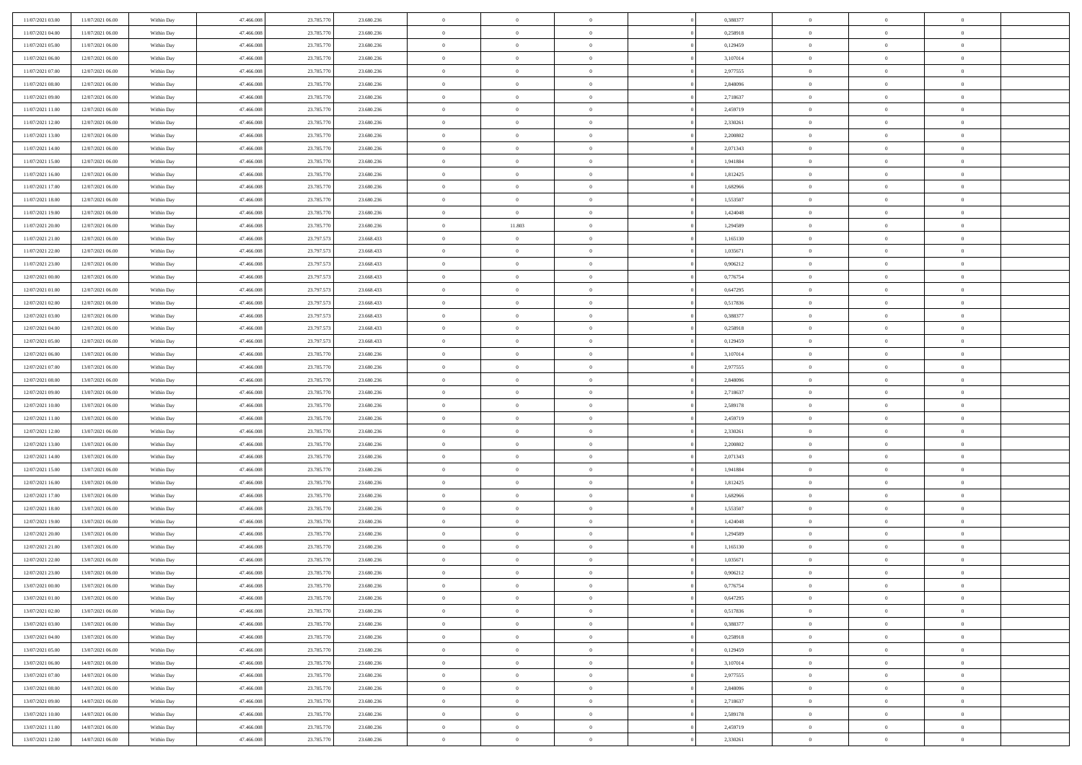| 11/07/2021 03:00 | 11/07/2021 06:00 | Within Day | 47.466.008 | 23.785.770 | 23.680.236 | $\bf{0}$       | $\overline{0}$ | $\overline{0}$ | 0,388377 | $\theta$       | $\overline{0}$ | $\overline{0}$ |  |
|------------------|------------------|------------|------------|------------|------------|----------------|----------------|----------------|----------|----------------|----------------|----------------|--|
| 11/07/2021 04:00 | 11/07/2021 06:00 | Within Day | 47.466.008 | 23.785.770 | 23.680.236 | $\overline{0}$ | $\overline{0}$ | $\overline{0}$ | 0,258918 | $\theta$       | $\bf{0}$       | $\theta$       |  |
| 11/07/2021 05:00 | 11/07/2021 06:00 | Within Day | 47.466.008 | 23.785.770 | 23.680.236 | $\,$ 0         | $\overline{0}$ | $\bf{0}$       | 0,129459 | $\,0\,$        | $\overline{0}$ | $\,$ 0 $\,$    |  |
| 11/07/2021 06:00 | 12/07/2021 06:00 | Within Day | 47,466,008 | 23.785.770 | 23.680.236 | $\bf{0}$       | $\overline{0}$ | $\overline{0}$ | 3,107014 | $\overline{0}$ | $\theta$       | $\theta$       |  |
| 11/07/2021 07:00 | 12/07/2021 06:00 | Within Day | 47.466.008 | 23.785.770 | 23.680.236 | $\overline{0}$ | $\overline{0}$ | $\overline{0}$ | 2,977555 | $\overline{0}$ | $\bf{0}$       | $\overline{0}$ |  |
| 11/07/2021 08:00 | 12/07/2021 06:00 | Within Day | 47.466.008 | 23.785.770 | 23.680.236 | $\bf{0}$       | $\overline{0}$ | $\bf{0}$       | 2,848096 | $\,0\,$        | $\overline{0}$ | $\,$ 0 $\,$    |  |
| 11/07/2021 09:00 | 12/07/2021 06:00 | Within Day | 47,466,008 | 23.785.770 | 23.680.236 | $\bf{0}$       | $\overline{0}$ | $\overline{0}$ | 2,718637 | $\bf{0}$       | $\overline{0}$ | $\theta$       |  |
| 11/07/2021 11:00 | 12/07/2021 06:00 | Within Day | 47.466.008 | 23.785.770 | 23.680.236 | $\overline{0}$ | $\overline{0}$ | $\overline{0}$ | 2,459719 | $\mathbf{0}$   | $\overline{0}$ | $\theta$       |  |
| 11/07/2021 12:00 | 12/07/2021 06:00 | Within Day | 47.466.008 | 23.785.770 | 23.680.236 | $\bf{0}$       | $\overline{0}$ | $\bf{0}$       | 2,330261 | $\,0\,$        | $\overline{0}$ | $\,$ 0 $\,$    |  |
| 11/07/2021 13:00 | 12/07/2021 06:00 | Within Day | 47.466.008 | 23.785.770 | 23.680.236 | $\bf{0}$       | $\overline{0}$ | $\overline{0}$ | 2.200802 | $\theta$       | $\overline{0}$ | $\overline{0}$ |  |
| 11/07/2021 14:00 | 12/07/2021 06:00 | Within Day | 47.466.008 | 23.785.770 | 23.680.236 | $\mathbf{0}$   | $\overline{0}$ | $\overline{0}$ | 2,071343 | $\mathbf{0}$   | $\overline{0}$ | $\overline{0}$ |  |
| 11/07/2021 15:00 | 12/07/2021 06:00 | Within Day | 47.466.008 | 23.785.770 | 23.680.236 | $\bf{0}$       | $\overline{0}$ | $\bf{0}$       | 1,941884 | $\,0\,$        | $\overline{0}$ | $\,$ 0 $\,$    |  |
| 11/07/2021 16:00 | 12/07/2021 06:00 | Within Day | 47,466,008 | 23.785.770 | 23.680.236 | $\bf{0}$       | $\overline{0}$ | $\Omega$       | 1,812425 | $\theta$       | $\theta$       | $\theta$       |  |
| 11/07/2021 17:00 | 12/07/2021 06:00 | Within Dav | 47.466.008 | 23.785.770 | 23.680.236 | $\mathbf{0}$   | $\overline{0}$ | $\overline{0}$ | 1,682966 | $\mathbf{0}$   | $\overline{0}$ | $\overline{0}$ |  |
| 11/07/2021 18:00 | 12/07/2021 06:00 | Within Day | 47.466.008 | 23.785.770 | 23.680.236 | $\bf{0}$       | $\overline{0}$ | $\bf{0}$       | 1,553507 | $\,0\,$        | $\overline{0}$ | $\,$ 0 $\,$    |  |
| 11/07/2021 19:00 | 12/07/2021 06:00 | Within Day | 47,466,008 | 23.785.770 | 23.680.236 | $\bf{0}$       | $\overline{0}$ | $\overline{0}$ | 1,424048 | $\bf{0}$       | $\overline{0}$ | $\bf{0}$       |  |
| 11/07/2021 20:00 | 12/07/2021 06:00 | Within Dav | 47.466.008 | 23.785.770 | 23.680.236 | $\overline{0}$ | 11.803         | $\overline{0}$ | 1,294589 | $\mathbf{0}$   | $\overline{0}$ | $\theta$       |  |
| 11/07/2021 21:00 | 12/07/2021 06:00 | Within Day | 47.466.008 | 23.797.573 | 23.668.433 | $\bf{0}$       | $\overline{0}$ | $\bf{0}$       | 1,165130 | $\,0\,$        | $\overline{0}$ | $\,$ 0 $\,$    |  |
| 11/07/2021 22:00 | 12/07/2021 06:00 | Within Day | 47.466.008 | 23.797.573 | 23.668.433 | $\bf{0}$       | $\overline{0}$ | $\overline{0}$ | 1.035671 | $\theta$       | $\overline{0}$ | $\overline{0}$ |  |
| 11/07/2021 23:00 | 12/07/2021 06:00 | Within Dav | 47.466.008 | 23.797.573 | 23.668.433 | $\overline{0}$ | $\overline{0}$ | $\overline{0}$ | 0,906212 | $\mathbf{0}$   | $\overline{0}$ | $\theta$       |  |
| 12/07/2021 00:00 | 12/07/2021 06:00 | Within Day | 47.466.008 | 23.797.573 | 23.668.433 | $\bf{0}$       | $\overline{0}$ | $\bf{0}$       | 0,776754 | $\,0\,$        | $\overline{0}$ | $\,$ 0 $\,$    |  |
| 12/07/2021 01:00 | 12/07/2021 06:00 | Within Day | 47,466,008 | 23.797.573 | 23.668.433 | $\bf{0}$       | $\overline{0}$ | $\Omega$       | 0.647295 | $\theta$       | $\theta$       | $\theta$       |  |
| 12/07/2021 02:00 | 12/07/2021 06:00 | Within Dav | 47.466.008 | 23.797.573 | 23.668.433 | $\overline{0}$ | $\overline{0}$ | $\overline{0}$ | 0,517836 | $\mathbf{0}$   | $\overline{0}$ | $\overline{0}$ |  |
| 12/07/2021 03:00 | 12/07/2021 06:00 | Within Day | 47.466.008 | 23.797.573 | 23.668.433 | $\bf{0}$       | $\overline{0}$ | $\bf{0}$       | 0,388377 | $\,0\,$        | $\overline{0}$ | $\,$ 0 $\,$    |  |
| 12/07/2021 04:00 | 12/07/2021 06:00 | Within Day | 47,466,008 | 23.797.573 | 23.668.433 | $\bf{0}$       | $\overline{0}$ | $\overline{0}$ | 0,258918 | $\bf{0}$       | $\overline{0}$ | $\overline{0}$ |  |
| 12/07/2021 05:00 | 12/07/2021 06:00 | Within Dav | 47.466.008 | 23.797.573 | 23.668.433 | $\overline{0}$ | $\overline{0}$ | $\overline{0}$ | 0,129459 | $\mathbf{0}$   | $\overline{0}$ | $\theta$       |  |
| 12/07/2021 06:00 | 13/07/2021 06:00 | Within Day | 47.466.008 | 23.785.770 | 23.680.236 | $\bf{0}$       | $\overline{0}$ | $\bf{0}$       | 3,107014 | $\,0\,$        | $\overline{0}$ | $\,$ 0 $\,$    |  |
| 12/07/2021 07:00 | 13/07/2021 06:00 | Within Day | 47.466.008 | 23.785.770 | 23,680,236 | $\bf{0}$       | $\overline{0}$ | $\overline{0}$ | 2.977555 | $\theta$       | $\theta$       | $\overline{0}$ |  |
| 12/07/2021 08:00 | 13/07/2021 06:00 | Within Dav | 47.466.008 | 23.785.770 | 23.680.236 | $\overline{0}$ | $\overline{0}$ | $\overline{0}$ | 2,848096 | $\overline{0}$ | $\bf{0}$       | $\overline{0}$ |  |
| 12/07/2021 09:00 | 13/07/2021 06:00 | Within Day | 47.466.008 | 23.785.770 | 23.680.236 | $\bf{0}$       | $\overline{0}$ | $\bf{0}$       | 2,718637 | $\,0\,$        | $\overline{0}$ | $\,$ 0 $\,$    |  |
| 12/07/2021 10:00 | 13/07/2021 06:00 | Within Day | 47.466.008 | 23.785.770 | 23.680.236 | $\bf{0}$       | $\overline{0}$ | $\overline{0}$ | 2,589178 | $\bf{0}$       | $\overline{0}$ | $\theta$       |  |
| 12/07/2021 11:00 | 13/07/2021 06:00 | Within Dav | 47.466.008 | 23.785.770 | 23.680.236 | $\overline{0}$ | $\overline{0}$ | $\overline{0}$ | 2,459719 | $\overline{0}$ | $\overline{0}$ | $\overline{0}$ |  |
| 12/07/2021 12:00 | 13/07/2021 06:00 | Within Day | 47.466.008 | 23.785.770 | 23.680.236 | $\bf{0}$       | $\overline{0}$ | $\bf{0}$       | 2,330261 | $\,0\,$        | $\overline{0}$ | $\,$ 0 $\,$    |  |
| 12/07/2021 13:00 | 13/07/2021 06:00 | Within Day | 47.466.008 | 23.785.770 | 23.680.236 | $\bf{0}$       | $\overline{0}$ | $\bf{0}$       | 2,200802 | $\bf{0}$       | $\overline{0}$ | $\bf{0}$       |  |
| 12/07/2021 14:00 | 13/07/2021 06:00 | Within Dav | 47.466.008 | 23.785.770 | 23.680.236 | $\overline{0}$ | $\overline{0}$ | $\overline{0}$ | 2,071343 | $\overline{0}$ | $\overline{0}$ | $\theta$       |  |
| 12/07/2021 15:00 | 13/07/2021 06:00 | Within Day | 47.466.008 | 23.785.770 | 23.680.236 | $\bf{0}$       | $\overline{0}$ | $\bf{0}$       | 1,941884 | $\,0\,$        | $\overline{0}$ | $\,$ 0 $\,$    |  |
| 12/07/2021 16:00 | 13/07/2021 06:00 | Within Day | 47.466.008 | 23.785.770 | 23.680.236 | $\bf{0}$       | $\overline{0}$ | $\overline{0}$ | 1,812425 | $\bf{0}$       | $\overline{0}$ | $\theta$       |  |
| 12/07/2021 17:00 | 13/07/2021 06:00 | Within Dav | 47.466.008 | 23.785.770 | 23.680.236 | $\overline{0}$ | $\overline{0}$ | $\overline{0}$ | 1,682966 | $\overline{0}$ | $\bf{0}$       | $\overline{0}$ |  |
| 12/07/2021 18:00 | 13/07/2021 06:00 | Within Day | 47.466.008 | 23.785.770 | 23.680.236 | $\bf{0}$       | $\overline{0}$ | $\bf{0}$       | 1,553507 | $\,0\,$        | $\overline{0}$ | $\,$ 0 $\,$    |  |
| 12/07/2021 19:00 | 13/07/2021 06:00 | Within Day | 47.466.008 | 23.785.770 | 23.680.236 | $\bf{0}$       | $\overline{0}$ | $\overline{0}$ | 1,424048 | $\bf{0}$       | $\overline{0}$ | $\theta$       |  |
| 12/07/2021 20:00 | 13/07/2021 06:00 | Within Dav | 47.466.008 | 23.785.770 | 23.680.236 | $\overline{0}$ | $\overline{0}$ | $\overline{0}$ | 1,294589 | $\theta$       | $\overline{0}$ | $\theta$       |  |
| 12/07/2021 21:00 | 13/07/2021 06:00 | Within Day | 47.466.008 | 23.785.770 | 23.680.236 | $\bf{0}$       | $\overline{0}$ | $\bf{0}$       | 1,165130 | $\,0\,$        | $\overline{0}$ | $\,$ 0 $\,$    |  |
| 12/07/2021 22:00 | 13/07/2021 06:00 | Within Day | 47.466.008 | 23.785.770 | 23.680.236 | $\bf{0}$       | $\overline{0}$ | $\bf{0}$       | 1,035671 | $\bf{0}$       | $\overline{0}$ | $\bf{0}$       |  |
| 12/07/2021 23:00 | 13/07/2021 06:00 | Within Dav | 47.466.008 | 23.785.770 | 23.680.236 | $\mathbf{0}$   | $\overline{0}$ | $\overline{0}$ | 0,906212 | $\theta$       | $\overline{0}$ | $\theta$       |  |
| 13/07/2021 00:00 | 13/07/2021 06:00 | Within Day | 47.466.008 | 23.785.770 | 23.680.236 | $\bf{0}$       | $\overline{0}$ | $\theta$       | 0,776754 | $\bf{0}$       | $\overline{0}$ | $\theta$       |  |
| 13/07/2021 01:00 | 13/07/2021 06:00 | Within Day | 47.466.008 | 23.785.770 | 23.680.236 | $\bf{0}$       | $\bf{0}$       | $\bf{0}$       | 0,647295 | $\bf{0}$       | $\overline{0}$ | $\bf{0}$       |  |
| 13/07/2021 02:00 | 13/07/2021 06:00 | Within Day | 47.466.008 | 23.785.770 | 23.680.236 | $\overline{0}$ | $\overline{0}$ | $\overline{0}$ | 0,517836 | $\overline{0}$ | $\overline{0}$ | $\overline{0}$ |  |
| 13/07/2021 03:00 | 13/07/2021 06:00 | Within Day | 47.466.008 | 23.785.770 | 23.680.236 | $\,$ 0 $\,$    | $\overline{0}$ | $\overline{0}$ | 0,388377 | $\,$ 0 $\,$    | $\,$ 0 $\,$    | $\,0\,$        |  |
| 13/07/2021 04:00 | 13/07/2021 06:00 | Within Day | 47.466.008 | 23.785.770 | 23.680.236 | $\bf{0}$       | $\bf{0}$       | $\overline{0}$ | 0,258918 | $\mathbf{0}$   | $\overline{0}$ | $\bf{0}$       |  |
| 13/07/2021 05:00 | 13/07/2021 06:00 | Within Day | 47.466.008 | 23.785.770 | 23.680.236 | $\,$ 0 $\,$    | $\overline{0}$ | $\overline{0}$ | 0,129459 | $\mathbf{0}$   | $\overline{0}$ | $\overline{0}$ |  |
| 13/07/2021 06:00 | 14/07/2021 06:00 | Within Day | 47.466.008 | 23.785.770 | 23.680.236 | $\,$ 0 $\,$    | $\overline{0}$ | $\overline{0}$ | 3,107014 | $\,$ 0 $\,$    | $\bf{0}$       | $\,0\,$        |  |
| 13/07/2021 07:00 | 14/07/2021 06:00 | Within Day | 47.466.008 | 23.785.770 | 23.680.236 | $\overline{0}$ | $\overline{0}$ | $\overline{0}$ | 2,977555 | $\overline{0}$ | $\overline{0}$ | $\bf{0}$       |  |
| 13/07/2021 08:00 | 14/07/2021 06:00 | Within Day | 47.466.008 | 23.785.770 | 23.680.236 | $\,$ 0 $\,$    | $\overline{0}$ | $\overline{0}$ | 2,848096 | $\overline{0}$ | $\overline{0}$ | $\overline{0}$ |  |
| 13/07/2021 09:00 | 14/07/2021 06:00 | Within Day | 47.466.008 | 23.785.770 | 23.680.236 | $\,$ 0 $\,$    | $\overline{0}$ | $\overline{0}$ | 2,718637 | $\,$ 0 $\,$    | $\,$ 0 $\,$    | $\,0\,$        |  |
| 13/07/2021 10:00 | 14/07/2021 06:00 | Within Day | 47.466.008 | 23.785.770 | 23.680.236 | $\bf{0}$       | $\bf{0}$       | $\overline{0}$ | 2,589178 | $\mathbf{0}$   | $\overline{0}$ | $\bf{0}$       |  |
| 13/07/2021 11:00 | 14/07/2021 06:00 | Within Day | 47.466.008 | 23.785.770 | 23.680.236 | $\overline{0}$ | $\overline{0}$ | $\overline{0}$ | 2,459719 | $\overline{0}$ | $\overline{0}$ | $\overline{0}$ |  |
| 13/07/2021 12:00 | 14/07/2021 06:00 | Within Day | 47.466.008 | 23.785.770 | 23.680.236 | $\,0\,$        | $\overline{0}$ | $\overline{0}$ | 2,330261 | $\,0\,$        | $\overline{0}$ | $\,0\,$        |  |
|                  |                  |            |            |            |            |                |                |                |          |                |                |                |  |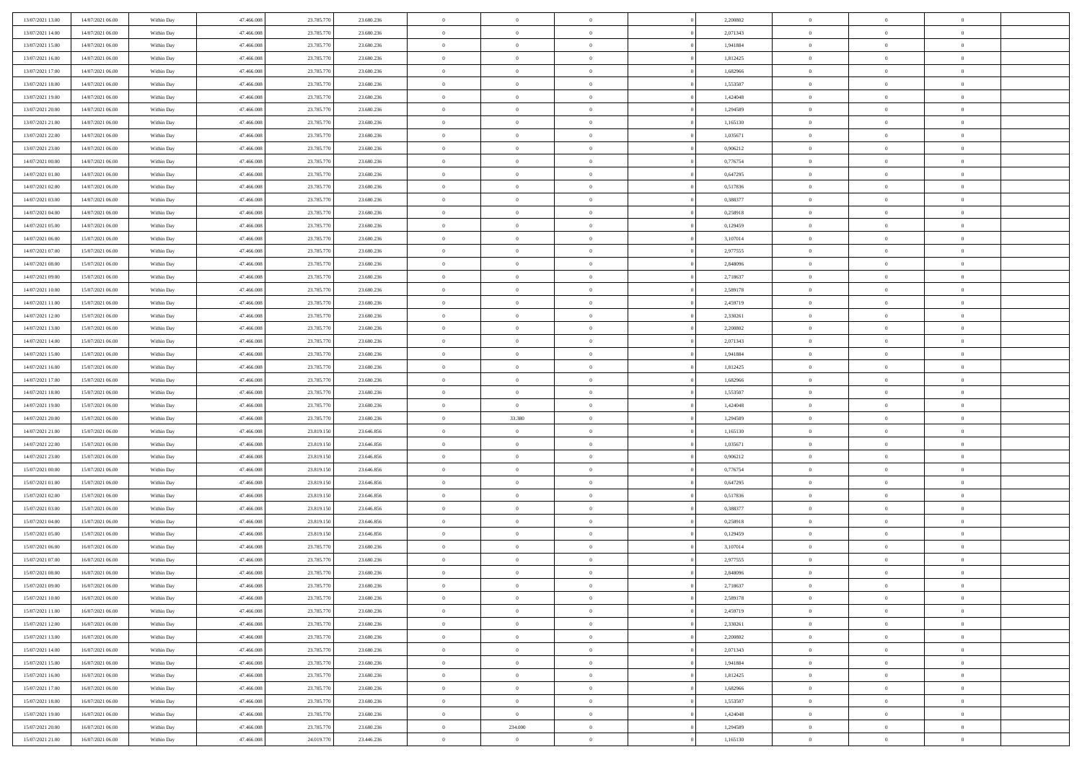| 13/07/2021 13:00 | 14/07/2021 06:00 | Within Day | 47.466.008 | 23.785.770 | 23.680.236 | $\bf{0}$       | $\overline{0}$ | $\theta$       | 2,200802 | $\theta$       | $\overline{0}$ | $\overline{0}$ |  |
|------------------|------------------|------------|------------|------------|------------|----------------|----------------|----------------|----------|----------------|----------------|----------------|--|
| 13/07/2021 14:00 | 14/07/2021 06:00 | Within Dav | 47.466.008 | 23.785.770 | 23.680.236 | $\mathbf{0}$   | $\overline{0}$ | $\overline{0}$ | 2,071343 | $\theta$       | $\overline{0}$ | $\theta$       |  |
| 13/07/2021 15:00 | 14/07/2021 06:00 | Within Day | 47.466.008 | 23.785.770 | 23.680.236 | $\,$ 0         | $\overline{0}$ | $\bf{0}$       | 1,941884 | $\,0\,$        | $\overline{0}$ | $\,$ 0 $\,$    |  |
| 13/07/2021 16:00 | 14/07/2021 06:00 | Within Day | 47,466,008 | 23.785.770 | 23.680.236 | $\bf{0}$       | $\overline{0}$ | $\overline{0}$ | 1,812425 | $\theta$       | $\theta$       | $\overline{0}$ |  |
| 13/07/2021 17:00 | 14/07/2021 06:00 | Within Dav | 47.466.008 | 23.785.770 | 23.680.236 | $\mathbf{0}$   | $\overline{0}$ | $\overline{0}$ | 1,682966 | $\overline{0}$ | $\overline{0}$ | $\overline{0}$ |  |
| 13/07/2021 18:00 | 14/07/2021 06:00 | Within Day | 47.466.008 | 23.785.770 | 23.680.236 | $\bf{0}$       | $\overline{0}$ | $\bf{0}$       | 1,553507 | $\,0\,$        | $\overline{0}$ | $\,$ 0 $\,$    |  |
| 13/07/2021 19:00 | 14/07/2021 06:00 | Within Day | 47,466,008 | 23.785.770 | 23.680.236 | $\bf{0}$       | $\overline{0}$ | $\overline{0}$ | 1,424048 | $\bf{0}$       | $\overline{0}$ | $\theta$       |  |
| 13/07/2021 20:00 | 14/07/2021 06:00 | Within Dav | 47.466.008 | 23.785.770 | 23.680.236 | $\overline{0}$ | $\overline{0}$ | $\overline{0}$ | 1,294589 | $\overline{0}$ | $\overline{0}$ | $\theta$       |  |
| 13/07/2021 21:00 | 14/07/2021 06:00 | Within Day | 47.466.008 | 23.785.770 | 23.680.236 | $\bf{0}$       | $\overline{0}$ | $\bf{0}$       | 1,165130 | $\,0\,$        | $\overline{0}$ | $\,$ 0 $\,$    |  |
| 13/07/2021 22:00 | 14/07/2021 06:00 | Within Day | 47,466,008 | 23.785.770 | 23.680.236 | $\bf{0}$       | $\overline{0}$ | $\overline{0}$ | 1.035671 | $\theta$       | $\overline{0}$ | $\overline{0}$ |  |
| 13/07/2021 23:00 | 14/07/2021 06:00 | Within Day | 47.466.008 | 23.785.770 | 23.680.236 | $\overline{0}$ | $\overline{0}$ | $\overline{0}$ | 0,906212 | $\overline{0}$ | $\bf{0}$       | $\overline{0}$ |  |
| 14/07/2021 00:00 | 14/07/2021 06:00 | Within Day | 47.466.008 | 23.785.770 | 23.680.236 | $\bf{0}$       | $\overline{0}$ | $\bf{0}$       | 0,776754 | $\,0\,$        | $\overline{0}$ | $\,$ 0 $\,$    |  |
| 14/07/2021 01:00 | 14/07/2021 06:00 | Within Day | 47,466,008 | 23.785.770 | 23.680.236 | $\bf{0}$       | $\overline{0}$ | $\Omega$       | 0,647295 | $\theta$       | $\theta$       | $\theta$       |  |
| 14/07/2021 02:00 | 14/07/2021 06:00 | Within Day | 47.466.008 | 23.785.770 | 23.680.236 | $\overline{0}$ | $\overline{0}$ | $\overline{0}$ | 0,517836 | $\overline{0}$ | $\overline{0}$ | $\overline{0}$ |  |
| 14/07/2021 03:00 | 14/07/2021 06:00 | Within Day | 47.466.008 | 23.785.770 | 23.680.236 | $\bf{0}$       | $\overline{0}$ | $\bf{0}$       | 0,388377 | $\,0\,$        | $\overline{0}$ | $\,$ 0 $\,$    |  |
| 14/07/2021 04:00 | 14/07/2021 06:00 | Within Day | 47,466,008 | 23.785.770 | 23.680.236 | $\bf{0}$       | $\overline{0}$ | $\overline{0}$ | 0,258918 | $\bf{0}$       | $\overline{0}$ | $\bf{0}$       |  |
| 14/07/2021 05:00 | 14/07/2021 06:00 | Within Day | 47.466.008 | 23.785.770 | 23.680.236 | $\overline{0}$ | $\overline{0}$ | $\overline{0}$ | 0,129459 | $\overline{0}$ | $\overline{0}$ | $\theta$       |  |
| 14/07/2021 06:00 | 15/07/2021 06:00 | Within Day | 47.466.008 | 23.785.770 | 23.680.236 | $\bf{0}$       | $\overline{0}$ | $\bf{0}$       | 3,107014 | $\,0\,$        | $\overline{0}$ | $\,$ 0 $\,$    |  |
| 14/07/2021 07:00 | 15/07/2021 06:00 | Within Day | 47.466.008 | 23.785.770 | 23.680.236 | $\bf{0}$       | $\overline{0}$ | $\overline{0}$ | 2,977555 | $\theta$       | $\overline{0}$ | $\overline{0}$ |  |
| 14/07/2021 08:00 | 15/07/2021 06:00 | Within Day | 47.466.008 | 23.785.770 | 23.680.236 | $\overline{0}$ | $\overline{0}$ | $\overline{0}$ | 2,848096 | $\overline{0}$ | $\overline{0}$ | $\overline{0}$ |  |
| 14/07/2021 09:00 | 15/07/2021 06:00 | Within Day | 47.466.008 | 23.785.770 | 23.680.236 | $\bf{0}$       | $\overline{0}$ | $\bf{0}$       | 2,718637 | $\,0\,$        | $\overline{0}$ | $\,$ 0 $\,$    |  |
| 14/07/2021 10:00 | 15/07/2021 06:00 | Within Day | 47,466,008 | 23.785.770 | 23.680.236 | $\bf{0}$       | $\overline{0}$ | $\Omega$       | 2.589178 | $\overline{0}$ | $\theta$       | $\theta$       |  |
| 14/07/2021 11:00 | 15/07/2021 06:00 | Within Day | 47.466.008 | 23.785.770 | 23.680.236 | $\overline{0}$ | $\overline{0}$ | $\overline{0}$ | 2,459719 | $\overline{0}$ | $\overline{0}$ | $\overline{0}$ |  |
| 14/07/2021 12:00 | 15/07/2021 06:00 | Within Day | 47.466.008 | 23.785.770 | 23.680.236 | $\bf{0}$       | $\overline{0}$ | $\bf{0}$       | 2,330261 | $\,0\,$        | $\overline{0}$ | $\,$ 0 $\,$    |  |
| 14/07/2021 13:00 | 15/07/2021 06:00 | Within Day | 47,466,008 | 23.785.770 | 23.680.236 | $\bf{0}$       | $\overline{0}$ | $\overline{0}$ | 2,200802 | $\bf{0}$       | $\overline{0}$ | $\overline{0}$ |  |
| 14/07/2021 14:00 | 15/07/2021 06:00 | Within Day | 47.466.008 | 23.785.770 | 23.680.236 | $\overline{0}$ | $\overline{0}$ | $\overline{0}$ | 2,071343 | $\mathbf{0}$   | $\bf{0}$       | $\theta$       |  |
| 14/07/2021 15:00 | 15/07/2021 06:00 | Within Day | 47.466.008 | 23.785.770 | 23.680.236 | $\bf{0}$       | $\overline{0}$ | $\bf{0}$       | 1,941884 | $\,0\,$        | $\overline{0}$ | $\,$ 0 $\,$    |  |
| 14/07/2021 16:00 | 15/07/2021 06:00 | Within Day | 47.466.008 | 23.785.770 | 23,680,236 | $\bf{0}$       | $\overline{0}$ | $\overline{0}$ | 1,812425 | $\theta$       | $\theta$       | $\overline{0}$ |  |
| 14/07/2021 17:00 | 15/07/2021 06:00 | Within Day | 47.466.008 | 23.785.770 | 23.680.236 | $\overline{0}$ | $\overline{0}$ | $\overline{0}$ | 1,682966 | $\mathbf{0}$   | $\bf{0}$       | $\overline{0}$ |  |
| 14/07/2021 18:00 | 15/07/2021 06:00 | Within Day | 47.466.008 | 23.785.770 | 23.680.236 | $\bf{0}$       | $\overline{0}$ | $\bf{0}$       | 1,553507 | $\,0\,$        | $\overline{0}$ | $\,$ 0         |  |
| 14/07/2021 19:00 | 15/07/2021 06:00 | Within Day | 47.466.008 | 23.785.770 | 23.680.236 | $\bf{0}$       | $\bf{0}$       | $\overline{0}$ | 1,424048 | $\bf{0}$       | $\overline{0}$ | $\theta$       |  |
| 14/07/2021 20:00 | 15/07/2021 06:00 | Within Day | 47.466.008 | 23.785.770 | 23.680.236 | $\overline{0}$ | 33.380         | $\overline{0}$ | 1,294589 | $\mathbf{0}$   | $\overline{0}$ | $\overline{0}$ |  |
| 14/07/2021 21:00 | 15/07/2021 06:00 | Within Day | 47.466.008 | 23.819.150 | 23.646.856 | $\bf{0}$       | $\overline{0}$ | $\bf{0}$       | 1,165130 | $\,0\,$        | $\overline{0}$ | $\,$ 0 $\,$    |  |
| 14/07/2021 22:00 | 15/07/2021 06:00 | Within Day | 47.466.008 | 23.819.150 | 23.646.856 | $\bf{0}$       | $\bf{0}$       | $\bf{0}$       | 1,035671 | $\bf{0}$       | $\overline{0}$ | $\bf{0}$       |  |
| 14/07/2021 23:00 | 15/07/2021 06:00 | Within Day | 47.466.008 | 23.819.150 | 23.646.856 | $\overline{0}$ | $\overline{0}$ | $\overline{0}$ | 0,906212 | $\mathbf{0}$   | $\overline{0}$ | $\theta$       |  |
| 15/07/2021 00:00 | 15/07/2021 06:00 | Within Day | 47.466.008 | 23.819.150 | 23.646.856 | $\bf{0}$       | $\overline{0}$ | $\bf{0}$       | 0,776754 | $\,0\,$        | $\overline{0}$ | $\bf{0}$       |  |
| 15/07/2021 01:00 | 15/07/2021 06:00 | Within Day | 47.466.008 | 23.819.150 | 23.646.856 | $\bf{0}$       | $\bf{0}$       | $\overline{0}$ | 0,647295 | $\bf{0}$       | $\overline{0}$ | $\theta$       |  |
| 15/07/2021 02:00 | 15/07/2021 06:00 | Within Day | 47.466.008 | 23.819.150 | 23.646.856 | $\overline{0}$ | $\overline{0}$ | $\overline{0}$ | 0,517836 | $\mathbf{0}$   | $\bf{0}$       | $\overline{0}$ |  |
| 15/07/2021 03:00 | 15/07/2021 06:00 | Within Day | 47.466.008 | 23.819.150 | 23.646.856 | $\bf{0}$       | $\overline{0}$ | $\bf{0}$       | 0,388377 | $\,0\,$        | $\overline{0}$ | $\,$ 0         |  |
| 15/07/2021 04:00 | 15/07/2021 06:00 | Within Day | 47.466.008 | 23.819.150 | 23.646.856 | $\bf{0}$       | $\overline{0}$ | $\overline{0}$ | 0,258918 | $\bf{0}$       | $\overline{0}$ | $\theta$       |  |
| 15/07/2021 05:00 | 15/07/2021 06:00 | Within Day | 47.466.008 | 23.819.150 | 23.646.856 | $\overline{0}$ | $\overline{0}$ | $\overline{0}$ | 0,129459 | $\theta$       | $\overline{0}$ | $\theta$       |  |
| 15/07/2021 06:00 | 16/07/2021 06:00 | Within Day | 47.466.008 | 23.785.770 | 23.680.236 | $\bf{0}$       | $\overline{0}$ | $\bf{0}$       | 3,107014 | $\,0\,$        | $\overline{0}$ | $\theta$       |  |
| 15/07/2021 07:00 | 16/07/2021 06:00 | Within Day | 47.466.008 | 23.785.770 | 23.680.236 | $\bf{0}$       | $\overline{0}$ | $\bf{0}$       | 2,977555 | $\bf{0}$       | $\overline{0}$ | $\bf{0}$       |  |
| 15/07/2021 08:00 | 16/07/2021 06:00 | Within Dav | 47.466.008 | 23.785.770 | 23.680.236 | $\mathbf{0}$   | $\overline{0}$ | $\overline{0}$ | 2,848096 | $\theta$       | $\bf{0}$       | $\theta$       |  |
| 15/07/2021 09:00 | 16/07/2021 06:00 | Within Day | 47.466.008 | 23.785.770 | 23.680.236 | $\bf{0}$       | $\overline{0}$ | $\overline{0}$ | 2,718637 | $\bf{0}$       | $\overline{0}$ | $\theta$       |  |
| 15/07/2021 10:00 | 16/07/2021 06:00 | Within Day | 47.466.008 | 23.785.770 | 23.680.236 | $\bf{0}$       | $\overline{0}$ | $\bf{0}$       | 2,589178 | $\bf{0}$       | $\overline{0}$ | $\bf{0}$       |  |
| 15/07/2021 11:00 | 16/07/2021 06:00 | Within Day | 47.466.008 | 23.785.770 | 23.680.236 | $\overline{0}$ | $\overline{0}$ | $\overline{0}$ | 2,459719 | $\overline{0}$ | $\overline{0}$ | $\overline{0}$ |  |
| 15/07/2021 12:00 | 16/07/2021 06:00 | Within Day | 47.466.008 | 23.785.770 | 23.680.236 | $\,$ 0 $\,$    | $\overline{0}$ | $\overline{0}$ | 2,330261 | $\,$ 0 $\,$    | $\,$ 0 $\,$    | $\,0\,$        |  |
| 15/07/2021 13:00 | 16/07/2021 06:00 | Within Day | 47.466.008 | 23.785.770 | 23.680.236 | $\bf{0}$       | $\overline{0}$ | $\overline{0}$ | 2,200802 | $\mathbf{0}$   | $\overline{0}$ | $\bf{0}$       |  |
| 15/07/2021 14:00 | 16/07/2021 06:00 | Within Day | 47.466.008 | 23.785.770 | 23.680.236 | $\mathbf{0}$   | $\overline{0}$ | $\overline{0}$ | 2,071343 | $\mathbf{0}$   | $\bf{0}$       | $\overline{0}$ |  |
| 15/07/2021 15:00 | 16/07/2021 06:00 | Within Day | 47.466.008 | 23.785.770 | 23.680.236 | $\,$ 0 $\,$    | $\overline{0}$ | $\overline{0}$ | 1,941884 | $\,$ 0 $\,$    | $\overline{0}$ | $\,$ 0         |  |
| 15/07/2021 16:00 | 16/07/2021 06:00 | Within Day | 47.466.008 | 23.785.770 | 23.680.236 | $\overline{0}$ | $\overline{0}$ | $\overline{0}$ | 1,812425 | $\overline{0}$ | $\overline{0}$ | $\bf{0}$       |  |
| 15/07/2021 17:00 | 16/07/2021 06:00 | Within Day | 47.466.008 | 23.785.770 | 23.680.236 | $\mathbf{0}$   | $\overline{0}$ | $\overline{0}$ | 1,682966 | $\overline{0}$ | $\bf{0}$       | $\overline{0}$ |  |
| 15/07/2021 18:00 | 16/07/2021 06:00 | Within Day | 47.466.008 | 23.785.770 | 23.680.236 | $\,$ 0 $\,$    | $\overline{0}$ | $\overline{0}$ | 1,553507 | $\,$ 0 $\,$    | $\,$ 0 $\,$    | $\,0\,$        |  |
| 15/07/2021 19:00 | 16/07/2021 06:00 | Within Day | 47.466.008 | 23.785.770 | 23.680.236 | $\bf{0}$       | $\overline{0}$ | $\overline{0}$ | 1,424048 | $\mathbf{0}$   | $\overline{0}$ | $\bf{0}$       |  |
| 15/07/2021 20:00 | 16/07/2021 06:00 | Within Day | 47.466.008 | 23.785.770 | 23.680.236 | $\overline{0}$ | 234.000        | $\overline{0}$ | 1,294589 | $\overline{0}$ | $\overline{0}$ | $\overline{0}$ |  |
| 15/07/2021 21:00 | 16/07/2021 06:00 | Within Day | 47.466.008 | 24.019.770 | 23.446.236 | $\,0\,$        | $\overline{0}$ | $\overline{0}$ | 1,165130 | $\,0\,$        | $\overline{0}$ | $\,0\,$        |  |
|                  |                  |            |            |            |            |                |                |                |          |                |                |                |  |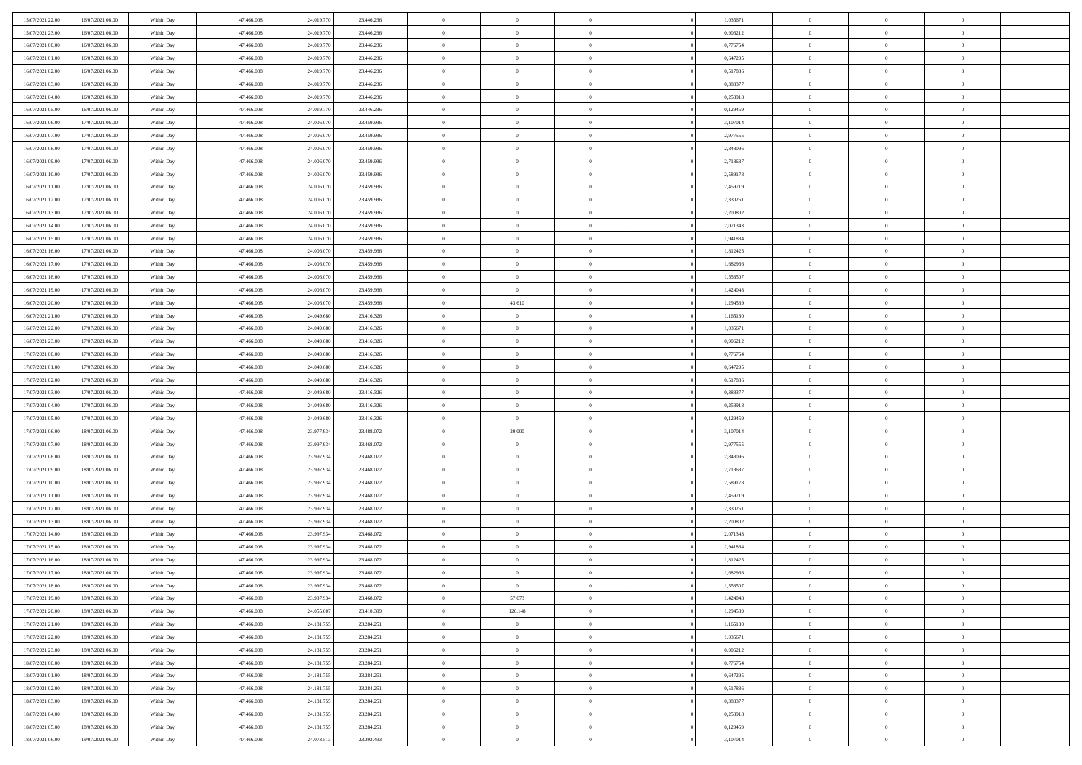| 15/07/2021 22.00                     | 16/07/2021 06:00                     | Within Day               | 47,466,008               | 24.019.770               | 23.446.236               | $\overline{0}$                   | $\overline{0}$                   | $\Omega$                         | 1,035671             | $\bf{0}$                   | $\mathbf{0}$                     | $\bf{0}$                         |  |
|--------------------------------------|--------------------------------------|--------------------------|--------------------------|--------------------------|--------------------------|----------------------------------|----------------------------------|----------------------------------|----------------------|----------------------------|----------------------------------|----------------------------------|--|
| 15/07/2021 23:00                     | 16/07/2021 06:00                     | Within Dav               | 47.466.008               | 24.019.770               | 23.446.236               | $\mathbf{0}$                     | $\overline{0}$                   | $\overline{0}$                   | 0,906212             | $\overline{0}$             | $\overline{0}$                   | $\overline{0}$                   |  |
| 16/07/2021 00:00                     | 16/07/2021 06:00                     | Within Day               | 47.466.008               | 24.019.770               | 23.446.236               | $\,$ 0                           | $\overline{0}$                   | $\bf{0}$                         | 0,776754             | $\,$ 0                     | $\overline{0}$                   | $\,$ 0 $\,$                      |  |
| 16/07/2021 01:00                     | 16/07/2021 06:00                     | Within Day               | 47,466,008               | 24.019.770               | 23.446.236               | $\bf{0}$                         | $\overline{0}$                   | $\Omega$                         | 0,647295             | $\bf{0}$                   | $\mathbf{0}$                     | $\theta$                         |  |
| 16/07/2021 02:00                     | 16/07/2021 06:00                     | Within Day               | 47.466.008               | 24.019.770               | 23.446.236               | $\bf{0}$                         | $\overline{0}$                   | $\overline{0}$                   | 0,517836             | $\mathbf{0}$               | $\overline{0}$                   | $\overline{0}$                   |  |
| 16/07/2021 03:00                     | 16/07/2021 06:00                     | Within Day               | 47.466.008               | 24.019.770               | 23.446.236               | $\bf{0}$                         | $\overline{0}$                   | $\bf{0}$                         | 0,388377             | $\,$ 0                     | $\overline{0}$                   | $\,$ 0 $\,$                      |  |
| 16/07/2021 04:00                     | 16/07/2021 06:00                     | Within Day               | 47,466,008               | 24.019.770               | 23.446.236               | $\bf{0}$                         | $\overline{0}$                   | $\overline{0}$                   | 0,258918             | $\bf{0}$                   | $\overline{0}$                   | $\theta$                         |  |
| 16/07/2021 05:00                     | 16/07/2021 06:00                     | Within Day               | 47.466.008               | 24.019.770               | 23.446.236               | $\overline{0}$                   | $\overline{0}$                   | $\overline{0}$                   | 0,129459             | $\mathbf{0}$               | $\overline{0}$                   | $\overline{0}$                   |  |
| 16/07/2021 06:00                     | 17/07/2021 06:00                     | Within Day               | 47.466.008               | 24.006.070               | 23.459.936               | $\bf{0}$                         | $\overline{0}$                   | $\bf{0}$                         | 3,107014             | $\,$ 0                     | $\overline{0}$                   | $\,$ 0 $\,$                      |  |
| 16/07/2021 07:00                     | 17/07/2021 06:00                     | Within Day               | 47,466,008               | 24,006,070               | 23.459.936               | $\overline{0}$                   | $\overline{0}$                   | $\Omega$                         | 2,977555             | $\theta$                   | $\mathbf{0}$                     | $\theta$                         |  |
| 16/07/2021 08:00                     | 17/07/2021 06:00                     | Within Day               | 47.466.008               | 24.006.070               | 23.459.936               | $\overline{0}$                   | $\overline{0}$                   | $\overline{0}$                   | 2,848096             | $\mathbf{0}$               | $\overline{0}$                   | $\overline{0}$                   |  |
| 16/07/2021 09:00                     | 17/07/2021 06:00                     | Within Day               | 47.466.008               | 24.006.070               | 23.459.936               | $\bf{0}$                         | $\overline{0}$                   | $\bf{0}$                         | 2,718637             | $\,$ 0                     | $\overline{0}$                   | $\,$ 0 $\,$                      |  |
| 16/07/2021 10:00                     | 17/07/2021 06:00                     | Within Day               | 47,466,008               | 24,006,070               | 23.459.936               | $\bf{0}$                         | $\overline{0}$                   | $\Omega$                         | 2.589178             | $\theta$                   | $\mathbf{0}$                     | $\theta$                         |  |
| 16/07/2021 11:00                     | 17/07/2021 06:00                     | Within Day               | 47.466.008               | 24.006.070               | 23.459.936               | $\overline{0}$                   | $\overline{0}$                   | $\overline{0}$                   | 2,459719             | $\overline{0}$             | $\overline{0}$                   | $\overline{0}$                   |  |
| 16/07/2021 12:00                     | 17/07/2021 06:00                     | Within Day               | 47.466.008               | 24.006.070               | 23.459.936               | $\bf{0}$                         | $\overline{0}$                   | $\bf{0}$                         | 2,330261             | $\,$ 0                     | $\overline{0}$                   | $\,$ 0 $\,$                      |  |
| 16/07/2021 13:00                     | 17/07/2021 06:00                     | Within Day               | 47,466,008               | 24.006.070               | 23.459.936               | $\bf{0}$                         | $\overline{0}$                   | $\overline{0}$                   | 2.200802             | $\bf{0}$                   | $\overline{0}$                   | $\theta$                         |  |
| 16/07/2021 14:00                     | 17/07/2021 06:00                     | Within Day               | 47.466.008               | 24.006.070               | 23.459.936               | $\overline{0}$                   | $\overline{0}$                   | $\overline{0}$                   | 2,071343             | $\mathbf{0}$               | $\overline{0}$                   | $\overline{0}$                   |  |
| 16/07/2021 15:00                     | 17/07/2021 06:00                     | Within Day               | 47.466.008               | 24.006.070               | 23.459.936               | $\bf{0}$                         | $\overline{0}$                   | $\bf{0}$                         | 1,941884             | $\,$ 0                     | $\overline{0}$                   | $\,$ 0 $\,$                      |  |
| 16/07/2021 16:00                     | 17/07/2021 06:00                     | Within Day               | 47,466,008               | 24,006,070               | 23.459.936               | $\bf{0}$                         | $\overline{0}$                   | $\Omega$                         | 1,812425             | $\theta$                   | $\mathbf{0}$                     | $\theta$                         |  |
| 16/07/2021 17:00                     | 17/07/2021 06:00                     | Within Day               | 47.466.008               | 24.006.070               | 23.459.936               | $\overline{0}$                   | $\overline{0}$                   | $\overline{0}$                   | 1,682966             | $\mathbf{0}$               | $\overline{0}$                   | $\overline{0}$                   |  |
| 16/07/2021 18:00                     | 17/07/2021 06:00                     | Within Day               | 47.466.008               | 24.006.070               | 23.459.936               | $\bf{0}$                         | $\overline{0}$                   | $\bf{0}$                         | 1,553507             | $\,$ 0                     | $\overline{0}$                   | $\,$ 0 $\,$                      |  |
| 16/07/2021 19:00                     | 17/07/2021 06:00                     | Within Day               | 47,466,008               | 24,006,070               | 23.459.936               | $\bf{0}$                         | $\overline{0}$                   | $\Omega$                         | 1.424048             | $\theta$                   | $\mathbf{0}$                     | $\theta$                         |  |
| 16/07/2021 20:00                     | 17/07/2021 06:00                     | Within Day               | 47.466.008               | 24.006.070               | 23.459.936               | $\overline{0}$                   | 43.610                           | $\overline{0}$                   | 1,294589             | $\mathbf{0}$               | $\overline{0}$                   | $\overline{0}$                   |  |
| 16/07/2021 21:00                     | 17/07/2021 06:00                     | Within Day               | 47.466.008               | 24.049.680               | 23.416.326               | $\bf{0}$                         | $\overline{0}$                   | $\bf{0}$                         | 1,165130             | $\,$ 0                     | $\overline{0}$                   | $\,$ 0 $\,$                      |  |
| 16/07/2021 22.00                     | 17/07/2021 06:00                     | Within Day               | 47,466,008               | 24.049.680               | 23.416.326               | $\bf{0}$                         | $\overline{0}$                   | $\overline{0}$                   | 1.035671             | $\bf{0}$                   | $\overline{0}$                   | $\bf{0}$                         |  |
| 16/07/2021 23:00                     | 17/07/2021 06:00                     | Within Day               | 47.466.008               | 24.049.680               | 23.416.326               | $\overline{0}$                   | $\overline{0}$                   | $\overline{0}$                   | 0,906212             | $\mathbf{0}$               | $\overline{0}$                   | $\overline{0}$                   |  |
| 17/07/2021 00:00                     | 17/07/2021 06:00                     |                          | 47.466.008               | 24.049.680               | 23.416.326               | $\bf{0}$                         | $\overline{0}$                   |                                  | 0,776754             | $\,$ 0                     | $\overline{0}$                   | $\,$ 0 $\,$                      |  |
| 17/07/2021 01:00                     | 17/07/2021 06:00                     | Within Day<br>Within Day | 47,466,008               | 24.049.680               | 23.416.326               | $\bf{0}$                         | $\overline{0}$                   | $\bf{0}$<br>$\Omega$             | 0.647295             | $\theta$                   | $\mathbf{0}$                     | $\theta$                         |  |
| 17/07/2021 02:00                     | 17/07/2021 06:00                     |                          | 47.466.008               | 24.049.680               | 23.416.326               | $\overline{0}$                   | $\overline{0}$                   | $\overline{0}$                   | 0,517836             | $\overline{0}$             | $\overline{0}$                   | $\overline{0}$                   |  |
|                                      |                                      | Within Day               |                          |                          |                          | $\bf{0}$                         |                                  |                                  |                      | $\,$ 0                     | $\overline{0}$                   | $\,$ 0 $\,$                      |  |
| 17/07/2021 03:00                     | 17/07/2021 06:00                     | Within Day               | 47.466.008               | 24.049.680               | 23.416.326               |                                  | $\overline{0}$                   | $\bf{0}$<br>$\overline{0}$       | 0,388377             |                            | $\overline{0}$                   |                                  |  |
| 17/07/2021 04:00<br>17/07/2021 05:00 | 17/07/2021 06:00<br>17/07/2021 06:00 | Within Day               | 47.466.008<br>47.466.008 | 24.049.680<br>24.049.680 | 23.416.326<br>23.416.326 | $\bf{0}$<br>$\overline{0}$       | $\bf{0}$<br>$\overline{0}$       | $\overline{0}$                   | 0,258918<br>0,129459 | $\bf{0}$<br>$\mathbf{0}$   | $\overline{0}$                   | $\,0\,$<br>$\overline{0}$        |  |
|                                      |                                      | Within Day               |                          |                          |                          | $\bf{0}$                         |                                  |                                  |                      | $\,$ 0                     | $\overline{0}$                   | $\,$ 0 $\,$                      |  |
| 17/07/2021 06:00                     | 18/07/2021 06:00                     | Within Day               | 47.466.008               | 23.977.934               | 23.488.072               |                                  | 20.000                           | $\bf{0}$                         | 3,107014             |                            |                                  |                                  |  |
| 17/07/2021 07:00<br>17/07/2021 08:00 | 18/07/2021 06:00<br>18/07/2021 06:00 | Within Day               | 47.466.008<br>47.466.008 | 23.997.934<br>23.997.934 | 23.468.072<br>23.468.072 | $\bf{0}$<br>$\overline{0}$       | $\overline{0}$<br>$\overline{0}$ | $\bf{0}$<br>$\overline{0}$       | 2,977555<br>2,848096 | $\bf{0}$<br>$\mathbf{0}$   | $\overline{0}$<br>$\overline{0}$ | $\bf{0}$<br>$\overline{0}$       |  |
| 17/07/2021 09:00                     | 18/07/2021 06:00                     | Within Day               | 47.466.008               | 23.997.934               | 23.468.072               | $\bf{0}$                         | $\overline{0}$                   |                                  | 2,718637             | $\,$ 0                     | $\overline{0}$                   | $\,$ 0 $\,$                      |  |
|                                      |                                      | Within Day               |                          |                          |                          | $\bf{0}$                         |                                  | $\bf{0}$<br>$\overline{0}$       |                      | $\bf{0}$                   | $\overline{0}$                   | $\,0\,$                          |  |
| 17/07/2021 10:00<br>17/07/2021 11:00 | 18/07/2021 06:00<br>18/07/2021 06:00 | Within Day<br>Within Day | 47.466.008<br>47.466.008 | 23.997.934<br>23.997.934 | 23.468.072<br>23.468.072 | $\overline{0}$                   | $\bf{0}$<br>$\overline{0}$       | $\overline{0}$                   | 2,589178<br>2,459719 | $\mathbf{0}$               | $\overline{0}$                   | $\overline{0}$                   |  |
| 17/07/2021 12:00                     | 18/07/2021 06:00                     | Within Day               | 47.466.008               | 23.997.934               | 23.468.072               | $\bf{0}$                         | $\overline{0}$                   | $\bf{0}$                         | 2,330261             | $\,$ 0                     | $\overline{0}$                   | $\,$ 0 $\,$                      |  |
| 17/07/2021 13:00                     | 18/07/2021 06:00                     | Within Day               | 47.466.008               | 23.997.934               | 23.468.072               | $\bf{0}$                         | $\bf{0}$                         | $\overline{0}$                   | 2,200802             | $\bf{0}$                   | $\overline{0}$                   | $\,0\,$                          |  |
| 17/07/2021 14:00                     | 18/07/2021 06:00                     | Within Day               | 47.466.008               | 23.997.934               | 23.468.072               | $\overline{0}$                   | $\overline{0}$                   | $\overline{0}$                   | 2,071343             | $\mathbf{0}$               | $\overline{0}$                   | $\overline{0}$                   |  |
| 17/07/2021 15:00                     | 18/07/2021 06:00                     | Within Day               | 47.466.008               | 23.997.934               | 23.468.072               | $\bf{0}$                         | $\overline{0}$                   | $\bf{0}$                         | 1,941884             | $\,$ 0                     | $\overline{0}$                   | $\,$ 0 $\,$                      |  |
| 17/07/2021 16:00                     | 18/07/2021 06:00                     | Within Day               | 47.466.008               | 23.997.934               | 23.468.072               | $\bf{0}$                         | $\bf{0}$                         | $\bf{0}$                         | 1,812425             | $\bf{0}$                   | $\overline{0}$                   | $\bf{0}$                         |  |
| 17/07/2021 17:00                     | 18/07/2021 06:00                     | Within Dav               | 47.466.008               | 23.997.934               | 23.468.072               | $\mathbf{0}$                     | $\overline{0}$                   | $\overline{0}$                   | 1,682966             | $\mathbf{0}$               | $\overline{0}$                   | $\overline{0}$                   |  |
| 17/07/2021 18:00                     | 18/07/2021 06:00                     | Within Day               | 47.466.008               | 23.997.934               | 23.468.072               | $\bf{0}$                         | $\overline{0}$                   | $\theta$                         | 1,553507             | $\overline{0}$             | $\overline{0}$                   | $\theta$                         |  |
| 17/07/2021 19:00                     | 18/07/2021 06:00                     | Within Day               | 47.466.008               | 23.997.934               | 23.468.072               | $\bf{0}$                         | 57.673                           | $\bf{0}$                         | 1,424048             | $\bf{0}$                   | $\overline{0}$                   | $\bf{0}$                         |  |
| 17/07/2021 20:00                     | 18/07/2021 06:00                     | Within Day               | 47.466.008               | 24.055.607               | 23.410.399               | $\overline{0}$                   | 126.148                          | $\overline{0}$                   | 1,294589             | $\overline{0}$             | $\bf{0}$                         | $\overline{0}$                   |  |
| 17/07/2021 21:00                     | 18/07/2021 06:00                     | Within Day               | 47.466.008               | 24.181.755               | 23.284.251               | $\,$ 0 $\,$                      | $\overline{0}$                   | $\overline{0}$                   | 1,165130             | $\mathbf{0}$               | $\,$ 0 $\,$                      | $\,$ 0 $\,$                      |  |
| 17/07/2021 22:00                     |                                      |                          |                          |                          |                          |                                  |                                  |                                  |                      |                            |                                  | $\bf{0}$                         |  |
| 17/07/2021 23:00                     | 18/07/2021 06:00<br>18/07/2021 06:00 | Within Day<br>Within Day | 47.466.008<br>47.466.008 | 24.181.755<br>24.181.755 | 23.284.251<br>23.284.251 | $\bf{0}$<br>$\bf{0}$             | $\overline{0}$<br>$\overline{0}$ | $\overline{0}$<br>$\overline{0}$ | 1,035671<br>0,906212 | $\bf{0}$<br>$\overline{0}$ | $\overline{0}$<br>$\overline{0}$ | $\overline{0}$                   |  |
| 18/07/2021 00:00                     | 18/07/2021 06:00                     | Within Day               | 47.466.008               | 24.181.755               | 23.284.251               | $\,$ 0 $\,$                      | $\overline{0}$                   | $\overline{0}$                   | 0,776754             | $\,$ 0 $\,$                | $\overline{0}$                   | $\,$ 0 $\,$                      |  |
| 18/07/2021 01:00                     | 18/07/2021 06:00                     |                          | 47.466.008               |                          |                          |                                  |                                  |                                  |                      |                            |                                  |                                  |  |
| 18/07/2021 02:00                     | 18/07/2021 06:00                     | Within Day<br>Within Day | 47.466.008               | 24.181.755<br>24.181.755 | 23.284.251<br>23.284.251 | $\overline{0}$<br>$\overline{0}$ | $\overline{0}$<br>$\overline{0}$ | $\overline{0}$<br>$\overline{0}$ | 0,647295<br>0,517836 | $\bf{0}$<br>$\overline{0}$ | $\overline{0}$<br>$\bf{0}$       | $\overline{0}$<br>$\overline{0}$ |  |
|                                      |                                      |                          |                          |                          |                          | $\,$ 0 $\,$                      |                                  |                                  |                      |                            | $\,$ 0 $\,$                      | $\,$ 0 $\,$                      |  |
| 18/07/2021 03:00                     | 18/07/2021 06:00                     | Within Day               | 47.466.008               | 24.181.755               | 23.284.251               |                                  | $\overline{0}$                   | $\overline{0}$                   | 0,388377             | $\mathbf{0}$               |                                  |                                  |  |
| 18/07/2021 04:00<br>18/07/2021 05:00 | 18/07/2021 06:00<br>18/07/2021 06:00 | Within Day               | 47.466.008               | 24.181.755               | 23.284.251               | $\bf{0}$                         | $\overline{0}$                   | $\overline{0}$                   | 0,258918             | $\bf{0}$                   | $\overline{0}$                   | $\bf{0}$                         |  |
|                                      |                                      | Within Day               | 47.466.008               | 24.181.755               | 23.284.251               | $\bf{0}$                         | $\overline{0}$                   | $\overline{0}$                   | 0,129459             | $\mathbf{0}$               | $\bf{0}$                         | $\overline{0}$                   |  |
| 18/07/2021 06:00                     | 19/07/2021 06:00                     | Within Day               | 47.466.008               | 24.073.513               | 23.392.493               | $\,0\,$                          | $\overline{0}$                   | $\overline{0}$                   | 3,107014             | $\,$ 0                     | $\overline{0}$                   | $\,$ 0 $\,$                      |  |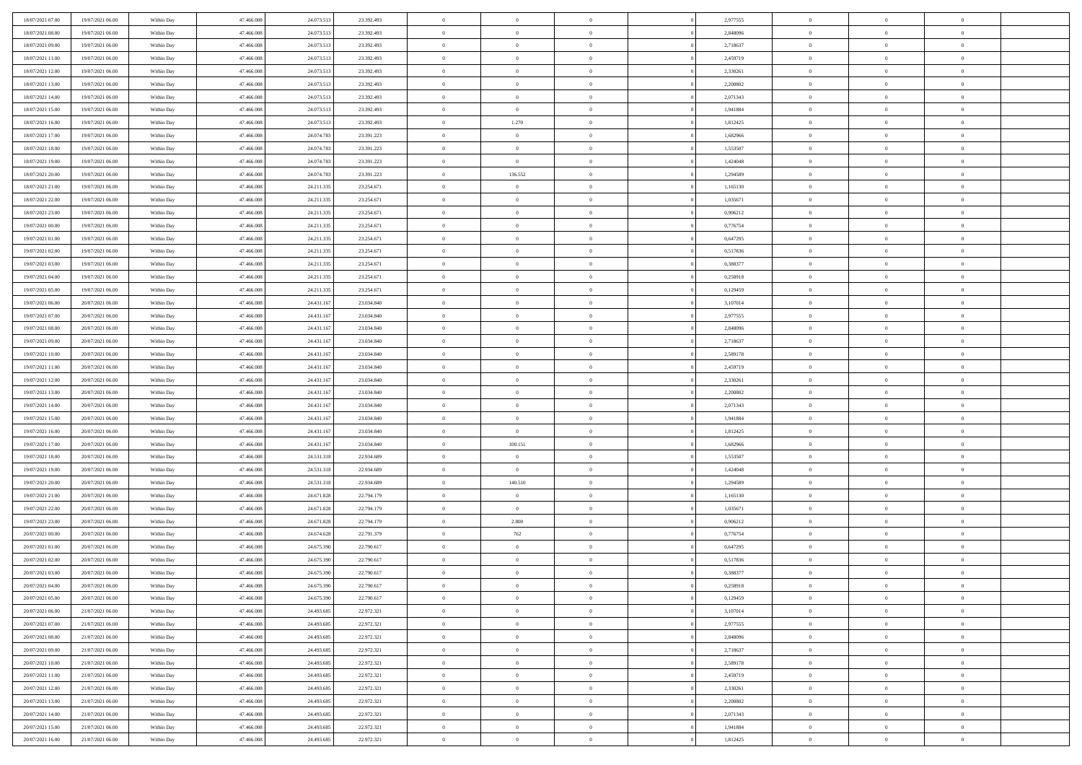| 18/07/2021 07:00 | 19/07/2021 06:00 | Within Day | 47.466.008 | 24.073.513 | 23.392.493 | $\,$ 0         | $\overline{0}$ | $\theta$       |                | 2,977555 | $\bf{0}$       | $\overline{0}$ | $\theta$       |  |
|------------------|------------------|------------|------------|------------|------------|----------------|----------------|----------------|----------------|----------|----------------|----------------|----------------|--|
| 18/07/2021 08:00 | 19/07/2021 06:00 | Within Day | 47,466,008 | 24.073.513 | 23.392.493 | $\overline{0}$ | $\overline{0}$ | $\overline{0}$ |                | 2,848096 | $\theta$       | $\theta$       | $\overline{0}$ |  |
| 18/07/2021 09:00 | 19/07/2021 06:00 | Within Dav | 47.466.008 | 24.073.513 | 23.392.493 | $\mathbf{0}$   | $\overline{0}$ | $\overline{0}$ |                | 2,718637 | $\theta$       | $\overline{0}$ | $\theta$       |  |
| 18/07/2021 11:00 | 19/07/2021 06:00 | Within Day | 47.466.008 | 24.073.513 | 23.392.493 | $\bf{0}$       | $\overline{0}$ | $\bf{0}$       |                | 2,459719 | $\bf{0}$       | $\overline{0}$ | $\bf{0}$       |  |
| 18/07/2021 12:00 | 19/07/2021 06:00 | Within Day | 47,466,008 | 24.073.513 | 23.392.493 | $\bf{0}$       | $\overline{0}$ | $\overline{0}$ |                | 2,330261 | $\bf{0}$       | $\Omega$       | $\bf{0}$       |  |
| 18/07/2021 13:00 | 19/07/2021 06:00 | Within Dav | 47.466.008 | 24.073.513 | 23.392.493 | $\overline{0}$ | $\overline{0}$ | $\overline{0}$ |                | 2,200802 | $\theta$       | $\overline{0}$ | $\theta$       |  |
| 18/07/2021 14:00 | 19/07/2021 06:00 | Within Day | 47.466.008 | 24.073.513 | 23.392.493 | $\bf{0}$       | $\overline{0}$ | $\overline{0}$ |                | 2,071343 | $\bf{0}$       | $\overline{0}$ | $\theta$       |  |
|                  |                  |            |            |            |            |                |                |                |                |          |                |                |                |  |
| 18/07/2021 15:00 | 19/07/2021 06:00 | Within Day | 47,466,008 | 24.073.513 | 23.392.493 | $\overline{0}$ | $\overline{0}$ | $\overline{0}$ |                | 1,941884 | $\,$ 0 $\,$    | $\overline{0}$ | $\overline{0}$ |  |
| 18/07/2021 16:00 | 19/07/2021 06:00 | Within Day | 47.466.008 | 24.073.513 | 23.392.493 | $\mathbf{0}$   | 1.270          | $\overline{0}$ |                | 1,812425 | $\theta$       | $\overline{0}$ | $\theta$       |  |
| 18/07/2021 17:00 | 19/07/2021 06:00 | Within Day | 47.466.008 | 24.074.783 | 23.391.223 | $\bf{0}$       | $\overline{0}$ | $\overline{0}$ |                | 1,682966 | $\bf{0}$       | $\overline{0}$ | $\theta$       |  |
| 18/07/2021 18:00 | 19/07/2021 06:00 | Within Day | 47,466,008 | 24.074.783 | 23.391.223 | $\bf{0}$       | $\overline{0}$ | $\overline{0}$ |                | 1,553507 | $\bf{0}$       | $\theta$       | $\overline{0}$ |  |
| 18/07/2021 19:00 | 19/07/2021 06:00 | Within Day | 47.466.008 | 24.074.783 | 23.391.223 | $\mathbf{0}$   | $\overline{0}$ | $\overline{0}$ |                | 1,424048 | $\theta$       | $\overline{0}$ | $\theta$       |  |
| 18/07/2021 20:00 | 19/07/2021 06:00 | Within Day | 47.466.008 | 24.074.783 | 23.391.223 | $\bf{0}$       | 136.552        | $\bf{0}$       |                | 1,294589 | $\bf{0}$       | $\overline{0}$ | $\bf{0}$       |  |
| 18/07/2021 21:00 | 19/07/2021 06:00 | Within Day | 47.466.008 | 24.211.335 | 23.254.671 | $\bf{0}$       | $\overline{0}$ | $\overline{0}$ |                | 1,165130 | $\bf{0}$       | $\Omega$       | $\bf{0}$       |  |
| 18/07/2021 22:00 | 19/07/2021 06:00 | Within Day | 47.466.008 | 24.211.335 | 23.254.671 | $\overline{0}$ | $\overline{0}$ | $\overline{0}$ |                | 1,035671 | $\theta$       | $\overline{0}$ | $\theta$       |  |
| 18/07/2021 23:00 | 19/07/2021 06:00 | Within Day | 47.466.008 | 24.211.335 | 23.254.671 | $\bf{0}$       | $\overline{0}$ | $\overline{0}$ |                | 0,906212 | $\bf{0}$       | $\overline{0}$ | $\theta$       |  |
| 19/07/2021 00:00 | 19/07/2021 06:00 | Within Day | 47,466,008 | 24.211.335 | 23.254.671 | $\bf{0}$       | $\overline{0}$ | $\overline{0}$ |                | 0,776754 | $\,$ 0 $\,$    | $\overline{0}$ | $\overline{0}$ |  |
| 19/07/2021 01:00 | 19/07/2021 06:00 | Within Day | 47.466.008 | 24.211.335 | 23.254.671 | $\mathbf{0}$   | $\overline{0}$ | $\overline{0}$ |                | 0,647295 | $\theta$       | $\overline{0}$ | $\theta$       |  |
| 19/07/2021 02:00 | 19/07/2021 06:00 | Within Day | 47.466.008 | 24.211.335 | 23.254.671 | $\bf{0}$       | $\overline{0}$ | $\overline{0}$ |                | 0,517836 | $\bf{0}$       | $\overline{0}$ | $\theta$       |  |
| 19/07/2021 03:00 | 19/07/2021 06:00 | Within Day | 47,466,008 | 24.211.335 | 23.254.671 | $\bf{0}$       | $\overline{0}$ | $\overline{0}$ |                | 0,388377 | $\bf{0}$       | $\theta$       | $\bf{0}$       |  |
| 19/07/2021 04:00 | 19/07/2021 06:00 | Within Day | 47.466.008 | 24.211.335 | 23.254.671 | $\mathbf{0}$   | $\overline{0}$ | $\overline{0}$ |                | 0,258918 | $\theta$       | $\overline{0}$ | $\theta$       |  |
| 19/07/2021 05:00 | 19/07/2021 06:00 | Within Day | 47.466.008 | 24.211.335 | 23.254.671 | $\bf{0}$       | $\overline{0}$ | $\bf{0}$       |                | 0,129459 | $\bf{0}$       | $\overline{0}$ | $\bf{0}$       |  |
| 19/07/2021 06:00 | 20/07/2021 06:00 | Within Day | 47,466,008 | 24.431.167 | 23.034.840 | $\bf{0}$       | $\overline{0}$ | $\overline{0}$ |                | 3,107014 | $\bf{0}$       | $\overline{0}$ | $\bf{0}$       |  |
| 19/07/2021 07:00 | 20/07/2021 06:00 | Within Day | 47.466.008 | 24.431.167 | 23.034.840 | $\mathbf{0}$   | $\overline{0}$ | $\overline{0}$ |                | 2,977555 | $\theta$       | $\overline{0}$ | $\theta$       |  |
| 19/07/2021 08:00 | 20/07/2021 06:00 | Within Day | 47.466.008 | 24.431.167 | 23.034.840 | $\bf{0}$       | $\overline{0}$ | $\overline{0}$ |                | 2,848096 | $\bf{0}$       | $\overline{0}$ | $\theta$       |  |
| 19/07/2021 09:00 | 20/07/2021 06:00 | Within Day | 47,466,008 | 24.431.167 | 23.034.840 | $\bf{0}$       | $\overline{0}$ | $\overline{0}$ |                | 2,718637 | $\,$ 0 $\,$    | $\overline{0}$ | $\bf{0}$       |  |
| 19/07/2021 10:00 | 20/07/2021 06:00 | Within Day | 47.466.008 | 24.431.167 | 23.034.840 | $\mathbf{0}$   | $\overline{0}$ | $\overline{0}$ |                | 2,589178 | $\theta$       | $\overline{0}$ | $\theta$       |  |
| 19/07/2021 11:00 | 20/07/2021 06:00 | Within Day | 47.466.008 | 24.431.167 | 23.034.840 | $\bf{0}$       | $\overline{0}$ | $\overline{0}$ |                | 2,459719 | $\bf{0}$       | $\overline{0}$ | $\theta$       |  |
| 19/07/2021 12:00 | 20/07/2021 06:00 | Within Day | 47,466,008 | 24.431.167 | 23.034.840 | $\bf{0}$       | $\overline{0}$ | $\overline{0}$ |                | 2,330261 | $\bf{0}$       | $\theta$       | $\bf{0}$       |  |
| 19/07/2021 13:00 | 20/07/2021 06:00 | Within Dav | 47.466.008 | 24.431.167 | 23.034.840 | $\mathbf{0}$   | $\overline{0}$ | $\overline{0}$ |                | 2,200802 | $\theta$       | $\overline{0}$ | $\theta$       |  |
| 19/07/2021 14:00 | 20/07/2021 06:00 | Within Day | 47.466.008 | 24.431.167 | 23.034.840 | $\bf{0}$       | $\overline{0}$ | $\overline{0}$ |                | 2,071343 | $\,0\,$        | $\overline{0}$ | $\theta$       |  |
| 19/07/2021 15:00 | 20/07/2021 06:00 | Within Day | 47.466.008 | 24.431.167 | 23.034.840 | $\bf{0}$       | $\bf{0}$       | $\overline{0}$ |                | 1,941884 | $\bf{0}$       | $\overline{0}$ | $\bf{0}$       |  |
| 19/07/2021 16:00 | 20/07/2021 06:00 | Within Dav | 47.466.008 | 24.431.167 | 23.034.840 | $\overline{0}$ | $\overline{0}$ | $\overline{0}$ |                | 1,812425 | $\theta$       | $\overline{0}$ | $\theta$       |  |
| 19/07/2021 17:00 | 20/07/2021 06:00 | Within Day | 47.466.008 | 24.431.167 | 23.034.840 | $\bf{0}$       | 100.151        | $\theta$       |                | 1,682966 | $\,0\,$        | $\overline{0}$ | $\theta$       |  |
| 19/07/2021 18:00 | 20/07/2021 06:00 | Within Day | 47,466,008 | 24.531.318 | 22.934.689 | $\overline{0}$ | $\overline{0}$ | $\overline{0}$ |                | 1,553507 | $\bf{0}$       | $\overline{0}$ | $\bf{0}$       |  |
| 19/07/2021 19:00 | 20/07/2021 06:00 | Within Day | 47.466.008 | 24.531.318 | 22.934.689 | $\mathbf{0}$   | $\overline{0}$ | $\overline{0}$ |                | 1,424048 | $\theta$       | $\overline{0}$ | $\theta$       |  |
| 19/07/2021 20:00 | 20/07/2021 06:00 | Within Day | 47.466.008 | 24.531.318 | 22.934.689 | $\bf{0}$       | 140.510        | $\theta$       |                | 1,294589 | $\,0\,$        | $\overline{0}$ | $\theta$       |  |
| 19/07/2021 21:00 | 20/07/2021 06:00 | Within Day | 47,466,008 | 24.671.828 | 22.794.179 | $\bf{0}$       | $\bf{0}$       | $\overline{0}$ |                | 1,165130 | $\bf{0}$       | $\theta$       | $\bf{0}$       |  |
| 19/07/2021 22:00 | 20/07/2021 06:00 | Within Dav | 47.466.008 | 24.671.828 | 22.794.179 | $\mathbf{0}$   | $\overline{0}$ | $\overline{0}$ |                | 1,035671 | $\theta$       | $\overline{0}$ | $\theta$       |  |
| 19/07/2021 23:00 | 20/07/2021 06:00 | Within Day | 47.466.008 | 24.671.828 | 22.794.179 | $\,0\,$        | 2.800          | $\theta$       |                | 0,906212 | $\,0\,$        | $\overline{0}$ | $\theta$       |  |
| 20/07/2021 00:00 | 20/07/2021 06:00 | Within Day | 47,466,008 | 24.674.628 | 22.791.379 | $\bf{0}$       | $762\,$        | $\overline{0}$ |                | 0,776754 | $\bf{0}$       | $\overline{0}$ | $\bf{0}$       |  |
| 20/07/2021 01:00 | 20/07/2021 06:00 | Within Dav | 47.466.008 | 24.675.390 | 22.790.617 | $\mathbf{0}$   | $\overline{0}$ | $\overline{0}$ |                | 0,647295 | $\theta$       | $\overline{0}$ | $\overline{0}$ |  |
| 20/07/2021 02:00 | 20/07/2021 06:00 | Within Day | 47.466.008 | 24.675.390 | 22.790.617 | $\bf{0}$       | $\overline{0}$ | $\theta$       |                | 0,517836 | $\,0\,$        | $\overline{0}$ | $\theta$       |  |
| 20/07/2021 03:00 | 20/07/2021 06:00 | Within Day | 47,466,008 | 24.675.390 | 22.790.617 | $\bf{0}$       | $\overline{0}$ | $\overline{0}$ |                | 0.388377 | $\,$ 0 $\,$    | $\overline{0}$ | $\bf{0}$       |  |
| 20/07/2021 04:00 | 20/07/2021 06:00 | Within Day | 47.466.008 | 24.675.390 | 22.790.617 | $\bf{0}$       | $\overline{0}$ |                |                | 0,258918 | $\bf{0}$       | $\Omega$       | $\Omega$       |  |
|                  |                  |            |            |            |            |                |                |                |                |          |                | $\overline{0}$ |                |  |
| 20/07/2021 05:00 | 20/07/2021 06:00 | Within Day | 47.466.008 | 24.675.390 | 22.790.617 | $\,0\,$        | $\overline{0}$ | $\theta$       |                | 0,129459 | $\,$ 0 $\,$    |                | $\theta$       |  |
| 20/07/2021 06:00 | 21/07/2021 06:00 | Within Day | 47,466,008 | 24.493.685 | 22.972.321 | $\overline{0}$ | $\overline{0}$ | $\overline{0}$ |                | 3,107014 | $\overline{0}$ | $\overline{0}$ | $\overline{0}$ |  |
| 20/07/2021 07:00 | 21/07/2021 06:00 | Within Day | 47.466.008 | 24.493.685 | 22.972.321 | $\mathbf{0}$   | $\overline{0}$ | $\overline{0}$ |                | 2,977555 | $\mathbf{0}$   | $\overline{0}$ | $\overline{0}$ |  |
| 20/07/2021 08:00 | 21/07/2021 06:00 | Within Day | 47.466.008 | 24.493.685 | 22.972.321 | $\,$ 0 $\,$    | $\overline{0}$ | $\overline{0}$ | $\overline{0}$ | 2,848096 | $\,$ 0 $\,$    | $\mathbf{0}$   | $\,$ 0         |  |
| 20/07/2021 09:00 | 21/07/2021 06:00 | Within Day | 47,466,008 | 24.493.685 | 22.972.321 | $\,$ 0 $\,$    | $\overline{0}$ | $\overline{0}$ |                | 2,718637 | $\,$ 0 $\,$    | $\overline{0}$ | $\overline{0}$ |  |
| 20/07/2021 10:00 | 21/07/2021 06:00 | Within Day | 47.466.008 | 24.493.685 | 22.972.321 | $\mathbf{0}$   | $\overline{0}$ | $\overline{0}$ |                | 2,589178 | $\overline{0}$ | $\overline{0}$ | $\mathbf{0}$   |  |
| 20/07/2021 11:00 | 21/07/2021 06:00 | Within Day | 47.466.008 | 24.493.685 | 22.972.321 | $\,$ 0 $\,$    | $\overline{0}$ | $\overline{0}$ |                | 2,459719 | $\,$ 0 $\,$    | $\overline{0}$ | $\theta$       |  |
| 20/07/2021 12:00 | 21/07/2021 06:00 | Within Day | 47,466,008 | 24.493.685 | 22.972.321 | $\bf{0}$       | $\overline{0}$ | $\overline{0}$ |                | 2,330261 | $\,$ 0 $\,$    | $\overline{0}$ | $\overline{0}$ |  |
| 20/07/2021 13:00 | 21/07/2021 06:00 | Within Day | 47.466.008 | 24.493.685 | 22.972.321 | $\,$ 0 $\,$    | $\overline{0}$ | $\overline{0}$ |                | 2,200802 | $\mathbf{0}$   | $\overline{0}$ | $\overline{0}$ |  |
| 20/07/2021 14:00 | 21/07/2021 06:00 | Within Day | 47.466.008 | 24.493.685 | 22.972.321 | $\,0\,$        | $\overline{0}$ | $\overline{0}$ |                | 2,071343 | $\,$ 0 $\,$    | $\overline{0}$ | $\,$ 0 $\,$    |  |
| 20/07/2021 15:00 | 21/07/2021 06:00 | Within Day | 47,466,008 | 24.493.685 | 22.972.321 | $\bf{0}$       | $\overline{0}$ | $\overline{0}$ |                | 1,941884 | $\,$ 0 $\,$    | $\overline{0}$ | $\overline{0}$ |  |
| 20/07/2021 16:00 | 21/07/2021 06:00 | Within Day | 47.466.008 | 24.493.685 | 22.972.321 | $\overline{0}$ | $\overline{0}$ | $\overline{0}$ |                | 1,812425 | $\overline{0}$ | $\overline{0}$ | $\overline{0}$ |  |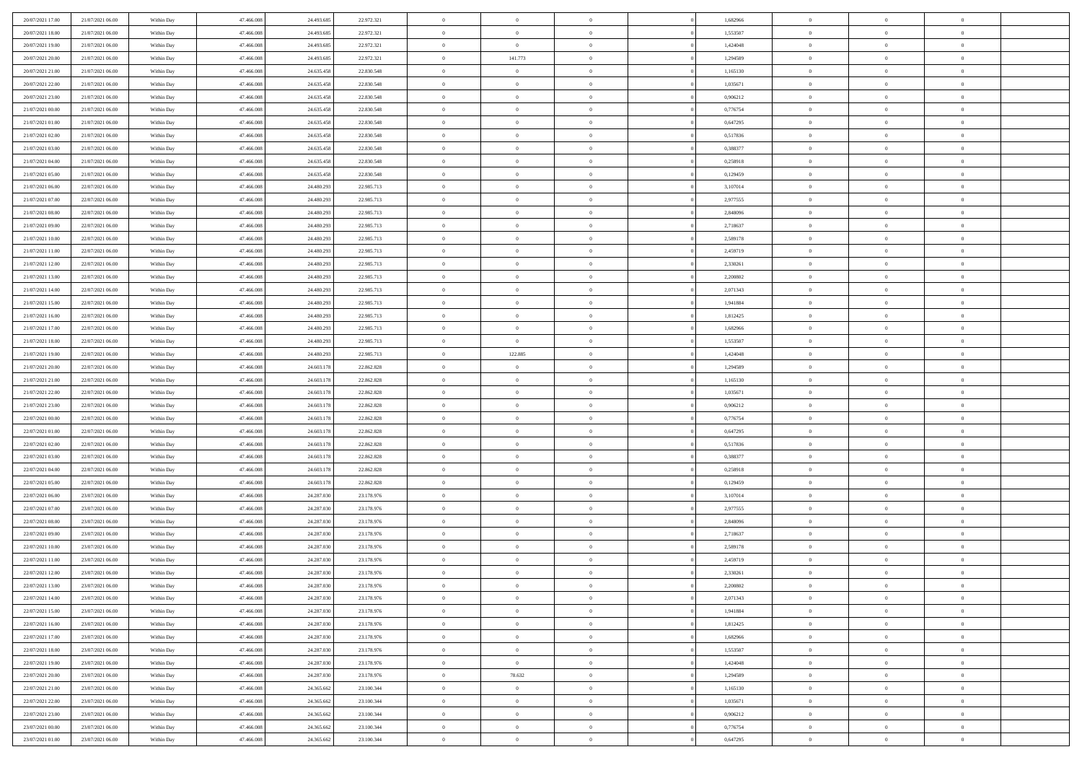| 20/07/2021 17:00 | 21/07/2021 06:00 | Within Day               | 47.466.008               | 24.493.685 | 22.972.321               | $\,$ 0         | $\overline{0}$ | $\theta$       |          | 1,682966 | $\bf{0}$       | $\overline{0}$ | $\,0\,$        |  |
|------------------|------------------|--------------------------|--------------------------|------------|--------------------------|----------------|----------------|----------------|----------|----------|----------------|----------------|----------------|--|
| 20/07/2021 18:00 | 21/07/2021 06:00 | Within Day               | 47,466,008               | 24.493.685 | 22.972.321               | $\overline{0}$ | $\overline{0}$ | $\overline{0}$ |          | 1,553507 | $\theta$       | $\overline{0}$ | $\theta$       |  |
| 20/07/2021 19:00 | 21/07/2021 06:00 | Within Dav               | 47.466.008               | 24.493.685 | 22.972.321               | $\bf{0}$       | $\overline{0}$ | $\overline{0}$ |          | 1,424048 | $\mathbf{0}$   | $\overline{0}$ | $\overline{0}$ |  |
| 20/07/2021 20:00 | 21/07/2021 06:00 | Within Day               | 47.466.008               | 24.493.685 | 22.972.321               | $\bf{0}$       | 141.773        | $\bf{0}$       |          | 1,294589 | $\bf{0}$       | $\overline{0}$ | $\bf{0}$       |  |
| 20/07/2021 21:00 | 21/07/2021 06:00 | Within Day               | 47,466,008               | 24.635.458 | 22.830.548               | $\bf{0}$       | $\overline{0}$ | $\overline{0}$ |          | 1,165130 | $\bf{0}$       | $\bf{0}$       | $\,0\,$        |  |
| 20/07/2021 22:00 | 21/07/2021 06:00 | Within Dav               | 47.466.008               | 24.635.458 | 22.830.548               | $\overline{0}$ | $\overline{0}$ | $\overline{0}$ |          | 1,035671 | $\mathbf{0}$   | $\overline{0}$ | $\overline{0}$ |  |
| 20/07/2021 23:00 | 21/07/2021 06:00 | Within Day               | 47.466.008               | 24.635.458 | 22.830.548               | $\bf{0}$       | $\overline{0}$ | $\overline{0}$ |          | 0,906212 | $\bf{0}$       | $\overline{0}$ | $\,0\,$        |  |
| 21/07/2021 00:00 | 21/07/2021 06:00 | Within Day               | 47,466,008               | 24.635.458 | 22.830.548               | $\overline{0}$ | $\overline{0}$ | $\overline{0}$ |          | 0,776754 | $\,$ 0 $\,$    | $\overline{0}$ | $\theta$       |  |
| 21/07/2021 01:00 | 21/07/2021 06:00 | Within Dav               | 47.466.008               | 24.635.458 | 22.830.548               | $\mathbf{0}$   | $\overline{0}$ | $\overline{0}$ |          | 0,647295 | $\mathbf{0}$   | $\overline{0}$ | $\overline{0}$ |  |
| 21/07/2021 02:00 | 21/07/2021 06:00 | Within Day               | 47.466.008               | 24.635.458 | 22.830.548               | $\bf{0}$       | $\overline{0}$ | $\overline{0}$ |          | 0,517836 | $\bf{0}$       | $\overline{0}$ | $\,0\,$        |  |
| 21/07/2021 03:00 | 21/07/2021 06:00 | Within Day               | 47,466,008               | 24.635.458 | 22.830.548               | $\bf{0}$       | $\overline{0}$ | $\overline{0}$ |          | 0.388377 | $\bf{0}$       | $\overline{0}$ | $\theta$       |  |
| 21/07/2021 04:00 | 21/07/2021 06:00 | Within Dav               | 47.466.008               | 24.635.458 | 22.830.548               | $\mathbf{0}$   | $\overline{0}$ | $\overline{0}$ |          | 0,258918 | $\mathbf{0}$   | $\overline{0}$ | $\overline{0}$ |  |
| 21/07/2021 05:00 | 21/07/2021 06:00 | Within Day               | 47.466.008               | 24.635.458 | 22.830.548               | $\bf{0}$       | $\overline{0}$ | $\bf{0}$       |          | 0,129459 | $\bf{0}$       | $\overline{0}$ | $\bf{0}$       |  |
| 21/07/2021 06:00 | 22/07/2021 06:00 | Within Day               | 47,466,008               | 24.480.293 | 22.985.713               | $\bf{0}$       | $\bf{0}$       | $\overline{0}$ |          | 3,107014 | $\bf{0}$       | $\overline{0}$ | $\bf{0}$       |  |
| 21/07/2021 07:00 | 22/07/2021 06:00 | Within Dav               | 47.466.008               | 24.480.293 | 22.985.713               | $\overline{0}$ | $\overline{0}$ | $\overline{0}$ |          | 2,977555 | $\mathbf{0}$   | $\overline{0}$ | $\overline{0}$ |  |
| 21/07/2021 08:00 | 22/07/2021 06:00 | Within Day               | 47.466.008               | 24.480.293 | 22.985.713               | $\bf{0}$       | $\bf{0}$       | $\overline{0}$ |          | 2,848096 | $\bf{0}$       | $\overline{0}$ | $\bf{0}$       |  |
| 21/07/2021 09:00 | 22/07/2021 06:00 |                          | 47,466,008               | 24.480.293 | 22.985.713               | $\bf{0}$       | $\overline{0}$ | $\overline{0}$ |          | 2,718637 | $\bf{0}$       | $\overline{0}$ | $\theta$       |  |
| 21/07/2021 10:00 | 22/07/2021 06:00 | Within Day<br>Within Day | 47.466.008               | 24.480.293 | 22.985.713               | $\mathbf{0}$   | $\overline{0}$ | $\overline{0}$ |          | 2,589178 | $\mathbf{0}$   | $\overline{0}$ | $\overline{0}$ |  |
| 21/07/2021 11:00 | 22/07/2021 06:00 | Within Day               | 47.466.008               | 24.480.293 | 22.985.713               | $\bf{0}$       | $\bf{0}$       | $\overline{0}$ |          | 2,459719 | $\bf{0}$       | $\overline{0}$ | $\,0\,$        |  |
| 21/07/2021 12:00 | 22/07/2021 06:00 |                          | 47,466,008               | 24.480.293 |                          | $\bf{0}$       | $\overline{0}$ | $\overline{0}$ |          | 2,330261 | $\bf{0}$       | $\overline{0}$ | $\overline{0}$ |  |
| 21/07/2021 13:00 | 22/07/2021 06:00 | Within Day<br>Within Dav | 47.466.008               | 24.480.293 | 22.985.713<br>22.985.713 | $\overline{0}$ | $\overline{0}$ | $\overline{0}$ |          | 2,200802 | $\mathbf{0}$   | $\overline{0}$ | $\overline{0}$ |  |
|                  | 22/07/2021 06:00 |                          |                          |            |                          | $\bf{0}$       |                |                |          |          | $\bf{0}$       |                | $\bf{0}$       |  |
| 21/07/2021 14:00 |                  | Within Day               | 47.466.008<br>47,466,008 | 24.480.293 | 22.985.713               |                | $\overline{0}$ | $\overline{0}$ |          | 2,071343 |                | $\overline{0}$ |                |  |
| 21/07/2021 15:00 | 22/07/2021 06:00 | Within Day               |                          | 24.480.293 | 22.985.713               | $\bf{0}$       | $\bf{0}$       | $\overline{0}$ |          | 1,941884 | $\bf{0}$       | $\overline{0}$ | $\bf{0}$       |  |
| 21/07/2021 16:00 | 22/07/2021 06:00 | Within Dav               | 47.466.008               | 24.480.293 | 22.985.713               | $\mathbf{0}$   | $\overline{0}$ | $\overline{0}$ |          | 1,812425 | $\mathbf{0}$   | $\overline{0}$ | $\overline{0}$ |  |
| 21/07/2021 17:00 | 22/07/2021 06:00 | Within Day               | 47.466.008               | 24.480.293 | 22.985.713               | $\bf{0}$       | $\bf{0}$       | $\overline{0}$ |          | 1,682966 | $\bf{0}$       | $\overline{0}$ | $\bf{0}$       |  |
| 21/07/2021 18:00 | 22/07/2021 06:00 | Within Day               | 47,466,008               | 24.480.293 | 22.985.713               | $\overline{0}$ | $\overline{0}$ | $\overline{0}$ |          | 1,553507 | $\bf{0}$       | $\mathbf{0}$   | $\overline{0}$ |  |
| 21/07/2021 19:00 | 22/07/2021 06:00 | Within Dav               | 47.466.008               | 24.480.293 | 22.985.713               | $\mathbf{0}$   | 122.885        | $\overline{0}$ |          | 1,424048 | $\mathbf{0}$   | $\overline{0}$ | $\overline{0}$ |  |
| 21/07/2021 20:00 | 22/07/2021 06:00 | Within Day               | 47.466.008               | 24.603.178 | 22.862.828               | $\bf{0}$       | $\bf{0}$       | $\overline{0}$ |          | 1,294589 | $\bf{0}$       | $\overline{0}$ | $\,0\,$        |  |
| 21/07/2021 21:00 | 22/07/2021 06:00 | Within Day               | 47,466,008               | 24.603.178 | 22.862.828               | $\bf{0}$       | $\bf{0}$       | $\overline{0}$ |          | 1,165130 | $\bf{0}$       | $\overline{0}$ | $\overline{0}$ |  |
| 21/07/2021 22:00 | 22/07/2021 06:00 | Within Dav               | 47.466.008               | 24.603.178 | 22.862.828               | $\mathbf{0}$   | $\overline{0}$ | $\overline{0}$ |          | 1,035671 | $\mathbf{0}$   | $\overline{0}$ | $\overline{0}$ |  |
| 21/07/2021 23:00 | 22/07/2021 06:00 | Within Day               | 47.466.008               | 24.603.178 | 22.862.828               | $\bf{0}$       | $\overline{0}$ | $\theta$       |          | 0,906212 | $\,$ 0         | $\overline{0}$ | $\theta$       |  |
| 22/07/2021 00:00 | 22/07/2021 06:00 | Within Day               | 47,466,008               | 24.603.178 | 22.862.828               | $\bf{0}$       | $\bf{0}$       | $\overline{0}$ |          | 0,776754 | $\bf{0}$       | $\overline{0}$ | $\overline{0}$ |  |
| 22/07/2021 01:00 | 22/07/2021 06:00 | Within Dav               | 47.466.008               | 24.603.178 | 22.862.828               | $\overline{0}$ | $\overline{0}$ | $\overline{0}$ |          | 0,647295 | $\mathbf{0}$   | $\overline{0}$ | $\overline{0}$ |  |
| 22/07/2021 02:00 | 22/07/2021 06:00 | Within Day               | 47.466.008               | 24.603.178 | 22.862.828               | $\bf{0}$       | $\overline{0}$ | $\theta$       |          | 0,517836 | $\,$ 0         | $\overline{0}$ | $\theta$       |  |
| 22/07/2021 03:00 | 22/07/2021 06:00 | Within Day               | 47,466,008               | 24.603.178 | 22.862.828               | $\bf{0}$       | $\overline{0}$ | $\overline{0}$ |          | 0.388377 | $\bf{0}$       | $\overline{0}$ | $\overline{0}$ |  |
| 22/07/2021 04:00 | 22/07/2021 06:00 | Within Day               | 47.466.008               | 24.603.178 | 22.862.828               | $\mathbf{0}$   | $\overline{0}$ | $\overline{0}$ |          | 0,258918 | $\mathbf{0}$   | $\overline{0}$ | $\overline{0}$ |  |
| 22/07/2021 05:00 | 22/07/2021 06:00 | Within Day               | 47.466.008               | 24.603.178 | 22.862.828               | $\bf{0}$       | $\overline{0}$ | $\theta$       |          |          |                |                | $\theta$       |  |
| 22/07/2021 06:00 | 23/07/2021 06:00 | Within Day               | 47,466,008               | 24.287.030 |                          |                |                |                |          | 0,129459 | $\,$ 0         | $\overline{0}$ |                |  |
| 22/07/2021 07:00 | 23/07/2021 06:00 | Within Dav               |                          |            | 23.178.976               | $\bf{0}$       | $\overline{0}$ | $\overline{0}$ |          | 3,107014 | $\bf{0}$       | $\overline{0}$ | $\overline{0}$ |  |
| 22/07/2021 08:00 |                  |                          | 47.466.008               | 24.287.030 | 23.178.976               | $\mathbf{0}$   | $\overline{0}$ | $\overline{0}$ |          | 2,977555 | $\mathbf{0}$   | $\overline{0}$ | $\overline{0}$ |  |
|                  | 23/07/2021 06:00 | Within Day               | 47.466.008               | 24.287.030 | 23.178.976               | $\,0\,$        | $\overline{0}$ | $\theta$       |          | 2,848096 | $\,$ 0         | $\overline{0}$ | $\theta$       |  |
| 22/07/2021 09:00 | 23/07/2021 06:00 | Within Day               | 47,466,008               | 24.287.030 | 23.178.976               | $\bf{0}$       | $\overline{0}$ | $\overline{0}$ |          | 2,718637 | $\bf{0}$       | $\overline{0}$ | $\overline{0}$ |  |
| 22/07/2021 10:00 | 23/07/2021 06:00 | Within Dav               | 47.466.008               | 24.287.030 | 23.178.976               | $\mathbf{0}$   | $\overline{0}$ | $\overline{0}$ |          | 2,589178 | $\mathbf{0}$   | $\overline{0}$ | $\overline{0}$ |  |
| 22/07/2021 11:00 | 23/07/2021 06:00 | Within Day               | 47.466.008               | 24.287.030 | 23.178.976               | $\bf{0}$       | $\overline{0}$ | $\theta$       |          | 2,459719 | $\,$ 0         | $\overline{0}$ | $\theta$       |  |
| 22/07/2021 12:00 | 23/07/2021 06:00 | Within Day               | 47.466.008               | 24.287.030 | 23.178.976               | $\bf{0}$       | $\overline{0}$ | $\overline{0}$ |          | 2,330261 | $\,$ 0 $\,$    | $\overline{0}$ | $\overline{0}$ |  |
| 22/07/2021 13:00 | 23/07/2021 06:00 | Within Day               | 47.466.008               | 24.287.030 | 23.178.976               | $\bf{0}$       | $\overline{0}$ |                |          | 2,200802 | $\overline{0}$ | $\theta$       | $\theta$       |  |
| 22/07/2021 14:00 | 23/07/2021 06:00 | Within Day               | 47.466.008               | 24.287.030 | 23.178.976               | $\,0\,$        | $\overline{0}$ | $\theta$       |          | 2,071343 | $\,$ 0 $\,$    | $\bf{0}$       | $\theta$       |  |
| 22/07/2021 15:00 | 23/07/2021 06:00 | Within Day               | 47,466,008               | 24.287.030 | 23.178.976               | $\overline{0}$ | $\overline{0}$ | $\overline{0}$ |          | 1,941884 | $\overline{0}$ | $\overline{0}$ | $\overline{0}$ |  |
| 22/07/2021 16:00 | 23/07/2021 06:00 | Within Day               | 47.466.008               | 24.287.030 | 23.178.976               | $\bf{0}$       | $\overline{0}$ | $\overline{0}$ |          | 1,812425 | $\overline{0}$ | $\bf{0}$       | $\overline{0}$ |  |
| 22/07/2021 17:00 | 23/07/2021 06:00 | Within Day               | 47.466.008               | 24.287.030 | 23.178.976               | $\bf{0}$       | $\overline{0}$ | $\overline{0}$ | $\theta$ | 1,682966 | $\mathbf{0}$   | $\bf{0}$       | $\,$ 0 $\,$    |  |
| 22/07/2021 18:00 | 23/07/2021 06:00 | Within Day               | 47,466,008               | 24.287.030 | 23.178.976               | $\,$ 0 $\,$    | $\overline{0}$ | $\overline{0}$ |          | 1,553507 | $\,$ 0 $\,$    | $\overline{0}$ | $\overline{0}$ |  |
| 22/07/2021 19:00 | 23/07/2021 06:00 | Within Day               | 47.466.008               | 24.287.030 | 23.178.976               | $\bf{0}$       | $\overline{0}$ | $\overline{0}$ |          | 1,424048 | $\mathbf{0}$   | $\overline{0}$ | $\overline{0}$ |  |
| 22/07/2021 20:00 | 23/07/2021 06:00 | Within Day               | 47.466.008               | 24.287.030 | 23.178.976               | $\,$ 0 $\,$    | 78.632         | $\overline{0}$ | $\theta$ | 1,294589 | $\,$ 0 $\,$    | $\overline{0}$ | $\overline{0}$ |  |
| 22/07/2021 21:00 | 23/07/2021 06:00 | Within Day               | 47,466,008               | 24.365.662 | 23.100.344               | $\bf{0}$       | $\overline{0}$ | $\overline{0}$ |          | 1,165130 | $\overline{0}$ | $\overline{0}$ | $\overline{0}$ |  |
| 22/07/2021 22:00 | 23/07/2021 06:00 | Within Day               | 47.466.008               | 24.365.662 | 23.100.344               | $\bf{0}$       | $\overline{0}$ | $\overline{0}$ |          | 1,035671 | $\mathbf{0}$   | $\bf{0}$       | $\overline{0}$ |  |
| 22/07/2021 23:00 | 23/07/2021 06:00 | Within Day               | 47.466.008               | 24.365.662 | 23.100.344               | $\,0\,$        | $\overline{0}$ | $\overline{0}$ |          | 0,906212 | $\,$ 0 $\,$    | $\overline{0}$ | $\overline{0}$ |  |
| 23/07/2021 00:00 | 23/07/2021 06:00 | Within Day               | 47,466,008               | 24.365.662 | 23.100.344               | $\bf{0}$       | $\overline{0}$ | $\overline{0}$ |          | 0,776754 | $\bf{0}$       | $\mathbf{0}$   | $\overline{0}$ |  |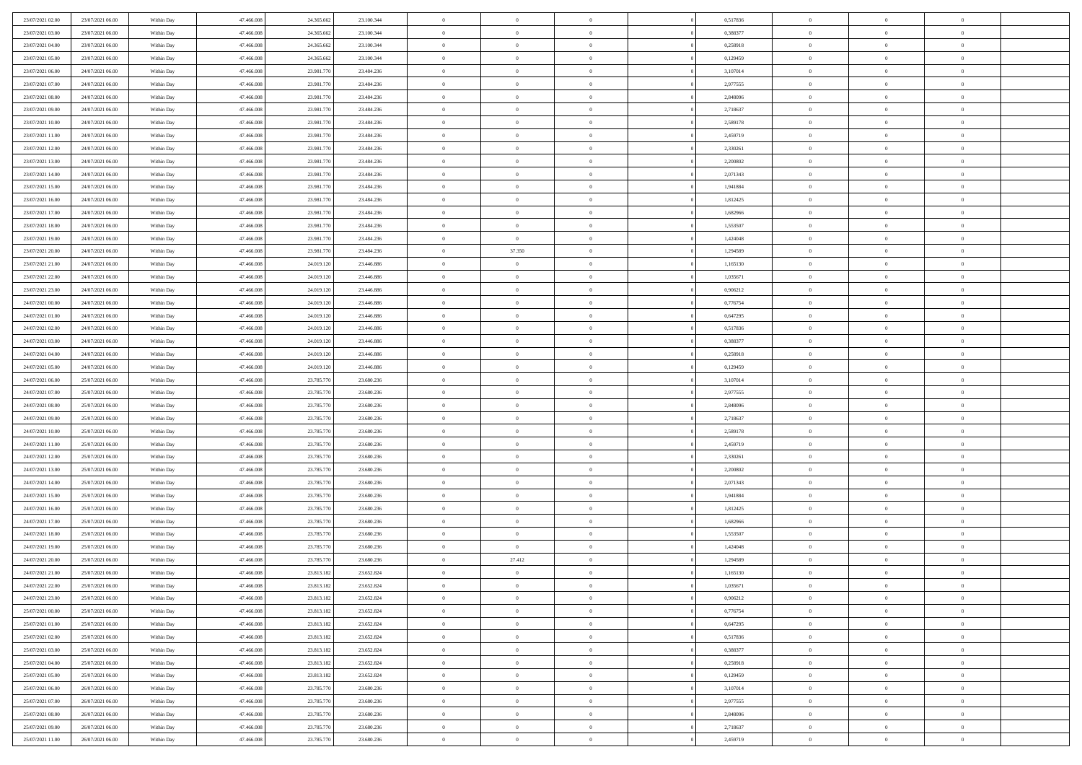| 23/07/2021 02:00 | 23/07/2021 06:00 | Within Day | 47,466,008 | 24.365.662 | 23.100.344 | $\overline{0}$ | $\overline{0}$ | $\Omega$       | 0,517836 | $\bf{0}$       | $\mathbf{0}$   | $\bf{0}$       |  |
|------------------|------------------|------------|------------|------------|------------|----------------|----------------|----------------|----------|----------------|----------------|----------------|--|
| 23/07/2021 03:00 | 23/07/2021 06:00 | Within Day | 47.466.008 | 24.365.662 | 23.100.344 | $\mathbf{0}$   | $\overline{0}$ | $\overline{0}$ | 0,388377 | $\mathbf{0}$   | $\overline{0}$ | $\overline{0}$ |  |
| 23/07/2021 04:00 | 23/07/2021 06:00 | Within Day | 47.466.008 | 24.365.662 | 23.100.344 | $\,$ 0         | $\overline{0}$ | $\bf{0}$       | 0,258918 | $\,$ 0         | $\overline{0}$ | $\,$ 0 $\,$    |  |
| 23/07/2021 05:00 | 23/07/2021 06:00 | Within Day | 47,466,008 | 24.365.662 | 23.100.344 | $\bf{0}$       | $\overline{0}$ | $\Omega$       | 0,129459 | $\bf{0}$       | $\mathbf{0}$   | $\theta$       |  |
| 23/07/2021 06:00 | 24/07/2021 06:00 | Within Day | 47.466.008 | 23.981.770 | 23.484.236 | $\bf{0}$       | $\overline{0}$ | $\overline{0}$ | 3,107014 | $\mathbf{0}$   | $\overline{0}$ | $\overline{0}$ |  |
| 23/07/2021 07:00 | 24/07/2021 06:00 | Within Day | 47.466.008 | 23.981.770 | 23.484.236 | $\bf{0}$       | $\overline{0}$ | $\bf{0}$       | 2,977555 | $\,$ 0         | $\overline{0}$ | $\,$ 0 $\,$    |  |
| 23/07/2021 08:00 | 24/07/2021 06:00 | Within Day | 47,466,008 | 23.981.770 | 23.484.236 | $\bf{0}$       | $\overline{0}$ | $\Omega$       | 2.848096 | $\bf{0}$       | $\overline{0}$ | $\theta$       |  |
| 23/07/2021 09:00 | 24/07/2021 06:00 | Within Day | 47.466.008 | 23.981.770 | 23.484.236 | $\overline{0}$ | $\overline{0}$ | $\overline{0}$ | 2,718637 | $\mathbf{0}$   | $\overline{0}$ | $\overline{0}$ |  |
| 23/07/2021 10:00 | 24/07/2021 06:00 | Within Day | 47.466.008 | 23.981.770 | 23.484.236 | $\bf{0}$       | $\overline{0}$ | $\bf{0}$       | 2,589178 | $\,$ 0         | $\overline{0}$ | $\,$ 0 $\,$    |  |
| 23/07/2021 11:00 | 24/07/2021 06:00 | Within Day | 47,466,008 | 23.981.770 | 23.484.236 | $\overline{0}$ | $\overline{0}$ | $\Omega$       | 2,459719 | $\theta$       | $\mathbf{0}$   | $\theta$       |  |
| 23/07/2021 12:00 | 24/07/2021 06:00 | Within Day | 47.466.008 | 23.981.770 | 23.484.236 | $\bf{0}$       | $\overline{0}$ | $\overline{0}$ | 2,330261 | $\mathbf{0}$   | $\overline{0}$ | $\overline{0}$ |  |
| 23/07/2021 13:00 | 24/07/2021 06:00 | Within Day | 47.466.008 | 23.981.770 | 23.484.236 | $\bf{0}$       | $\overline{0}$ | $\bf{0}$       | 2,200802 | $\,$ 0         | $\overline{0}$ | $\,$ 0 $\,$    |  |
| 23/07/2021 14:00 | 24/07/2021 06:00 | Within Day | 47,466,008 | 23.981.770 | 23.484.236 | $\bf{0}$       | $\overline{0}$ | $\Omega$       | 2.071343 | $\bf{0}$       | $\mathbf{0}$   | $\theta$       |  |
| 23/07/2021 15:00 | 24/07/2021 06:00 | Within Day | 47.466.008 | 23.981.770 | 23.484.236 | $\bf{0}$       | $\overline{0}$ | $\overline{0}$ | 1,941884 | $\overline{0}$ | $\overline{0}$ | $\overline{0}$ |  |
| 23/07/2021 16:00 | 24/07/2021 06:00 | Within Day | 47.466.008 | 23.981.770 | 23.484.236 | $\bf{0}$       | $\overline{0}$ | $\bf{0}$       | 1,812425 | $\,$ 0         | $\overline{0}$ | $\,$ 0 $\,$    |  |
| 23/07/2021 17:00 | 24/07/2021 06:00 | Within Day | 47,466,008 | 23.981.770 | 23.484.236 | $\bf{0}$       | $\overline{0}$ | $\overline{0}$ | 1,682966 | $\bf{0}$       | $\overline{0}$ | $\theta$       |  |
| 23/07/2021 18:00 | 24/07/2021 06:00 | Within Day | 47.466.008 | 23.981.770 | 23.484.236 | $\overline{0}$ | $\overline{0}$ | $\overline{0}$ | 1,553507 | $\mathbf{0}$   | $\overline{0}$ | $\overline{0}$ |  |
| 23/07/2021 19:00 | 24/07/2021 06:00 | Within Day | 47.466.008 | 23.981.770 | 23.484.236 | $\bf{0}$       | $\overline{0}$ | $\bf{0}$       | 1,424048 | $\,$ 0         | $\overline{0}$ | $\,$ 0 $\,$    |  |
| 23/07/2021 20:00 | 24/07/2021 06:00 | Within Day | 47,466,008 | 23.981.770 | 23.484.236 | $\bf{0}$       | 37.350         | $\Omega$       | 1,294589 | $\theta$       | $\mathbf{0}$   | $\theta$       |  |
| 23/07/2021 21:00 | 24/07/2021 06:00 | Within Day | 47.466.008 | 24.019.120 | 23.446.886 | $\overline{0}$ | $\overline{0}$ | $\overline{0}$ | 1,165130 | $\mathbf{0}$   | $\overline{0}$ | $\overline{0}$ |  |
| 23/07/2021 22:00 | 24/07/2021 06:00 | Within Day | 47.466.008 | 24.019.120 | 23.446.886 | $\bf{0}$       | $\overline{0}$ | $\bf{0}$       | 1,035671 | $\,$ 0         | $\overline{0}$ | $\,$ 0 $\,$    |  |
| 23/07/2021 23:00 | 24/07/2021 06:00 | Within Day | 47,466,008 | 24.019.120 | 23.446.886 | $\bf{0}$       | $\overline{0}$ | $\Omega$       | 0.906212 | $\theta$       | $\mathbf{0}$   | $\theta$       |  |
| 24/07/2021 00:00 | 24/07/2021 06:00 | Within Day | 47.466.008 | 24.019.120 | 23.446.886 | $\overline{0}$ | $\overline{0}$ | $\overline{0}$ | 0,776754 | $\mathbf{0}$   | $\overline{0}$ | $\overline{0}$ |  |
| 24/07/2021 01:00 | 24/07/2021 06:00 | Within Day | 47.466.008 | 24.019.120 | 23.446.886 | $\bf{0}$       | $\overline{0}$ | $\bf{0}$       | 0,647295 | $\,$ 0         | $\overline{0}$ | $\,$ 0 $\,$    |  |
| 24/07/2021 02.00 | 24/07/2021 06:00 | Within Day | 47,466,008 | 24.019.120 | 23.446.886 | $\bf{0}$       | $\overline{0}$ | $\overline{0}$ | 0,517836 | $\bf{0}$       | $\overline{0}$ | $\bf{0}$       |  |
| 24/07/2021 03:00 | 24/07/2021 06:00 | Within Day | 47.466.008 | 24.019.120 | 23.446.886 | $\overline{0}$ | $\overline{0}$ | $\overline{0}$ | 0,388377 | $\mathbf{0}$   | $\overline{0}$ | $\overline{0}$ |  |
| 24/07/2021 04:00 | 24/07/2021 06:00 | Within Day | 47.466.008 | 24.019.120 | 23.446.886 | $\bf{0}$       | $\overline{0}$ | $\bf{0}$       | 0,258918 | $\,$ 0         | $\overline{0}$ | $\,$ 0 $\,$    |  |
| 24/07/2021 05:00 | 24/07/2021 06:00 | Within Day | 47,466,008 | 24.019.120 | 23.446.886 | $\bf{0}$       | $\overline{0}$ | $\Omega$       | 0,129459 | $\theta$       | $\mathbf{0}$   | $\theta$       |  |
| 24/07/2021 06:00 | 25/07/2021 06:00 | Within Day | 47.466.008 | 23.785.770 | 23.680.236 | $\overline{0}$ | $\overline{0}$ | $\overline{0}$ | 3,107014 | $\mathbf{0}$   | $\overline{0}$ | $\overline{0}$ |  |
| 24/07/2021 07:00 | 25/07/2021 06:00 | Within Day | 47.466.008 | 23.785.770 | 23.680.236 | $\bf{0}$       | $\overline{0}$ | $\bf{0}$       | 2,977555 | $\,$ 0         | $\overline{0}$ | $\,$ 0 $\,$    |  |
| 24/07/2021 08:00 | 25/07/2021 06:00 | Within Day | 47.466.008 | 23.785.770 | 23.680.236 | $\bf{0}$       | $\bf{0}$       | $\overline{0}$ | 2,848096 | $\bf{0}$       | $\overline{0}$ | $\,0\,$        |  |
| 24/07/2021 09:00 | 25/07/2021 06:00 | Within Day | 47.466.008 | 23.785.770 | 23.680.236 | $\overline{0}$ | $\overline{0}$ | $\overline{0}$ | 2,718637 | $\mathbf{0}$   | $\overline{0}$ | $\overline{0}$ |  |
| 24/07/2021 10:00 | 25/07/2021 06:00 | Within Day | 47.466.008 | 23.785.770 | 23.680.236 | $\bf{0}$       | $\overline{0}$ | $\bf{0}$       | 2,589178 | $\,$ 0         | $\overline{0}$ | $\,$ 0 $\,$    |  |
| 24/07/2021 11:00 | 25/07/2021 06:00 | Within Day | 47.466.008 | 23.785.770 | 23.680.236 | $\bf{0}$       | $\overline{0}$ | $\bf{0}$       | 2,459719 | $\bf{0}$       | $\overline{0}$ | $\bf{0}$       |  |
| 24/07/2021 12:00 | 25/07/2021 06:00 | Within Day | 47.466.008 | 23.785.770 | 23.680.236 | $\overline{0}$ | $\overline{0}$ | $\overline{0}$ | 2,330261 | $\mathbf{0}$   | $\overline{0}$ | $\overline{0}$ |  |
| 24/07/2021 13:00 | 25/07/2021 06:00 | Within Day | 47.466.008 | 23.785.770 | 23.680.236 | $\bf{0}$       | $\overline{0}$ | $\bf{0}$       | 2,200802 | $\,$ 0         | $\overline{0}$ | $\,$ 0 $\,$    |  |
| 24/07/2021 14:00 | 25/07/2021 06:00 | Within Day | 47.466.008 | 23.785.770 | 23.680.236 | $\bf{0}$       | $\overline{0}$ | $\overline{0}$ | 2,071343 | $\bf{0}$       | $\overline{0}$ | $\,0\,$        |  |
| 24/07/2021 15:00 | 25/07/2021 06:00 | Within Day | 47.466.008 | 23.785.770 | 23.680.236 | $\overline{0}$ | $\overline{0}$ | $\overline{0}$ | 1,941884 | $\mathbf{0}$   | $\overline{0}$ | $\overline{0}$ |  |
| 24/07/2021 16:00 | 25/07/2021 06:00 | Within Day | 47.466.008 | 23.785.770 | 23.680.236 | $\bf{0}$       | $\overline{0}$ | $\bf{0}$       | 1,812425 | $\,$ 0         | $\overline{0}$ | $\,$ 0 $\,$    |  |
| 24/07/2021 17.00 | 25/07/2021 06:00 | Within Day | 47.466.008 | 23.785.770 | 23.680.236 | $\bf{0}$       | $\overline{0}$ | $\overline{0}$ | 1,682966 | $\bf{0}$       | $\overline{0}$ | $\,0\,$        |  |
| 24/07/2021 18:00 | 25/07/2021 06:00 | Within Day | 47.466.008 | 23.785.770 | 23.680.236 | $\overline{0}$ | $\overline{0}$ | $\overline{0}$ | 1,553507 | $\mathbf{0}$   | $\overline{0}$ | $\overline{0}$ |  |
| 24/07/2021 19:00 | 25/07/2021 06:00 | Within Day | 47.466.008 | 23.785.770 | 23.680.236 | $\bf{0}$       | $\overline{0}$ | $\bf{0}$       | 1,424048 | $\,$ 0         | $\overline{0}$ | $\,$ 0 $\,$    |  |
| 24/07/2021 20:00 | 25/07/2021 06:00 | Within Day | 47.466.008 | 23.785.770 | 23.680.236 | $\bf{0}$       | 27.412         | $\bf{0}$       | 1,294589 | $\bf{0}$       | $\overline{0}$ | $\,0\,$        |  |
| 24/07/2021 21:00 | 25/07/2021 06:00 | Within Dav | 47.466.008 | 23.813.182 | 23.652.824 | $\mathbf{0}$   | $\overline{0}$ | $\overline{0}$ | 1,165130 | $\mathbf{0}$   | $\overline{0}$ | $\overline{0}$ |  |
| 24/07/2021 22.00 | 25/07/2021 06:00 | Within Day | 47.466.008 | 23.813.182 | 23.652.824 | $\bf{0}$       | $\overline{0}$ | $\theta$       | 1,035671 | $\overline{0}$ | $\overline{0}$ | $\theta$       |  |
| 24/07/2021 23.00 | 25/07/2021 06:00 | Within Day | 47.466.008 | 23.813.182 | 23.652.824 | $\bf{0}$       | $\overline{0}$ | $\bf{0}$       | 0,906212 | $\bf{0}$       | $\overline{0}$ | $\bf{0}$       |  |
| 25/07/2021 00:00 | 25/07/2021 06:00 | Within Day | 47.466.008 | 23.813.182 | 23.652.824 | $\overline{0}$ | $\overline{0}$ | $\overline{0}$ | 0,776754 | $\overline{0}$ | $\overline{0}$ | $\overline{0}$ |  |
| 25/07/2021 01:00 | 25/07/2021 06:00 | Within Day | 47.466.008 | 23.813.182 | 23.652.824 | $\,$ 0 $\,$    | $\overline{0}$ | $\overline{0}$ | 0,647295 | $\mathbf{0}$   | $\,$ 0 $\,$    | $\,$ 0 $\,$    |  |
| 25/07/2021 02:00 | 25/07/2021 06:00 | Within Day | 47.466.008 | 23.813.182 | 23.652.824 | $\bf{0}$       | $\overline{0}$ | $\overline{0}$ | 0,517836 | $\bf{0}$       | $\overline{0}$ | $\bf{0}$       |  |
| 25/07/2021 03:00 | 25/07/2021 06:00 | Within Day | 47.466.008 | 23.813.182 | 23.652.824 | $\overline{0}$ | $\overline{0}$ | $\overline{0}$ | 0,388377 | $\overline{0}$ | $\bf{0}$       | $\overline{0}$ |  |
| 25/07/2021 04:00 | 25/07/2021 06:00 | Within Day | 47.466.008 | 23.813.182 | 23.652.824 | $\,$ 0 $\,$    | $\overline{0}$ | $\overline{0}$ | 0,258918 | $\,$ 0 $\,$    | $\overline{0}$ | $\,$ 0 $\,$    |  |
| 25/07/2021 05:00 | 25/07/2021 06:00 | Within Day | 47.466.008 | 23.813.182 | 23.652.824 | $\overline{0}$ | $\overline{0}$ | $\overline{0}$ | 0,129459 | $\bf{0}$       | $\overline{0}$ | $\overline{0}$ |  |
| 25/07/2021 06:00 | 26/07/2021 06:00 | Within Day | 47.466.008 | 23.785.770 | 23.680.236 | $\overline{0}$ | $\overline{0}$ | $\overline{0}$ | 3,107014 | $\overline{0}$ | $\bf{0}$       | $\overline{0}$ |  |
| 25/07/2021 07:00 | 26/07/2021 06:00 | Within Day | 47.466.008 | 23.785.770 | 23.680.236 | $\,$ 0 $\,$    | $\overline{0}$ | $\overline{0}$ | 2,977555 | $\mathbf{0}$   | $\,$ 0 $\,$    | $\,$ 0 $\,$    |  |
| 25/07/2021 08:00 | 26/07/2021 06:00 | Within Day | 47.466.008 | 23.785.770 | 23.680.236 | $\bf{0}$       | $\overline{0}$ | $\overline{0}$ | 2,848096 | $\mathbf{0}$   | $\overline{0}$ | $\bf{0}$       |  |
| 25/07/2021 09:00 | 26/07/2021 06:00 | Within Day | 47.466.008 | 23.785.770 | 23.680.236 | $\overline{0}$ | $\overline{0}$ | $\overline{0}$ | 2,718637 | $\mathbf{0}$   | $\bf{0}$       | $\overline{0}$ |  |
| 25/07/2021 11:00 | 26/07/2021 06:00 | Within Day | 47.466.008 | 23.785.770 | 23.680.236 | $\,0\,$        | $\overline{0}$ | $\overline{0}$ | 2,459719 | $\,$ 0 $\,$    | $\overline{0}$ | $\,$ 0 $\,$    |  |
|                  |                  |            |            |            |            |                |                |                |          |                |                |                |  |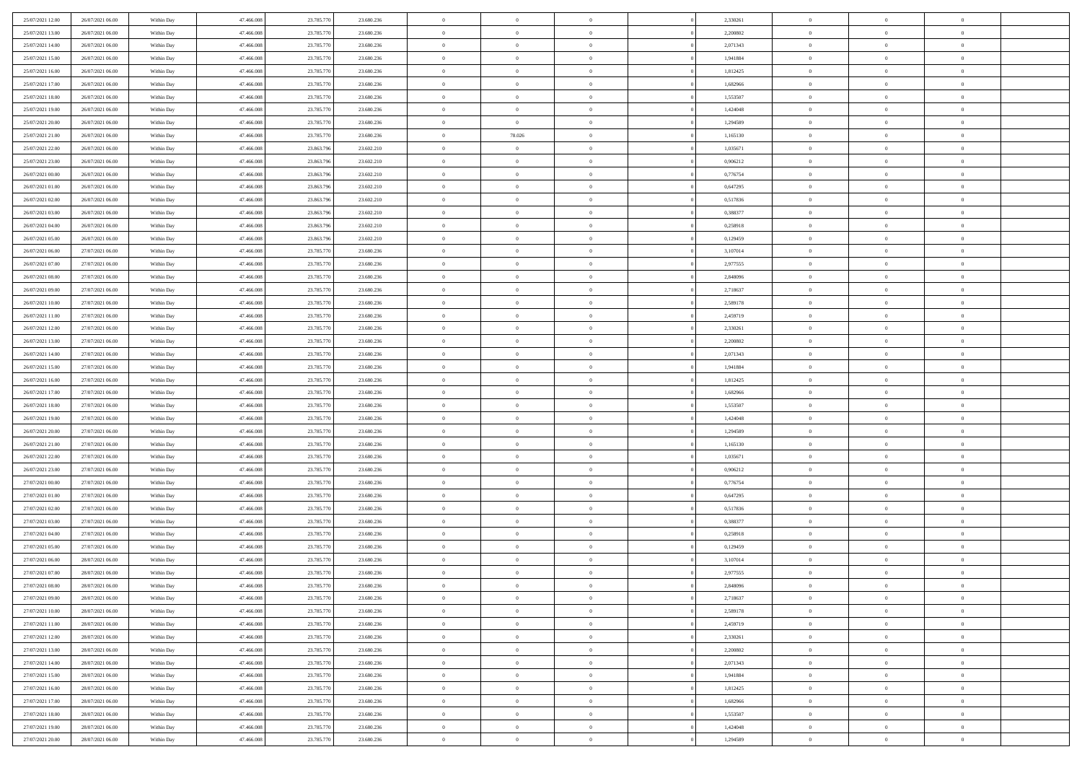| 25/07/2021 12:00                     | 26/07/2021 06:00                     | Within Day               | 47.466.008               | 23.785.770               | 23.680.236               | $\,$ 0                   | $\overline{0}$                   | $\theta$                         |          | 2,330261             | $\bf{0}$                 | $\overline{0}$                   | $\,0\,$                          |  |
|--------------------------------------|--------------------------------------|--------------------------|--------------------------|--------------------------|--------------------------|--------------------------|----------------------------------|----------------------------------|----------|----------------------|--------------------------|----------------------------------|----------------------------------|--|
| 25/07/2021 13:00                     | 26/07/2021 06:00                     | Within Day               | 47,466,008               | 23.785.770               | 23.680.236               | $\overline{0}$           | $\overline{0}$                   | $\overline{0}$                   |          | 2,200802             | $\theta$                 | $\overline{0}$                   | $\theta$                         |  |
| 25/07/2021 14:00                     | 26/07/2021 06:00                     | Within Dav               | 47.466.008               | 23.785.770               | 23.680.236               | $\mathbf{0}$             | $\overline{0}$                   | $\overline{0}$                   |          | 2,071343             | $\mathbf{0}$             | $\overline{0}$                   | $\overline{0}$                   |  |
| 25/07/2021 15:00                     | 26/07/2021 06:00                     | Within Day               | 47.466.008               | 23.785.770               | 23.680.236               | $\bf{0}$                 | $\overline{0}$                   | $\overline{0}$                   |          | 1,941884             | $\bf{0}$                 | $\overline{0}$                   | $\bf{0}$                         |  |
| 25/07/2021 16:00                     | 26/07/2021 06:00                     | Within Day               | 47,466,008               | 23.785.770               | 23.680.236               | $\bf{0}$                 | $\overline{0}$                   | $\overline{0}$                   |          | 1,812425             | $\bf{0}$                 | $\bf{0}$                         | $\,0\,$                          |  |
| 25/07/2021 17:00                     | 26/07/2021 06:00                     | Within Dav               | 47.466.008               | 23.785.770               | 23.680.236               | $\overline{0}$           | $\overline{0}$                   | $\overline{0}$                   |          | 1,682966             | $\mathbf{0}$             | $\overline{0}$                   | $\overline{0}$                   |  |
| 25/07/2021 18:00                     | 26/07/2021 06:00                     | Within Day               | 47.466.008               | 23.785.770               | 23.680.236               | $\bf{0}$                 | $\overline{0}$                   | $\overline{0}$                   |          | 1,553507             | $\bf{0}$                 | $\overline{0}$                   | $\,0\,$                          |  |
| 25/07/2021 19:00                     | 26/07/2021 06:00                     | Within Day               | 47,466,008               | 23.785.770               | 23.680.236               | $\overline{0}$           | $\overline{0}$                   | $\overline{0}$                   |          | 1,424048             | $\,$ 0 $\,$              | $\overline{0}$                   | $\theta$                         |  |
| 25/07/2021 20:00                     | 26/07/2021 06:00                     | Within Dav               | 47.466.008               | 23.785.770               | 23.680.236               | $\mathbf{0}$             | $\overline{0}$                   | $\overline{0}$                   |          | 1,294589             | $\mathbf{0}$             | $\overline{0}$                   | $\overline{0}$                   |  |
| 25/07/2021 21:00                     | 26/07/2021 06:00                     | Within Day               | 47.466.008               | 23.785.770               | 23.680.236               | $\bf{0}$                 | 78.026                           | $\overline{0}$                   |          | 1,165130             | $\bf{0}$                 | $\overline{0}$                   | $\,0\,$                          |  |
| 25/07/2021 22.00                     | 26/07/2021 06:00                     | Within Day               | 47,466,008               | 23.863.796               | 23.602.210               | $\bf{0}$                 | $\overline{0}$                   | $\overline{0}$                   |          | 1,035671             | $\bf{0}$                 | $\overline{0}$                   | $\overline{0}$                   |  |
| 25/07/2021 23:00                     | 26/07/2021 06:00                     | Within Dav               | 47.466.008               | 23.863.796               | 23.602.210               | $\mathbf{0}$             | $\overline{0}$                   | $\overline{0}$                   |          | 0,906212             | $\mathbf{0}$             | $\overline{0}$                   | $\overline{0}$                   |  |
| 26/07/2021 00:00                     | 26/07/2021 06:00                     | Within Day               | 47.466.008               | 23.863.796               | 23.602.210               | $\bf{0}$                 | $\overline{0}$                   | $\bf{0}$                         |          | 0,776754             | $\bf{0}$                 | $\overline{0}$                   | $\bf{0}$                         |  |
| 26/07/2021 01:00                     | 26/07/2021 06:00                     | Within Day               | 47,466,008               | 23.863.796               | 23.602.210               | $\bf{0}$                 | $\overline{0}$                   | $\overline{0}$                   |          | 0,647295             | $\bf{0}$                 | $\overline{0}$                   | $\,0\,$                          |  |
| 26/07/2021 02:00                     | 26/07/2021 06:00                     | Within Dav               | 47.466.008               | 23.863.796               | 23.602.210               | $\overline{0}$           | $\overline{0}$                   | $\overline{0}$                   |          | 0,517836             | $\mathbf{0}$             | $\overline{0}$                   | $\overline{0}$                   |  |
| 26/07/2021 03:00                     | 26/07/2021 06:00                     | Within Day               | 47.466.008               | 23.863.796               | 23.602.210               | $\bf{0}$                 | $\overline{0}$                   | $\overline{0}$                   |          | 0,388377             | $\bf{0}$                 | $\overline{0}$                   | $\bf{0}$                         |  |
| 26/07/2021 04:00                     | 26/07/2021 06:00                     | Within Day               | 47,466,008               | 23.863.796               | 23.602.210               | $\overline{0}$           | $\overline{0}$                   | $\overline{0}$                   |          | 0,258918             | $\bf{0}$                 | $\overline{0}$                   | $\theta$                         |  |
| 26/07/2021 05:00                     | 26/07/2021 06:00                     | Within Day               | 47.466.008               | 23.863.796               | 23.602.210               | $\mathbf{0}$             | $\overline{0}$                   | $\overline{0}$                   |          | 0,129459             | $\mathbf{0}$             | $\overline{0}$                   | $\overline{0}$                   |  |
| 26/07/2021 06:00                     | 27/07/2021 06:00                     | Within Day               | 47.466.008               | 23.785.770               | 23.680.236               | $\bf{0}$                 | $\overline{0}$                   | $\overline{0}$                   |          | 3,107014             | $\bf{0}$                 | $\overline{0}$                   | $\,0\,$                          |  |
| 26/07/2021 07:00                     | 27/07/2021 06:00                     | Within Day               | 47,466,008               | 23.785.770               | 23.680.236               | $\overline{0}$           | $\overline{0}$                   | $\overline{0}$                   |          | 2,977555             | $\bf{0}$                 | $\overline{0}$                   | $\overline{0}$                   |  |
| 26/07/2021 08:00                     | 27/07/2021 06:00                     | Within Dav               | 47.466.008               | 23.785.770               | 23.680.236               | $\mathbf{0}$             | $\overline{0}$                   | $\overline{0}$                   |          | 2,848096             | $\mathbf{0}$             | $\overline{0}$                   | $\overline{0}$                   |  |
| 26/07/2021 09:00                     | 27/07/2021 06:00                     | Within Day               | 47.466.008               | 23.785.770               | 23.680.236               | $\bf{0}$                 | $\overline{0}$                   | $\overline{0}$                   |          | 2,718637             | $\bf{0}$                 | $\overline{0}$                   | $\bf{0}$                         |  |
| 26/07/2021 10:00                     | 27/07/2021 06:00                     |                          | 47,466,008               | 23.785.770               | 23.680.236               | $\bf{0}$                 | $\bf{0}$                         | $\overline{0}$                   |          | 2,589178             | $\bf{0}$                 | $\overline{0}$                   | $\bf{0}$                         |  |
| 26/07/2021 11:00                     | 27/07/2021 06:00                     | Within Day<br>Within Dav | 47.466.008               | 23.785.770               | 23.680.236               | $\mathbf{0}$             | $\overline{0}$                   | $\overline{0}$                   |          | 2,459719             | $\mathbf{0}$             | $\overline{0}$                   | $\overline{0}$                   |  |
| 26/07/2021 12:00                     | 27/07/2021 06:00                     | Within Day               | 47.466.008               | 23.785.770               | 23.680.236               | $\bf{0}$                 | $\bf{0}$                         | $\overline{0}$                   |          | 2,330261             | $\bf{0}$                 | $\overline{0}$                   | $\bf{0}$                         |  |
|                                      |                                      |                          | 47,466,008               |                          |                          | $\overline{0}$           | $\overline{0}$                   | $\overline{0}$                   |          |                      |                          | $\mathbf{0}$                     | $\overline{0}$                   |  |
| 26/07/2021 13:00<br>26/07/2021 14:00 | 27/07/2021 06:00                     | Within Day               |                          | 23.785.770               | 23.680.236               | $\mathbf{0}$             |                                  |                                  |          | 2,200802             | $\bf{0}$<br>$\mathbf{0}$ |                                  | $\overline{0}$                   |  |
|                                      | 27/07/2021 06:00<br>27/07/2021 06:00 | Within Dav               | 47.466.008               | 23.785.770               | 23.680.236               |                          | $\overline{0}$                   | $\overline{0}$<br>$\overline{0}$ |          | 2,071343             |                          | $\overline{0}$<br>$\overline{0}$ |                                  |  |
| 26/07/2021 15:00                     |                                      | Within Day               | 47.466.008               | 23.785.770               | 23.680.236               | $\bf{0}$                 | $\bf{0}$                         |                                  |          | 1,941884             | $\bf{0}$                 |                                  | $\,0\,$                          |  |
| 26/07/2021 16:00                     | 27/07/2021 06:00                     | Within Day               | 47,466,008               | 23.785.770               | 23.680.236               | $\bf{0}$<br>$\mathbf{0}$ | $\bf{0}$                         | $\overline{0}$                   |          | 1,812425             | $\bf{0}$<br>$\mathbf{0}$ | $\overline{0}$                   | $\overline{0}$<br>$\overline{0}$ |  |
| 26/07/2021 17:00                     | 27/07/2021 06:00                     | Within Dav               | 47.466.008               | 23.785.770               | 23.680.236               |                          | $\overline{0}$                   | $\overline{0}$                   |          | 1,682966             |                          | $\overline{0}$                   |                                  |  |
| 26/07/2021 18:00                     | 27/07/2021 06:00                     | Within Day               | 47.466.008               | 23.785.770               | 23.680.236               | $\bf{0}$                 | $\overline{0}$                   | $\theta$                         |          | 1,553507             | $\,$ 0                   | $\overline{0}$                   | $\theta$                         |  |
| 26/07/2021 19:00                     | 27/07/2021 06:00                     | Within Day               | 47,466,008               | 23.785.770               | 23.680.236               | $\bf{0}$                 | $\bf{0}$                         | $\overline{0}$                   |          | 1,424048             | $\bf{0}$                 | $\overline{0}$                   | $\bf{0}$                         |  |
| 26/07/2021 20:00                     | 27/07/2021 06:00                     | Within Dav               | 47.466.008               | 23.785.770               | 23.680.236               | $\overline{0}$           | $\overline{0}$                   | $\overline{0}$                   |          | 1,294589             | $\mathbf{0}$             | $\overline{0}$                   | $\overline{0}$                   |  |
| 26/07/2021 21:00                     | 27/07/2021 06:00                     | Within Day               | 47.466.008               | 23.785.770               | 23.680.236               | $\bf{0}$                 | $\overline{0}$                   | $\theta$                         |          | 1,165130             | $\,$ 0                   | $\overline{0}$                   | $\theta$                         |  |
| 26/07/2021 22:00                     | 27/07/2021 06:00                     | Within Day               | 47,466,008               | 23.785.770               | 23.680.236               | $\bf{0}$<br>$\mathbf{0}$ | $\overline{0}$                   | $\overline{0}$                   |          | 1,035671             | $\bf{0}$<br>$\mathbf{0}$ | $\overline{0}$                   | $\overline{0}$<br>$\overline{0}$ |  |
| 26/07/2021 23:00                     | 27/07/2021 06:00                     | Within Day               | 47.466.008               | 23.785.770               | 23.680.236               | $\bf{0}$                 | $\overline{0}$                   | $\overline{0}$                   |          | 0,906212             |                          | $\overline{0}$<br>$\overline{0}$ | $\theta$                         |  |
| 27/07/2021 00:00                     | 27/07/2021 06:00                     | Within Day               | 47.466.008<br>47,466,008 | 23.785.770               | 23.680.236               | $\bf{0}$                 | $\overline{0}$                   | $\theta$<br>$\overline{0}$       |          | 0,776754             | $\,$ 0                   | $\overline{0}$                   |                                  |  |
| 27/07/2021 01:00<br>27/07/2021 02:00 | 27/07/2021 06:00<br>27/07/2021 06:00 | Within Day<br>Within Dav | 47.466.008               | 23.785.770<br>23.785.770 | 23.680.236<br>23.680.236 | $\mathbf{0}$             | $\overline{0}$<br>$\overline{0}$ | $\overline{0}$                   |          | 0,647295<br>0,517836 | $\bf{0}$<br>$\mathbf{0}$ | $\overline{0}$                   | $\bf{0}$<br>$\overline{0}$       |  |
|                                      |                                      |                          |                          |                          |                          |                          |                                  |                                  |          |                      |                          | $\overline{0}$                   | $\theta$                         |  |
| 27/07/2021 03:00                     | 27/07/2021 06:00                     | Within Day               | 47.466.008<br>47,466,008 | 23.785.770               | 23.680.236               | $\,0\,$<br>$\bf{0}$      | $\overline{0}$<br>$\overline{0}$ | $\theta$<br>$\overline{0}$       |          | 0,388377             | $\,$ 0                   | $\overline{0}$                   | $\bf{0}$                         |  |
| 27/07/2021 04:00<br>27/07/2021 05:00 | 27/07/2021 06:00<br>27/07/2021 06:00 | Within Day<br>Within Dav | 47.466.008               | 23.785.770<br>23.785.770 | 23.680.236<br>23.680.236 | $\mathbf{0}$             | $\overline{0}$                   | $\overline{0}$                   |          | 0,258918<br>0,129459 | $\bf{0}$<br>$\mathbf{0}$ | $\overline{0}$                   | $\overline{0}$                   |  |
| 27/07/2021 06:00                     | 28/07/2021 06:00                     | Within Day               | 47.466.008               | 23.785.770               | 23.680.236               | $\bf{0}$                 | $\overline{0}$                   | $\theta$                         |          | 3,107014             | $\,$ 0                   | $\overline{0}$                   | $\theta$                         |  |
| 27/07/2021 07:00                     | 28/07/2021 06:00                     |                          | 47.466.008               | 23.785.770               | 23.680.236               | $\bf{0}$                 | $\overline{0}$                   | $\overline{0}$                   |          | 2,977555             | $\bf{0}$                 | $\overline{0}$                   | $\overline{0}$                   |  |
| 27/07/2021 08:00                     | 28/07/2021 06:00                     | Within Day<br>Within Day | 47.466.008               | 23.785.770               | 23.680.236               | $\bf{0}$                 | $\overline{0}$                   | $\Omega$                         |          | 2,848096             | $\overline{0}$           | $\theta$                         | $\theta$                         |  |
| 27/07/2021 09:00                     | 28/07/2021 06:00                     | Within Day               | 47.466.008               | 23.785.770               | 23.680.236               | $\,0\,$                  | $\overline{0}$                   | $\theta$                         |          | 2,718637             | $\,$ 0 $\,$              | $\bf{0}$                         | $\theta$                         |  |
| 27/07/2021 10:00                     | 28/07/2021 06:00                     |                          | 47,466,008               | 23.785.770               | 23.680.236               | $\overline{0}$           | $\overline{0}$                   | $\overline{0}$                   |          | 2,589178             | $\overline{0}$           | $\overline{0}$                   | $\overline{0}$                   |  |
| 27/07/2021 11:00                     | 28/07/2021 06:00                     | Within Day               | 47.466.008               | 23.785.770               | 23.680.236               | $\bf{0}$                 | $\overline{0}$                   | $\overline{0}$                   |          | 2,459719             | $\overline{0}$           | $\bf{0}$                         | $\mathbf{0}$                     |  |
| 27/07/2021 12:00                     | 28/07/2021 06:00                     | Within Day<br>Within Day | 47.466.008               | 23.785.770               | 23.680.236               | $\bf{0}$                 | $\overline{0}$                   | $\overline{0}$                   | $\theta$ | 2,330261             | $\mathbf{0}$             | $\bf{0}$                         | $\,$ 0 $\,$                      |  |
| 27/07/2021 13:00                     | 28/07/2021 06:00                     | Within Day               | 47,466,008               | 23.785.770               | 23.680.236               | $\bf{0}$                 | $\overline{0}$                   | $\overline{0}$                   |          | 2,200802             | $\,$ 0 $\,$              | $\overline{0}$                   | $\overline{0}$                   |  |
| 27/07/2021 14:00                     | 28/07/2021 06:00                     | Within Day               | 47.466.008               | 23.785.770               | 23.680.236               | $\bf{0}$                 | $\overline{0}$                   | $\overline{0}$                   |          | 2,071343             | $\mathbf{0}$             | $\overline{0}$                   | $\overline{0}$                   |  |
|                                      |                                      |                          |                          |                          |                          | $\,$ 0 $\,$              |                                  | $\overline{0}$                   | $\theta$ |                      | $\,$ 0 $\,$              | $\overline{0}$                   | $\overline{0}$                   |  |
| 27/07/2021 15:00                     | 28/07/2021 06:00                     | Within Day               | 47.466.008<br>47,466,008 | 23.785.770               | 23.680.236               | $\bf{0}$                 | $\overline{0}$<br>$\overline{0}$ | $\overline{0}$                   |          | 1,941884             | $\overline{0}$           | $\overline{0}$                   |                                  |  |
| 27/07/2021 16:00<br>27/07/2021 17:00 | 28/07/2021 06:00<br>28/07/2021 06:00 | Within Day<br>Within Day | 47.466.008               | 23.785.770<br>23.785.770 | 23.680.236<br>23.680.236 | $\bf{0}$                 | $\overline{0}$                   | $\overline{0}$                   |          | 1,812425<br>1,682966 | $\mathbf{0}$             | $\bf{0}$                         | $\overline{0}$<br>$\overline{0}$ |  |
|                                      |                                      |                          |                          |                          |                          | $\,0\,$                  |                                  |                                  |          |                      | $\,$ 0 $\,$              | $\overline{0}$                   | $\overline{0}$                   |  |
| 27/07/2021 18:00                     | 28/07/2021 06:00                     | Within Day               | 47.466.008<br>47,466,008 | 23.785.770               | 23.680.236               |                          | $\overline{0}$                   | $\overline{0}$                   |          | 1,553507             |                          |                                  |                                  |  |
| 27/07/2021 19:00                     | 28/07/2021 06:00                     | Within Day               |                          | 23.785.770               | 23.680.236               | $\bf{0}$                 | $\overline{0}$                   | $\overline{0}$                   |          | 1,424048             | $\bf{0}$                 | $\mathbf{0}$                     | $\overline{0}$                   |  |
| 27/07/2021 20:00                     | 28/07/2021 06:00                     | Within Day               | 47.466.008               | 23.785.770               | 23.680.236               | $\bf{0}$                 | $\overline{0}$                   | $\overline{0}$                   |          | 1,294589             | $\mathbf{0}$             | $\overline{0}$                   | $\overline{0}$                   |  |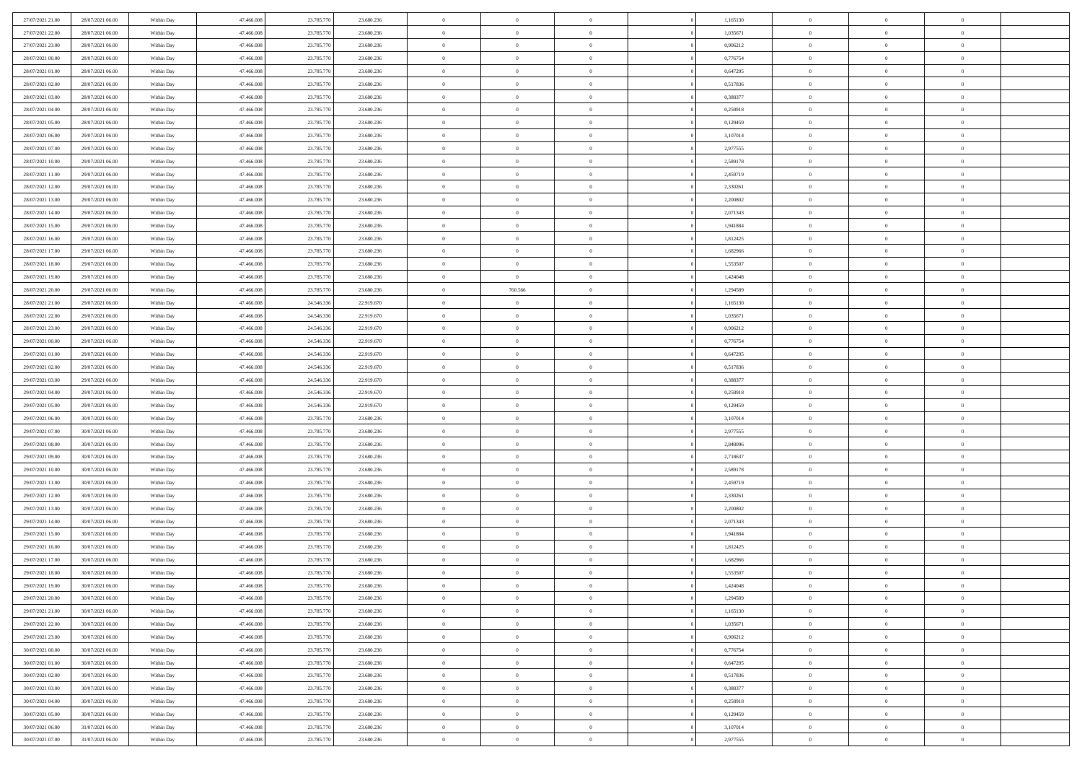| 27/07/2021 21:00 | 28/07/2021 06:00 | Within Day | 47,466,008 | 23.785.770 | 23.680.236 | $\overline{0}$ | $\overline{0}$ | $\Omega$       |          | 1,165130 | $\bf{0}$       | $\mathbf{0}$   | $\bf{0}$       |  |
|------------------|------------------|------------|------------|------------|------------|----------------|----------------|----------------|----------|----------|----------------|----------------|----------------|--|
| 27/07/2021 22:00 | 28/07/2021 06:00 | Within Dav | 47.466.008 | 23.785.770 | 23.680.236 | $\mathbf{0}$   | $\overline{0}$ | $\overline{0}$ |          | 1,035671 | $\overline{0}$ | $\overline{0}$ | $\overline{0}$ |  |
| 27/07/2021 23:00 | 28/07/2021 06:00 | Within Day | 47.466.008 | 23.785.770 | 23.680.236 | $\,$ 0         | $\overline{0}$ | $\bf{0}$       |          | 0,906212 | $\,$ 0         | $\overline{0}$ | $\,$ 0 $\,$    |  |
| 28/07/2021 00:00 | 28/07/2021 06:00 | Within Day | 47,466,008 | 23.785.770 | 23.680.236 | $\bf{0}$       | $\overline{0}$ | $\Omega$       |          | 0.776754 | $\bf{0}$       | $\mathbf{0}$   | $\theta$       |  |
| 28/07/2021 01:00 | 28/07/2021 06:00 | Within Day | 47.466.008 | 23.785.770 | 23.680.236 | $\bf{0}$       | $\overline{0}$ | $\overline{0}$ |          | 0,647295 | $\mathbf{0}$   | $\overline{0}$ | $\overline{0}$ |  |
| 28/07/2021 02:00 | 28/07/2021 06:00 | Within Day | 47.466.008 | 23.785.770 | 23.680.236 | $\bf{0}$       | $\overline{0}$ | $\bf{0}$       |          | 0,517836 | $\,$ 0         | $\overline{0}$ | $\,$ 0 $\,$    |  |
| 28/07/2021 03:00 | 28/07/2021 06:00 | Within Day | 47,466,008 | 23.785.770 | 23.680.236 | $\bf{0}$       | $\overline{0}$ | $\Omega$       |          | 0.388377 | $\theta$       | $\overline{0}$ | $\theta$       |  |
| 28/07/2021 04:00 | 28/07/2021 06:00 | Within Day | 47.466.008 | 23.785.770 | 23.680.236 | $\overline{0}$ | $\overline{0}$ | $\overline{0}$ |          | 0,258918 | $\mathbf{0}$   | $\overline{0}$ | $\overline{0}$ |  |
| 28/07/2021 05:00 | 28/07/2021 06:00 | Within Day | 47.466.008 | 23.785.770 | 23.680.236 | $\bf{0}$       | $\overline{0}$ | $\bf{0}$       |          | 0,129459 | $\,$ 0         | $\overline{0}$ | $\,$ 0 $\,$    |  |
| 28/07/2021 06:00 | 29/07/2021 06:00 | Within Day | 47,466,008 | 23.785.770 | 23.680.236 | $\overline{0}$ | $\overline{0}$ | $\Omega$       |          | 3,107014 | $\theta$       | $\mathbf{0}$   | $\theta$       |  |
| 28/07/2021 07:00 | 29/07/2021 06:00 | Within Day | 47.466.008 | 23.785.770 | 23.680.236 | $\overline{0}$ | $\overline{0}$ | $\overline{0}$ |          | 2,977555 | $\mathbf{0}$   | $\overline{0}$ | $\overline{0}$ |  |
| 28/07/2021 10:00 | 29/07/2021 06:00 | Within Day | 47.466.008 | 23.785.770 | 23.680.236 | $\bf{0}$       | $\overline{0}$ | $\bf{0}$       |          | 2,589178 | $\,$ 0         | $\overline{0}$ | $\,$ 0 $\,$    |  |
| 28/07/2021 11:00 | 29/07/2021 06:00 | Within Day | 47,466,008 | 23.785.770 | 23.680.236 | $\bf{0}$       | $\overline{0}$ | $\Omega$       |          | 2,459719 | $\bf{0}$       | $\mathbf{0}$   | $\theta$       |  |
| 28/07/2021 12:00 | 29/07/2021 06:00 | Within Day | 47.466.008 | 23.785.770 | 23.680.236 | $\overline{0}$ | $\overline{0}$ | $\overline{0}$ |          | 2,330261 | $\overline{0}$ | $\overline{0}$ | $\overline{0}$ |  |
| 28/07/2021 13:00 | 29/07/2021 06:00 | Within Day | 47.466.008 | 23.785.770 | 23.680.236 | $\bf{0}$       | $\overline{0}$ | $\bf{0}$       |          | 2,200802 | $\,$ 0         | $\overline{0}$ | $\,$ 0 $\,$    |  |
| 28/07/2021 14:00 | 29/07/2021 06:00 | Within Day | 47,466,008 | 23.785.770 | 23.680.236 | $\bf{0}$       | $\overline{0}$ | $\overline{0}$ |          | 2,071343 | $\bf{0}$       | $\overline{0}$ | $\theta$       |  |
| 28/07/2021 15:00 | 29/07/2021 06:00 | Within Day | 47.466.008 | 23.785.770 | 23.680.236 | $\overline{0}$ | $\overline{0}$ | $\overline{0}$ |          | 1,941884 | $\mathbf{0}$   | $\overline{0}$ | $\overline{0}$ |  |
| 28/07/2021 16:00 | 29/07/2021 06:00 | Within Day | 47.466.008 | 23.785.770 | 23.680.236 | $\bf{0}$       | $\overline{0}$ | $\bf{0}$       |          | 1,812425 | $\,$ 0         | $\overline{0}$ | $\,0\,$        |  |
| 28/07/2021 17:00 | 29/07/2021 06:00 | Within Day | 47,466,008 | 23.785.770 | 23.680.236 | $\bf{0}$       | $\overline{0}$ | $\Omega$       |          | 1.682966 | $\theta$       | $\mathbf{0}$   | $\theta$       |  |
| 28/07/2021 18:00 | 29/07/2021 06:00 | Within Day | 47.466.008 | 23.785.770 | 23.680.236 | $\overline{0}$ | $\overline{0}$ | $\overline{0}$ |          | 1,553507 | $\mathbf{0}$   | $\overline{0}$ | $\overline{0}$ |  |
| 28/07/2021 19:00 | 29/07/2021 06:00 | Within Day | 47.466.008 | 23.785.770 | 23.680.236 | $\bf{0}$       | $\overline{0}$ | $\bf{0}$       |          | 1,424048 | $\,$ 0         | $\overline{0}$ | $\,$ 0 $\,$    |  |
| 28/07/2021 20:00 | 29/07/2021 06:00 | Within Day | 47,466,008 | 23.785.770 | 23.680.236 | $\bf{0}$       | 760.566        | $\Omega$       |          | 1,294589 | $\bf{0}$       | $\mathbf{0}$   | $\theta$       |  |
| 28/07/2021 21:00 | 29/07/2021 06:00 | Within Day | 47.466.008 | 24.546.336 | 22.919.670 | $\overline{0}$ | $\overline{0}$ | $\overline{0}$ |          | 1,165130 | $\mathbf{0}$   | $\overline{0}$ | $\overline{0}$ |  |
| 28/07/2021 22:00 | 29/07/2021 06:00 | Within Day | 47.466.008 | 24.546.336 | 22.919.670 | $\bf{0}$       | $\overline{0}$ | $\bf{0}$       |          | 1,035671 | $\,$ 0         | $\overline{0}$ | $\,$ 0 $\,$    |  |
| 28/07/2021 23:00 | 29/07/2021 06:00 | Within Day | 47,466,008 | 24.546.336 | 22.919.670 | $\bf{0}$       | $\overline{0}$ | $\overline{0}$ |          | 0,906212 | $\bf{0}$       | $\overline{0}$ | $\bf{0}$       |  |
| 29/07/2021 00:00 | 29/07/2021 06:00 | Within Day | 47.466.008 | 24.546.336 | 22.919.670 | $\overline{0}$ | $\overline{0}$ | $\overline{0}$ |          | 0,776754 | $\mathbf{0}$   | $\overline{0}$ | $\overline{0}$ |  |
| 29/07/2021 01:00 | 29/07/2021 06:00 | Within Day | 47.466.008 | 24.546.336 | 22.919.670 | $\bf{0}$       | $\overline{0}$ | $\bf{0}$       |          | 0,647295 | $\,$ 0         | $\overline{0}$ | $\,$ 0 $\,$    |  |
| 29/07/2021 02:00 | 29/07/2021 06:00 | Within Day | 47,466,008 | 24.546.336 | 22.919.670 | $\bf{0}$       | $\overline{0}$ | $\Omega$       |          | 0,517836 | $\theta$       | $\mathbf{0}$   | $\theta$       |  |
| 29/07/2021 03:00 | 29/07/2021 06:00 | Within Day | 47.466.008 | 24.546.336 | 22.919.670 | $\overline{0}$ | $\overline{0}$ | $\overline{0}$ |          | 0,388377 | $\mathbf{0}$   | $\overline{0}$ | $\overline{0}$ |  |
| 29/07/2021 04:00 | 29/07/2021 06:00 | Within Day | 47.466.008 | 24.546.336 | 22.919.670 | $\bf{0}$       | $\overline{0}$ | $\bf{0}$       |          | 0,258918 | $\,$ 0         | $\overline{0}$ | $\,$ 0 $\,$    |  |
| 29/07/2021 05:00 | 29/07/2021 06:00 | Within Day | 47.466.008 | 24.546.336 | 22.919.670 | $\bf{0}$       | $\bf{0}$       | $\overline{0}$ |          | 0,129459 | $\bf{0}$       | $\overline{0}$ | $\,0\,$        |  |
| 29/07/2021 06:00 | 30/07/2021 06:00 | Within Day | 47.466.008 | 23.785.770 | 23.680.236 | $\overline{0}$ | $\overline{0}$ | $\overline{0}$ |          | 3,107014 | $\mathbf{0}$   | $\overline{0}$ | $\overline{0}$ |  |
| 29/07/2021 07:00 | 30/07/2021 06:00 | Within Day | 47.466.008 | 23.785.770 | 23.680.236 | $\bf{0}$       | $\overline{0}$ | $\bf{0}$       |          | 2,977555 | $\,$ 0         | $\overline{0}$ | $\,$ 0 $\,$    |  |
| 29/07/2021 08:00 | 30/07/2021 06:00 | Within Day | 47.466.008 | 23.785.770 | 23.680.236 | $\bf{0}$       | $\bf{0}$       | $\bf{0}$       |          | 2,848096 | $\bf{0}$       | $\overline{0}$ | $\bf{0}$       |  |
| 29/07/2021 09:00 | 30/07/2021 06:00 | Within Day | 47.466.008 | 23.785.770 | 23.680.236 | $\overline{0}$ | $\overline{0}$ | $\overline{0}$ |          | 2,718637 | $\mathbf{0}$   | $\overline{0}$ | $\overline{0}$ |  |
| 29/07/2021 10:00 | 30/07/2021 06:00 | Within Day | 47.466.008 | 23.785.770 | 23.680.236 | $\bf{0}$       | $\overline{0}$ | $\bf{0}$       |          | 2,589178 | $\,$ 0         | $\overline{0}$ | $\,$ 0 $\,$    |  |
| 29/07/2021 11:00 | 30/07/2021 06:00 | Within Day | 47.466.008 | 23.785.770 | 23.680.236 | $\bf{0}$       | $\overline{0}$ | $\overline{0}$ |          | 2,459719 | $\bf{0}$       | $\overline{0}$ | $\,0\,$        |  |
| 29/07/2021 12:00 | 30/07/2021 06:00 | Within Day | 47.466.008 | 23.785.770 | 23.680.236 | $\overline{0}$ | $\overline{0}$ | $\overline{0}$ |          | 2,330261 | $\mathbf{0}$   | $\overline{0}$ | $\overline{0}$ |  |
| 29/07/2021 13:00 | 30/07/2021 06:00 | Within Day | 47.466.008 | 23.785.770 | 23.680.236 | $\bf{0}$       | $\overline{0}$ | $\bf{0}$       |          | 2,200802 | $\,$ 0         | $\overline{0}$ | $\,$ 0 $\,$    |  |
| 29/07/2021 14:00 | 30/07/2021 06:00 | Within Day | 47.466.008 | 23.785.770 | 23.680.236 | $\bf{0}$       | $\overline{0}$ | $\overline{0}$ |          | 2,071343 | $\bf{0}$       | $\overline{0}$ | $\,0\,$        |  |
| 29/07/2021 15:00 | 30/07/2021 06:00 | Within Day | 47.466.008 | 23.785.770 | 23.680.236 | $\overline{0}$ | $\overline{0}$ | $\overline{0}$ |          | 1,941884 | $\mathbf{0}$   | $\overline{0}$ | $\overline{0}$ |  |
| 29/07/2021 16:00 | 30/07/2021 06:00 | Within Day | 47.466.008 | 23.785.770 | 23.680.236 | $\bf{0}$       | $\overline{0}$ | $\bf{0}$       |          | 1,812425 | $\,$ 0         | $\overline{0}$ | $\,$ 0 $\,$    |  |
| 29/07/2021 17:00 | 30/07/2021 06:00 | Within Day | 47.466.008 | 23.785.770 | 23.680.236 | $\bf{0}$       | $\overline{0}$ | $\bf{0}$       |          | 1,682966 | $\bf{0}$       | $\overline{0}$ | $\,0\,$        |  |
| 29/07/2021 18:00 | 30/07/2021 06:00 | Within Dav | 47.466.008 | 23.785.770 | 23.680.236 | $\mathbf{0}$   | $\overline{0}$ | $\overline{0}$ |          | 1,553507 | $\mathbf{0}$   | $\overline{0}$ | $\overline{0}$ |  |
| 29/07/2021 19:00 | 30/07/2021 06:00 | Within Day | 47.466.008 | 23.785.770 | 23.680.236 | $\bf{0}$       | $\overline{0}$ | $\theta$       |          | 1,424048 | $\overline{0}$ | $\theta$       | $\theta$       |  |
| 29/07/2021 20:00 | 30/07/2021 06:00 | Within Day | 47.466.008 | 23.785.770 | 23.680.236 | $\bf{0}$       | $\overline{0}$ | $\bf{0}$       |          | 1,294589 | $\bf{0}$       | $\overline{0}$ | $\bf{0}$       |  |
| 29/07/2021 21:00 | 30/07/2021 06:00 | Within Day | 47.466.008 | 23.785.770 | 23.680.236 | $\overline{0}$ | $\overline{0}$ | $\overline{0}$ |          | 1,165130 | $\overline{0}$ | $\bf{0}$       | $\overline{0}$ |  |
| 29/07/2021 22:00 | 30/07/2021 06:00 | Within Day | 47.466.008 | 23.785.770 | 23.680.236 | $\,$ 0 $\,$    | $\overline{0}$ | $\overline{0}$ |          | 1,035671 | $\mathbf{0}$   | $\overline{0}$ | $\,$ 0 $\,$    |  |
| 29/07/2021 23:00 | 30/07/2021 06:00 | Within Day | 47.466.008 | 23.785.770 | 23.680.236 | $\bf{0}$       | $\overline{0}$ | $\overline{0}$ |          | 0,906212 | $\bf{0}$       | $\overline{0}$ | $\bf{0}$       |  |
| 30/07/2021 00:00 | 30/07/2021 06:00 | Within Day | 47.466.008 | 23.785.770 | 23.680.236 | $\overline{0}$ | $\overline{0}$ | $\overline{0}$ |          | 0,776754 | $\overline{0}$ | $\bf{0}$       | $\overline{0}$ |  |
| 30/07/2021 01:00 | 30/07/2021 06:00 | Within Day | 47.466.008 | 23.785.770 | 23.680.236 | $\,$ 0 $\,$    | $\overline{0}$ | $\overline{0}$ |          | 0,647295 | $\,$ 0 $\,$    | $\overline{0}$ | $\,$ 0 $\,$    |  |
| 30/07/2021 02:00 | 30/07/2021 06:00 | Within Day | 47.466.008 | 23.785.770 | 23.680.236 | $\overline{0}$ | $\overline{0}$ | $\overline{0}$ | $\Omega$ | 0,517836 | $\bf{0}$       | $\overline{0}$ | $\overline{0}$ |  |
| 30/07/2021 03:00 | 30/07/2021 06:00 | Within Day | 47.466.008 | 23.785.770 | 23.680.236 | $\overline{0}$ | $\overline{0}$ | $\overline{0}$ |          | 0,388377 | $\overline{0}$ | $\bf{0}$       | $\overline{0}$ |  |
| 30/07/2021 04:00 | 30/07/2021 06:00 | Within Day | 47.466.008 | 23.785.770 | 23.680.236 | $\,$ 0 $\,$    | $\overline{0}$ | $\overline{0}$ |          | 0,258918 | $\,$ 0 $\,$    | $\overline{0}$ | $\,$ 0 $\,$    |  |
| 30/07/2021 05:00 | 30/07/2021 06:00 | Within Day | 47.466.008 | 23.785.770 | 23.680.236 | $\bf{0}$       | $\overline{0}$ | $\overline{0}$ |          | 0,129459 | $\mathbf{0}$   | $\overline{0}$ | $\bf{0}$       |  |
| 30/07/2021 06:00 | 31/07/2021 06:00 | Within Day | 47.466.008 | 23.785.770 | 23.680.236 | $\overline{0}$ | $\overline{0}$ | $\overline{0}$ |          | 3,107014 | $\mathbf{0}$   | $\bf{0}$       | $\overline{0}$ |  |
| 30/07/2021 07:00 | 31/07/2021 06:00 | Within Day | 47.466.008 | 23.785.770 | 23.680.236 | $\,0\,$        | $\overline{0}$ | $\overline{0}$ |          | 2,977555 | $\,$ 0 $\,$    | $\overline{0}$ | $\,$ 0 $\,$    |  |
|                  |                  |            |            |            |            |                |                |                |          |          |                |                |                |  |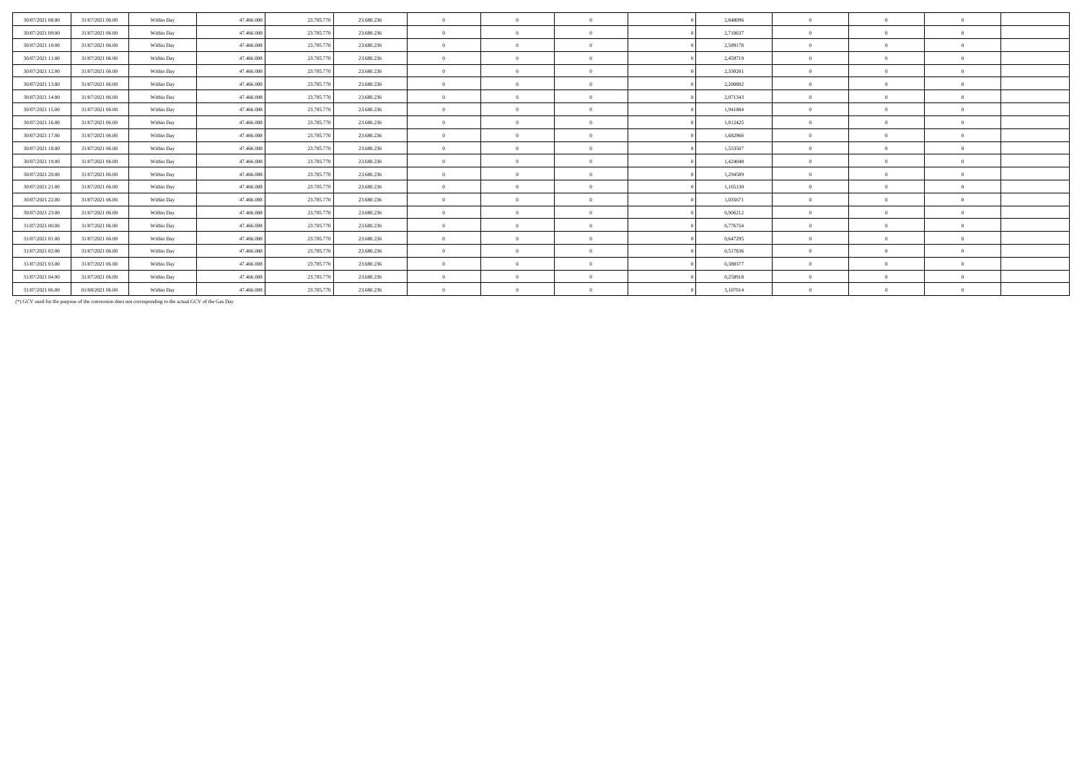| 30/07/2021 08:00 | 31/07/2021 06:00 | Within Day | 47,466,008 | 23,785,770 | 23,680,236 | $\mathbf{a}$ | $\Omega$ | 2.848096 | $\Omega$       | $\Omega$ | $\theta$       |  |
|------------------|------------------|------------|------------|------------|------------|--------------|----------|----------|----------------|----------|----------------|--|
| 30/07/2021 09:00 | 31/07/2021 06:00 | Within Day | 47.466.008 | 23,785,770 | 23.680.236 | $\mathbf{0}$ | $\Omega$ | 2.718637 | $\overline{0}$ | $\Omega$ | $\Omega$       |  |
| 30/07/2021 10:00 | 31/07/2021 06:00 | Within Day | 47.466.008 | 23.785.770 | 23.680.236 | $\mathbf{a}$ | $\Omega$ | 2,589178 | $\theta$       |          | $\Omega$       |  |
| 30/07/2021 11:00 | 31/07/2021 06:00 | Within Day | 47.466.008 | 23.785.770 | 23,680,236 | $\mathbf{0}$ | $\Omega$ | 2.459719 | $\theta$       | $\Omega$ | $\Omega$       |  |
| 30/07/2021 12:00 | 31/07/2021 06:00 | Within Day | 47.466.008 | 23.785.770 | 23.680.236 | $\mathbf{a}$ | $\theta$ | 2,330261 | $\theta$       |          | $\Omega$       |  |
| 30/07/2021 13:00 | 31/07/2021 06:00 | Within Day | 47,466,008 | 23,785,770 | 23.680.236 | $\mathbf{a}$ | $\Omega$ | 2.200802 | $\theta$       |          | $\Omega$       |  |
| 30/07/2021 14:00 | 31/07/2021 06:00 | Within Day | 47.466.008 | 23.785.770 | 23.680.236 | $\mathbf{0}$ | $\Omega$ | 2,071343 | $\theta$       | $\Omega$ | $\Omega$       |  |
| 30/07/2021 15:00 | 31/07/2021 06:00 | Within Day | 47.466.008 | 23.785.770 | 23.680.236 | $\mathbf{0}$ | $\Omega$ | 1,941884 | $\overline{0}$ |          | $\Omega$       |  |
| 30/07/2021 16:00 | 31/07/2021 06:00 | Within Day | 47.466.008 | 23.785.770 | 23.680.236 | $\mathbf{a}$ | $\theta$ | 1,812425 | $\overline{0}$ |          | $\Omega$       |  |
| 30/07/2021 17:00 | 31/07/2021 06:00 | Within Day | 47.466.008 | 23.785.770 | 23.680.236 | $\mathbf{0}$ | $\Omega$ | 1,682966 | $\Omega$       | $\Omega$ | $\Omega$       |  |
| 30/07/2021 18:00 | 31/07/2021 06:00 | Within Day | 47.466.008 | 23.785.770 | 23.680.236 | $\theta$     | $\theta$ | 1,553507 | $\theta$       |          | $\Omega$       |  |
| 30/07/2021 19:00 | 31/07/2021 06:00 | Within Day | 47.466.008 | 23,785,770 | 23.680.236 | $\mathbf{a}$ | $\Omega$ | 1.424048 | $\theta$       |          | $\Omega$       |  |
| 30/07/2021 20:00 | 31/07/2021 06:00 | Within Day | 47.466.008 | 23.785.770 | 23,680,236 | $\mathbf{a}$ | $\Omega$ | 1,294589 | $\theta$       | $\Omega$ | $\Omega$       |  |
| 30/07/2021 21:00 | 31/07/2021 06:00 | Within Day | 47.466.008 | 23,785,770 | 23.680.236 | $\mathbf{0}$ | $\Omega$ | 1,165130 | $\theta$       |          | $\Omega$       |  |
| 30/07/2021 22.00 | 31/07/2021 06:00 | Within Day | 47,466,008 | 23,785,770 | 23.680.236 | $\mathbf{0}$ | $\theta$ | 1,035671 | $\theta$       |          | $\Omega$       |  |
| 30/07/2021 23:00 | 31/07/2021 06:00 | Within Day | 47.466.008 | 23.785.770 | 23,680,236 | $\mathbf{0}$ | $\Omega$ | 0,906212 | $\Omega$       | $\Omega$ | $\Omega$       |  |
| 31/07/2021 00:00 | 31/07/2021 06:00 | Within Day | 47.466.008 | 23.785.770 | 23.680.236 | $\mathbf{0}$ | $\theta$ | 0,776754 | $\Omega$       |          | $\Omega$       |  |
| 31/07/2021 01:00 | 31/07/2021 06:00 | Within Day | 47.466.008 | 23.785.770 | 23.680.236 | $\mathbf{a}$ | $\Omega$ | 0,647295 | $\theta$       |          | $\Omega$       |  |
| 31/07/2021 02:00 | 31/07/2021 06:00 | Within Day | 47.466.008 | 23.785.770 | 23.680.236 | $\mathbf{0}$ | $\Omega$ | 0,517836 | $\theta$       |          | $\Omega$       |  |
| 31/07/2021 03:00 | 31/07/2021 06:00 | Within Day | 47.466.008 | 23.785.770 | 23.680.236 | $\mathbf{0}$ | $\Omega$ | 0.388377 | $\theta$       |          | $\Omega$       |  |
| 31/07/2021 04:00 | 31/07/2021 06:00 | Within Day | 47.466.008 | 23.785.770 | 23.680.236 | $\mathbf{a}$ | $\theta$ | 0,258918 | $\theta$       |          | $\Omega$       |  |
| 31/07/2021 06:00 | 01/08/2021 06:00 | Within Day | 47.466.008 | 23.785.770 | 23.680.236 | $\mathbf{0}$ | $\theta$ | 3,107014 | $\overline{0}$ | $\Omega$ | $\overline{0}$ |  |
|                  |                  |            |            |            |            |              |          |          |                |          |                |  |

(\*) GCV used for the purpose of the conversion does not corresponding to the actual GCV of the Gas Day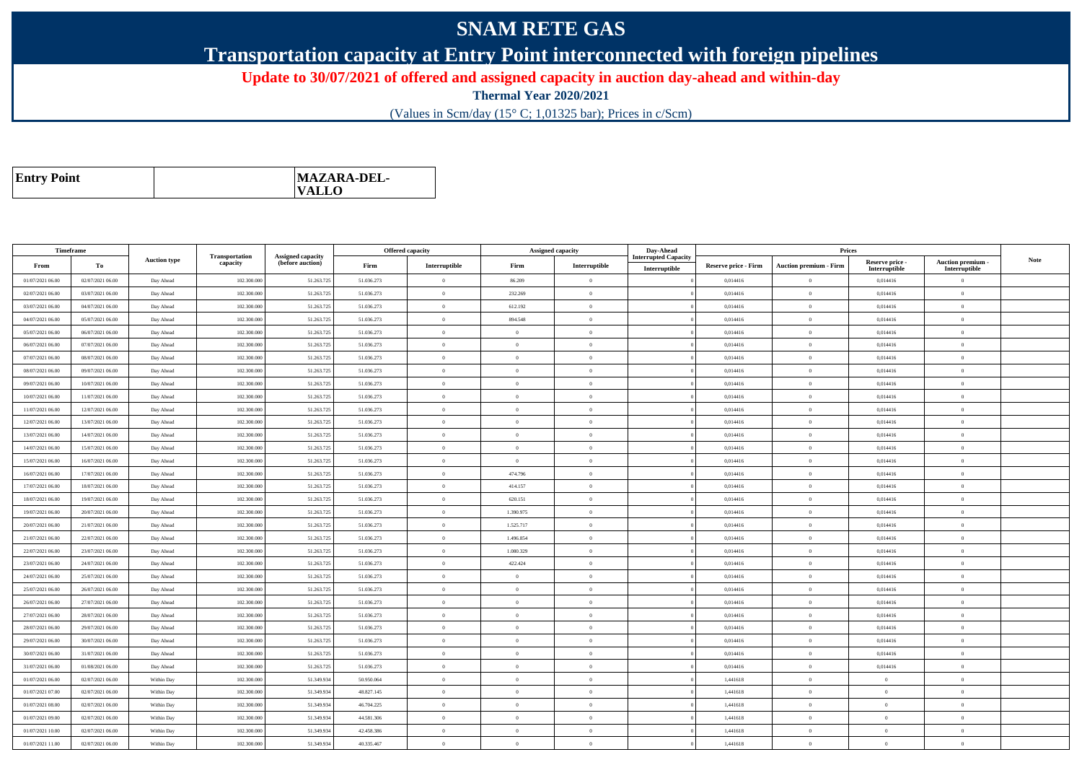## **SNAM RETE GAS**

**Transportation capacity at Entry Point interconnected with foreign pipelines**

**Update to 30/07/2021 of offered and assigned capacity in auction day-ahead and within-day**

**Thermal Year 2020/2021**

(Values in Scm/day (15° C; 1,01325 bar); Prices in c/Scm)

| <b>Entry Point</b> | MAZARA-DEL-<br>$\mathbf{VALLO}$ |
|--------------------|---------------------------------|
|--------------------|---------------------------------|

| Timeframe        |                  |                     |                            |                                              |            | <b>Offered capacity</b> |                | <b>Assigned capacity</b> | Day-Ahead                   |                      | Prices                        |                           |                           |             |
|------------------|------------------|---------------------|----------------------------|----------------------------------------------|------------|-------------------------|----------------|--------------------------|-----------------------------|----------------------|-------------------------------|---------------------------|---------------------------|-------------|
| From             | To               | <b>Auction type</b> | Transportation<br>capacity | <b>Assigned capacity</b><br>(before auction) | Firm       | Interruptible           | Firm           | Interruptible            | <b>Interrupted Capacity</b> | Reserve price - Firm | <b>Auction premium - Firm</b> | Reserve price -           | Auction premium -         | <b>Note</b> |
| 01/07/2021 06:00 | 02/07/2021 06:00 | Day Ahead           | 102.300.000                | 51.263.725                                   | 51.036.273 | $\theta$                | 86.209         | $\theta$                 | Interruptible               | 0,014416             | $\theta$                      | Interruptible<br>0,014416 | Interruptible<br>$\Omega$ |             |
| 02/07/2021 06:00 | 03/07/2021 06:00 | Day Ahead           | 102.300.000                | 51.263.725                                   | 51.036.273 | $\theta$                | 232.269        | $\theta$                 |                             | 0,014416             | $\theta$                      | 0,014416                  | $\theta$                  |             |
| 03/07/2021 06:00 | 04/07/2021 06:00 | Day Ahead           | 102.300.000                | 51.263.725                                   | 51.036.273 | $\theta$                | 612.192        | $\Omega$                 |                             | 0,014416             | $\bf{0}$                      | 0,014416                  | $\overline{0}$            |             |
| 04/07/2021 06:00 | 05/07/2021 06:00 | Day Ahead           | 102.300.000                | 51.263.725                                   | 51.036.273 | $\overline{0}$          | 894.548        | $\Omega$                 |                             | 0,014416             | $\overline{0}$                | 0,014416                  | $\overline{0}$            |             |
| 05/07/2021 06:00 | 06/07/2021 06:00 | Day Ahead           | 102.300.000                | 51.263.725                                   | 51.036.273 | $\theta$                | $\overline{0}$ | $\Omega$                 |                             | 0,014416             | $\bf{0}$                      | 0,014416                  | $\overline{0}$            |             |
| 06/07/2021 06:00 | 07/07/2021 06:00 | Day Ahead           | 102.300,000                | 51.263.725                                   | 51.036.273 | $\theta$                | $\theta$       | $\theta$                 |                             | 0.014416             | $\overline{0}$                | 0.014416                  | $\overline{0}$            |             |
| 07/07/2021 06:00 | 08/07/2021 06:00 | Day Ahead           | 102.300.000                | 51.263.725                                   | 51.036.273 | $\theta$                | $\overline{0}$ | $\theta$                 |                             | 0,014416             | $\overline{0}$                | 0,014416                  | $\Omega$                  |             |
| 08/07/2021 06:00 | 09/07/2021 06:00 | Day Ahead           | 102.300.000                | 51.263.725                                   | 51.036.273 | $\theta$                | $\overline{0}$ | $\theta$                 |                             | 0.014416             | $\overline{0}$                | 0,014416                  | $\overline{0}$            |             |
| 09/07/2021 06:00 | 10/07/2021 06:00 | Day Ahead           | 102.300.000                | 51.263.725                                   | 51.036.273 | $\overline{0}$          | $\overline{0}$ | $\Omega$                 |                             | 0,014416             | $\theta$                      | 0,014416                  | $\overline{0}$            |             |
| 10/07/2021 06:00 | 11/07/2021 06:00 | Day Ahead           | 102.300.000                | 51.263.725                                   | 51.036.273 | $\theta$                | $\Omega$       | $\Omega$                 |                             | 0,014416             | $\overline{0}$                | 0,014416                  | $\overline{0}$            |             |
| 11/07/2021 06:00 | 12/07/2021 06:00 | Day Ahead           | 102.300,000                | 51.263.725                                   | 51.036.273 | $\theta$                | $\Omega$       | $\theta$                 |                             | 0.014416             | $\theta$                      | 0.014416                  | $\theta$                  |             |
| 12/07/2021 06:00 | 13/07/2021 06:00 | Day Ahead           | 102.300.000                | 51.263.725                                   | 51.036.273 | $\theta$                | $\overline{0}$ | $\theta$                 |                             | 0,014416             | $\overline{0}$                | 0,014416                  | $\overline{0}$            |             |
| 13/07/2021 06:00 | 14/07/2021 06:00 | Day Ahead           | 102.300,000                | 51.263.725                                   | 51.036.273 | $\overline{0}$          | $\overline{0}$ | $\Omega$                 |                             | 0.014416             | $\overline{0}$                | 0.014416                  | $\overline{0}$            |             |
| 14/07/2021 06:00 | 15/07/2021 06:00 | Day Ahead           | 102.300.000                | 51.263.725                                   | 51.036.273 | $\overline{0}$          | $\overline{0}$ | $\theta$                 |                             | 0,014416             | $\bf{0}$                      | 0,014416                  | $\overline{0}$            |             |
| 15/07/2021 06:00 | 16/07/2021 06:00 | Day Ahead           | 102.300.000                | 51.263.725                                   | 51.036.273 | $\theta$                | $\overline{0}$ | $\theta$                 |                             | 0.014416             | $\overline{0}$                | 0.014416                  | $\overline{0}$            |             |
| 16/07/2021 06:00 | 17/07/2021 06:00 | Day Ahead           | 102.300.000                | 51.263.725                                   | 51.036.273 | $\theta$                | 474.796        | $\theta$                 |                             | 0,014416             | $\overline{0}$                | 0,014416                  | $\overline{0}$            |             |
| 17/07/2021 06:00 | 18/07/2021 06:00 | Day Ahead           | 102.300.000                | 51.263.725                                   | 51.036.273 | $\theta$                | 414.157        | $\theta$                 |                             | 0.014416             | $\overline{0}$                | 0,014416                  | $\overline{0}$            |             |
| 18/07/2021 06:00 | 19/07/2021 06:00 | Day Ahead           | 102.300.000                | 51.263.725                                   | 51.036.273 | $\theta$                | 620.151        | $\theta$                 |                             | 0,014416             | $\overline{0}$                | 0,014416                  | $\overline{0}$            |             |
| 19/07/2021 06:00 | 20/07/2021 06:00 | Day Ahead           | 102.300,000                | 51.263.725                                   | 51.036.273 | $\theta$                | 1.390.975      | $\theta$                 |                             | 0.014416             | $\overline{0}$                | 0,014416                  | $\overline{0}$            |             |
| 20/07/2021 06:00 | 21/07/2021 06:00 | Day Ahead           | 102.300.000                | 51.263.725                                   | 51.036.273 | $\theta$                | 1.525.717      | $\theta$                 |                             | 0.014416             | $\overline{0}$                | 0.014416                  | $\Omega$                  |             |
| 21/07/2021 06:00 | 22/07/2021 06:00 | Day Ahead           | 102.300.000                | 51.263.725                                   | 51.036.273 | $\overline{0}$          | 1.496.854      | $\theta$                 |                             | 0,014416             | $\,$ 0 $\,$                   | 0,014416                  | $\overline{0}$            |             |
| 22/07/2021 06:00 | 23/07/2021 06:00 | Day Ahead           | 102.300,000                | 51.263.725                                   | 51.036.273 | $\overline{0}$          | 1.080.329      | $\theta$                 |                             | 0.014416             | $\overline{0}$                | 0.014416                  | $\overline{0}$            |             |
| 23/07/2021 06:00 | 24/07/2021 06:00 | Day Ahead           | 102.300.000                | 51.263.725                                   | 51.036.273 | $\overline{0}$          | 422.424        | $\theta$                 |                             | 0,014416             | $\overline{0}$                | 0,014416                  | $\overline{0}$            |             |
| 24/07/2021 06:00 | 25/07/2021 06:00 | Day Ahead           | 102.300.000                | 51.263.725                                   | 51.036.273 | $\overline{0}$          | $\overline{0}$ | $\theta$                 |                             | 0.014416             | $\overline{0}$                | 0.014416                  | $\overline{0}$            |             |
| 25/07/2021 06:00 | 26/07/2021 06:00 | Day Ahead           | 102.300.000                | 51.263.725                                   | 51.036.273 | $\theta$                | $\overline{0}$ | $\theta$                 |                             | 0,014416             | $\bf{0}$                      | 0,014416                  | $\overline{0}$            |             |
| 26/07/2021 06:00 | 27/07/2021 06:00 | Day Ahead           | 102.300,000                | 51.263.725                                   | 51.036.273 | $\theta$                | $\overline{0}$ | $\Omega$                 |                             | 0.014416             | $\overline{0}$                | 0.014416                  | $\theta$                  |             |
| 27/07/2021 06:00 | 28/07/2021 06:00 | Day Ahead           | 102.300.000                | 51.263.725                                   | 51.036.273 | $\theta$                | $\overline{0}$ | $\theta$                 |                             | 0,014416             | $\overline{0}$                | 0,014416                  | $\overline{0}$            |             |
| 28/07/2021 06:00 | 29/07/2021 06:00 | Day Ahead           | 102.300,000                | 51.263.725                                   | 51.036.273 | $\theta$                | $\overline{0}$ | $\Omega$                 |                             | 0.014416             | $\overline{0}$                | 0.014416                  | $\theta$                  |             |
| 29/07/2021 06:00 | 30/07/2021 06:00 | Day Ahead           | 102.300.000                | 51.263.725                                   | 51.036.273 | $\theta$                | $\overline{0}$ | $\theta$                 |                             | 0,014416             | $\overline{0}$                | 0,014416                  | $\Omega$                  |             |
| 30/07/2021 06:00 | 31/07/2021 06:00 | Day Ahead           | 102.300,000                | 51.263.725                                   | 51.036.273 | $\theta$                | $\overline{0}$ | $\theta$                 |                             | 0.014416             | $\overline{0}$                | 0.014416                  | $\theta$                  |             |
| 31/07/2021 06:00 | 01/08/2021 06:00 | Day Ahead           | 102.300.000                | 51.263.725                                   | 51.036.273 | $\theta$                | $\overline{0}$ | $\theta$                 |                             | 0,014416             | $\overline{0}$                | 0,014416                  | $\overline{0}$            |             |
| 01/07/2021 06:00 | 02/07/2021 06:00 | Within Day          | 102.300.000                | 51.349.934                                   | 50.950.064 | $\overline{0}$          | $\overline{0}$ | $\overline{0}$           |                             | 1,441618             | $\overline{0}$                | $\overline{0}$            | $\overline{0}$            |             |
| 01/07/2021 07:00 | 02/07/2021 06:00 | Within Day          | 102.300.000                | 51.349.934                                   | 48.827.145 | $\overline{0}$          | $\overline{0}$ | $\theta$                 |                             | 1,441618             | $\overline{0}$                | $\overline{0}$            | $\overline{0}$            |             |
| 01/07/2021 08:00 | 02/07/2021 06:00 | Within Day          | 102.300.000                | 51.349.934                                   | 46.704.225 | $\theta$                | $\overline{0}$ | $\theta$                 |                             | 1,441618             | $\overline{0}$                | $\overline{0}$            | $\overline{0}$            |             |
| 01/07/2021 09:00 | 02/07/2021 06:00 | Within Day          | 102.300.000                | 51.349.934                                   | 44.581.306 | $\theta$                | $\overline{0}$ | $\theta$                 |                             | 1,441618             | $\overline{0}$                | $\overline{0}$            | $\overline{0}$            |             |
| 01/07/2021 10:00 | 02/07/2021 06:00 | Within Day          | 102.300.000                | 51.349.934                                   | 42.458.386 | $\theta$                | $\overline{0}$ | $\overline{0}$           |                             | 1,441618             | $\overline{0}$                | $\overline{0}$            | $\overline{0}$            |             |
| 01/07/2021 11:00 | 02/07/2021 06:00 | Within Day          | 102.300.000                | 51.349.934                                   | 40.335.467 | $\theta$                | $\Omega$       | $\theta$                 |                             | 1,441618             | $\theta$                      | $\theta$                  | $\overline{0}$            |             |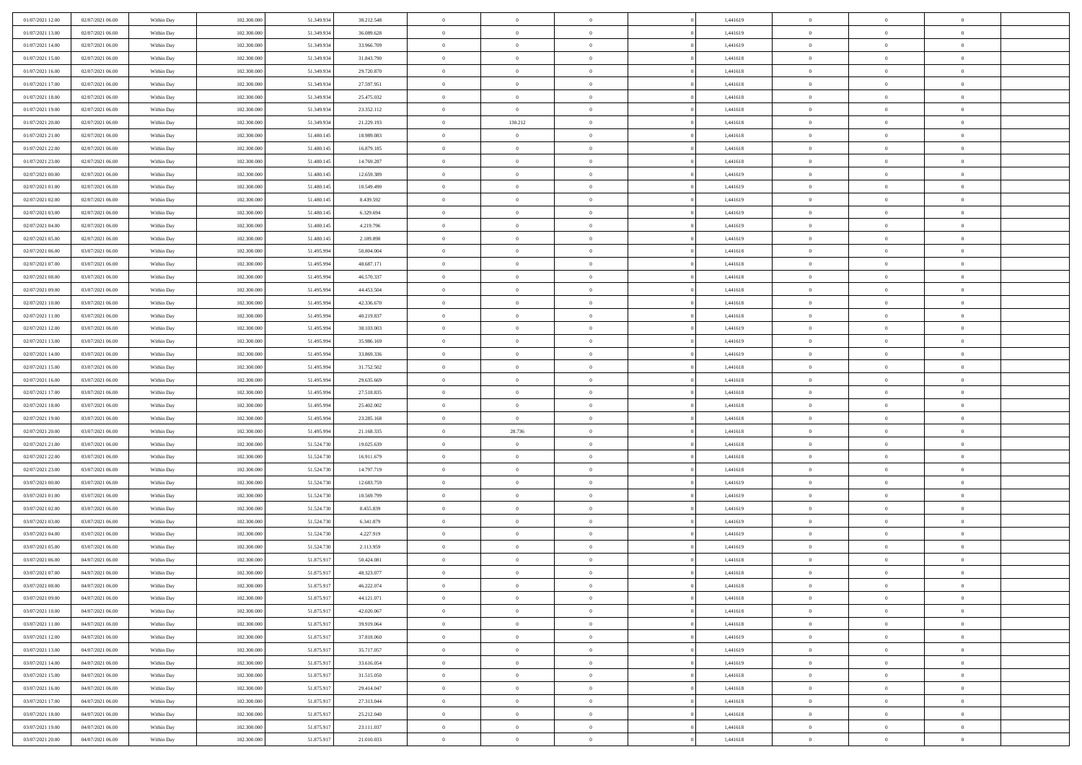| 01/07/2021 12:00 | 02/07/2021 06:00 | Within Day               | 102.300.000 | 51.349.934 | 38.212.548 | $\,$ 0         | $\bf{0}$                         | $\theta$       |          | 1,441619 | $\bf{0}$       | $\overline{0}$             | $\,0\,$        |  |
|------------------|------------------|--------------------------|-------------|------------|------------|----------------|----------------------------------|----------------|----------|----------|----------------|----------------------------|----------------|--|
| 01/07/2021 13:00 | 02/07/2021 06:00 | Within Day               | 102.300,000 | 51.349.934 | 36.089.628 | $\overline{0}$ | $\overline{0}$                   | $\overline{0}$ |          | 1,441619 | $\overline{0}$ | $\overline{0}$             | $\theta$       |  |
| 01/07/2021 14:00 | 02/07/2021 06:00 | Within Dav               | 102.300.000 | 51.349.934 | 33.966.709 | $\mathbf{0}$   | $\overline{0}$                   | $\overline{0}$ |          | 1,441619 | $\mathbf{0}$   | $\overline{0}$             | $\overline{0}$ |  |
| 01/07/2021 15:00 | 02/07/2021 06:00 | Within Day               | 102.300.000 | 51.349.934 | 31.843.790 | $\bf{0}$       | $\overline{0}$                   | $\bf{0}$       |          | 1,441618 | $\bf{0}$       | $\overline{0}$             | $\bf{0}$       |  |
| 01/07/2021 16:00 | 02/07/2021 06:00 | Within Day               | 102.300.000 | 51.349.934 | 29.720.870 | $\bf{0}$       | $\bf{0}$                         | $\overline{0}$ |          | 1,441618 | $\bf{0}$       | $\bf{0}$                   | $\,0\,$        |  |
| 01/07/2021 17:00 | 02/07/2021 06:00 | Within Dav               | 102.300.000 | 51.349.934 | 27.597.951 | $\mathbf{0}$   | $\overline{0}$                   | $\overline{0}$ |          | 1,441618 | $\mathbf{0}$   | $\overline{0}$             | $\overline{0}$ |  |
| 01/07/2021 18:00 | 02/07/2021 06:00 | Within Day               | 102.300.000 | 51.349.934 | 25.475.032 | $\bf{0}$       | $\bf{0}$                         | $\overline{0}$ |          | 1,441618 | $\bf{0}$       | $\overline{0}$             | $\,0\,$        |  |
| 01/07/2021 19:00 | 02/07/2021 06:00 | Within Day               | 102.300.000 | 51.349.934 | 23.352.112 | $\overline{0}$ | $\overline{0}$                   | $\overline{0}$ |          | 1,441618 | $\,$ 0 $\,$    | $\overline{0}$             | $\theta$       |  |
| 01/07/2021 20:00 | 02/07/2021 06:00 | Within Dav               | 102.300.000 | 51.349.934 | 21.229.193 | $\mathbf{0}$   | 130.212                          | $\overline{0}$ |          | 1,441618 | $\mathbf{0}$   | $\overline{0}$             | $\overline{0}$ |  |
| 01/07/2021 21:00 | 02/07/2021 06:00 | Within Day               | 102.300.000 | 51.480.145 | 18.989.083 | $\bf{0}$       | $\bf{0}$                         | $\overline{0}$ |          | 1,441618 | $\bf{0}$       | $\overline{0}$             | $\,0\,$        |  |
| 01/07/2021 22:00 | 02/07/2021 06:00 |                          | 102.300,000 | 51.480.145 | 16.879.185 | $\bf{0}$       | $\overline{0}$                   | $\overline{0}$ |          | 1,441618 | $\bf{0}$       | $\overline{0}$             | $\theta$       |  |
| 01/07/2021 23:00 | 02/07/2021 06:00 | Within Day<br>Within Dav | 102.300.000 | 51.480.145 | 14.769.287 | $\mathbf{0}$   | $\overline{0}$                   | $\overline{0}$ |          | 1,441618 | $\mathbf{0}$   | $\overline{0}$             | $\overline{0}$ |  |
|                  |                  |                          |             |            |            | $\bf{0}$       |                                  |                |          |          | $\bf{0}$       |                            |                |  |
| 02/07/2021 00:00 | 02/07/2021 06:00 | Within Day               | 102.300.000 | 51.480.145 | 12.659.389 |                | $\overline{0}$<br>$\overline{0}$ | $\bf{0}$       |          | 1,441619 |                | $\overline{0}$<br>$\theta$ | $\overline{0}$ |  |
| 02/07/2021 01:00 | 02/07/2021 06:00 | Within Day               | 102.300.000 | 51.480.145 | 10.549.490 | $\bf{0}$       |                                  | $\overline{0}$ |          | 1,441619 | $\bf{0}$       |                            | $\,0\,$        |  |
| 02/07/2021 02:00 | 02/07/2021 06:00 | Within Dav               | 102.300.000 | 51.480.145 | 8.439.592  | $\overline{0}$ | $\overline{0}$                   | $\overline{0}$ |          | 1,441619 | $\mathbf{0}$   | $\overline{0}$             | $\overline{0}$ |  |
| 02/07/2021 03:00 | 02/07/2021 06:00 | Within Day               | 102.300.000 | 51.480.145 | 6.329.694  | $\bf{0}$       | $\overline{0}$                   | $\overline{0}$ |          | 1,441619 | $\bf{0}$       | $\overline{0}$             | $\bf{0}$       |  |
| 02/07/2021 04:00 | 02/07/2021 06:00 | Within Day               | 102.300,000 | 51.480.145 | 4.219.796  | $\overline{0}$ | $\overline{0}$                   | $\overline{0}$ |          | 1,441619 | $\bf{0}$       | $\overline{0}$             | $\theta$       |  |
| 02/07/2021 05:00 | 02/07/2021 06:00 | Within Day               | 102.300.000 | 51.480.145 | 2.109.898  | $\mathbf{0}$   | $\overline{0}$                   | $\overline{0}$ |          | 1,441619 | $\mathbf{0}$   | $\overline{0}$             | $\overline{0}$ |  |
| 02/07/2021 06:00 | 03/07/2021 06:00 | Within Day               | 102.300.000 | 51.495.994 | 50.804.004 | $\bf{0}$       | $\overline{0}$                   | $\overline{0}$ |          | 1,441618 | $\bf{0}$       | $\overline{0}$             | $\,0\,$        |  |
| 02/07/2021 07:00 | 03/07/2021 06:00 | Within Day               | 102.300.000 | 51.495.994 | 48.687.171 | $\overline{0}$ | $\overline{0}$                   | $\overline{0}$ |          | 1,441618 | $\bf{0}$       | $\overline{0}$             | $\overline{0}$ |  |
| 02/07/2021 08:00 | 03/07/2021 06:00 | Within Dav               | 102.300.000 | 51.495.994 | 46.570.337 | $\mathbf{0}$   | $\overline{0}$                   | $\overline{0}$ |          | 1,441618 | $\mathbf{0}$   | $\overline{0}$             | $\overline{0}$ |  |
| 02/07/2021 09:00 | 03/07/2021 06:00 | Within Day               | 102.300.000 | 51.495.994 | 44.453.504 | $\bf{0}$       | $\overline{0}$                   | $\overline{0}$ |          | 1,441618 | $\bf{0}$       | $\overline{0}$             | $\bf{0}$       |  |
| 02/07/2021 10:00 | 03/07/2021 06:00 | Within Day               | 102.300.000 | 51.495.994 | 42.336.670 | $\bf{0}$       | $\overline{0}$                   | $\overline{0}$ |          | 1,441618 | $\bf{0}$       | $\overline{0}$             | $\,0\,$        |  |
| 02/07/2021 11:00 | 03/07/2021 06:00 | Within Dav               | 102.300.000 | 51.495.994 | 40.219.837 | $\mathbf{0}$   | $\overline{0}$                   | $\overline{0}$ |          | 1,441618 | $\mathbf{0}$   | $\overline{0}$             | $\theta$       |  |
| 02/07/2021 12:00 | 03/07/2021 06:00 | Within Day               | 102.300.000 | 51.495.994 | 38.103.003 | $\bf{0}$       | $\overline{0}$                   | $\overline{0}$ |          | 1,441619 | $\bf{0}$       | $\overline{0}$             | $\,0\,$        |  |
| 02/07/2021 13:00 | 03/07/2021 06:00 | Within Day               | 102.300.000 | 51.495.994 | 35.986.169 | $\overline{0}$ | $\overline{0}$                   | $\overline{0}$ |          | 1,441619 | $\bf{0}$       | $\overline{0}$             | $\overline{0}$ |  |
| 02/07/2021 14:00 | 03/07/2021 06:00 | Within Dav               | 102.300.000 | 51.495.994 | 33.869.336 | $\mathbf{0}$   | $\overline{0}$                   | $\overline{0}$ |          | 1,441619 | $\mathbf{0}$   | $\overline{0}$             | $\overline{0}$ |  |
| 02/07/2021 15:00 | 03/07/2021 06:00 | Within Day               | 102.300.000 | 51.495.994 | 31.752.502 | $\bf{0}$       | $\overline{0}$                   | $\overline{0}$ |          | 1,441618 | $\bf{0}$       | $\overline{0}$             | $\,0\,$        |  |
| 02/07/2021 16:00 | 03/07/2021 06:00 | Within Day               | 102.300,000 | 51.495.994 | 29.635.669 | $\bf{0}$       | $\overline{0}$                   | $\overline{0}$ |          | 1,441618 | $\bf{0}$       | $\overline{0}$             | $\overline{0}$ |  |
| 02/07/2021 17:00 | 03/07/2021 06:00 | Within Dav               | 102.300.000 | 51.495.994 | 27.518.835 | $\mathbf{0}$   | $\overline{0}$                   | $\overline{0}$ |          | 1,441618 | $\mathbf{0}$   | $\overline{0}$             | $\overline{0}$ |  |
| 02/07/2021 18:00 | 03/07/2021 06:00 | Within Day               | 102.300.000 | 51.495.994 | 25.402.002 | $\bf{0}$       | $\overline{0}$                   | $\overline{0}$ |          | 1,441618 | $\,$ 0         | $\overline{0}$             | $\theta$       |  |
| 02/07/2021 19:00 | 03/07/2021 06:00 | Within Day               | 102.300.000 | 51.495.994 | 23.285.168 | $\bf{0}$       | $\overline{0}$                   | $\overline{0}$ |          | 1,441618 | $\bf{0}$       | $\overline{0}$             | $\bf{0}$       |  |
| 02/07/2021 20:00 | 03/07/2021 06:00 | Within Dav               | 102.300.000 | 51.495.994 | 21.168.335 | $\overline{0}$ | 28.736                           | $\overline{0}$ |          | 1,441618 | $\mathbf{0}$   | $\overline{0}$             | $\overline{0}$ |  |
| 02/07/2021 21:00 | 03/07/2021 06:00 | Within Day               | 102.300.000 | 51.524.730 | 19.025.639 | $\bf{0}$       | $\overline{0}$                   | $\overline{0}$ |          | 1,441618 | $\,$ 0         | $\overline{0}$             | $\theta$       |  |
| 02/07/2021 22:00 | 03/07/2021 06:00 | Within Day               | 102.300,000 | 51.524.730 | 16.911.679 | $\bf{0}$       | $\overline{0}$                   | $\overline{0}$ |          | 1,441618 | $\bf{0}$       | $\overline{0}$             | $\overline{0}$ |  |
| 02/07/2021 23:00 | 03/07/2021 06:00 | Within Day               | 102.300.000 | 51.524.730 | 14.797.719 | $\mathbf{0}$   | $\overline{0}$                   | $\overline{0}$ |          | 1,441618 | $\mathbf{0}$   | $\overline{0}$             | $\overline{0}$ |  |
| 03/07/2021 00:00 | 03/07/2021 06:00 | Within Day               | 102.300.000 | 51.524.730 | 12.683.759 | $\bf{0}$       | $\overline{0}$                   | $\overline{0}$ |          | 1,441619 | $\,$ 0         | $\overline{0}$             | $\theta$       |  |
| 03/07/2021 01:00 | 03/07/2021 06:00 | Within Day               | 102.300.000 | 51.524.730 | 10.569.799 | $\bf{0}$       | $\overline{0}$                   | $\overline{0}$ |          | 1,441619 | $\bf{0}$       | $\overline{0}$             | $\bf{0}$       |  |
| 03/07/2021 02:00 | 03/07/2021 06:00 | Within Dav               | 102.300.000 | 51.524.730 | 8.455.839  | $\mathbf{0}$   | $\overline{0}$                   | $\overline{0}$ |          | 1,441619 | $\mathbf{0}$   | $\overline{0}$             | $\overline{0}$ |  |
| 03/07/2021 03:00 | 03/07/2021 06:00 | Within Day               | 102.300.000 | 51.524.730 | 6.341.879  | $\,0\,$        | $\overline{0}$                   | $\overline{0}$ |          | 1,441619 | $\,$ 0         | $\overline{0}$             | $\theta$       |  |
| 03/07/2021 04:00 | 03/07/2021 06:00 | Within Day               | 102.300.000 | 51.524.730 | 4.227.919  | $\bf{0}$       | $\bf{0}$                         | $\overline{0}$ |          | 1,441619 | $\bf{0}$       | $\overline{0}$             | $\bf{0}$       |  |
| 03/07/2021 05:00 | 03/07/2021 06:00 | Within Dav               | 102.300.000 | 51.524.730 | 2.113.959  | $\mathbf{0}$   | $\overline{0}$                   | $\overline{0}$ |          | 1,441619 | $\mathbf{0}$   | $\overline{0}$             | $\overline{0}$ |  |
| 03/07/2021 06:00 | 04/07/2021 06:00 | Within Day               | 102.300.000 | 51.875.917 | 50.424.081 | $\bf{0}$       | $\overline{0}$                   | $\overline{0}$ |          | 1,441618 | $\,$ 0         | $\overline{0}$             | $\theta$       |  |
| 03/07/2021 07:00 | 04/07/2021 06:00 | Within Day               | 102.300,000 | 51.875.917 | 48.323.077 | $\bf{0}$       | $\overline{0}$                   | $\overline{0}$ |          | 1,441618 | $\,$ 0 $\,$    | $\overline{0}$             | $\bf{0}$       |  |
| 03/07/2021 08:00 | 04/07/2021 06:00 | Within Day               | 102.300.000 | 51.875.917 | 46.222.074 | $\bf{0}$       | $\overline{0}$                   | $\Omega$       |          | 1,441618 | $\overline{0}$ | $\theta$                   | $\theta$       |  |
| 03/07/2021 09:00 | 04/07/2021 06:00 | Within Day               | 102.300.000 | 51.875.917 | 44.121.071 | $\,0\,$        | $\overline{0}$                   | $\overline{0}$ |          | 1,441618 | $\,$ 0 $\,$    | $\overline{0}$             | $\theta$       |  |
| 03/07/2021 10:00 | 04/07/2021 06:00 | Within Day               | 102.300.000 | 51.875.917 | 42.020.067 | $\overline{0}$ | $\overline{0}$                   | $\overline{0}$ |          | 1,441618 | $\overline{0}$ | $\overline{0}$             | $\overline{0}$ |  |
| 03/07/2021 11:00 | 04/07/2021 06:00 | Within Day               | 102.300.000 | 51.875.917 | 39.919.064 | $\bf{0}$       | $\overline{0}$                   | $\overline{0}$ |          | 1,441618 | $\overline{0}$ | $\bf{0}$                   | $\mathbf{0}$   |  |
| 03/07/2021 12:00 | 04/07/2021 06:00 | Within Day               | 102.300.000 | 51.875.917 | 37.818.060 | $\bf{0}$       | $\overline{0}$                   | $\overline{0}$ | $\theta$ | 1,441619 | $\,$ 0 $\,$    | $\bf{0}$                   | $\,$ 0 $\,$    |  |
| 03/07/2021 13:00 | 04/07/2021 06:00 | Within Day               | 102.300.000 | 51.875.917 | 35.717.057 | $\bf{0}$       | $\overline{0}$                   | $\overline{0}$ |          | 1,441619 | $\,$ 0 $\,$    | $\overline{0}$             | $\overline{0}$ |  |
| 03/07/2021 14:00 | 04/07/2021 06:00 | Within Day               | 102.300.000 | 51.875.917 | 33.616.054 | $\bf{0}$       | $\overline{0}$                   | $\overline{0}$ |          | 1,441619 | $\mathbf{0}$   | $\overline{0}$             | $\overline{0}$ |  |
| 03/07/2021 15:00 | 04/07/2021 06:00 |                          | 102.300.000 | 51.875.917 | 31.515.050 | $\,0\,$        | $\overline{0}$                   | $\mathbf{0}$   | $\theta$ | 1,441618 | $\,$ 0 $\,$    | $\overline{0}$             | $\overline{0}$ |  |
|                  |                  | Within Day               | 102.300.000 | 51.875.917 |            | $\bf{0}$       | $\overline{0}$                   | $\overline{0}$ |          |          | $\overline{0}$ | $\overline{0}$             |                |  |
| 03/07/2021 16:00 | 04/07/2021 06:00 | Within Day               |             |            | 29.414.047 |                |                                  |                |          | 1,441618 |                |                            | $\overline{0}$ |  |
| 03/07/2021 17:00 | 04/07/2021 06:00 | Within Day               | 102.300.000 | 51.875.917 | 27.313.044 | $\bf{0}$       | $\overline{0}$                   | $\overline{0}$ |          | 1,441618 | $\mathbf{0}$   | $\overline{0}$             | $\mathbf{0}$   |  |
| 03/07/2021 18:00 | 04/07/2021 06:00 | Within Day               | 102.300.000 | 51.875.917 | 25.212.040 | $\,0\,$        | $\overline{0}$                   | $\overline{0}$ |          | 1,441618 | $\,$ 0 $\,$    | $\mathbf{0}$               | $\overline{0}$ |  |
| 03/07/2021 19:00 | 04/07/2021 06:00 | Within Day               | 102.300.000 | 51.875.917 | 23.111.037 | $\bf{0}$       | $\bf{0}$                         | $\overline{0}$ |          | 1,441618 | $\mathbf{0}$   | $\mathbf{0}$               | $\overline{0}$ |  |
| 03/07/2021 20:00 | 04/07/2021 06:00 | Within Day               | 102.300.000 | 51.875.917 | 21.010.033 | $\overline{0}$ | $\overline{0}$                   | $\overline{0}$ |          | 1,441618 | $\mathbf{0}$   | $\overline{0}$             | $\overline{0}$ |  |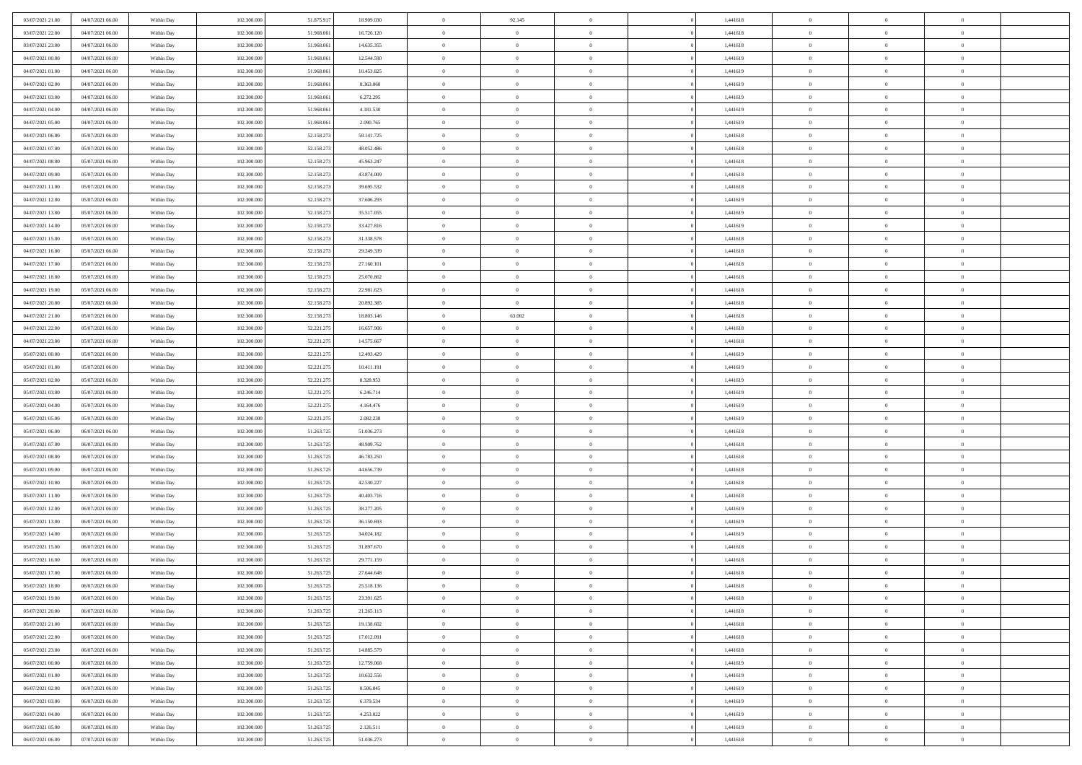| 03/07/2021 21:00                     | 04/07/2021 06:00                     | Within Day               | 102.300.000 | 51.875.917               | 18.909.030               | $\bf{0}$       | 92.145                           | $\overline{0}$ |          | 1,441618 | $\bf{0}$       | $\overline{0}$             | $\,0\,$        |  |
|--------------------------------------|--------------------------------------|--------------------------|-------------|--------------------------|--------------------------|----------------|----------------------------------|----------------|----------|----------|----------------|----------------------------|----------------|--|
| 03/07/2021 22:00                     | 04/07/2021 06:00                     | Within Day               | 102.300,000 | 51.968.06                | 16.726.120               | $\overline{0}$ | $\overline{0}$                   | $\overline{0}$ |          | 1,441618 | $\overline{0}$ | $\overline{0}$             | $\theta$       |  |
| 03/07/2021 23:00                     | 04/07/2021 06:00                     | Within Dav               | 102.300.000 | 51.968.061               | 14.635.355               | $\mathbf{0}$   | $\overline{0}$                   | $\overline{0}$ |          | 1,441618 | $\mathbf{0}$   | $\overline{0}$             | $\overline{0}$ |  |
| 04/07/2021 00:00                     | 04/07/2021 06:00                     | Within Day               | 102.300.000 | 51.968.061               | 12.544.590               | $\bf{0}$       | $\overline{0}$                   | $\bf{0}$       |          | 1,441619 | $\bf{0}$       | $\overline{0}$             | $\bf{0}$       |  |
| 04/07/2021 01:00                     | 04/07/2021 06:00                     | Within Day               | 102.300.000 | 51.968.061               | 10.453.825               | $\bf{0}$       | $\overline{0}$                   | $\overline{0}$ |          | 1,441619 | $\bf{0}$       | $\bf{0}$                   | $\,0\,$        |  |
| 04/07/2021 02:00                     | 04/07/2021 06:00                     | Within Dav               | 102.300.000 | 51.968.061               | 8.363.060                | $\mathbf{0}$   | $\overline{0}$                   | $\overline{0}$ |          | 1,441619 | $\mathbf{0}$   | $\overline{0}$             | $\theta$       |  |
| 04/07/2021 03:00                     | 04/07/2021 06:00                     | Within Day               | 102.300.000 | 51.968.061               | 6.272.295                | $\bf{0}$       | $\overline{0}$                   | $\overline{0}$ |          | 1,441619 | $\bf{0}$       | $\overline{0}$             | $\,0\,$        |  |
| 04/07/2021 04:00                     | 04/07/2021 06:00                     | Within Day               | 102.300.000 | 51.968.06                | 4.181.530                | $\overline{0}$ | $\overline{0}$                   | $\overline{0}$ |          | 1,441619 | $\,$ 0 $\,$    | $\overline{0}$             | $\theta$       |  |
| 04/07/2021 05:00                     | 04/07/2021 06:00                     | Within Day               | 102.300.000 | 51.968.061               | 2.090.765                | $\mathbf{0}$   | $\overline{0}$                   | $\overline{0}$ |          | 1,441619 | $\mathbf{0}$   | $\overline{0}$             | $\overline{0}$ |  |
| 04/07/2021 06:00                     | 05/07/2021 06:00                     | Within Day               | 102.300.000 | 52.158.273               | 50.141.725               | $\bf{0}$       | $\overline{0}$                   | $\overline{0}$ |          | 1,441618 | $\bf{0}$       | $\overline{0}$             | $\theta$       |  |
|                                      |                                      |                          | 102.300,000 |                          |                          | $\overline{0}$ | $\overline{0}$                   | $\overline{0}$ |          | 1,441618 | $\bf{0}$       | $\overline{0}$             | $\theta$       |  |
| 04/07/2021 07:00<br>04/07/2021 08:00 | 05/07/2021 06:00<br>05/07/2021 06:00 | Within Day<br>Within Dav | 102.300.000 | 52.158.273<br>52.158.273 | 48.052.486<br>45.963.247 | $\mathbf{0}$   | $\overline{0}$                   | $\overline{0}$ |          | 1,441618 | $\mathbf{0}$   | $\overline{0}$             | $\overline{0}$ |  |
|                                      |                                      |                          |             |                          |                          | $\bf{0}$       |                                  |                |          |          | $\bf{0}$       |                            | $\bf{0}$       |  |
| 04/07/2021 09:00                     | 05/07/2021 06:00                     | Within Day               | 102.300.000 | 52.158.273               | 43.874.009               |                | $\overline{0}$<br>$\overline{0}$ | $\bf{0}$       |          | 1,441618 |                | $\overline{0}$<br>$\theta$ |                |  |
| 04/07/2021 11:00                     | 05/07/2021 06:00                     | Within Day               | 102.300.000 | 52.158.273               | 39.695.532               | $\bf{0}$       |                                  | $\overline{0}$ |          | 1,441618 | $\bf{0}$       |                            | $\,0\,$        |  |
| 04/07/2021 12:00                     | 05/07/2021 06:00                     | Within Dav               | 102.300.000 | 52.158.273               | 37.606.293               | $\overline{0}$ | $\overline{0}$                   | $\overline{0}$ |          | 1,441619 | $\mathbf{0}$   | $\overline{0}$             | $\overline{0}$ |  |
| 04/07/2021 13:00                     | 05/07/2021 06:00                     | Within Day               | 102.300.000 | 52.158.273               | 35.517.055               | $\bf{0}$       | $\overline{0}$                   | $\overline{0}$ |          | 1,441619 | $\bf{0}$       | $\overline{0}$             | $\bf{0}$       |  |
| 04/07/2021 14:00                     | 05/07/2021 06:00                     | Within Day               | 102.300,000 | 52.158.273               | 33.427.816               | $\overline{0}$ | $\overline{0}$                   | $\overline{0}$ |          | 1,441619 | $\bf{0}$       | $\overline{0}$             | $\theta$       |  |
| 04/07/2021 15:00                     | 05/07/2021 06:00                     | Within Day               | 102.300.000 | 52.158.273               | 31.338.578               | $\mathbf{0}$   | $\overline{0}$                   | $\overline{0}$ |          | 1,441618 | $\mathbf{0}$   | $\overline{0}$             | $\overline{0}$ |  |
| 04/07/2021 16:00                     | 05/07/2021 06:00                     | Within Day               | 102.300.000 | 52.158.273               | 29.249.339               | $\bf{0}$       | $\overline{0}$                   | $\overline{0}$ |          | 1,441618 | $\bf{0}$       | $\overline{0}$             | $\,0\,$        |  |
| 04/07/2021 17.00                     | 05/07/2021 06:00                     | Within Day               | 102.300.000 | 52.158.273               | 27.160.101               | $\overline{0}$ | $\overline{0}$                   | $\overline{0}$ |          | 1,441618 | $\bf{0}$       | $\overline{0}$             | $\overline{0}$ |  |
| 04/07/2021 18:00                     | 05/07/2021 06:00                     | Within Dav               | 102.300.000 | 52.158.273               | 25.070.862               | $\mathbf{0}$   | $\overline{0}$                   | $\overline{0}$ |          | 1,441618 | $\mathbf{0}$   | $\overline{0}$             | $\overline{0}$ |  |
| 04/07/2021 19:00                     | 05/07/2021 06:00                     | Within Day               | 102.300.000 | 52.158.273               | 22.981.623               | $\bf{0}$       | $\overline{0}$                   | $\bf{0}$       |          | 1,441618 | $\bf{0}$       | $\overline{0}$             | $\bf{0}$       |  |
| 04/07/2021 20:00                     | 05/07/2021 06:00                     | Within Day               | 102.300.000 | 52.158.273               | 20.892.385               | $\bf{0}$       | $\overline{0}$                   | $\overline{0}$ |          | 1,441618 | $\bf{0}$       | $\overline{0}$             | $\,0\,$        |  |
| 04/07/2021 21:00                     | 05/07/2021 06:00                     | Within Dav               | 102.300.000 | 52.158.273               | 18.803.146               | $\mathbf{0}$   | 63.002                           | $\overline{0}$ |          | 1,441618 | $\mathbf{0}$   | $\overline{0}$             | $\theta$       |  |
| 04/07/2021 22.00                     | 05/07/2021 06:00                     | Within Day               | 102.300.000 | 52.221.275               | 16.657.906               | $\bf{0}$       | $\bf{0}$                         | $\overline{0}$ |          | 1,441618 | $\bf{0}$       | $\overline{0}$             | $\,0\,$        |  |
| 04/07/2021 23.00                     | 05/07/2021 06:00                     | Within Day               | 102.300.000 | 52.221.275               | 14.575.667               | $\overline{0}$ | $\overline{0}$                   | $\overline{0}$ |          | 1,441618 | $\bf{0}$       | $\overline{0}$             | $\overline{0}$ |  |
| 05/07/2021 00:00                     | 05/07/2021 06:00                     | Within Dav               | 102.300.000 | 52.221.275               | 12.493.429               | $\mathbf{0}$   | $\overline{0}$                   | $\overline{0}$ |          | 1,441619 | $\mathbf{0}$   | $\overline{0}$             | $\overline{0}$ |  |
| 05/07/2021 01:00                     | 05/07/2021 06:00                     | Within Day               | 102.300.000 | 52.221.275               | 10.411.191               | $\bf{0}$       | $\bf{0}$                         | $\overline{0}$ |          | 1,441619 | $\bf{0}$       | $\overline{0}$             | $\,0\,$        |  |
| 05/07/2021 02:00                     | 05/07/2021 06:00                     | Within Day               | 102.300,000 | 52.221.275               | 8.328.953                | $\bf{0}$       | $\bf{0}$                         | $\overline{0}$ |          | 1,441619 | $\bf{0}$       | $\overline{0}$             | $\overline{0}$ |  |
| 05/07/2021 03:00                     | 05/07/2021 06:00                     | Within Dav               | 102.300.000 | 52.221.275               | 6.246.714                | $\mathbf{0}$   | $\overline{0}$                   | $\overline{0}$ |          | 1,441619 | $\mathbf{0}$   | $\overline{0}$             | $\overline{0}$ |  |
| 05/07/2021 04:00                     | 05/07/2021 06:00                     | Within Day               | 102.300.000 | 52.221.275               | 4.164.476                | $\bf{0}$       | $\overline{0}$                   | $\theta$       |          | 1,441619 | $\,$ 0         | $\overline{0}$             | $\theta$       |  |
| 05/07/2021 05:00                     | 05/07/2021 06:00                     | Within Day               | 102.300.000 | 52.221.275               | 2.082.238                | $\bf{0}$       | $\bf{0}$                         | $\overline{0}$ |          | 1,441619 | $\bf{0}$       | $\overline{0}$             | $\bf{0}$       |  |
| 05/07/2021 06:00                     | 06/07/2021 06:00                     | Within Dav               | 102.300.000 | 51.263.725               | 51.036.273               | $\mathbf{0}$   | $\overline{0}$                   | $\overline{0}$ |          | 1,441618 | $\mathbf{0}$   | $\overline{0}$             | $\overline{0}$ |  |
| 05/07/2021 07:00                     | 06/07/2021 06:00                     | Within Day               | 102.300.000 | 51.263.725               | 48.909.762               | $\bf{0}$       | $\overline{0}$                   | $\theta$       |          | 1,441618 | $\,$ 0         | $\overline{0}$             | $\theta$       |  |
| 05/07/2021 08:00                     | 06/07/2021 06:00                     | Within Day               | 102.300,000 | 51.263.725               | 46.783.250               | $\bf{0}$       | $\overline{0}$                   | $\overline{0}$ |          | 1,441618 | $\bf{0}$       | $\overline{0}$             | $\overline{0}$ |  |
| 05/07/2021 09:00                     | 06/07/2021 06:00                     | Within Day               | 102.300.000 | 51.263.725               | 44.656.739               | $\mathbf{0}$   | $\overline{0}$                   | $\overline{0}$ |          | 1,441618 | $\mathbf{0}$   | $\overline{0}$             | $\overline{0}$ |  |
| 05/07/2021 10:00                     | 06/07/2021 06:00                     | Within Day               | 102.300.000 | 51.263.725               | 42.530.227               | $\bf{0}$       | $\overline{0}$                   | $\theta$       |          | 1,441618 | $\,$ 0         | $\overline{0}$             | $\theta$       |  |
| 05/07/2021 11:00                     | 06/07/2021 06:00                     | Within Day               | 102.300.000 | 51.263.725               | 40.403.716               | $\bf{0}$       | $\overline{0}$                   | $\overline{0}$ |          | 1,441618 | $\bf{0}$       | $\mathbf{0}$               | $\bf{0}$       |  |
| 05/07/2021 12:00                     | 06/07/2021 06:00                     | Within Dav               | 102.300.000 | 51.263.725               | 38.277.205               | $\mathbf{0}$   | $\overline{0}$                   | $\overline{0}$ |          | 1,441619 | $\mathbf{0}$   | $\overline{0}$             | $\overline{0}$ |  |
| 05/07/2021 13:00                     | 06/07/2021 06:00                     | Within Day               | 102.300.000 | 51.263.725               | 36.150.693               | $\,0\,$        | $\overline{0}$                   | $\theta$       |          | 1,441619 | $\,$ 0         | $\overline{0}$             | $\theta$       |  |
| 05/07/2021 14:00                     | 06/07/2021 06:00                     | Within Day               | 102.300.000 | 51.263.725               | 34.024.182               | $\bf{0}$       | $\overline{0}$                   | $\overline{0}$ |          | 1,441619 | $\bf{0}$       | $\overline{0}$             | $\overline{0}$ |  |
| 05/07/2021 15:00                     | 06/07/2021 06:00                     | Within Dav               | 102.300.000 | 51.263.725               | 31.897.670               | $\mathbf{0}$   | $\overline{0}$                   | $\overline{0}$ |          | 1,441618 | $\mathbf{0}$   | $\overline{0}$             | $\overline{0}$ |  |
| 05/07/2021 16:00                     | 06/07/2021 06:00                     | Within Day               | 102.300.000 | 51.263.725               | 29.771.159               | $\bf{0}$       | $\overline{0}$                   | $\theta$       |          | 1,441618 | $\,$ 0         | $\overline{0}$             | $\theta$       |  |
| 05/07/2021 17:00                     | 06/07/2021 06:00                     | Within Day               | 102.300,000 | 51.263.725               | 27.644.648               | $\bf{0}$       | $\overline{0}$                   | $\overline{0}$ |          | 1,441618 | $\bf{0}$       | $\overline{0}$             | $\overline{0}$ |  |
| 05/07/2021 18:00                     | 06/07/2021 06:00                     | Within Day               | 102.300.000 | 51.263.725               | 25.518.136               | $\bf{0}$       | $\overline{0}$                   |                |          | 1,441618 | $\overline{0}$ | $\theta$                   | $\theta$       |  |
| 05/07/2021 19:00                     | 06/07/2021 06:00                     | Within Day               | 102.300.000 | 51.263.725               | 23.391.625               | $\,0\,$        | $\overline{0}$                   | $\theta$       |          | 1,441618 | $\,$ 0 $\,$    | $\overline{0}$             | $\theta$       |  |
| 05/07/2021 20:00                     | 06/07/2021 06:00                     | Within Day               | 102.300.000 | 51.263.725               | 21.265.113               | $\overline{0}$ | $\overline{0}$                   | $\overline{0}$ |          | 1,441618 | $\overline{0}$ | $\overline{0}$             | $\overline{0}$ |  |
| 05/07/2021 21:00                     | 06/07/2021 06:00                     | Within Day               | 102.300.000 | 51.263.725               | 19.138.602               | $\bf{0}$       | $\overline{0}$                   | $\overline{0}$ |          | 1,441618 | $\overline{0}$ | $\bf{0}$                   | $\mathbf{0}$   |  |
| 05/07/2021 22.00                     | 06/07/2021 06:00                     | Within Day               | 102.300.000 | 51.263.725               | 17.012.091               | $\bf{0}$       | $\overline{0}$                   | $\overline{0}$ | $\theta$ | 1,441618 | $\,$ 0 $\,$    | $\mathbf{0}$               | $\,$ 0 $\,$    |  |
| 05/07/2021 23:00                     | 06/07/2021 06:00                     | Within Day               | 102.300.000 | 51.263.725               | 14.885.579               | $\bf{0}$       | $\overline{0}$                   | $\overline{0}$ |          | 1,441618 | $\,$ 0 $\,$    | $\overline{0}$             | $\overline{0}$ |  |
| 06/07/2021 00:00                     | 06/07/2021 06:00                     | Within Day               | 102.300.000 | 51.263.725               | 12.759.068               | $\bf{0}$       | $\overline{0}$                   | $\overline{0}$ |          | 1,441619 | $\mathbf{0}$   | $\overline{0}$             | $\overline{0}$ |  |
| 06/07/2021 01:00                     | 06/07/2021 06:00                     | Within Day               | 102.300.000 | 51.263.725               | 10.632.556               | $\,0\,$        | $\overline{0}$                   | $\overline{0}$ | $\theta$ | 1,441619 | $\,$ 0 $\,$    | $\overline{0}$             | $\overline{0}$ |  |
| 06/07/2021 02:00                     | 06/07/2021 06:00                     | Within Day               | 102.300.000 | 51.263.725               | 8.506.045                | $\bf{0}$       | $\overline{0}$                   | $\overline{0}$ |          | 1,441619 | $\overline{0}$ | $\overline{0}$             | $\overline{0}$ |  |
| 06/07/2021 03:00                     | 06/07/2021 06:00                     | Within Day               | 102.300.000 | 51.263.725               | 6.379.534                | $\bf{0}$       | $\overline{0}$                   | $\overline{0}$ |          | 1,441619 | $\mathbf{0}$   | $\overline{0}$             | $\mathbf{0}$   |  |
| 06/07/2021 04:00                     | 06/07/2021 06:00                     | Within Day               | 102.300.000 | 51.263.725               | 4.253.022                | $\,0\,$        | $\overline{0}$                   | $\overline{0}$ |          | 1,441619 | $\,$ 0 $\,$    | $\overline{0}$             | $\theta$       |  |
| 06/07/2021 05:00                     | 06/07/2021 06:00                     | Within Day               | 102.300.000 | 51.263.725               | 2.126.511                | $\bf{0}$       | $\overline{0}$                   | $\overline{0}$ |          | 1,441619 | $\bf{0}$       | $\mathbf{0}$               | $\overline{0}$ |  |
| 06/07/2021 06:00                     | 07/07/2021 06:00                     | Within Day               | 102.300.000 | 51.263.725               | 51.036.273               | $\mathbf{0}$   | $\overline{0}$                   | $\overline{0}$ |          | 1,441618 | $\mathbf{0}$   | $\overline{0}$             | $\overline{0}$ |  |
|                                      |                                      |                          |             |                          |                          |                |                                  |                |          |          |                |                            |                |  |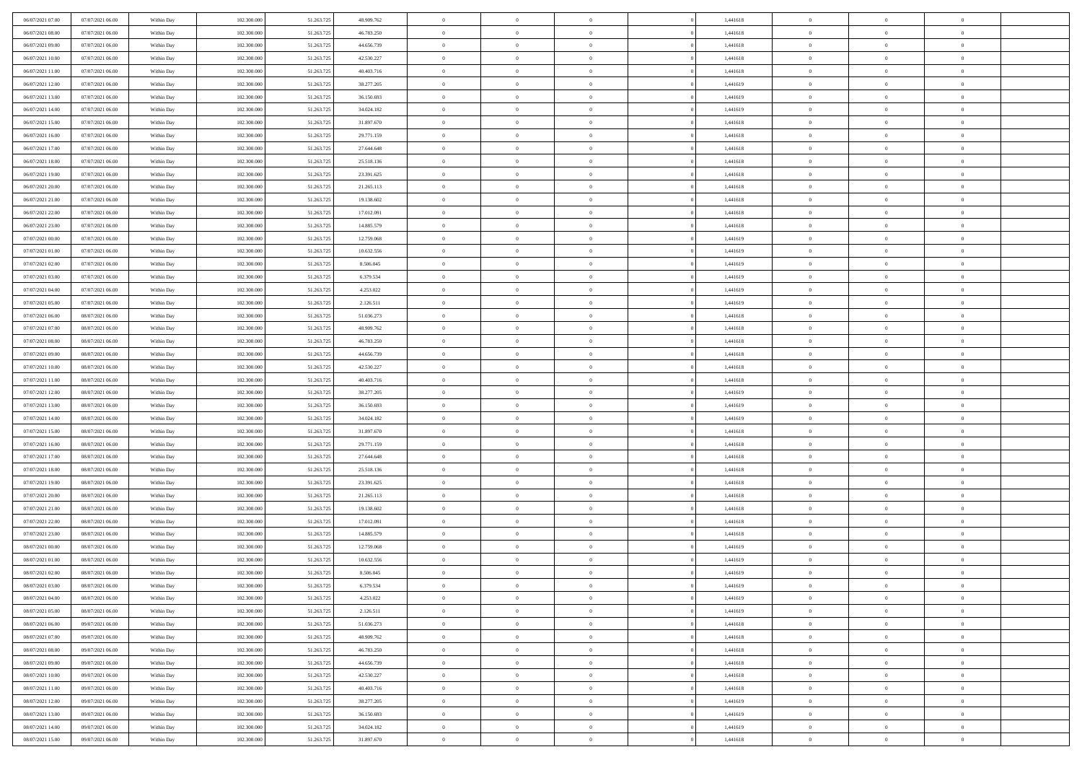| 06/07/2021 07:00 | 07/07/2021 06:00 | Within Day | 102.300,000 | 51.263.725 | 48.909.762 | $\overline{0}$ | $\overline{0}$ | $\Omega$       | 1,441618 | $\bf{0}$       | $\mathbf{0}$   | $\bf{0}$       |  |
|------------------|------------------|------------|-------------|------------|------------|----------------|----------------|----------------|----------|----------------|----------------|----------------|--|
| 06/07/2021 08:00 | 07/07/2021 06:00 | Within Day | 102.300.000 | 51.263.725 | 46.783.250 | $\mathbf{0}$   | $\overline{0}$ | $\overline{0}$ | 1,441618 | $\overline{0}$ | $\overline{0}$ | $\overline{0}$ |  |
| 06/07/2021 09:00 | 07/07/2021 06:00 | Within Day | 102.300.000 | 51.263.725 | 44.656.739 | $\,$ 0         | $\overline{0}$ | $\bf{0}$       | 1,441618 | $\,$ 0         | $\overline{0}$ | $\,$ 0 $\,$    |  |
| 06/07/2021 10:00 | 07/07/2021 06:00 | Within Day | 102.300,000 | 51.263.725 | 42.530.227 | $\bf{0}$       | $\overline{0}$ | $\Omega$       | 1,441618 | $\bf{0}$       | $\mathbf{0}$   | $\theta$       |  |
| 06/07/2021 11:00 | 07/07/2021 06:00 | Within Dav | 102.300.000 | 51.263.725 | 40.403.716 | $\bf{0}$       | $\overline{0}$ | $\overline{0}$ | 1,441618 | $\overline{0}$ | $\overline{0}$ | $\overline{0}$ |  |
| 06/07/2021 12:00 | 07/07/2021 06:00 | Within Day | 102.300.000 | 51.263.725 | 38.277.205 | $\bf{0}$       | $\overline{0}$ | $\bf{0}$       | 1,441619 | $\,$ 0         | $\overline{0}$ | $\,$ 0 $\,$    |  |
| 06/07/2021 13:00 | 07/07/2021 06:00 | Within Day | 102.300,000 | 51.263.725 | 36.150.693 | $\bf{0}$       | $\overline{0}$ | $\Omega$       | 1,441619 | $\bf{0}$       | $\overline{0}$ | $\theta$       |  |
| 06/07/2021 14:00 | 07/07/2021 06:00 | Within Day | 102.300.000 | 51.263.725 | 34.024.182 | $\overline{0}$ | $\overline{0}$ | $\overline{0}$ | 1,441619 | $\mathbf{0}$   | $\overline{0}$ | $\overline{0}$ |  |
| 06/07/2021 15:00 | 07/07/2021 06:00 | Within Day | 102.300.000 | 51.263.725 | 31.897.670 | $\bf{0}$       | $\overline{0}$ | $\bf{0}$       | 1,441618 | $\,$ 0         | $\overline{0}$ | $\,$ 0 $\,$    |  |
| 06/07/2021 16:00 | 07/07/2021 06:00 | Within Day | 102.300,000 | 51.263.725 | 29.771.159 | $\bf{0}$       | $\overline{0}$ | $\Omega$       | 1,441618 | $\theta$       | $\mathbf{0}$   | $\theta$       |  |
| 06/07/2021 17:00 | 07/07/2021 06:00 | Within Day | 102.300.000 | 51.263.725 | 27.644.648 | $\overline{0}$ | $\overline{0}$ | $\overline{0}$ | 1,441618 | $\mathbf{0}$   | $\overline{0}$ | $\overline{0}$ |  |
| 06/07/2021 18:00 | 07/07/2021 06:00 | Within Day | 102.300.000 | 51.263.725 | 25.518.136 | $\,$ 0         | $\overline{0}$ | $\bf{0}$       | 1,441618 | $\,$ 0         | $\overline{0}$ | $\,$ 0 $\,$    |  |
| 06/07/2021 19:00 | 07/07/2021 06:00 | Within Day | 102.300,000 | 51.263.725 | 23.391.625 | $\bf{0}$       | $\overline{0}$ | $\Omega$       | 1,441618 | $\overline{0}$ | $\mathbf{0}$   | $\theta$       |  |
| 06/07/2021 20:00 | 07/07/2021 06:00 | Within Dav | 102.300.000 | 51.263.725 | 21.265.113 | $\overline{0}$ | $\overline{0}$ | $\overline{0}$ | 1,441618 | $\mathbf{0}$   | $\overline{0}$ | $\overline{0}$ |  |
| 06/07/2021 21:00 | 07/07/2021 06:00 | Within Day | 102.300.000 | 51.263.725 | 19.138.602 | $\bf{0}$       | $\overline{0}$ | $\bf{0}$       | 1,441618 | $\,$ 0         | $\overline{0}$ | $\,$ 0 $\,$    |  |
| 06/07/2021 22.00 | 07/07/2021 06:00 | Within Day | 102.300,000 | 51.263.725 | 17.012.091 | $\bf{0}$       | $\overline{0}$ | $\overline{0}$ | 1,441618 | $\bf{0}$       | $\mathbf{0}$   | $\theta$       |  |
| 06/07/2021 23:00 | 07/07/2021 06:00 | Within Day | 102.300.000 | 51.263.725 | 14.885.579 | $\overline{0}$ | $\overline{0}$ | $\overline{0}$ | 1,441618 | $\mathbf{0}$   | $\overline{0}$ | $\overline{0}$ |  |
| 07/07/2021 00:00 | 07/07/2021 06:00 | Within Day | 102.300.000 | 51.263.725 | 12.759.068 | $\bf{0}$       | $\overline{0}$ | $\bf{0}$       | 1,441619 | $\,$ 0         | $\overline{0}$ | $\,0\,$        |  |
| 07/07/2021 01:00 | 07/07/2021 06:00 | Within Day | 102.300,000 | 51.263.725 | 10.632.556 | $\bf{0}$       | $\overline{0}$ | $\Omega$       | 1,441619 | $\theta$       | $\mathbf{0}$   | $\theta$       |  |
| 07/07/2021 02:00 | 07/07/2021 06:00 | Within Day | 102.300.000 | 51.263.725 | 8.506.045  | $\overline{0}$ | $\overline{0}$ | $\overline{0}$ | 1,441619 | $\mathbf{0}$   | $\overline{0}$ | $\overline{0}$ |  |
| 07/07/2021 03:00 | 07/07/2021 06:00 | Within Day | 102.300.000 | 51.263.725 | 6.379.534  | $\bf{0}$       | $\overline{0}$ | $\bf{0}$       | 1,441619 | $\,$ 0         | $\overline{0}$ | $\,$ 0 $\,$    |  |
| 07/07/2021 04:00 | 07/07/2021 06:00 | Within Day | 102.300,000 | 51.263.725 | 4.253.022  | $\bf{0}$       | $\overline{0}$ | $\Omega$       | 1,441619 | $\bf{0}$       | $\theta$       | $\theta$       |  |
| 07/07/2021 05:00 | 07/07/2021 06:00 | Within Dav | 102.300.000 | 51.263.725 | 2.126.511  | $\overline{0}$ | $\overline{0}$ | $\overline{0}$ | 1,441619 | $\mathbf{0}$   | $\overline{0}$ | $\overline{0}$ |  |
| 07/07/2021 06:00 | 08/07/2021 06:00 | Within Day | 102.300.000 | 51.263.725 | 51.036.273 | $\bf{0}$       | $\overline{0}$ | $\bf{0}$       | 1,441618 | $\,$ 0         | $\overline{0}$ | $\,$ 0 $\,$    |  |
| 07/07/2021 07:00 | 08/07/2021 06:00 | Within Day | 102.300,000 | 51.263.725 | 48.909.762 | $\bf{0}$       | $\overline{0}$ | $\overline{0}$ | 1,441618 | $\bf{0}$       | $\overline{0}$ | $\bf{0}$       |  |
| 07/07/2021 08:00 | 08/07/2021 06:00 | Within Day | 102.300.000 | 51.263.725 | 46.783.250 | $\overline{0}$ | $\overline{0}$ | $\overline{0}$ | 1,441618 | $\mathbf{0}$   | $\overline{0}$ | $\overline{0}$ |  |
| 07/07/2021 09:00 | 08/07/2021 06:00 | Within Day | 102.300.000 | 51.263.725 | 44.656.739 | $\bf{0}$       | $\overline{0}$ | $\bf{0}$       | 1,441618 | $\,$ 0         | $\overline{0}$ | $\,$ 0 $\,$    |  |
| 07/07/2021 10:00 | 08/07/2021 06:00 | Within Day | 102.300,000 | 51.263.725 | 42.530.227 | $\bf{0}$       | $\overline{0}$ | $\Omega$       | 1,441618 | $\theta$       | $\mathbf{0}$   | $\theta$       |  |
| 07/07/2021 11:00 | 08/07/2021 06:00 | Within Day | 102.300.000 | 51.263.725 | 40.403.716 | $\overline{0}$ | $\overline{0}$ | $\overline{0}$ | 1,441618 | $\mathbf{0}$   | $\overline{0}$ | $\overline{0}$ |  |
| 07/07/2021 12:00 | 08/07/2021 06:00 | Within Day | 102.300.000 | 51.263.725 | 38.277.205 | $\bf{0}$       | $\overline{0}$ | $\bf{0}$       | 1,441619 | $\,$ 0         | $\overline{0}$ | $\,$ 0 $\,$    |  |
| 07/07/2021 13:00 | 08/07/2021 06:00 | Within Day | 102.300.000 | 51.263.725 | 36.150.693 | $\,$ 0         | $\bf{0}$       | $\overline{0}$ | 1,441619 | $\bf{0}$       | $\overline{0}$ | $\,0\,$        |  |
| 07/07/2021 14:00 | 08/07/2021 06:00 | Within Dav | 102.300.000 | 51.263.725 | 34.024.182 | $\overline{0}$ | $\overline{0}$ | $\overline{0}$ | 1,441619 | $\mathbf{0}$   | $\overline{0}$ | $\overline{0}$ |  |
| 07/07/2021 15:00 | 08/07/2021 06:00 | Within Day | 102.300.000 | 51.263.725 | 31.897.670 | $\bf{0}$       | $\overline{0}$ | $\bf{0}$       | 1,441618 | $\,$ 0         | $\overline{0}$ | $\,$ 0 $\,$    |  |
| 07/07/2021 16:00 | 08/07/2021 06:00 | Within Day | 102.300.000 | 51.263.725 | 29.771.159 | $\bf{0}$       | $\bf{0}$       | $\bf{0}$       | 1,441618 | $\bf{0}$       | $\overline{0}$ | $\,0\,$        |  |
| 07/07/2021 17:00 | 08/07/2021 06:00 | Within Day | 102.300.000 | 51.263.725 | 27.644.648 | $\overline{0}$ | $\overline{0}$ | $\overline{0}$ | 1,441618 | $\overline{0}$ | $\overline{0}$ | $\overline{0}$ |  |
| 07/07/2021 18:00 | 08/07/2021 06:00 | Within Day | 102.300.000 | 51.263.725 | 25.518.136 | $\bf{0}$       | $\overline{0}$ | $\bf{0}$       | 1,441618 | $\,$ 0         | $\overline{0}$ | $\,$ 0 $\,$    |  |
| 07/07/2021 19:00 | 08/07/2021 06:00 | Within Day | 102.300.000 | 51.263.725 | 23.391.625 | $\bf{0}$       | $\bf{0}$       | $\overline{0}$ | 1,441618 | $\bf{0}$       | $\overline{0}$ | $\,0\,$        |  |
| 07/07/2021 20:00 | 08/07/2021 06:00 | Within Day | 102.300.000 | 51.263.725 | 21.265.113 | $\overline{0}$ | $\overline{0}$ | $\overline{0}$ | 1,441618 | $\mathbf{0}$   | $\overline{0}$ | $\overline{0}$ |  |
| 07/07/2021 21:00 | 08/07/2021 06:00 | Within Day | 102.300.000 | 51.263.725 | 19.138.602 | $\bf{0}$       | $\overline{0}$ | $\bf{0}$       | 1,441618 | $\,$ 0         | $\overline{0}$ | $\,$ 0 $\,$    |  |
| 07/07/2021 22.00 | 08/07/2021 06:00 | Within Day | 102.300.000 | 51.263.725 | 17.012.091 | $\bf{0}$       | $\bf{0}$       | $\overline{0}$ | 1,441618 | $\bf{0}$       | $\overline{0}$ | $\,0\,$        |  |
| 07/07/2021 23:00 | 08/07/2021 06:00 | Within Dav | 102.300.000 | 51.263.725 | 14.885.579 | $\overline{0}$ | $\overline{0}$ | $\overline{0}$ | 1,441618 | $\overline{0}$ | $\overline{0}$ | $\overline{0}$ |  |
| 08/07/2021 00:00 | 08/07/2021 06:00 | Within Day | 102.300.000 | 51.263.725 | 12.759.068 | $\bf{0}$       | $\overline{0}$ | $\bf{0}$       | 1,441619 | $\,$ 0         | $\overline{0}$ | $\,$ 0 $\,$    |  |
| 08/07/2021 01:00 | 08/07/2021 06:00 | Within Day | 102.300.000 | 51.263.725 | 10.632.556 | $\bf{0}$       | $\bf{0}$       | $\bf{0}$       | 1,441619 | $\bf{0}$       | $\overline{0}$ | $\,0\,$        |  |
| 08/07/2021 02:00 | 08/07/2021 06:00 | Within Day | 102.300.000 | 51.263.725 | 8.506.045  | $\mathbf{0}$   | $\overline{0}$ | $\overline{0}$ | 1,441619 | $\mathbf{0}$   | $\overline{0}$ | $\overline{0}$ |  |
| 08/07/2021 03:00 | 08/07/2021 06:00 | Within Day | 102.300.000 | 51.263.725 | 6.379.534  | $\bf{0}$       | $\overline{0}$ | $\theta$       | 1,441619 | $\overline{0}$ | $\theta$       | $\theta$       |  |
| 08/07/2021 04:00 | 08/07/2021 06:00 | Within Day | 102.300.000 | 51.263.725 | 4.253.022  | $\bf{0}$       | $\bf{0}$       | $\bf{0}$       | 1,441619 | $\bf{0}$       | $\overline{0}$ | $\,0\,$        |  |
| 08/07/2021 05:00 | 08/07/2021 06:00 | Within Day | 102.300.000 | 51.263.725 | 2.126.511  | $\overline{0}$ | $\overline{0}$ | $\overline{0}$ | 1,441619 | $\overline{0}$ | $\bf{0}$       | $\overline{0}$ |  |
| 08/07/2021 06:00 | 09/07/2021 06:00 | Within Day | 102.300.000 | 51.263.725 | 51.036.273 | $\,$ 0 $\,$    | $\overline{0}$ | $\overline{0}$ | 1,441618 | $\,$ 0 $\,$    | $\overline{0}$ | $\,$ 0 $\,$    |  |
| 08/07/2021 07:00 | 09/07/2021 06:00 | Within Day | 102.300.000 | 51.263.725 | 48.909.762 | $\bf{0}$       | $\bf{0}$       | $\overline{0}$ | 1,441618 | $\bf{0}$       | $\overline{0}$ | $\bf{0}$       |  |
| 08/07/2021 08:00 | 09/07/2021 06:00 | Within Day | 102.300.000 | 51.263.725 | 46.783.250 | $\bf{0}$       | $\overline{0}$ | $\overline{0}$ | 1,441618 | $\mathbf{0}$   | $\overline{0}$ | $\overline{0}$ |  |
| 08/07/2021 09:00 | 09/07/2021 06:00 | Within Day | 102.300.000 | 51.263.725 | 44.656.739 | $\,$ 0 $\,$    | $\overline{0}$ | $\overline{0}$ | 1,441618 | $\,$ 0 $\,$    | $\overline{0}$ | $\,$ 0 $\,$    |  |
| 08/07/2021 10:00 | 09/07/2021 06:00 | Within Day | 102.300.000 | 51.263.725 | 42.530.227 | $\bf{0}$       | $\overline{0}$ | $\overline{0}$ | 1,441618 | $\bf{0}$       | $\overline{0}$ | $\overline{0}$ |  |
| 08/07/2021 11:00 | 09/07/2021 06:00 | Within Day | 102.300.000 | 51.263.725 | 40.403.716 | $\overline{0}$ | $\overline{0}$ | $\overline{0}$ | 1,441618 | $\overline{0}$ | $\bf{0}$       | $\overline{0}$ |  |
| 08/07/2021 12:00 | 09/07/2021 06:00 | Within Day | 102.300.000 | 51.263.725 | 38.277.205 | $\,$ 0 $\,$    | $\overline{0}$ | $\overline{0}$ | 1,441619 | $\,$ 0 $\,$    | $\overline{0}$ | $\,$ 0 $\,$    |  |
| 08/07/2021 13:00 | 09/07/2021 06:00 | Within Day | 102.300.000 | 51.263.725 | 36.150.693 | $\bf{0}$       | $\bf{0}$       | $\overline{0}$ | 1,441619 | $\mathbf{0}$   | $\overline{0}$ | $\bf{0}$       |  |
| 08/07/2021 14:00 | 09/07/2021 06:00 | Within Day | 102.300.000 | 51.263.725 | 34.024.182 | $\bf{0}$       | $\overline{0}$ | $\overline{0}$ | 1,441619 | $\mathbf{0}$   | $\bf{0}$       | $\overline{0}$ |  |
| 08/07/2021 15:00 | 09/07/2021 06:00 | Within Day | 102.300.000 | 51.263.725 | 31.897.670 | $\,0\,$        | $\overline{0}$ | $\overline{0}$ | 1,441618 | $\,$ 0         | $\overline{0}$ | $\,$ 0 $\,$    |  |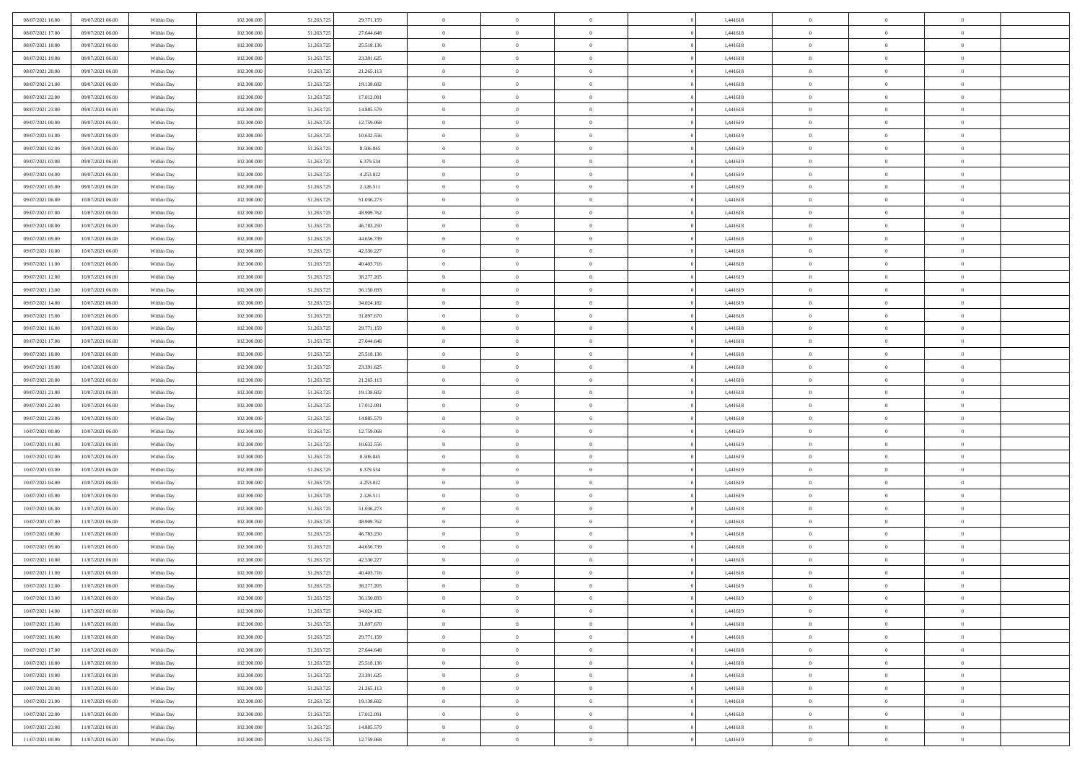| 08/07/2021 16:00 | 09/07/2021 06:00 | Within Day | 102.300,000 | 51.263.725 | 29.771.159 | $\overline{0}$ | $\overline{0}$ | $\Omega$       | 1,441618 | $\bf{0}$       | $\mathbf{0}$   | $\bf{0}$       |  |
|------------------|------------------|------------|-------------|------------|------------|----------------|----------------|----------------|----------|----------------|----------------|----------------|--|
| 08/07/2021 17:00 | 09/07/2021 06:00 | Within Day | 102.300.000 | 51.263.725 | 27.644.648 | $\mathbf{0}$   | $\overline{0}$ | $\overline{0}$ | 1,441618 | $\overline{0}$ | $\overline{0}$ | $\overline{0}$ |  |
| 08/07/2021 18:00 | 09/07/2021 06:00 | Within Day | 102.300.000 | 51.263.725 | 25.518.136 | $\,$ 0         | $\overline{0}$ | $\bf{0}$       | 1,441618 | $\,$ 0         | $\overline{0}$ | $\,$ 0 $\,$    |  |
| 08/07/2021 19:00 | 09/07/2021 06:00 | Within Day | 102.300,000 | 51.263.725 | 23.391.625 | $\bf{0}$       | $\overline{0}$ | $\Omega$       | 1,441618 | $\bf{0}$       | $\mathbf{0}$   | $\theta$       |  |
| 08/07/2021 20:00 | 09/07/2021 06:00 | Within Dav | 102.300.000 | 51.263.725 | 21.265.113 | $\bf{0}$       | $\overline{0}$ | $\overline{0}$ | 1,441618 | $\overline{0}$ | $\overline{0}$ | $\overline{0}$ |  |
| 08/07/2021 21:00 | 09/07/2021 06:00 | Within Day | 102.300.000 | 51.263.725 | 19.138.602 | $\bf{0}$       | $\overline{0}$ | $\bf{0}$       | 1,441618 | $\,$ 0         | $\overline{0}$ | $\,$ 0 $\,$    |  |
| 08/07/2021 22.00 | 09/07/2021 06:00 | Within Day | 102.300,000 | 51.263.725 | 17.012.091 | $\bf{0}$       | $\overline{0}$ | $\Omega$       | 1,441618 | $\bf{0}$       | $\overline{0}$ | $\theta$       |  |
| 08/07/2021 23:00 | 09/07/2021 06:00 | Within Day | 102.300.000 | 51.263.725 | 14.885.579 | $\overline{0}$ | $\overline{0}$ | $\overline{0}$ | 1,441618 | $\mathbf{0}$   | $\overline{0}$ | $\overline{0}$ |  |
| 09/07/2021 00:00 | 09/07/2021 06:00 | Within Day | 102.300.000 | 51.263.725 | 12.759.068 | $\bf{0}$       | $\overline{0}$ | $\bf{0}$       | 1,441619 | $\,$ 0         | $\overline{0}$ | $\,$ 0 $\,$    |  |
| 09/07/2021 01:00 | 09/07/2021 06:00 | Within Day | 102.300,000 | 51.263.725 | 10.632.556 | $\bf{0}$       | $\overline{0}$ | $\Omega$       | 1,441619 | $\theta$       | $\mathbf{0}$   | $\theta$       |  |
| 09/07/2021 02:00 | 09/07/2021 06:00 | Within Day | 102.300.000 | 51.263.725 | 8.506.045  | $\overline{0}$ | $\overline{0}$ | $\overline{0}$ | 1,441619 | $\mathbf{0}$   | $\overline{0}$ | $\overline{0}$ |  |
| 09/07/2021 03:00 | 09/07/2021 06:00 | Within Day | 102.300.000 | 51.263.725 | 6.379.534  | $\bf{0}$       | $\overline{0}$ | $\bf{0}$       | 1,441619 | $\,$ 0         | $\overline{0}$ | $\,$ 0 $\,$    |  |
| 09/07/2021 04:00 | 09/07/2021 06:00 | Within Day | 102.300,000 | 51.263.725 | 4.253.022  | $\bf{0}$       | $\overline{0}$ | $\Omega$       | 1,441619 | $\overline{0}$ | $\theta$       | $\theta$       |  |
| 09/07/2021 05:00 | 09/07/2021 06:00 | Within Dav | 102.300.000 | 51.263.725 | 2.126.511  | $\overline{0}$ | $\overline{0}$ | $\overline{0}$ | 1,441619 | $\mathbf{0}$   | $\overline{0}$ | $\overline{0}$ |  |
| 09/07/2021 06:00 | 10/07/2021 06:00 | Within Day | 102.300.000 | 51.263.725 | 51.036.273 | $\bf{0}$       | $\overline{0}$ | $\bf{0}$       | 1,441618 | $\,$ 0         | $\overline{0}$ | $\,$ 0 $\,$    |  |
| 09/07/2021 07:00 | 10/07/2021 06:00 | Within Day | 102.300,000 | 51.263.725 | 48.909.762 | $\bf{0}$       | $\overline{0}$ | $\overline{0}$ | 1,441618 | $\bf{0}$       | $\mathbf{0}$   | $\theta$       |  |
| 09/07/2021 08:00 | 10/07/2021 06:00 | Within Day | 102.300.000 | 51.263.725 | 46.783.250 | $\overline{0}$ | $\overline{0}$ | $\overline{0}$ | 1,441618 | $\mathbf{0}$   | $\overline{0}$ | $\overline{0}$ |  |
| 09/07/2021 09:00 | 10/07/2021 06:00 | Within Day | 102.300.000 | 51.263.725 | 44.656.739 | $\bf{0}$       | $\overline{0}$ | $\bf{0}$       | 1,441618 | $\,$ 0         | $\overline{0}$ | $\,0\,$        |  |
| 09/07/2021 10:00 | 10/07/2021 06:00 | Within Day | 102.300,000 | 51.263.725 | 42.530.227 | $\bf{0}$       | $\overline{0}$ | $\Omega$       | 1,441618 | $\theta$       | $\mathbf{0}$   | $\theta$       |  |
| 09/07/2021 11:00 | 10/07/2021 06:00 | Within Day | 102.300.000 | 51.263.725 | 40.403.716 | $\overline{0}$ | $\overline{0}$ | $\overline{0}$ | 1,441618 | $\mathbf{0}$   | $\overline{0}$ | $\overline{0}$ |  |
| 09/07/2021 12:00 | 10/07/2021 06:00 | Within Day | 102.300.000 | 51.263.725 | 38.277.205 | $\bf{0}$       | $\overline{0}$ | $\bf{0}$       | 1,441619 | $\,$ 0         | $\overline{0}$ | $\,$ 0 $\,$    |  |
| 09/07/2021 13:00 | 10/07/2021 06:00 | Within Day | 102.300,000 | 51.263.725 | 36.150.693 | $\bf{0}$       | $\overline{0}$ | $\Omega$       | 1,441619 | $\bf{0}$       | $\theta$       | $\theta$       |  |
| 09/07/2021 14:00 | 10/07/2021 06:00 | Within Dav | 102.300.000 | 51.263.725 | 34.024.182 | $\overline{0}$ | $\overline{0}$ | $\overline{0}$ | 1,441619 | $\mathbf{0}$   | $\overline{0}$ | $\overline{0}$ |  |
| 09/07/2021 15:00 | 10/07/2021 06:00 | Within Day | 102.300.000 | 51.263.725 | 31.897.670 | $\bf{0}$       | $\overline{0}$ | $\bf{0}$       | 1,441618 | $\,$ 0         | $\overline{0}$ | $\,$ 0 $\,$    |  |
| 09/07/2021 16:00 | 10/07/2021 06:00 | Within Day | 102.300,000 | 51.263.725 | 29.771.159 | $\bf{0}$       | $\overline{0}$ | $\overline{0}$ | 1,441618 | $\bf{0}$       | $\overline{0}$ | $\bf{0}$       |  |
| 09/07/2021 17:00 | 10/07/2021 06:00 | Within Day | 102.300.000 | 51.263.725 | 27.644.648 | $\overline{0}$ | $\overline{0}$ | $\overline{0}$ | 1,441618 | $\mathbf{0}$   | $\overline{0}$ | $\overline{0}$ |  |
| 09/07/2021 18:00 | 10/07/2021 06:00 | Within Day | 102.300.000 | 51.263.725 | 25.518.136 | $\bf{0}$       | $\overline{0}$ | $\bf{0}$       | 1,441618 | $\,$ 0         | $\overline{0}$ | $\,$ 0 $\,$    |  |
| 09/07/2021 19:00 | 10/07/2021 06:00 | Within Day | 102.300,000 | 51.263.725 | 23.391.625 | $\bf{0}$       | $\overline{0}$ | $\Omega$       | 1,441618 | $\theta$       | $\mathbf{0}$   | $\theta$       |  |
| 09/07/2021 20:00 | 10/07/2021 06:00 | Within Day | 102.300.000 | 51.263.725 | 21.265.113 | $\overline{0}$ | $\overline{0}$ | $\overline{0}$ | 1,441618 | $\mathbf{0}$   | $\overline{0}$ | $\overline{0}$ |  |
| 09/07/2021 21:00 | 10/07/2021 06:00 | Within Day | 102.300.000 | 51.263.725 | 19.138.602 | $\bf{0}$       | $\overline{0}$ | $\bf{0}$       | 1,441618 | $\,$ 0         | $\overline{0}$ | $\,$ 0 $\,$    |  |
| 09/07/2021 22.00 | 10/07/2021 06:00 | Within Day | 102.300.000 | 51.263.725 | 17.012.091 | $\,$ 0         | $\overline{0}$ | $\overline{0}$ | 1,441618 | $\bf{0}$       | $\overline{0}$ | $\,0\,$        |  |
| 09/07/2021 23:00 | 10/07/2021 06:00 | Within Dav | 102.300.000 | 51.263.725 | 14.885.579 | $\overline{0}$ | $\overline{0}$ | $\overline{0}$ | 1,441618 | $\mathbf{0}$   | $\overline{0}$ | $\overline{0}$ |  |
| 10/07/2021 00:00 | 10/07/2021 06:00 | Within Day | 102.300.000 | 51.263.725 | 12.759.068 | $\bf{0}$       | $\overline{0}$ | $\bf{0}$       | 1,441619 | $\,$ 0         | $\overline{0}$ | $\,$ 0 $\,$    |  |
| 10/07/2021 01:00 | 10/07/2021 06:00 | Within Day | 102.300.000 | 51.263.725 | 10.632.556 | $\bf{0}$       | $\overline{0}$ | $\bf{0}$       | 1,441619 | $\bf{0}$       | $\overline{0}$ | $\,0\,$        |  |
| 10/07/2021 02:00 | 10/07/2021 06:00 | Within Day | 102.300.000 | 51.263.725 | 8.506.045  | $\overline{0}$ | $\overline{0}$ | $\overline{0}$ | 1,441619 | $\overline{0}$ | $\overline{0}$ | $\overline{0}$ |  |
| 10/07/2021 03:00 | 10/07/2021 06:00 | Within Day | 102.300.000 | 51.263.725 | 6.379.534  | $\bf{0}$       | $\overline{0}$ | $\bf{0}$       | 1,441619 | $\,$ 0         | $\overline{0}$ | $\,$ 0 $\,$    |  |
| 10/07/2021 04:00 | 10/07/2021 06:00 | Within Day | 102.300.000 | 51.263.725 | 4.253.022  | $\bf{0}$       | $\overline{0}$ | $\overline{0}$ | 1,441619 | $\bf{0}$       | $\overline{0}$ | $\,0\,$        |  |
| 10/07/2021 05:00 | 10/07/2021 06:00 | Within Day | 102.300.000 | 51.263.725 | 2.126.511  | $\overline{0}$ | $\overline{0}$ | $\overline{0}$ | 1,441619 | $\mathbf{0}$   | $\overline{0}$ | $\overline{0}$ |  |
| 10/07/2021 06:00 | 11/07/2021 06:00 | Within Day | 102.300.000 | 51.263.725 | 51.036.273 | $\bf{0}$       | $\overline{0}$ | $\bf{0}$       | 1,441618 | $\,$ 0         | $\overline{0}$ | $\,$ 0 $\,$    |  |
| 10/07/2021 07:00 | 11/07/2021 06:00 | Within Day | 102.300.000 | 51.263.725 | 48.909.762 | $\bf{0}$       | $\overline{0}$ | $\overline{0}$ | 1,441618 | $\bf{0}$       | $\overline{0}$ | $\,0\,$        |  |
| 10/07/2021 08:00 | 11/07/2021 06:00 | Within Dav | 102.300.000 | 51.263.725 | 46.783.250 | $\overline{0}$ | $\overline{0}$ | $\overline{0}$ | 1,441618 | $\overline{0}$ | $\overline{0}$ | $\overline{0}$ |  |
| 10/07/2021 09:00 | 11/07/2021 06:00 | Within Day | 102.300.000 | 51.263.725 | 44.656.739 | $\bf{0}$       | $\overline{0}$ | $\bf{0}$       | 1,441618 | $\,$ 0         | $\overline{0}$ | $\,$ 0 $\,$    |  |
| 10/07/2021 10:00 | 11/07/2021 06:00 | Within Day | 102.300.000 | 51.263.725 | 42.530.227 | $\bf{0}$       | $\overline{0}$ | $\bf{0}$       | 1,441618 | $\bf{0}$       | $\overline{0}$ | $\,0\,$        |  |
| 10/07/2021 11:00 | 11/07/2021 06:00 | Within Day | 102.300.000 | 51.263.725 | 40.403.716 | $\mathbf{0}$   | $\overline{0}$ | $\overline{0}$ | 1,441618 | $\overline{0}$ | $\overline{0}$ | $\overline{0}$ |  |
| 10/07/2021 12:00 | 11/07/2021 06:00 | Within Day | 102.300.000 | 51.263.725 | 38.277.205 | $\bf{0}$       | $\overline{0}$ | $\theta$       | 1,441619 | $\overline{0}$ | $\theta$       | $\theta$       |  |
| 10/07/2021 13:00 | 11/07/2021 06:00 | Within Day | 102.300.000 | 51.263.725 | 36.150.693 | $\bf{0}$       | $\bf{0}$       | $\bf{0}$       | 1,441619 | $\bf{0}$       | $\overline{0}$ | $\,0\,$        |  |
| 10/07/2021 14:00 | 11/07/2021 06:00 | Within Day | 102.300.000 | 51.263.725 | 34.024.182 | $\overline{0}$ | $\overline{0}$ | $\overline{0}$ | 1,441619 | $\overline{0}$ | $\bf{0}$       | $\overline{0}$ |  |
| 10/07/2021 15:00 | 11/07/2021 06:00 | Within Day | 102.300.000 | 51.263.725 | 31.897.670 | $\,$ 0 $\,$    | $\overline{0}$ | $\overline{0}$ | 1,441618 | $\mathbf{0}$   | $\,$ 0 $\,$    | $\,$ 0 $\,$    |  |
| 10/07/2021 16:00 | 11/07/2021 06:00 | Within Day | 102.300.000 | 51.263.725 | 29.771.159 | $\bf{0}$       | $\bf{0}$       | $\overline{0}$ | 1,441618 | $\bf{0}$       | $\overline{0}$ | $\bf{0}$       |  |
| 10/07/2021 17:00 | 11/07/2021 06:00 | Within Day | 102.300.000 | 51.263.725 | 27.644.648 | $\bf{0}$       | $\overline{0}$ | $\overline{0}$ | 1,441618 | $\overline{0}$ | $\overline{0}$ | $\overline{0}$ |  |
| 10/07/2021 18:00 | 11/07/2021 06:00 | Within Day | 102.300.000 | 51.263.725 | 25.518.136 | $\,$ 0 $\,$    | $\overline{0}$ | $\overline{0}$ | 1,441618 | $\,$ 0 $\,$    | $\overline{0}$ | $\,$ 0 $\,$    |  |
| 10/07/2021 19:00 | 11/07/2021 06:00 | Within Day | 102.300.000 | 51.263.725 | 23.391.625 | $\overline{0}$ | $\overline{0}$ | $\overline{0}$ | 1,441618 | $\bf{0}$       | $\overline{0}$ | $\overline{0}$ |  |
| 10/07/2021 20:00 | 11/07/2021 06:00 | Within Day | 102.300.000 | 51.263.725 | 21.265.113 | $\overline{0}$ | $\overline{0}$ | $\overline{0}$ | 1,441618 | $\overline{0}$ | $\bf{0}$       | $\overline{0}$ |  |
| 10/07/2021 21:00 | 11/07/2021 06:00 | Within Day | 102.300.000 | 51.263.725 | 19.138.602 | $\,$ 0 $\,$    | $\overline{0}$ | $\overline{0}$ | 1,441618 | $\,$ 0 $\,$    | $\,$ 0 $\,$    | $\,$ 0 $\,$    |  |
| 10/07/2021 22:00 | 11/07/2021 06:00 | Within Day | 102.300.000 | 51.263.725 | 17.012.091 | $\bf{0}$       | $\bf{0}$       | $\overline{0}$ | 1,441618 | $\bf{0}$       | $\overline{0}$ | $\bf{0}$       |  |
| 10/07/2021 23:00 | 11/07/2021 06:00 | Within Day | 102.300.000 | 51.263.725 | 14.885.579 | $\bf{0}$       | $\overline{0}$ | $\overline{0}$ | 1,441618 | $\mathbf{0}$   | $\bf{0}$       | $\overline{0}$ |  |
| 11/07/2021 00:00 | 11/07/2021 06:00 | Within Day | 102.300.000 | 51.263.725 | 12.759.068 | $\,0\,$        | $\overline{0}$ | $\overline{0}$ | 1,441619 | $\,$ 0         | $\overline{0}$ | $\,$ 0 $\,$    |  |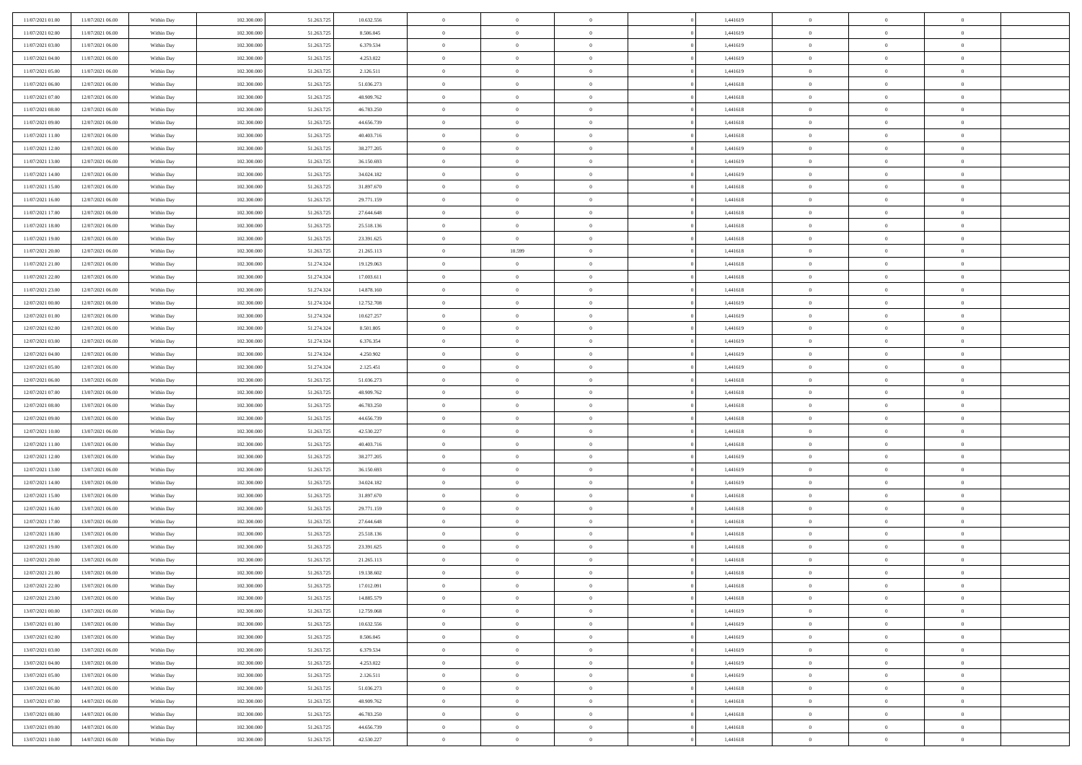| 11/07/2021 01:00 | 11/07/2021 06:00 | Within Day | 102.300,000 | 51.263.725 | 10.632.556 | $\overline{0}$ | $\overline{0}$ | $\Omega$       | 1,441619 | $\bf{0}$       | $\mathbf{0}$   | $\bf{0}$       |  |
|------------------|------------------|------------|-------------|------------|------------|----------------|----------------|----------------|----------|----------------|----------------|----------------|--|
| 11/07/2021 02:00 | 11/07/2021 06:00 | Within Dav | 102.300.000 | 51.263.725 | 8.506.045  | $\mathbf{0}$   | $\overline{0}$ | $\overline{0}$ | 1,441619 | $\overline{0}$ | $\overline{0}$ | $\overline{0}$ |  |
| 11/07/2021 03:00 | 11/07/2021 06:00 | Within Day | 102.300.000 | 51.263.725 | 6.379.534  | $\,$ 0         | $\overline{0}$ | $\bf{0}$       | 1,441619 | $\,$ 0         | $\overline{0}$ | $\,$ 0 $\,$    |  |
| 11/07/2021 04:00 | 11/07/2021 06:00 | Within Day | 102.300,000 | 51.263.725 | 4.253.022  | $\bf{0}$       | $\overline{0}$ | $\Omega$       | 1,441619 | $\bf{0}$       | $\mathbf{0}$   | $\theta$       |  |
| 11/07/2021 05:00 | 11/07/2021 06:00 | Within Dav | 102.300.000 | 51.263.725 | 2.126.511  | $\bf{0}$       | $\overline{0}$ | $\overline{0}$ | 1,441619 | $\overline{0}$ | $\overline{0}$ | $\overline{0}$ |  |
| 11/07/2021 06:00 | 12/07/2021 06:00 | Within Day | 102.300.000 | 51.263.725 | 51.036.273 | $\bf{0}$       | $\overline{0}$ | $\bf{0}$       | 1,441618 | $\,$ 0         | $\overline{0}$ | $\,$ 0 $\,$    |  |
| 11/07/2021 07:00 | 12/07/2021 06:00 | Within Day | 102.300,000 | 51.263.725 | 48.909.762 | $\bf{0}$       | $\overline{0}$ | $\overline{0}$ | 1,441618 | $\bf{0}$       | $\overline{0}$ | $\theta$       |  |
| 11/07/2021 08:00 | 12/07/2021 06:00 | Within Day | 102.300.000 | 51.263.725 | 46.783.250 | $\overline{0}$ | $\overline{0}$ | $\overline{0}$ | 1,441618 | $\mathbf{0}$   | $\overline{0}$ | $\overline{0}$ |  |
| 11/07/2021 09:00 | 12/07/2021 06:00 | Within Day | 102.300.000 | 51.263.725 | 44.656.739 | $\bf{0}$       | $\overline{0}$ | $\bf{0}$       | 1,441618 | $\,$ 0         | $\overline{0}$ | $\,$ 0 $\,$    |  |
| 11/07/2021 11:00 | 12/07/2021 06:00 | Within Day | 102.300,000 | 51.263.725 | 40.403.716 | $\overline{0}$ | $\overline{0}$ | $\Omega$       | 1,441618 | $\theta$       | $\mathbf{0}$   | $\theta$       |  |
| 11/07/2021 12:00 | 12/07/2021 06:00 | Within Day | 102.300.000 | 51.263.725 | 38.277.205 | $\bf{0}$       | $\overline{0}$ | $\overline{0}$ | 1,441619 | $\mathbf{0}$   | $\overline{0}$ | $\overline{0}$ |  |
| 11/07/2021 13:00 | 12/07/2021 06:00 | Within Day | 102.300.000 | 51.263.725 | 36.150.693 | $\bf{0}$       | $\overline{0}$ | $\bf{0}$       | 1,441619 | $\,$ 0         | $\overline{0}$ | $\,$ 0 $\,$    |  |
| 11/07/2021 14:00 | 12/07/2021 06:00 | Within Day | 102.300,000 | 51.263.725 | 34.024.182 | $\bf{0}$       | $\overline{0}$ | $\Omega$       | 1,441619 | $\overline{0}$ | $\mathbf{0}$   | $\theta$       |  |
| 11/07/2021 15:00 | 12/07/2021 06:00 | Within Day | 102.300.000 | 51.263.725 | 31.897.670 | $\overline{0}$ | $\overline{0}$ | $\overline{0}$ | 1,441618 | $\overline{0}$ | $\overline{0}$ | $\overline{0}$ |  |
| 11/07/2021 16:00 | 12/07/2021 06:00 | Within Day | 102.300.000 | 51.263.725 | 29.771.159 | $\bf{0}$       | $\overline{0}$ | $\bf{0}$       | 1,441618 | $\,$ 0         | $\overline{0}$ | $\,$ 0 $\,$    |  |
| 11/07/2021 17.00 | 12/07/2021 06:00 | Within Day | 102.300,000 | 51.263.725 | 27.644.648 | $\bf{0}$       | $\overline{0}$ | $\overline{0}$ | 1,441618 | $\bf{0}$       | $\overline{0}$ | $\theta$       |  |
| 11/07/2021 18:00 | 12/07/2021 06:00 | Within Day | 102.300.000 | 51.263.725 | 25.518.136 | $\overline{0}$ | $\overline{0}$ | $\overline{0}$ | 1,441618 | $\mathbf{0}$   | $\overline{0}$ | $\overline{0}$ |  |
| 11/07/2021 19:00 | 12/07/2021 06:00 | Within Day | 102.300.000 | 51.263.725 | 23.391.625 | $\bf{0}$       | $\overline{0}$ | $\bf{0}$       | 1,441618 | $\,$ 0         | $\overline{0}$ | $\,$ 0 $\,$    |  |
| 11/07/2021 20:00 | 12/07/2021 06:00 | Within Day | 102.300,000 | 51.263.725 | 21.265.113 | $\bf{0}$       | 10.599         | $\Omega$       | 1,441618 | $\theta$       | $\mathbf{0}$   | $\theta$       |  |
| 11/07/2021 21:00 | 12/07/2021 06:00 | Within Day | 102.300.000 | 51.274.324 | 19.129.063 | $\overline{0}$ | $\overline{0}$ | $\overline{0}$ | 1,441618 | $\mathbf{0}$   | $\overline{0}$ | $\overline{0}$ |  |
| 11/07/2021 22.00 | 12/07/2021 06:00 | Within Day | 102.300.000 | 51.274.324 | 17.003.611 | $\bf{0}$       | $\overline{0}$ | $\bf{0}$       | 1,441618 | $\,$ 0         | $\overline{0}$ | $\,$ 0 $\,$    |  |
| 11/07/2021 23.00 | 12/07/2021 06:00 | Within Day | 102.300,000 | 51.274.324 | 14.878.160 | $\bf{0}$       | $\overline{0}$ | $\Omega$       | 1,441618 | $\bf{0}$       | $\mathbf{0}$   | $\theta$       |  |
| 12/07/2021 00:00 | 12/07/2021 06:00 | Within Day | 102.300.000 | 51.274.324 | 12.752.708 | $\overline{0}$ | $\overline{0}$ | $\overline{0}$ | 1,441619 | $\mathbf{0}$   | $\overline{0}$ | $\overline{0}$ |  |
| 12/07/2021 01:00 | 12/07/2021 06:00 | Within Day | 102.300.000 | 51.274.324 | 10.627.257 | $\bf{0}$       | $\overline{0}$ | $\bf{0}$       | 1,441619 | $\,$ 0         | $\overline{0}$ | $\,$ 0 $\,$    |  |
| 12/07/2021 02:00 | 12/07/2021 06:00 | Within Day | 102.300,000 | 51.274.324 | 8.501.805  | $\bf{0}$       | $\overline{0}$ | $\overline{0}$ | 1,441619 | $\bf{0}$       | $\overline{0}$ | $\bf{0}$       |  |
| 12/07/2021 03:00 | 12/07/2021 06:00 | Within Day | 102.300.000 | 51.274.324 | 6.376.354  | $\overline{0}$ | $\overline{0}$ | $\overline{0}$ | 1,441619 | $\mathbf{0}$   | $\overline{0}$ | $\overline{0}$ |  |
| 12/07/2021 04:00 | 12/07/2021 06:00 | Within Day | 102.300.000 | 51.274.324 | 4.250.902  | $\bf{0}$       | $\overline{0}$ | $\bf{0}$       | 1,441619 | $\,$ 0         | $\overline{0}$ | $\,$ 0 $\,$    |  |
| 12/07/2021 05:00 | 12/07/2021 06:00 | Within Day | 102.300,000 | 51.274.324 | 2.125.451  | $\bf{0}$       | $\overline{0}$ | $\Omega$       | 1,441619 | $\theta$       | $\mathbf{0}$   | $\theta$       |  |
| 12/07/2021 06:00 | 13/07/2021 06:00 | Within Day | 102.300.000 | 51.263.725 | 51.036.273 | $\overline{0}$ | $\overline{0}$ | $\overline{0}$ | 1,441618 | $\mathbf{0}$   | $\overline{0}$ | $\overline{0}$ |  |
| 12/07/2021 07:00 | 13/07/2021 06:00 | Within Day | 102.300.000 | 51.263.725 | 48.909.762 | $\bf{0}$       | $\overline{0}$ | $\bf{0}$       | 1,441618 | $\,$ 0         | $\overline{0}$ | $\,$ 0 $\,$    |  |
| 12/07/2021 08:00 | 13/07/2021 06:00 | Within Day | 102.300.000 | 51.263.725 | 46.783.250 | $\bf{0}$       | $\overline{0}$ | $\overline{0}$ | 1,441618 | $\bf{0}$       | $\overline{0}$ | $\,0\,$        |  |
| 12/07/2021 09:00 | 13/07/2021 06:00 | Within Day | 102.300.000 | 51.263.725 | 44.656.739 | $\overline{0}$ | $\overline{0}$ | $\overline{0}$ | 1,441618 | $\mathbf{0}$   | $\overline{0}$ | $\overline{0}$ |  |
| 12/07/2021 10:00 | 13/07/2021 06:00 | Within Day | 102.300.000 | 51.263.725 | 42.530.227 | $\bf{0}$       | $\overline{0}$ | $\bf{0}$       | 1,441618 | $\,$ 0         | $\overline{0}$ | $\,$ 0 $\,$    |  |
| 12/07/2021 11:00 | 13/07/2021 06:00 | Within Day | 102.300.000 | 51.263.725 | 40.403.716 | $\bf{0}$       | $\overline{0}$ | $\bf{0}$       | 1,441618 | $\bf{0}$       | $\overline{0}$ | $\,0\,$        |  |
| 12/07/2021 12:00 | 13/07/2021 06:00 | Within Day | 102.300.000 | 51.263.725 | 38.277.205 | $\overline{0}$ | $\overline{0}$ | $\overline{0}$ | 1,441619 | $\mathbf{0}$   | $\overline{0}$ | $\overline{0}$ |  |
| 12/07/2021 13:00 | 13/07/2021 06:00 | Within Day | 102.300.000 | 51.263.725 | 36.150.693 | $\bf{0}$       | $\overline{0}$ | $\bf{0}$       | 1,441619 | $\,$ 0         | $\overline{0}$ | $\,$ 0 $\,$    |  |
| 12/07/2021 14:00 | 13/07/2021 06:00 | Within Day | 102.300.000 | 51.263.725 | 34.024.182 | $\bf{0}$       | $\overline{0}$ | $\overline{0}$ | 1,441619 | $\bf{0}$       | $\overline{0}$ | $\,0\,$        |  |
| 12/07/2021 15:00 | 13/07/2021 06:00 | Within Day | 102.300.000 | 51.263.725 | 31.897.670 | $\overline{0}$ | $\overline{0}$ | $\overline{0}$ | 1,441618 | $\mathbf{0}$   | $\overline{0}$ | $\overline{0}$ |  |
| 12/07/2021 16:00 | 13/07/2021 06:00 | Within Day | 102.300.000 | 51.263.725 | 29.771.159 | $\bf{0}$       | $\overline{0}$ | $\bf{0}$       | 1,441618 | $\,$ 0         | $\overline{0}$ | $\,$ 0 $\,$    |  |
| 12/07/2021 17:00 | 13/07/2021 06:00 | Within Day | 102.300.000 | 51.263.725 | 27.644.648 | $\bf{0}$       | $\overline{0}$ | $\overline{0}$ | 1,441618 | $\bf{0}$       | $\overline{0}$ | $\,0\,$        |  |
| 12/07/2021 18:00 | 13/07/2021 06:00 | Within Day | 102.300.000 | 51.263.725 | 25.518.136 | $\overline{0}$ | $\overline{0}$ | $\overline{0}$ | 1,441618 | $\mathbf{0}$   | $\overline{0}$ | $\overline{0}$ |  |
| 12/07/2021 19:00 | 13/07/2021 06:00 | Within Day | 102.300.000 | 51.263.725 | 23.391.625 | $\bf{0}$       | $\overline{0}$ | $\bf{0}$       | 1,441618 | $\,$ 0         | $\overline{0}$ | $\,$ 0 $\,$    |  |
| 12/07/2021 20:00 | 13/07/2021 06:00 | Within Day | 102.300.000 | 51.263.725 | 21.265.113 | $\bf{0}$       | $\bf{0}$       | $\bf{0}$       | 1,441618 | $\bf{0}$       | $\overline{0}$ | $\,0\,$        |  |
| 12/07/2021 21:00 | 13/07/2021 06:00 | Within Day | 102.300.000 | 51.263.725 | 19.138.602 | $\mathbf{0}$   | $\overline{0}$ | $\overline{0}$ | 1,441618 | $\mathbf{0}$   | $\overline{0}$ | $\overline{0}$ |  |
| 12/07/2021 22:00 | 13/07/2021 06:00 | Within Day | 102.300.000 | 51.263.725 | 17.012.091 | $\bf{0}$       | $\overline{0}$ | $\theta$       | 1,441618 | $\overline{0}$ | $\overline{0}$ | $\theta$       |  |
| 12/07/2021 23:00 | 13/07/2021 06:00 | Within Day | 102.300.000 | 51.263.725 | 14.885.579 | $\bf{0}$       | $\bf{0}$       | $\bf{0}$       | 1,441618 | $\bf{0}$       | $\overline{0}$ | $\,0\,$        |  |
| 13/07/2021 00:00 | 13/07/2021 06:00 | Within Day | 102.300.000 | 51.263.725 | 12.759.068 | $\overline{0}$ | $\overline{0}$ | $\overline{0}$ | 1,441619 | $\overline{0}$ | $\bf{0}$       | $\overline{0}$ |  |
| 13/07/2021 01:00 | 13/07/2021 06:00 | Within Day | 102.300.000 | 51.263.725 | 10.632.556 | $\,$ 0 $\,$    | $\overline{0}$ | $\overline{0}$ | 1,441619 | $\,$ 0 $\,$    | $\,$ 0 $\,$    | $\,$ 0 $\,$    |  |
| 13/07/2021 02:00 | 13/07/2021 06:00 | Within Day | 102.300.000 | 51.263.725 | 8.506.045  | $\bf{0}$       | $\bf{0}$       | $\overline{0}$ | 1,441619 | $\bf{0}$       | $\overline{0}$ | $\bf{0}$       |  |
| 13/07/2021 03:00 | 13/07/2021 06:00 | Within Day | 102.300.000 | 51.263.725 | 6.379.534  | $\bf{0}$       | $\overline{0}$ | $\overline{0}$ | 1,441619 | $\mathbf{0}$   | $\overline{0}$ | $\overline{0}$ |  |
| 13/07/2021 04:00 | 13/07/2021 06:00 | Within Day | 102.300.000 | 51.263.725 | 4.253.022  | $\,$ 0 $\,$    | $\overline{0}$ | $\overline{0}$ | 1,441619 | $\,$ 0 $\,$    | $\overline{0}$ | $\,$ 0 $\,$    |  |
| 13/07/2021 05:00 | 13/07/2021 06:00 | Within Day | 102.300.000 | 51.263.725 | 2.126.511  | $\bf{0}$       | $\overline{0}$ | $\overline{0}$ | 1,441619 | $\bf{0}$       | $\overline{0}$ | $\overline{0}$ |  |
| 13/07/2021 06:00 | 14/07/2021 06:00 | Within Day | 102.300.000 | 51.263.725 | 51.036.273 | $\overline{0}$ | $\overline{0}$ | $\overline{0}$ | 1,441618 | $\overline{0}$ | $\bf{0}$       | $\overline{0}$ |  |
| 13/07/2021 07:00 | 14/07/2021 06:00 | Within Day | 102.300.000 | 51.263.725 | 48.909.762 | $\,$ 0 $\,$    | $\overline{0}$ | $\overline{0}$ | 1,441618 | $\,$ 0 $\,$    | $\,$ 0 $\,$    | $\,$ 0 $\,$    |  |
| 13/07/2021 08:00 | 14/07/2021 06:00 | Within Day | 102.300.000 | 51.263.725 | 46.783.250 | $\bf{0}$       | $\bf{0}$       | $\overline{0}$ | 1,441618 | $\mathbf{0}$   | $\overline{0}$ | $\bf{0}$       |  |
| 13/07/2021 09:00 | 14/07/2021 06:00 | Within Day | 102.300.000 | 51.263.725 | 44.656.739 | $\bf{0}$       | $\overline{0}$ | $\overline{0}$ | 1,441618 | $\mathbf{0}$   | $\bf{0}$       | $\overline{0}$ |  |
| 13/07/2021 10:00 | 14/07/2021 06:00 | Within Day | 102.300.000 | 51.263.725 | 42.530.227 | $\,0\,$        | $\overline{0}$ | $\overline{0}$ | 1,441618 | $\,$ 0         | $\overline{0}$ | $\,$ 0 $\,$    |  |
|                  |                  |            |             |            |            |                |                |                |          |                |                |                |  |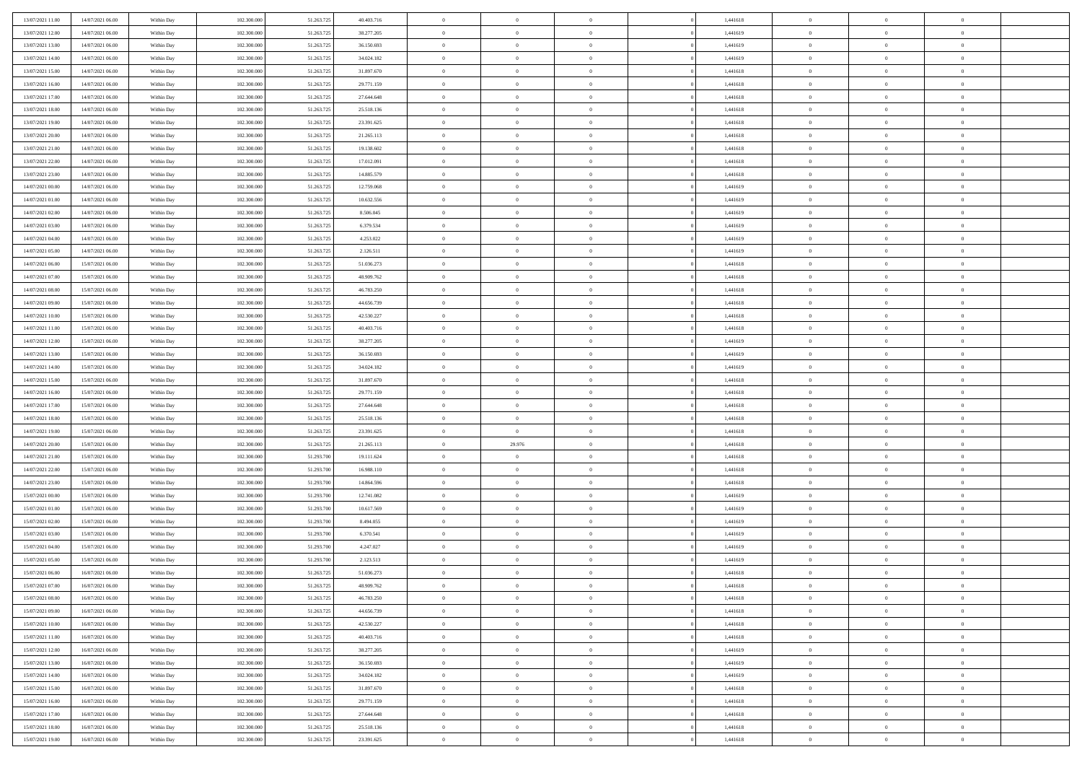| 13/07/2021 11:00                     | 14/07/2021 06:00 | Within Day | 102.300.000 | 51.263.725 | 40.403.716 | $\,$ 0         | $\bf{0}$       | $\overline{0}$ |          | 1,441618 | $\bf{0}$       | $\overline{0}$ | $\,0\,$        |  |
|--------------------------------------|------------------|------------|-------------|------------|------------|----------------|----------------|----------------|----------|----------|----------------|----------------|----------------|--|
| 13/07/2021 12:00                     | 14/07/2021 06:00 | Within Day | 102.300,000 | 51.263.725 | 38.277.205 | $\overline{0}$ | $\overline{0}$ | $\overline{0}$ |          | 1,441619 | $\overline{0}$ | $\overline{0}$ | $\theta$       |  |
| 13/07/2021 13:00                     | 14/07/2021 06:00 | Within Dav | 102.300.000 | 51.263.725 | 36.150.693 | $\overline{0}$ | $\overline{0}$ | $\overline{0}$ |          | 1,441619 | $\mathbf{0}$   | $\overline{0}$ | $\overline{0}$ |  |
| 13/07/2021 14:00                     | 14/07/2021 06:00 | Within Day | 102.300.000 | 51.263.725 | 34.024.182 | $\bf{0}$       | $\overline{0}$ | $\overline{0}$ |          | 1,441619 | $\bf{0}$       | $\overline{0}$ | $\bf{0}$       |  |
| 13/07/2021 15:00                     | 14/07/2021 06:00 | Within Day | 102.300.000 | 51.263.725 | 31.897.670 | $\bf{0}$       | $\bf{0}$       | $\overline{0}$ |          | 1,441618 | $\bf{0}$       | $\bf{0}$       | $\,0\,$        |  |
| 13/07/2021 16:00                     | 14/07/2021 06:00 | Within Dav | 102.300.000 | 51.263.725 | 29.771.159 | $\overline{0}$ | $\overline{0}$ | $\overline{0}$ |          | 1,441618 | $\mathbf{0}$   | $\overline{0}$ | $\overline{0}$ |  |
| 13/07/2021 17:00                     | 14/07/2021 06:00 | Within Day | 102.300.000 | 51.263.725 | 27.644.648 | $\bf{0}$       | $\bf{0}$       | $\overline{0}$ |          | 1,441618 | $\bf{0}$       | $\overline{0}$ | $\,0\,$        |  |
| 13/07/2021 18:00                     | 14/07/2021 06:00 | Within Day | 102.300.000 | 51.263.725 | 25.518.136 | $\overline{0}$ | $\overline{0}$ | $\overline{0}$ |          | 1,441618 | $\,$ 0 $\,$    | $\overline{0}$ | $\overline{0}$ |  |
| 13/07/2021 19:00                     | 14/07/2021 06:00 | Within Dav | 102.300.000 | 51.263.725 | 23.391.625 | $\mathbf{0}$   | $\overline{0}$ | $\overline{0}$ |          | 1,441618 | $\mathbf{0}$   | $\overline{0}$ | $\overline{0}$ |  |
| 13/07/2021 20:00                     | 14/07/2021 06:00 |            | 102.300.000 | 51.263.725 | 21.265.113 | $\bf{0}$       | $\bf{0}$       | $\overline{0}$ |          | 1,441618 | $\bf{0}$       | $\overline{0}$ | $\,0\,$        |  |
|                                      |                  | Within Day | 102.300,000 |            |            | $\bf{0}$       | $\overline{0}$ | $\overline{0}$ |          |          | $\bf{0}$       | $\overline{0}$ | $\theta$       |  |
| 13/07/2021 21:00<br>13/07/2021 22:00 | 14/07/2021 06:00 | Within Day |             | 51.263.725 | 19.138.602 | $\mathbf{0}$   |                |                |          | 1,441618 | $\mathbf{0}$   |                | $\overline{0}$ |  |
|                                      | 14/07/2021 06:00 | Within Dav | 102.300.000 | 51.263.725 | 17.012.091 |                | $\overline{0}$ | $\overline{0}$ |          | 1,441618 |                | $\overline{0}$ |                |  |
| 13/07/2021 23:00                     | 14/07/2021 06:00 | Within Day | 102.300.000 | 51.263.725 | 14.885.579 | $\bf{0}$       | $\overline{0}$ | $\bf{0}$       |          | 1,441618 | $\bf{0}$       | $\overline{0}$ | $\overline{0}$ |  |
| 14/07/2021 00:00                     | 14/07/2021 06:00 | Within Day | 102.300.000 | 51.263.725 | 12.759.068 | $\bf{0}$       | $\overline{0}$ | $\overline{0}$ |          | 1,441619 | $\bf{0}$       | $\overline{0}$ | $\,0\,$        |  |
| 14/07/2021 01:00                     | 14/07/2021 06:00 | Within Dav | 102.300.000 | 51.263.725 | 10.632.556 | $\overline{0}$ | $\overline{0}$ | $\overline{0}$ |          | 1,441619 | $\mathbf{0}$   | $\overline{0}$ | $\overline{0}$ |  |
| 14/07/2021 02.00                     | 14/07/2021 06:00 | Within Day | 102.300.000 | 51.263.725 | 8.506.045  | $\bf{0}$       | $\bf{0}$       | $\overline{0}$ |          | 1,441619 | $\bf{0}$       | $\overline{0}$ | $\bf{0}$       |  |
| 14/07/2021 03:00                     | 14/07/2021 06:00 | Within Day | 102.300,000 | 51.263.725 | 6.379.534  | $\bf{0}$       | $\overline{0}$ | $\overline{0}$ |          | 1,441619 | $\,$ 0 $\,$    | $\overline{0}$ | $\theta$       |  |
| 14/07/2021 04:00                     | 14/07/2021 06:00 | Within Day | 102.300.000 | 51.263.725 | 4.253.022  | $\mathbf{0}$   | $\overline{0}$ | $\overline{0}$ |          | 1,441619 | $\mathbf{0}$   | $\overline{0}$ | $\overline{0}$ |  |
| 14/07/2021 05:00                     | 14/07/2021 06:00 | Within Day | 102.300.000 | 51.263.725 | 2.126.511  | $\bf{0}$       | $\bf{0}$       | $\overline{0}$ |          | 1,441619 | $\bf{0}$       | $\overline{0}$ | $\,0\,$        |  |
| 14/07/2021 06:00                     | 15/07/2021 06:00 | Within Day | 102.300.000 | 51.263.725 | 51.036.273 | $\overline{0}$ | $\overline{0}$ | $\overline{0}$ |          | 1,441618 | $\bf{0}$       | $\overline{0}$ | $\bf{0}$       |  |
| 14/07/2021 07:00                     | 15/07/2021 06:00 | Within Dav | 102.300.000 | 51.263.725 | 48.909.762 | $\overline{0}$ | $\overline{0}$ | $\overline{0}$ |          | 1,441618 | $\mathbf{0}$   | $\overline{0}$ | $\overline{0}$ |  |
| 14/07/2021 08:00                     | 15/07/2021 06:00 | Within Day | 102.300.000 | 51.263.725 | 46.783.250 | $\bf{0}$       | $\overline{0}$ | $\overline{0}$ |          | 1,441618 | $\bf{0}$       | $\overline{0}$ | $\bf{0}$       |  |
| 14/07/2021 09:00                     | 15/07/2021 06:00 | Within Day | 102.300.000 | 51.263.725 | 44.656.739 | $\bf{0}$       | $\bf{0}$       | $\overline{0}$ |          | 1,441618 | $\bf{0}$       | $\overline{0}$ | $\,0\,$        |  |
| 14/07/2021 10:00                     | 15/07/2021 06:00 | Within Dav | 102.300.000 | 51.263.725 | 42.530.227 | $\mathbf{0}$   | $\overline{0}$ | $\overline{0}$ |          | 1,441618 | $\mathbf{0}$   | $\overline{0}$ | $\overline{0}$ |  |
| 14/07/2021 11:00                     | 15/07/2021 06:00 | Within Day | 102.300.000 | 51.263.725 | 40.403.716 | $\bf{0}$       | $\bf{0}$       | $\overline{0}$ |          | 1,441618 | $\bf{0}$       | $\overline{0}$ | $\,0\,$        |  |
| 14/07/2021 12:00                     | 15/07/2021 06:00 | Within Day | 102.300.000 | 51.263.725 | 38.277.205 | $\overline{0}$ | $\overline{0}$ | $\overline{0}$ |          | 1,441619 | $\bf{0}$       | $\mathbf{0}$   | $\overline{0}$ |  |
| 14/07/2021 13:00                     | 15/07/2021 06:00 | Within Dav | 102.300.000 | 51.263.725 | 36.150.693 | $\mathbf{0}$   | $\overline{0}$ | $\overline{0}$ |          | 1,441619 | $\mathbf{0}$   | $\overline{0}$ | $\overline{0}$ |  |
| 14/07/2021 14:00                     | 15/07/2021 06:00 | Within Day | 102.300.000 | 51.263.725 | 34.024.182 | $\bf{0}$       | $\bf{0}$       | $\overline{0}$ |          | 1,441619 | $\bf{0}$       | $\overline{0}$ | $\,0\,$        |  |
| 14/07/2021 15:00                     | 15/07/2021 06:00 | Within Day | 102.300,000 | 51.263.725 | 31.897.670 | $\bf{0}$       | $\bf{0}$       | $\overline{0}$ |          | 1,441618 | $\bf{0}$       | $\overline{0}$ | $\bf{0}$       |  |
| 14/07/2021 16:00                     | 15/07/2021 06:00 | Within Dav | 102.300.000 | 51.263.725 | 29.771.159 | $\mathbf{0}$   | $\overline{0}$ | $\overline{0}$ |          | 1,441618 | $\mathbf{0}$   | $\overline{0}$ | $\overline{0}$ |  |
| 14/07/2021 17:00                     | 15/07/2021 06:00 | Within Day | 102.300.000 | 51.263.725 | 27.644.648 | $\bf{0}$       | $\overline{0}$ | $\overline{0}$ |          | 1,441618 | $\,$ 0         | $\overline{0}$ | $\theta$       |  |
| 14/07/2021 18:00                     | 15/07/2021 06:00 | Within Day | 102.300.000 | 51.263.725 | 25.518.136 | $\bf{0}$       | $\overline{0}$ | $\overline{0}$ |          | 1,441618 | $\bf{0}$       | $\overline{0}$ | $\bf{0}$       |  |
| 14/07/2021 19:00                     | 15/07/2021 06:00 | Within Dav | 102.300.000 | 51.263.725 | 23.391.625 | $\overline{0}$ | $\overline{0}$ | $\overline{0}$ |          | 1,441618 | $\mathbf{0}$   | $\overline{0}$ | $\overline{0}$ |  |
| 14/07/2021 20:00                     | 15/07/2021 06:00 | Within Day | 102.300.000 | 51.263.725 | 21.265.113 | $\bf{0}$       | 29.976         | $\overline{0}$ |          | 1,441618 | $\,$ 0         | $\overline{0}$ | $\theta$       |  |
| 14/07/2021 21:00                     | 15/07/2021 06:00 | Within Day | 102.300,000 | 51.293.700 | 19.111.624 | $\overline{0}$ | $\overline{0}$ | $\overline{0}$ |          | 1,441618 | $\bf{0}$       | $\overline{0}$ | $\overline{0}$ |  |
| 14/07/2021 22:00                     | 15/07/2021 06:00 | Within Day | 102.300.000 | 51.293.700 | 16.988.110 | $\mathbf{0}$   | $\overline{0}$ | $\overline{0}$ |          | 1,441618 | $\mathbf{0}$   | $\overline{0}$ | $\overline{0}$ |  |
| 14/07/2021 23:00                     | 15/07/2021 06:00 | Within Day | 102.300.000 | 51.293.700 | 14.864.596 | $\bf{0}$       | $\overline{0}$ | $\theta$       |          | 1,441618 | $\,$ 0         | $\overline{0}$ | $\theta$       |  |
| 15/07/2021 00:00                     | 15/07/2021 06:00 | Within Day | 102.300.000 | 51.293.700 | 12.741.082 | $\bf{0}$       | $\overline{0}$ | $\overline{0}$ |          | 1,441619 | $\bf{0}$       | $\overline{0}$ | $\bf{0}$       |  |
| 15/07/2021 01:00                     | 15/07/2021 06:00 | Within Dav | 102.300.000 | 51.293.700 | 10.617.569 | $\mathbf{0}$   | $\overline{0}$ | $\overline{0}$ |          | 1,441619 | $\mathbf{0}$   | $\overline{0}$ | $\overline{0}$ |  |
| 15/07/2021 02:00                     | 15/07/2021 06:00 | Within Day | 102.300.000 | 51.293.700 | 8.494.055  | $\,0\,$        | $\overline{0}$ | $\theta$       |          | 1,441619 | $\,$ 0         | $\overline{0}$ | $\theta$       |  |
| 15/07/2021 03:00                     | 15/07/2021 06:00 | Within Day | 102.300.000 | 51.293.700 | 6.370.541  | $\bf{0}$       | $\overline{0}$ | $\overline{0}$ |          | 1,441619 | $\bf{0}$       | $\overline{0}$ | $\bf{0}$       |  |
| 15/07/2021 04:00                     | 15/07/2021 06:00 | Within Dav | 102.300.000 | 51.293.700 | 4.247.027  | $\mathbf{0}$   | $\overline{0}$ | $\overline{0}$ |          | 1,441619 | $\mathbf{0}$   | $\overline{0}$ | $\overline{0}$ |  |
| 15/07/2021 05:00                     | 15/07/2021 06:00 | Within Day | 102.300.000 | 51.293.700 | 2.123.513  | $\bf{0}$       | $\overline{0}$ | $\theta$       |          | 1,441619 | $\,$ 0         | $\overline{0}$ | $\theta$       |  |
| 15/07/2021 06:00                     | 16/07/2021 06:00 | Within Day | 102.300,000 | 51.263.725 | 51.036.273 | $\bf{0}$       | $\overline{0}$ | $\overline{0}$ |          | 1,441618 | $\,$ 0 $\,$    | $\overline{0}$ | $\bf{0}$       |  |
| 15/07/2021 07:00                     | 16/07/2021 06:00 | Within Day | 102.300.000 | 51.263.725 | 48.909.762 | $\bf{0}$       | $\overline{0}$ |                |          | 1,441618 | $\overline{0}$ | $\theta$       | $\theta$       |  |
| 15/07/2021 08:00                     | 16/07/2021 06:00 | Within Day | 102.300.000 | 51.263.725 | 46.783.250 | $\,0\,$        | $\overline{0}$ | $\theta$       |          | 1,441618 | $\,$ 0 $\,$    | $\bf{0}$       | $\theta$       |  |
| 15/07/2021 09:00                     | 16/07/2021 06:00 | Within Day | 102.300.000 | 51.263.725 | 44.656.739 | $\overline{0}$ | $\overline{0}$ | $\overline{0}$ |          | 1,441618 | $\overline{0}$ | $\overline{0}$ | $\overline{0}$ |  |
| 15/07/2021 10:00                     | 16/07/2021 06:00 |            |             |            |            |                |                |                |          |          | $\overline{0}$ |                |                |  |
|                                      |                  | Within Day | 102.300.000 | 51.263.725 | 42.530.227 | $\bf{0}$       | $\overline{0}$ | $\overline{0}$ |          | 1,441618 |                | $\bf{0}$       | $\mathbf{0}$   |  |
| 15/07/2021 11:00                     | 16/07/2021 06:00 | Within Day | 102.300.000 | 51.263.725 | 40.403.716 | $\bf{0}$       | $\overline{0}$ | $\overline{0}$ | $\theta$ | 1,441618 | $\,$ 0 $\,$    | $\bf{0}$       | $\,$ 0 $\,$    |  |
| 15/07/2021 12:00                     | 16/07/2021 06:00 | Within Day | 102.300.000 | 51.263.725 | 38.277.205 | $\bf{0}$       | $\overline{0}$ | $\overline{0}$ |          | 1,441619 | $\,$ 0 $\,$    | $\overline{0}$ | $\overline{0}$ |  |
| 15/07/2021 13:00                     | 16/07/2021 06:00 | Within Day | 102.300.000 | 51.263.725 | 36.150.693 | $\bf{0}$       | $\overline{0}$ | $\overline{0}$ |          | 1,441619 | $\mathbf{0}$   | $\overline{0}$ | $\overline{0}$ |  |
| 15/07/2021 14:00                     | 16/07/2021 06:00 | Within Day | 102.300.000 | 51.263.725 | 34.024.182 | $\,0\,$        | $\overline{0}$ | $\mathbf{0}$   | $\theta$ | 1,441619 | $\,$ 0 $\,$    | $\overline{0}$ | $\overline{0}$ |  |
| 15/07/2021 15:00                     | 16/07/2021 06:00 | Within Day | 102.300.000 | 51.263.725 | 31.897.670 | $\bf{0}$       | $\overline{0}$ | $\overline{0}$ |          | 1,441618 | $\overline{0}$ | $\overline{0}$ | $\overline{0}$ |  |
| 15/07/2021 16:00                     | 16/07/2021 06:00 | Within Day | 102.300.000 | 51.263.725 | 29.771.159 | $\bf{0}$       | $\overline{0}$ | $\overline{0}$ |          | 1,441618 | $\mathbf{0}$   | $\overline{0}$ | $\overline{0}$ |  |
| 15/07/2021 17:00                     | 16/07/2021 06:00 | Within Day | 102.300.000 | 51.263.725 | 27.644.648 | $\,0\,$        | $\overline{0}$ | $\overline{0}$ |          | 1,441618 | $\,$ 0 $\,$    | $\overline{0}$ | $\overline{0}$ |  |
| 15/07/2021 18:00                     | 16/07/2021 06:00 | Within Day | 102.300.000 | 51.263.725 | 25.518.136 | $\bf{0}$       | $\overline{0}$ | $\overline{0}$ |          | 1,441618 | $\bf{0}$       | $\mathbf{0}$   | $\overline{0}$ |  |
| 15/07/2021 19:00                     | 16/07/2021 06:00 | Within Day | 102.300.000 | 51.263.725 | 23.391.625 | $\overline{0}$ | $\overline{0}$ | $\overline{0}$ |          | 1,441618 | $\mathbf{0}$   | $\overline{0}$ | $\overline{0}$ |  |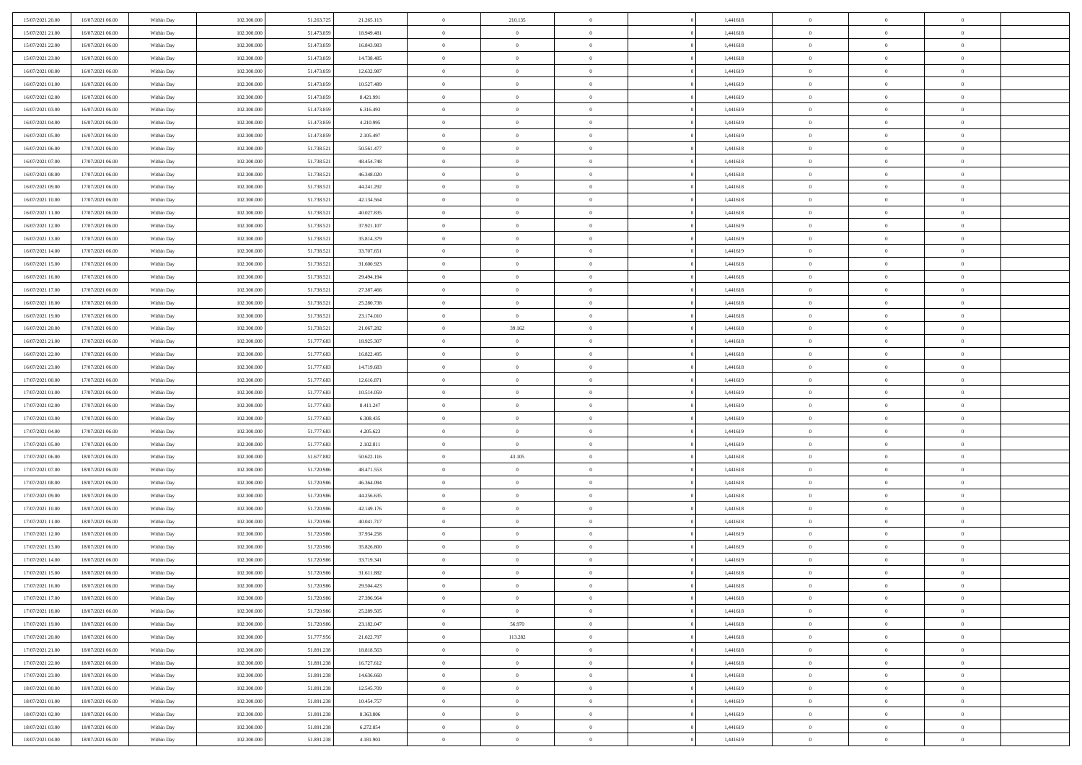| 15/07/2021 20:00 | 16/07/2021 06:00 | Within Day | 102.300.000 | 51.263.725 | 21.265.113 | $\bf{0}$       | 210.135        | $\theta$       |          | 1,441618 | $\bf{0}$       | $\overline{0}$ | $\,0\,$        |  |
|------------------|------------------|------------|-------------|------------|------------|----------------|----------------|----------------|----------|----------|----------------|----------------|----------------|--|
| 15/07/2021 21:00 | 16/07/2021 06:00 | Within Day | 102.300,000 | 51.473.859 | 18.949.481 | $\overline{0}$ | $\overline{0}$ | $\overline{0}$ |          | 1,441618 | $\overline{0}$ | $\overline{0}$ | $\theta$       |  |
| 15/07/2021 22:00 | 16/07/2021 06:00 | Within Dav | 102.300.000 | 51.473.859 | 16.843.983 | $\mathbf{0}$   | $\overline{0}$ | $\overline{0}$ |          | 1,441618 | $\mathbf{0}$   | $\overline{0}$ | $\overline{0}$ |  |
| 15/07/2021 23.00 | 16/07/2021 06:00 | Within Day | 102.300.000 | 51.473.859 | 14.738.485 | $\bf{0}$       | $\overline{0}$ | $\bf{0}$       |          | 1,441618 | $\bf{0}$       | $\overline{0}$ | $\bf{0}$       |  |
| 16/07/2021 00:00 | 16/07/2021 06:00 | Within Day | 102.300.000 | 51.473.859 | 12.632.987 | $\bf{0}$       | $\overline{0}$ | $\overline{0}$ |          | 1,441619 | $\bf{0}$       | $\bf{0}$       | $\,0\,$        |  |
| 16/07/2021 01:00 | 16/07/2021 06:00 | Within Dav | 102.300.000 | 51.473.859 | 10.527.489 | $\overline{0}$ | $\overline{0}$ | $\overline{0}$ |          | 1,441619 | $\mathbf{0}$   | $\overline{0}$ | $\overline{0}$ |  |
| 16/07/2021 02:00 | 16/07/2021 06:00 | Within Day | 102.300.000 | 51.473.859 | 8.421.991  | $\bf{0}$       | $\overline{0}$ | $\overline{0}$ |          | 1,441619 | $\bf{0}$       | $\overline{0}$ | $\,0\,$        |  |
| 16/07/2021 03:00 | 16/07/2021 06:00 | Within Day | 102.300.000 | 51.473.859 | 6.316.493  | $\overline{0}$ | $\overline{0}$ | $\overline{0}$ |          | 1,441619 | $\,$ 0 $\,$    | $\overline{0}$ | $\overline{0}$ |  |
| 16/07/2021 04:00 | 16/07/2021 06:00 | Within Dav | 102.300.000 | 51.473.859 | 4.210.995  | $\mathbf{0}$   | $\overline{0}$ | $\overline{0}$ |          | 1,441619 | $\mathbf{0}$   | $\overline{0}$ | $\overline{0}$ |  |
| 16/07/2021 05:00 | 16/07/2021 06:00 |            | 102.300.000 | 51.473.859 | 2.105.497  | $\bf{0}$       | $\overline{0}$ | $\overline{0}$ |          | 1,441619 | $\bf{0}$       | $\overline{0}$ | $\,0\,$        |  |
|                  |                  | Within Day | 102.300,000 | 51.738.521 |            | $\bf{0}$       | $\overline{0}$ | $\overline{0}$ |          | 1,441618 | $\bf{0}$       | $\overline{0}$ | $\theta$       |  |
| 16/07/2021 06:00 | 17/07/2021 06:00 | Within Day |             |            | 50.561.477 | $\mathbf{0}$   |                |                |          |          | $\mathbf{0}$   |                | $\overline{0}$ |  |
| 16/07/2021 07:00 | 17/07/2021 06:00 | Within Dav | 102.300.000 | 51.738.521 | 48.454.748 |                | $\overline{0}$ | $\overline{0}$ |          | 1,441618 |                | $\overline{0}$ |                |  |
| 16/07/2021 08:00 | 17/07/2021 06:00 | Within Day | 102.300.000 | 51.738.521 | 46.348.020 | $\bf{0}$       | $\overline{0}$ | $\bf{0}$       |          | 1,441618 | $\bf{0}$       | $\overline{0}$ | $\overline{0}$ |  |
| 16/07/2021 09:00 | 17/07/2021 06:00 | Within Day | 102.300.000 | 51.738.521 | 44.241.292 | $\bf{0}$       | $\overline{0}$ | $\overline{0}$ |          | 1,441618 | $\bf{0}$       | $\theta$       | $\,0\,$        |  |
| 16/07/2021 10:00 | 17/07/2021 06:00 | Within Dav | 102.300.000 | 51.738.521 | 42.134.564 | $\overline{0}$ | $\overline{0}$ | $\overline{0}$ |          | 1,441618 | $\mathbf{0}$   | $\overline{0}$ | $\overline{0}$ |  |
| 16/07/2021 11:00 | 17/07/2021 06:00 | Within Day | 102.300.000 | 51.738.521 | 40.027.835 | $\bf{0}$       | $\bf{0}$       | $\overline{0}$ |          | 1,441618 | $\bf{0}$       | $\overline{0}$ | $\bf{0}$       |  |
| 16/07/2021 12:00 | 17/07/2021 06:00 | Within Day | 102.300,000 | 51.738.521 | 37.921.107 | $\overline{0}$ | $\overline{0}$ | $\overline{0}$ |          | 1,441619 | $\,$ 0 $\,$    | $\overline{0}$ | $\theta$       |  |
| 16/07/2021 13:00 | 17/07/2021 06:00 | Within Day | 102.300.000 | 51.738.521 | 35.814.379 | $\mathbf{0}$   | $\overline{0}$ | $\overline{0}$ |          | 1,441619 | $\mathbf{0}$   | $\overline{0}$ | $\overline{0}$ |  |
| 16/07/2021 14:00 | 17/07/2021 06:00 | Within Day | 102.300.000 | 51.738.521 | 33.707.651 | $\bf{0}$       | $\bf{0}$       | $\overline{0}$ |          | 1,441619 | $\bf{0}$       | $\overline{0}$ | $\,0\,$        |  |
| 16/07/2021 15:00 | 17/07/2021 06:00 | Within Day | 102.300.000 | 51.738.521 | 31.600.923 | $\overline{0}$ | $\overline{0}$ | $\overline{0}$ |          | 1,441618 | $\bf{0}$       | $\overline{0}$ | $\overline{0}$ |  |
| 16/07/2021 16:00 | 17/07/2021 06:00 | Within Dav | 102.300.000 | 51.738.521 | 29.494.194 | $\mathbf{0}$   | $\overline{0}$ | $\overline{0}$ |          | 1,441618 | $\mathbf{0}$   | $\overline{0}$ | $\overline{0}$ |  |
| 16/07/2021 17:00 | 17/07/2021 06:00 | Within Day | 102.300.000 | 51.738.521 | 27.387.466 | $\bf{0}$       | $\overline{0}$ | $\overline{0}$ |          | 1,441618 | $\bf{0}$       | $\overline{0}$ | $\bf{0}$       |  |
| 16/07/2021 18:00 | 17/07/2021 06:00 | Within Day | 102.300.000 | 51.738.521 | 25.280.738 | $\bf{0}$       | $\bf{0}$       | $\overline{0}$ |          | 1,441618 | $\bf{0}$       | $\bf{0}$       | $\,0\,$        |  |
| 16/07/2021 19:00 | 17/07/2021 06:00 | Within Dav | 102.300.000 | 51.738.521 | 23.174.010 | $\overline{0}$ | $\overline{0}$ | $\overline{0}$ |          | 1,441618 | $\mathbf{0}$   | $\overline{0}$ | $\overline{0}$ |  |
| 16/07/2021 20:00 | 17/07/2021 06:00 | Within Day | 102.300.000 | 51.738.521 | 21.067.282 | $\bf{0}$       | 39.162         | $\overline{0}$ |          | 1,441618 | $\bf{0}$       | $\overline{0}$ | $\,0\,$        |  |
| 16/07/2021 21:00 | 17/07/2021 06:00 | Within Day | 102.300.000 | 51.777.683 | 18.925.307 | $\overline{0}$ | $\overline{0}$ | $\overline{0}$ |          | 1,441618 | $\bf{0}$       | $\mathbf{0}$   | $\overline{0}$ |  |
| 16/07/2021 22:00 | 17/07/2021 06:00 | Within Dav | 102.300.000 | 51.777.683 | 16.822.495 | $\mathbf{0}$   | $\overline{0}$ | $\overline{0}$ |          | 1,441618 | $\mathbf{0}$   | $\overline{0}$ | $\overline{0}$ |  |
| 16/07/2021 23:00 | 17/07/2021 06:00 | Within Day | 102.300.000 | 51.777.683 | 14.719.683 | $\bf{0}$       | $\bf{0}$       | $\overline{0}$ |          | 1,441618 | $\bf{0}$       | $\overline{0}$ | $\,0\,$        |  |
| 17/07/2021 00:00 | 17/07/2021 06:00 | Within Day | 102.300,000 | 51.777.683 | 12.616.871 | $\bf{0}$       | $\bf{0}$       | $\overline{0}$ |          | 1,441619 | $\bf{0}$       | $\bf{0}$       | $\overline{0}$ |  |
| 17/07/2021 01:00 | 17/07/2021 06:00 | Within Dav | 102.300.000 | 51.777.683 | 10.514.059 | $\mathbf{0}$   | $\overline{0}$ | $\overline{0}$ |          | 1,441619 | $\mathbf{0}$   | $\overline{0}$ | $\overline{0}$ |  |
| 17/07/2021 02:00 | 17/07/2021 06:00 | Within Day | 102.300.000 | 51.777.683 | 8.411.247  | $\bf{0}$       | $\overline{0}$ | $\theta$       |          | 1,441619 | $\,$ 0         | $\overline{0}$ | $\theta$       |  |
| 17/07/2021 03:00 | 17/07/2021 06:00 | Within Day | 102.300.000 | 51.777.683 | 6.308.435  | $\bf{0}$       | $\bf{0}$       | $\overline{0}$ |          | 1,441619 | $\bf{0}$       | $\overline{0}$ | $\bf{0}$       |  |
| 17/07/2021 04:00 | 17/07/2021 06:00 | Within Dav | 102.300.000 | 51.777.683 | 4.205.623  | $\overline{0}$ | $\overline{0}$ | $\overline{0}$ |          | 1,441619 | $\mathbf{0}$   | $\overline{0}$ | $\overline{0}$ |  |
| 17/07/2021 05:00 | 17/07/2021 06:00 | Within Day | 102.300.000 | 51.777.683 | 2.102.811  | $\bf{0}$       | $\overline{0}$ | $\theta$       |          | 1,441619 | $\,$ 0         | $\overline{0}$ | $\theta$       |  |
| 17/07/2021 06:00 | 18/07/2021 06:00 | Within Day | 102.300,000 | 51.677.882 | 50.622.116 | $\overline{0}$ | 43.105         | $\overline{0}$ |          | 1,441618 | $\bf{0}$       | $\overline{0}$ | $\overline{0}$ |  |
| 17/07/2021 07:00 | 18/07/2021 06:00 | Within Day | 102.300.000 | 51.720.986 | 48.471.553 | $\mathbf{0}$   | $\overline{0}$ | $\overline{0}$ |          | 1,441618 | $\mathbf{0}$   | $\overline{0}$ | $\overline{0}$ |  |
| 17/07/2021 08:00 | 18/07/2021 06:00 | Within Day | 102.300.000 | 51.720.986 | 46.364.094 | $\bf{0}$       | $\overline{0}$ | $\theta$       |          | 1,441618 | $\,$ 0         | $\overline{0}$ | $\theta$       |  |
| 17/07/2021 09:00 | 18/07/2021 06:00 | Within Day | 102.300.000 | 51.720.986 | 44.256.635 | $\bf{0}$       | $\overline{0}$ | $\overline{0}$ |          | 1,441618 | $\bf{0}$       | $\bf{0}$       | $\bf{0}$       |  |
| 17/07/2021 10:00 | 18/07/2021 06:00 | Within Dav | 102.300.000 | 51.720.986 | 42.149.176 | $\mathbf{0}$   | $\overline{0}$ | $\overline{0}$ |          | 1,441618 | $\mathbf{0}$   | $\overline{0}$ | $\overline{0}$ |  |
| 17/07/2021 11:00 | 18/07/2021 06:00 | Within Day | 102.300.000 | 51.720.986 | 40.041.717 | $\,0\,$        | $\overline{0}$ | $\theta$       |          | 1,441618 | $\,$ 0         | $\overline{0}$ | $\theta$       |  |
| 17/07/2021 12:00 | 18/07/2021 06:00 | Within Day | 102.300.000 | 51.720.986 | 37.934.258 | $\bf{0}$       | $\overline{0}$ | $\overline{0}$ |          | 1,441619 | $\bf{0}$       | $\overline{0}$ | $\bf{0}$       |  |
| 17/07/2021 13:00 | 18/07/2021 06:00 | Within Dav | 102.300.000 | 51.720.986 | 35.826.800 | $\mathbf{0}$   | $\overline{0}$ | $\overline{0}$ |          | 1,441619 | $\mathbf{0}$   | $\overline{0}$ | $\overline{0}$ |  |
| 17/07/2021 14:00 | 18/07/2021 06:00 | Within Day | 102.300.000 | 51.720.986 | 33.719.341 | $\bf{0}$       | $\overline{0}$ | $\theta$       |          | 1,441619 | $\,$ 0         | $\overline{0}$ | $\theta$       |  |
| 17/07/2021 15:00 | 18/07/2021 06:00 | Within Day | 102.300,000 | 51.720.986 | 31.611.882 | $\bf{0}$       | $\overline{0}$ | $\overline{0}$ |          | 1,441618 | $\bf{0}$       | $\overline{0}$ | $\bf{0}$       |  |
| 17/07/2021 16:00 | 18/07/2021 06:00 | Within Day | 102.300.000 | 51.720.986 | 29.504.423 | $\bf{0}$       | $\overline{0}$ | $\Omega$       |          | 1,441618 | $\overline{0}$ | $\theta$       | $\theta$       |  |
| 17/07/2021 17:00 | 18/07/2021 06:00 | Within Day | 102.300.000 | 51.720.986 | 27.396.964 | $\,0\,$        | $\overline{0}$ | $\theta$       |          | 1,441618 | $\,$ 0 $\,$    | $\bf{0}$       | $\theta$       |  |
| 17/07/2021 18:00 | 18/07/2021 06:00 | Within Day | 102.300.000 | 51.720.986 | 25.289.505 | $\overline{0}$ | $\overline{0}$ | $\overline{0}$ |          | 1,441618 | $\overline{0}$ | $\overline{0}$ | $\overline{0}$ |  |
| 17/07/2021 19:00 | 18/07/2021 06:00 | Within Day | 102.300.000 | 51.720.986 | 23.182.047 | $\bf{0}$       | 56.970         | $\overline{0}$ |          | 1,441618 | $\overline{0}$ | $\bf{0}$       | $\mathbf{0}$   |  |
| 17/07/2021 20:00 | 18/07/2021 06:00 | Within Day | 102.300.000 | 51.777.956 | 21.022.797 | $\,$ 0 $\,$    | 113.282        | $\overline{0}$ | $\theta$ | 1,441618 | $\,$ 0 $\,$    | $\bf{0}$       | $\,$ 0 $\,$    |  |
| 17/07/2021 21:00 | 18/07/2021 06:00 | Within Day | 102.300.000 | 51.891.238 | 18.818.563 | $\bf{0}$       | $\overline{0}$ | $\overline{0}$ |          | 1,441618 | $\,$ 0 $\,$    | $\overline{0}$ | $\overline{0}$ |  |
| 17/07/2021 22:00 | 18/07/2021 06:00 | Within Day | 102.300.000 | 51.891.238 | 16.727.612 | $\bf{0}$       | $\overline{0}$ | $\overline{0}$ |          | 1,441618 | $\mathbf{0}$   | $\overline{0}$ | $\overline{0}$ |  |
|                  |                  |            |             |            |            |                |                |                |          |          |                |                |                |  |
| 17/07/2021 23:00 | 18/07/2021 06:00 | Within Day | 102.300.000 | 51.891.238 | 14.636.660 | $\,0\,$        | $\overline{0}$ | $\mathbf{0}$   | $\theta$ | 1,441618 | $\,$ 0 $\,$    | $\overline{0}$ | $\overline{0}$ |  |
| 18/07/2021 00:00 | 18/07/2021 06:00 | Within Day | 102.300.000 | 51.891.238 | 12.545.709 | $\bf{0}$       | $\overline{0}$ | $\overline{0}$ |          | 1,441619 | $\overline{0}$ | $\overline{0}$ | $\overline{0}$ |  |
| 18/07/2021 01:00 | 18/07/2021 06:00 | Within Day | 102.300.000 | 51.891.238 | 10.454.757 | $\bf{0}$       | $\overline{0}$ | $\overline{0}$ |          | 1,441619 | $\mathbf{0}$   | $\overline{0}$ | $\overline{0}$ |  |
| 18/07/2021 02:00 | 18/07/2021 06:00 | Within Day | 102.300.000 | 51.891.238 | 8.363.806  | $\,0\,$        | $\overline{0}$ | $\overline{0}$ |          | 1,441619 | $\,$ 0 $\,$    | $\overline{0}$ | $\overline{0}$ |  |
| 18/07/2021 03:00 | 18/07/2021 06:00 | Within Day | 102.300.000 | 51.891.238 | 6.272.854  | $\overline{0}$ | $\overline{0}$ | $\overline{0}$ |          | 1,441619 | $\bf{0}$       | $\mathbf{0}$   | $\overline{0}$ |  |
| 18/07/2021 04:00 | 18/07/2021 06:00 | Within Day | 102.300.000 | 51.891.238 | 4.181.903  | $\overline{0}$ | $\overline{0}$ | $\overline{0}$ |          | 1,441619 | $\mathbf{0}$   | $\overline{0}$ | $\overline{0}$ |  |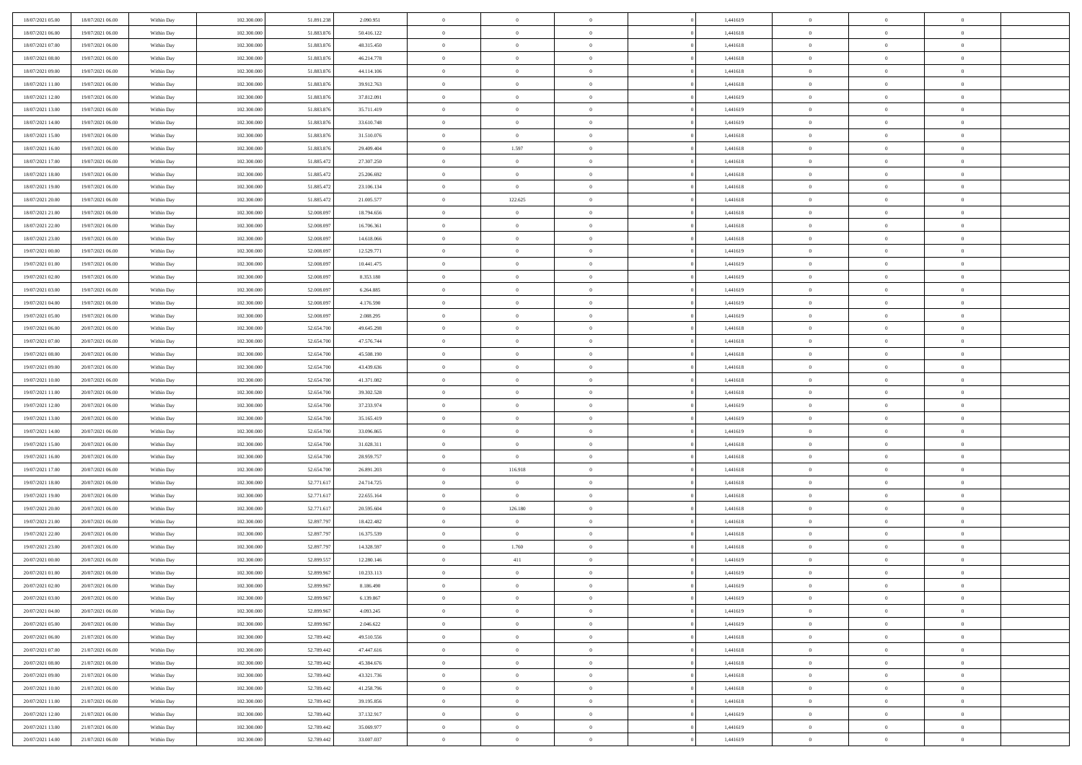| 18/07/2021 05:00                     | 18/07/2021 06:00 | Within Day | 102.300.000 | 51.891.238 | 2.090.951  | $\,$ 0         | $\overline{0}$ | $\overline{0}$ |          | 1,441619 | $\bf{0}$       | $\overline{0}$ | $\,0\,$        |  |
|--------------------------------------|------------------|------------|-------------|------------|------------|----------------|----------------|----------------|----------|----------|----------------|----------------|----------------|--|
| 18/07/2021 06:00                     | 19/07/2021 06:00 | Within Day | 102.300,000 | 51.883.876 | 50.416.122 | $\overline{0}$ | $\overline{0}$ | $\overline{0}$ |          | 1,441618 | $\overline{0}$ | $\overline{0}$ | $\theta$       |  |
| 18/07/2021 07:00                     | 19/07/2021 06:00 | Within Dav | 102.300.000 | 51.883.876 | 48.315.450 | $\overline{0}$ | $\overline{0}$ | $\overline{0}$ |          | 1,441618 | $\mathbf{0}$   | $\overline{0}$ | $\overline{0}$ |  |
| 18/07/2021 08:00                     | 19/07/2021 06:00 | Within Day | 102.300.000 | 51.883.876 | 46.214.778 | $\bf{0}$       | $\overline{0}$ | $\bf{0}$       |          | 1,441618 | $\bf{0}$       | $\overline{0}$ | $\bf{0}$       |  |
| 18/07/2021 09:00                     | 19/07/2021 06:00 | Within Day | 102.300.000 | 51.883.876 | 44.114.106 | $\bf{0}$       | $\overline{0}$ | $\overline{0}$ |          | 1,441618 | $\bf{0}$       | $\bf{0}$       | $\,0\,$        |  |
| 18/07/2021 11:00                     | 19/07/2021 06:00 | Within Dav | 102.300.000 | 51.883.876 | 39.912.763 | $\overline{0}$ | $\overline{0}$ | $\overline{0}$ |          | 1,441618 | $\mathbf{0}$   | $\overline{0}$ | $\theta$       |  |
| 18/07/2021 12:00                     | 19/07/2021 06:00 | Within Day | 102.300.000 | 51.883.876 | 37.812.091 | $\bf{0}$       | $\overline{0}$ | $\overline{0}$ |          | 1,441619 | $\bf{0}$       | $\overline{0}$ | $\,0\,$        |  |
| 18/07/2021 13:00                     | 19/07/2021 06:00 | Within Day | 102.300.000 | 51.883.876 | 35.711.419 | $\overline{0}$ | $\overline{0}$ | $\overline{0}$ |          | 1,441619 | $\,$ 0 $\,$    | $\overline{0}$ | $\theta$       |  |
| 18/07/2021 14:00                     | 19/07/2021 06:00 | Within Dav | 102.300.000 | 51.883.876 | 33.610.748 | $\mathbf{0}$   | $\overline{0}$ | $\overline{0}$ |          | 1,441619 | $\mathbf{0}$   | $\overline{0}$ | $\overline{0}$ |  |
| 18/07/2021 15:00                     | 19/07/2021 06:00 |            | 102.300.000 | 51.883.876 | 31.510.076 | $\bf{0}$       | $\overline{0}$ | $\overline{0}$ |          | 1,441618 | $\bf{0}$       | $\overline{0}$ | $\,0\,$        |  |
|                                      |                  | Within Day | 102.300,000 |            |            | $\overline{0}$ | 1.597          | $\overline{0}$ |          | 1,441618 | $\bf{0}$       | $\overline{0}$ | $\theta$       |  |
| 18/07/2021 16:00<br>18/07/2021 17:00 | 19/07/2021 06:00 | Within Day |             | 51.883.876 | 29.409.404 | $\mathbf{0}$   |                |                |          |          | $\mathbf{0}$   |                | $\overline{0}$ |  |
|                                      | 19/07/2021 06:00 | Within Dav | 102.300.000 | 51.885.472 | 27.307.250 |                | $\overline{0}$ | $\overline{0}$ |          | 1,441618 |                | $\overline{0}$ |                |  |
| 18/07/2021 18:00                     | 19/07/2021 06:00 | Within Day | 102.300.000 | 51.885.472 | 25.206.692 | $\bf{0}$       | $\overline{0}$ | $\bf{0}$       |          | 1,441618 | $\bf{0}$       | $\overline{0}$ | $\overline{0}$ |  |
| 18/07/2021 19:00                     | 19/07/2021 06:00 | Within Day | 102.300.000 | 51.885.472 | 23.106.134 | $\bf{0}$       | $\overline{0}$ | $\overline{0}$ |          | 1,441618 | $\bf{0}$       | $\theta$       | $\,0\,$        |  |
| 18/07/2021 20:00                     | 19/07/2021 06:00 | Within Dav | 102.300.000 | 51.885.472 | 21.005.577 | $\overline{0}$ | 122.625        | $\overline{0}$ |          | 1,441618 | $\mathbf{0}$   | $\overline{0}$ | $\overline{0}$ |  |
| 18/07/2021 21:00                     | 19/07/2021 06:00 | Within Day | 102.300.000 | 52.008.097 | 18.794.656 | $\bf{0}$       | $\bf{0}$       | $\overline{0}$ |          | 1,441618 | $\bf{0}$       | $\overline{0}$ | $\bf{0}$       |  |
| 18/07/2021 22:00                     | 19/07/2021 06:00 | Within Day | 102.300,000 | 52,008.097 | 16.706.361 | $\bf{0}$       | $\overline{0}$ | $\overline{0}$ |          | 1,441618 | $\bf{0}$       | $\overline{0}$ | $\theta$       |  |
| 18/07/2021 23:00                     | 19/07/2021 06:00 | Within Day | 102.300.000 | 52.008.097 | 14.618.066 | $\mathbf{0}$   | $\overline{0}$ | $\overline{0}$ |          | 1,441618 | $\mathbf{0}$   | $\overline{0}$ | $\overline{0}$ |  |
| 19/07/2021 00:00                     | 19/07/2021 06:00 | Within Day | 102.300.000 | 52.008.097 | 12.529.771 | $\bf{0}$       | $\bf{0}$       | $\overline{0}$ |          | 1,441619 | $\bf{0}$       | $\overline{0}$ | $\,0\,$        |  |
| 19/07/2021 01:00                     | 19/07/2021 06:00 | Within Day | 102.300.000 | 52,008.097 | 10.441.475 | $\overline{0}$ | $\overline{0}$ | $\overline{0}$ |          | 1,441619 | $\bf{0}$       | $\overline{0}$ | $\overline{0}$ |  |
| 19/07/2021 02:00                     | 19/07/2021 06:00 | Within Dav | 102.300.000 | 52.008.097 | 8.353.180  | $\mathbf{0}$   | $\overline{0}$ | $\overline{0}$ |          | 1,441619 | $\mathbf{0}$   | $\overline{0}$ | $\overline{0}$ |  |
| 19/07/2021 03:00                     | 19/07/2021 06:00 | Within Day | 102.300.000 | 52.008.097 | 6.264.885  | $\bf{0}$       | $\bf{0}$       | $\overline{0}$ |          | 1,441619 | $\bf{0}$       | $\overline{0}$ | $\bf{0}$       |  |
| 19/07/2021 04:00                     | 19/07/2021 06:00 | Within Day | 102.300.000 | 52,008.097 | 4.176.590  | $\bf{0}$       | $\bf{0}$       | $\overline{0}$ |          | 1,441619 | $\bf{0}$       | $\overline{0}$ | $\,0\,$        |  |
| 19/07/2021 05:00                     | 19/07/2021 06:00 | Within Dav | 102.300.000 | 52.008.097 | 2.088.295  | $\mathbf{0}$   | $\overline{0}$ | $\overline{0}$ |          | 1,441619 | $\mathbf{0}$   | $\overline{0}$ | $\theta$       |  |
| 19/07/2021 06:00                     | 20/07/2021 06:00 | Within Day | 102.300.000 | 52.654.700 | 49.645.298 | $\bf{0}$       | $\bf{0}$       | $\overline{0}$ |          | 1,441618 | $\bf{0}$       | $\overline{0}$ | $\,0\,$        |  |
| 19/07/2021 07:00                     | 20/07/2021 06:00 | Within Day | 102.300.000 | 52.654.700 | 47.576.744 | $\overline{0}$ | $\overline{0}$ | $\overline{0}$ |          | 1,441618 | $\bf{0}$       | $\mathbf{0}$   | $\overline{0}$ |  |
| 19/07/2021 08:00                     | 20/07/2021 06:00 | Within Dav | 102.300.000 | 52.654.700 | 45.508.190 | $\mathbf{0}$   | $\overline{0}$ | $\overline{0}$ |          | 1,441618 | $\mathbf{0}$   | $\overline{0}$ | $\overline{0}$ |  |
| 19/07/2021 09:00                     | 20/07/2021 06:00 | Within Day | 102.300.000 | 52.654.700 | 43.439.636 | $\bf{0}$       | $\bf{0}$       | $\overline{0}$ |          | 1,441618 | $\bf{0}$       | $\overline{0}$ | $\,0\,$        |  |
| 19/07/2021 10:00                     | 20/07/2021 06:00 | Within Day | 102.300,000 | 52.654.700 | 41.371.082 | $\bf{0}$       | $\bf{0}$       | $\overline{0}$ |          | 1,441618 | $\bf{0}$       | $\overline{0}$ | $\overline{0}$ |  |
| 19/07/2021 11:00                     | 20/07/2021 06:00 | Within Dav | 102.300.000 | 52.654.700 | 39.302.528 | $\mathbf{0}$   | $\overline{0}$ | $\overline{0}$ |          | 1,441618 | $\mathbf{0}$   | $\overline{0}$ | $\overline{0}$ |  |
| 19/07/2021 12:00                     | 20/07/2021 06:00 | Within Day | 102.300.000 | 52.654.700 | 37.233.974 | $\bf{0}$       | $\overline{0}$ | $\overline{0}$ |          | 1,441619 | $\,$ 0         | $\overline{0}$ | $\theta$       |  |
| 19/07/2021 13:00                     | 20/07/2021 06:00 | Within Day | 102.300.000 | 52.654.700 | 35.165.419 | $\bf{0}$       | $\bf{0}$       | $\overline{0}$ |          | 1,441619 | $\bf{0}$       | $\overline{0}$ | $\overline{0}$ |  |
| 19/07/2021 14:00                     | 20/07/2021 06:00 | Within Dav | 102.300.000 | 52.654.700 | 33.096.865 | $\overline{0}$ | $\overline{0}$ | $\overline{0}$ |          | 1,441619 | $\mathbf{0}$   | $\overline{0}$ | $\overline{0}$ |  |
| 19/07/2021 15:00                     | 20/07/2021 06:00 | Within Day | 102.300.000 | 52.654.700 | 31.028.311 | $\bf{0}$       | $\overline{0}$ | $\overline{0}$ |          | 1,441618 | $\,$ 0         | $\overline{0}$ | $\theta$       |  |
| 19/07/2021 16:00                     | 20/07/2021 06:00 | Within Day | 102.300,000 | 52.654.700 | 28.959.757 | $\overline{0}$ | $\overline{0}$ | $\overline{0}$ |          | 1,441618 | $\bf{0}$       | $\overline{0}$ | $\overline{0}$ |  |
| 19/07/2021 17:00                     | 20/07/2021 06:00 | Within Day | 102.300.000 | 52.654.700 | 26.891.203 | $\mathbf{0}$   | 116.918        | $\overline{0}$ |          | 1,441618 | $\mathbf{0}$   | $\overline{0}$ | $\overline{0}$ |  |
| 19/07/2021 18:00                     | 20/07/2021 06:00 | Within Day | 102.300.000 | 52.771.617 | 24.714.725 | $\bf{0}$       | $\overline{0}$ | $\overline{0}$ |          | 1,441618 | $\,$ 0         | $\overline{0}$ | $\theta$       |  |
| 19/07/2021 19:00                     | 20/07/2021 06:00 | Within Day | 102.300.000 | 52.771.617 | 22.655.164 | $\bf{0}$       | $\overline{0}$ | $\overline{0}$ |          | 1,441618 | $\bf{0}$       | $\overline{0}$ | $\bf{0}$       |  |
| 19/07/2021 20:00                     | 20/07/2021 06:00 | Within Dav | 102.300.000 | 52.771.617 | 20.595.604 | $\mathbf{0}$   | 126.180        | $\overline{0}$ |          | 1,441618 | $\mathbf{0}$   | $\overline{0}$ | $\overline{0}$ |  |
| 19/07/2021 21:00                     | 20/07/2021 06:00 | Within Day | 102.300.000 | 52.897.797 | 18.422.482 | $\,0\,$        | $\overline{0}$ | $\overline{0}$ |          | 1,441618 | $\,$ 0         | $\overline{0}$ | $\theta$       |  |
| 19/07/2021 22:00                     | 20/07/2021 06:00 | Within Day | 102.300.000 | 52.897.797 | 16.375.539 | $\bf{0}$       | $\overline{0}$ | $\overline{0}$ |          | 1,441618 | $\bf{0}$       | $\overline{0}$ | $\bf{0}$       |  |
| 19/07/2021 23:00                     | 20/07/2021 06:00 | Within Dav | 102.300.000 | 52.897.797 | 14.328.597 | $\mathbf{0}$   | 1.760          | $\overline{0}$ |          | 1,441618 | $\mathbf{0}$   | $\overline{0}$ | $\overline{0}$ |  |
| 20/07/2021 00:00                     | 20/07/2021 06:00 | Within Day | 102.300.000 | 52.899.557 | 12.280.146 | $\bf{0}$       | 411            | $\theta$       |          | 1,441619 | $\,$ 0         | $\overline{0}$ | $\theta$       |  |
| 20/07/2021 01:00                     | 20/07/2021 06:00 | Within Day | 102.300,000 | 52.899.967 | 10.233.113 | $\bf{0}$       | $\overline{0}$ | $\overline{0}$ |          | 1,441619 | $\bf{0}$       | $\overline{0}$ | $\bf{0}$       |  |
| 20/07/2021 02:00                     | 20/07/2021 06:00 | Within Day | 102.300.000 | 52.899.967 | 8.186.490  | $\bf{0}$       | $\overline{0}$ | $\Omega$       |          | 1,441619 | $\overline{0}$ | $\theta$       | $\theta$       |  |
| 20/07/2021 03:00                     | 20/07/2021 06:00 | Within Day | 102.300.000 | 52.899.967 | 6.139.867  | $\,0\,$        | $\overline{0}$ | $\theta$       |          | 1,441619 | $\,$ 0 $\,$    | $\bf{0}$       | $\theta$       |  |
| 20/07/2021 04:00                     | 20/07/2021 06:00 | Within Day | 102.300.000 | 52.899.96  | 4.093.245  | $\overline{0}$ | $\overline{0}$ | $\overline{0}$ |          | 1,441619 | $\overline{0}$ | $\overline{0}$ | $\overline{0}$ |  |
| 20/07/2021 05:00                     | 20/07/2021 06:00 | Within Day | 102.300.000 | 52.899.967 | 2.046.622  | $\bf{0}$       | $\overline{0}$ | $\overline{0}$ |          | 1,441619 | $\overline{0}$ | $\bf{0}$       | $\mathbf{0}$   |  |
|                                      |                  |            |             |            |            |                |                |                | $\theta$ |          |                | $\bf{0}$       | $\,$ 0 $\,$    |  |
| 20/07/2021 06:00                     | 21/07/2021 06:00 | Within Day | 102.300.000 | 52.789.442 | 49.510.556 | $\bf{0}$       | $\overline{0}$ | $\overline{0}$ |          | 1,441618 | $\mathbf{0}$   | $\overline{0}$ |                |  |
| 20/07/2021 07:00                     | 21/07/2021 06:00 | Within Day | 102.300.000 | 52.789.442 | 47.447.616 | $\bf{0}$       | $\overline{0}$ | $\overline{0}$ |          | 1,441618 | $\,$ 0 $\,$    |                | $\overline{0}$ |  |
| 20/07/2021 08:00                     | 21/07/2021 06:00 | Within Day | 102.300.000 | 52.789.442 | 45.384.676 | $\bf{0}$       | $\overline{0}$ | $\overline{0}$ |          | 1,441618 | $\mathbf{0}$   | $\overline{0}$ | $\overline{0}$ |  |
| 20/07/2021 09:00                     | 21/07/2021 06:00 | Within Day | 102.300.000 | 52.789.442 | 43.321.736 | $\,0\,$        | $\overline{0}$ | $\overline{0}$ | $\theta$ | 1,441618 | $\,$ 0 $\,$    | $\overline{0}$ | $\overline{0}$ |  |
| 20/07/2021 10:00                     | 21/07/2021 06:00 | Within Day | 102.300.000 | 52.789.442 | 41.258.796 | $\bf{0}$       | $\overline{0}$ | $\overline{0}$ |          | 1,441618 | $\overline{0}$ | $\overline{0}$ | $\overline{0}$ |  |
| 20/07/2021 11:00                     | 21/07/2021 06:00 | Within Day | 102.300.000 | 52.789.442 | 39.195.856 | $\bf{0}$       | $\overline{0}$ | $\overline{0}$ |          | 1,441618 | $\mathbf{0}$   | $\overline{0}$ | $\overline{0}$ |  |
| 20/07/2021 12:00                     | 21/07/2021 06:00 | Within Day | 102.300.000 | 52.789.442 | 37.132.917 | $\,0\,$        | $\overline{0}$ | $\overline{0}$ |          | 1,441619 | $\,$ 0 $\,$    | $\overline{0}$ | $\overline{0}$ |  |
| 20/07/2021 13:00                     | 21/07/2021 06:00 | Within Day | 102.300.000 | 52.789.442 | 35,069,977 | $\bf{0}$       | $\overline{0}$ | $\overline{0}$ |          | 1,441619 | $\bf{0}$       | $\mathbf{0}$   | $\overline{0}$ |  |
| 20/07/2021 14:00                     | 21/07/2021 06:00 | Within Day | 102.300.000 | 52.789.442 | 33.007.037 | $\mathbf{0}$   | $\overline{0}$ | $\overline{0}$ |          | 1,441619 | $\mathbf{0}$   | $\overline{0}$ | $\overline{0}$ |  |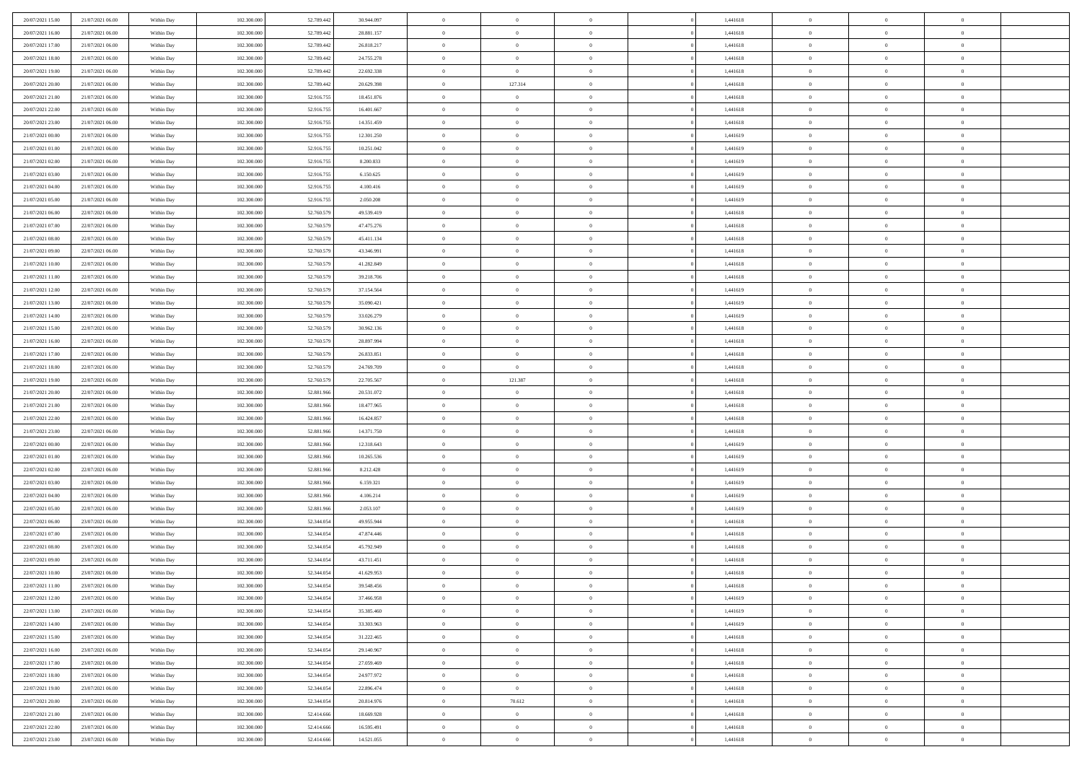| 20/07/2021 15:00 | 21/07/2021 06:00 | Within Day               | 102.300.000 | 52.789.442 | 30.944.097               | $\,$ 0         | $\overline{0}$ | $\theta$       |          | 1,441618 | $\bf{0}$       | $\overline{0}$ | $\,0\,$        |  |
|------------------|------------------|--------------------------|-------------|------------|--------------------------|----------------|----------------|----------------|----------|----------|----------------|----------------|----------------|--|
| 20/07/2021 16:00 | 21/07/2021 06:00 | Within Day               | 102.300,000 | 52.789.442 | 28.881.157               | $\overline{0}$ | $\overline{0}$ | $\overline{0}$ |          | 1,441618 | $\theta$       | $\overline{0}$ | $\theta$       |  |
| 20/07/2021 17:00 | 21/07/2021 06:00 | Within Dav               | 102.300.000 | 52.789.442 | 26.818.217               | $\mathbf{0}$   | $\overline{0}$ | $\overline{0}$ |          | 1,441618 | $\mathbf{0}$   | $\overline{0}$ | $\overline{0}$ |  |
| 20/07/2021 18:00 | 21/07/2021 06:00 | Within Day               | 102.300.000 | 52.789.442 | 24.755.278               | $\bf{0}$       | $\overline{0}$ | $\overline{0}$ |          | 1,441618 | $\bf{0}$       | $\overline{0}$ | $\bf{0}$       |  |
| 20/07/2021 19:00 | 21/07/2021 06:00 | Within Day               | 102.300.000 | 52.789.442 | 22.692.338               | $\bf{0}$       | $\overline{0}$ | $\overline{0}$ |          | 1,441618 | $\bf{0}$       | $\bf{0}$       | $\,0\,$        |  |
| 20/07/2021 20:00 | 21/07/2021 06:00 | Within Dav               | 102.300.000 | 52.789.442 | 20.629.398               | $\overline{0}$ | 127.314        | $\overline{0}$ |          | 1,441618 | $\mathbf{0}$   | $\overline{0}$ | $\overline{0}$ |  |
| 20/07/2021 21:00 | 21/07/2021 06:00 | Within Day               | 102.300.000 | 52.916.755 | 18.451.876               | $\bf{0}$       | $\overline{0}$ | $\overline{0}$ |          | 1,441618 | $\bf{0}$       | $\overline{0}$ | $\,0\,$        |  |
| 20/07/2021 22:00 | 21/07/2021 06:00 | Within Day               | 102.300.000 | 52.916.755 | 16.401.667               | $\overline{0}$ | $\overline{0}$ | $\overline{0}$ |          | 1,441618 | $\,$ 0 $\,$    | $\overline{0}$ | $\theta$       |  |
| 20/07/2021 23:00 | 21/07/2021 06:00 | Within Dav               | 102.300.000 | 52.916.755 | 14.351.459               | $\mathbf{0}$   | $\overline{0}$ | $\overline{0}$ |          | 1,441618 | $\mathbf{0}$   | $\overline{0}$ | $\overline{0}$ |  |
| 21/07/2021 00:00 | 21/07/2021 06:00 | Within Day               | 102.300.000 | 52.916.755 | 12.301.250               | $\bf{0}$       | $\bf{0}$       | $\overline{0}$ |          | 1,441619 | $\bf{0}$       | $\overline{0}$ | $\,0\,$        |  |
| 21/07/2021 01:00 | 21/07/2021 06:00 | Within Day               | 102.300,000 | 52.916.755 | 10.251.042               | $\bf{0}$       | $\overline{0}$ | $\overline{0}$ |          | 1,441619 | $\bf{0}$       | $\overline{0}$ | $\theta$       |  |
| 21/07/2021 02:00 | 21/07/2021 06:00 | Within Dav               | 102.300.000 | 52.916.755 | 8.200.833                | $\mathbf{0}$   | $\overline{0}$ | $\overline{0}$ |          | 1,441619 | $\mathbf{0}$   | $\overline{0}$ | $\overline{0}$ |  |
| 21/07/2021 03:00 | 21/07/2021 06:00 | Within Day               | 102.300.000 | 52.916.755 | 6.150.625                | $\bf{0}$       | $\overline{0}$ | $\bf{0}$       |          | 1,441619 | $\bf{0}$       | $\overline{0}$ | $\bf{0}$       |  |
| 21/07/2021 04:00 | 21/07/2021 06:00 | Within Day               | 102.300.000 | 52.916.755 | 4.100.416                | $\bf{0}$       | $\overline{0}$ | $\overline{0}$ |          | 1,441619 | $\bf{0}$       | $\overline{0}$ | $\,0\,$        |  |
| 21/07/2021 05:00 | 21/07/2021 06:00 | Within Dav               | 102.300.000 | 52.916.755 | 2.050.208                | $\overline{0}$ | $\overline{0}$ | $\overline{0}$ |          | 1,441619 | $\mathbf{0}$   | $\overline{0}$ | $\overline{0}$ |  |
| 21/07/2021 06:00 | 22/07/2021 06:00 | Within Day               | 102.300.000 | 52.760.579 | 49.539.419               | $\bf{0}$       | $\bf{0}$       | $\overline{0}$ |          | 1,441618 | $\bf{0}$       | $\overline{0}$ | $\bf{0}$       |  |
| 21/07/2021 07:00 | 22/07/2021 06:00 |                          | 102.300,000 | 52.760.579 | 47.475.276               | $\bf{0}$       | $\overline{0}$ | $\overline{0}$ |          | 1,441618 | $\bf{0}$       | $\overline{0}$ | $\theta$       |  |
| 21/07/2021 08:00 | 22/07/2021 06:00 | Within Day<br>Within Day | 102.300.000 | 52.760.579 | 45.411.134               | $\mathbf{0}$   | $\overline{0}$ | $\overline{0}$ |          | 1,441618 | $\mathbf{0}$   | $\overline{0}$ | $\overline{0}$ |  |
| 21/07/2021 09:00 | 22/07/2021 06:00 | Within Day               | 102.300.000 | 52.760.579 | 43.346.991               | $\bf{0}$       | $\bf{0}$       | $\overline{0}$ |          | 1,441618 | $\bf{0}$       | $\overline{0}$ | $\,0\,$        |  |
| 21/07/2021 10:00 | 22/07/2021 06:00 |                          | 102.300.000 | 52.760.579 |                          | $\bf{0}$       | $\overline{0}$ | $\overline{0}$ |          | 1,441618 | $\bf{0}$       | $\overline{0}$ | $\overline{0}$ |  |
| 21/07/2021 11:00 | 22/07/2021 06:00 | Within Day<br>Within Dav | 102.300.000 | 52.760.579 | 41.282.849<br>39.218.706 | $\overline{0}$ | $\overline{0}$ | $\overline{0}$ |          | 1,441618 | $\mathbf{0}$   | $\overline{0}$ | $\overline{0}$ |  |
|                  | 22/07/2021 06:00 |                          |             |            |                          | $\bf{0}$       |                |                |          |          | $\bf{0}$       |                | $\bf{0}$       |  |
| 21/07/2021 12:00 |                  | Within Day               | 102.300.000 | 52.760.579 | 37.154.564               |                | $\bf{0}$       | $\overline{0}$ |          | 1,441619 |                | $\overline{0}$ |                |  |
| 21/07/2021 13:00 | 22/07/2021 06:00 | Within Day               | 102.300.000 | 52.760.579 | 35.090.421               | $\bf{0}$       | $\bf{0}$       | $\overline{0}$ |          | 1,441619 | $\bf{0}$       | $\overline{0}$ | $\,0\,$        |  |
| 21/07/2021 14:00 | 22/07/2021 06:00 | Within Dav               | 102.300.000 | 52.760.579 | 33.026.279               | $\mathbf{0}$   | $\overline{0}$ | $\overline{0}$ |          | 1,441619 | $\mathbf{0}$   | $\overline{0}$ | $\theta$       |  |
| 21/07/2021 15:00 | 22/07/2021 06:00 | Within Day               | 102.300.000 | 52.760.579 | 30.962.136               | $\bf{0}$       | $\bf{0}$       | $\overline{0}$ |          | 1,441618 | $\bf{0}$       | $\overline{0}$ | $\,0\,$        |  |
| 21/07/2021 16:00 | 22/07/2021 06:00 | Within Day               | 102.300.000 | 52.760.579 | 28.897.994               | $\bf{0}$       | $\overline{0}$ | $\overline{0}$ |          | 1,441618 | $\bf{0}$       | $\mathbf{0}$   | $\overline{0}$ |  |
| 21/07/2021 17:00 | 22/07/2021 06:00 | Within Dav               | 102.300.000 | 52.760.579 | 26.833.851               | $\mathbf{0}$   | $\overline{0}$ | $\overline{0}$ |          | 1,441618 | $\mathbf{0}$   | $\overline{0}$ | $\overline{0}$ |  |
| 21/07/2021 18:00 | 22/07/2021 06:00 | Within Day               | 102.300.000 | 52.760.579 | 24.769.709               | $\bf{0}$       | $\overline{0}$ | $\overline{0}$ |          | 1,441618 | $\bf{0}$       | $\overline{0}$ | $\,0\,$        |  |
| 21/07/2021 19:00 | 22/07/2021 06:00 | Within Day               | 102.300,000 | 52.760.579 | 22.705.567               | $\bf{0}$       | 121.387        | $\overline{0}$ |          | 1,441618 | $\bf{0}$       | $\overline{0}$ | $\bf{0}$       |  |
| 21/07/2021 20:00 | 22/07/2021 06:00 | Within Dav               | 102.300.000 | 52.881.966 | 20.531.072               | $\mathbf{0}$   | $\overline{0}$ | $\overline{0}$ |          | 1,441618 | $\mathbf{0}$   | $\overline{0}$ | $\overline{0}$ |  |
| 21/07/2021 21:00 | 22/07/2021 06:00 | Within Day               | 102.300.000 | 52.881.966 | 18.477.965               | $\bf{0}$       | $\overline{0}$ | $\theta$       |          | 1,441618 | $\,$ 0         | $\overline{0}$ | $\theta$       |  |
| 21/07/2021 22:00 | 22/07/2021 06:00 | Within Day               | 102.300.000 | 52.881.966 | 16.424.857               | $\bf{0}$       | $\bf{0}$       | $\overline{0}$ |          | 1,441618 | $\bf{0}$       | $\overline{0}$ | $\bf{0}$       |  |
| 21/07/2021 23:00 | 22/07/2021 06:00 | Within Dav               | 102.300.000 | 52.881.966 | 14.371.750               | $\overline{0}$ | $\overline{0}$ | $\overline{0}$ |          | 1,441618 | $\mathbf{0}$   | $\overline{0}$ | $\overline{0}$ |  |
| 22/07/2021 00:00 | 22/07/2021 06:00 | Within Day               | 102.300.000 | 52.881.966 | 12.318.643               | $\bf{0}$       | $\overline{0}$ | $\theta$       |          | 1,441619 | $\,$ 0         | $\overline{0}$ | $\theta$       |  |
| 22/07/2021 01:00 | 22/07/2021 06:00 | Within Day               | 102.300,000 | 52.881.966 | 10.265.536               | $\bf{0}$       | $\overline{0}$ | $\overline{0}$ |          | 1,441619 | $\bf{0}$       | $\overline{0}$ | $\overline{0}$ |  |
| 22/07/2021 02:00 | 22/07/2021 06:00 | Within Day               | 102.300.000 | 52.881.966 | 8.212.428                | $\mathbf{0}$   | $\overline{0}$ | $\overline{0}$ |          | 1,441619 | $\mathbf{0}$   | $\overline{0}$ | $\overline{0}$ |  |
| 22/07/2021 03:00 | 22/07/2021 06:00 | Within Day               | 102.300.000 | 52.881.966 | 6.159.321                | $\bf{0}$       | $\overline{0}$ | $\theta$       |          | 1,441619 | $\,$ 0         | $\overline{0}$ | $\theta$       |  |
| 22/07/2021 04:00 | 22/07/2021 06:00 | Within Day               | 102.300.000 | 52.881.966 | 4.106.214                | $\bf{0}$       | $\overline{0}$ | $\overline{0}$ |          | 1,441619 | $\bf{0}$       | $\overline{0}$ | $\bf{0}$       |  |
| 22/07/2021 05:00 | 22/07/2021 06:00 | Within Dav               | 102.300.000 | 52.881.966 | 2.053.107                | $\mathbf{0}$   | $\overline{0}$ | $\overline{0}$ |          | 1,441619 | $\mathbf{0}$   | $\overline{0}$ | $\overline{0}$ |  |
| 22/07/2021 06:00 | 23/07/2021 06:00 | Within Day               | 102.300.000 | 52.344.054 | 49.955.944               | $\,0\,$        | $\overline{0}$ | $\theta$       |          | 1,441618 | $\,$ 0         | $\overline{0}$ | $\theta$       |  |
| 22/07/2021 07:00 | 23/07/2021 06:00 | Within Day               | 102.300.000 | 52.344.054 | 47.874.446               | $\bf{0}$       | $\overline{0}$ | $\overline{0}$ |          | 1,441618 | $\bf{0}$       | $\overline{0}$ | $\bf{0}$       |  |
| 22/07/2021 08:00 | 23/07/2021 06:00 | Within Dav               | 102.300.000 | 52.344.054 | 45.792.949               | $\mathbf{0}$   | $\overline{0}$ | $\overline{0}$ |          | 1,441618 | $\mathbf{0}$   | $\overline{0}$ | $\overline{0}$ |  |
| 22/07/2021 09:00 | 23/07/2021 06:00 | Within Day               | 102.300.000 | 52.344.054 | 43.711.451               | $\bf{0}$       | $\overline{0}$ | $\theta$       |          | 1,441618 | $\,$ 0         | $\overline{0}$ | $\theta$       |  |
| 22/07/2021 10:00 | 23/07/2021 06:00 | Within Day               | 102.300,000 | 52.344.054 | 41.629.953               | $\bf{0}$       | $\overline{0}$ | $\overline{0}$ |          | 1,441618 | $\bf{0}$       | $\overline{0}$ | $\bf{0}$       |  |
| 22/07/2021 11:00 | 23/07/2021 06:00 | Within Day               | 102.300.000 | 52.344.054 | 39.548.456               | $\bf{0}$       | $\overline{0}$ | $\Omega$       |          | 1,441618 | $\overline{0}$ | $\theta$       | $\theta$       |  |
| 22/07/2021 12:00 | 23/07/2021 06:00 | Within Day               | 102.300.000 | 52.344.054 | 37.466.958               | $\,0\,$        | $\overline{0}$ | $\theta$       |          | 1,441619 | $\,$ 0 $\,$    | $\bf{0}$       | $\theta$       |  |
| 22/07/2021 13:00 | 23/07/2021 06:00 | Within Day               | 102.300.000 | 52.344.054 | 35.385.460               | $\overline{0}$ | $\overline{0}$ | $\overline{0}$ |          | 1,441619 | $\overline{0}$ | $\overline{0}$ | $\overline{0}$ |  |
| 22/07/2021 14:00 | 23/07/2021 06:00 | Within Day               | 102.300.000 | 52.344.054 | 33.303.963               | $\bf{0}$       | $\overline{0}$ | $\overline{0}$ |          | 1,441619 | $\overline{0}$ | $\bf{0}$       | $\mathbf{0}$   |  |
| 22/07/2021 15:00 | 23/07/2021 06:00 | Within Day               | 102.300.000 | 52.344.054 | 31.222.465               | $\bf{0}$       | $\overline{0}$ | $\overline{0}$ | $\theta$ | 1,441618 | $\mathbf{0}$   | $\bf{0}$       | $\,$ 0 $\,$    |  |
| 22/07/2021 16:00 | 23/07/2021 06:00 | Within Day               | 102.300.000 | 52.344.054 | 29.140.967               | $\bf{0}$       | $\overline{0}$ | $\overline{0}$ |          | 1,441618 | $\,$ 0 $\,$    | $\overline{0}$ | $\overline{0}$ |  |
| 22/07/2021 17:00 | 23/07/2021 06:00 | Within Day               | 102.300.000 | 52.344.054 | 27.059.469               | $\bf{0}$       | $\overline{0}$ | $\overline{0}$ |          | 1,441618 | $\mathbf{0}$   | $\overline{0}$ | $\overline{0}$ |  |
| 22/07/2021 18:00 | 23/07/2021 06:00 | Within Day               | 102.300.000 | 52.344.054 | 24.977.972               | $\,$ 0 $\,$    | $\overline{0}$ | $\mathbf{0}$   | $\theta$ | 1,441618 | $\,$ 0 $\,$    | $\overline{0}$ | $\overline{0}$ |  |
| 22/07/2021 19:00 | 23/07/2021 06:00 | Within Day               | 102.300.000 | 52.344.054 | 22.896.474               | $\bf{0}$       | $\overline{0}$ | $\overline{0}$ |          | 1,441618 | $\overline{0}$ | $\overline{0}$ | $\overline{0}$ |  |
| 22/07/2021 20:00 | 23/07/2021 06:00 | Within Day               | 102.300.000 | 52.344.054 | 20.814.976               | $\bf{0}$       | 70.612         | $\overline{0}$ |          | 1,441618 | $\mathbf{0}$   | $\overline{0}$ | $\overline{0}$ |  |
| 22/07/2021 21:00 | 23/07/2021 06:00 | Within Day               | 102.300.000 | 52.414.666 | 18.669.928               | $\,0\,$        | $\overline{0}$ | $\overline{0}$ |          | 1,441618 | $\,$ 0 $\,$    | $\mathbf{0}$   | $\overline{0}$ |  |
| 22/07/2021 22.00 | 23/07/2021 06:00 | Within Day               | 102.300.000 | 52.414.666 | 16.595.491               | $\overline{0}$ | $\bf{0}$       | $\overline{0}$ |          | 1,441618 | $\bf{0}$       | $\mathbf{0}$   | $\overline{0}$ |  |
| 22/07/2021 23:00 | 23/07/2021 06:00 | Within Day               | 102.300.000 | 52.414.666 | 14.521.055               | $\mathbf{0}$   | $\overline{0}$ | $\overline{0}$ |          | 1,441618 | $\mathbf{0}$   | $\overline{0}$ | $\overline{0}$ |  |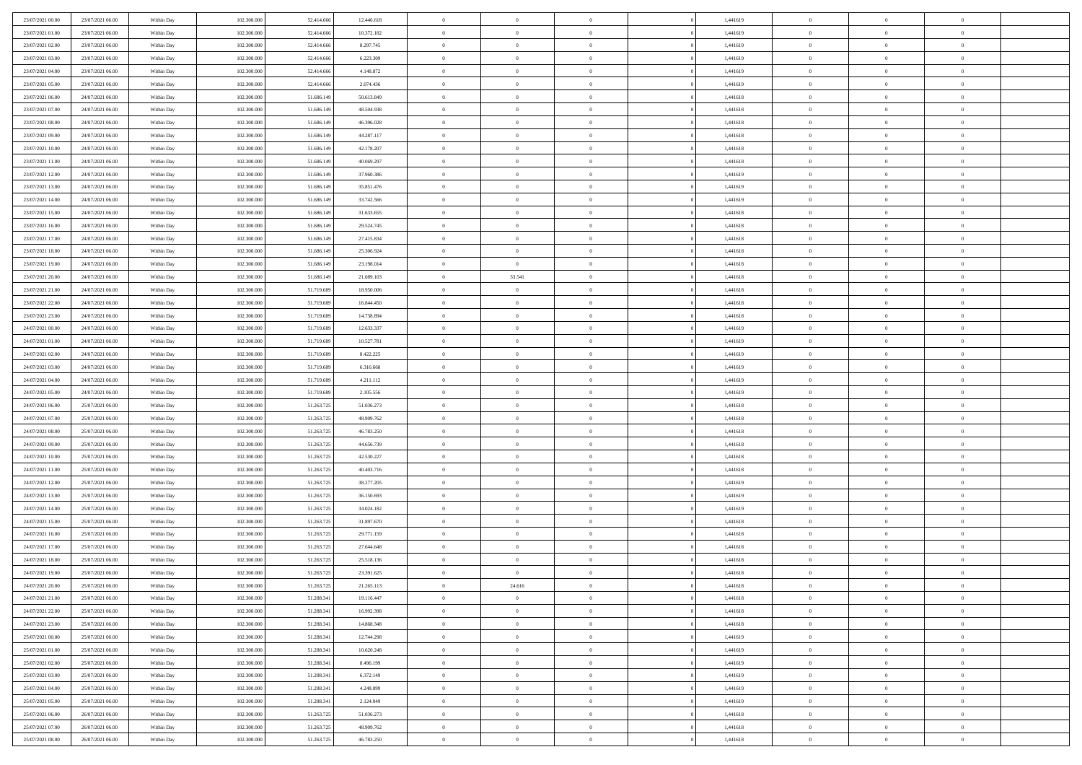| 23/07/2021 00:00 | 23/07/2021 06:00 | Within Day | 102.300,000 | 52.414.666 | 12.446.618 | $\overline{0}$ | $\overline{0}$ | $\Omega$       | 1,441619 | $\bf{0}$       | $\mathbf{0}$   | $\bf{0}$       |  |
|------------------|------------------|------------|-------------|------------|------------|----------------|----------------|----------------|----------|----------------|----------------|----------------|--|
| 23/07/2021 01:00 | 23/07/2021 06:00 | Within Dav | 102.300.000 | 52.414.666 | 10.372.182 | $\mathbf{0}$   | $\overline{0}$ | $\overline{0}$ | 1,441619 | $\overline{0}$ | $\overline{0}$ | $\overline{0}$ |  |
| 23/07/2021 02:00 | 23/07/2021 06:00 | Within Day | 102.300.000 | 52.414.666 | 8.297.745  | $\,$ 0         | $\overline{0}$ | $\bf{0}$       | 1,441619 | $\,$ 0         | $\overline{0}$ | $\,$ 0 $\,$    |  |
| 23/07/2021 03:00 | 23/07/2021 06:00 | Within Day | 102.300,000 | 52.414.666 | 6.223.309  | $\bf{0}$       | $\overline{0}$ | $\Omega$       | 1,441619 | $\bf{0}$       | $\mathbf{0}$   | $\theta$       |  |
| 23/07/2021 04:00 | 23/07/2021 06:00 | Within Day | 102.300.000 | 52.414.666 | 4.148.872  | $\bf{0}$       | $\overline{0}$ | $\overline{0}$ | 1,441619 | $\overline{0}$ | $\overline{0}$ | $\overline{0}$ |  |
| 23/07/2021 05:00 | 23/07/2021 06:00 | Within Day | 102.300.000 | 52.414.666 | 2.074.436  | $\bf{0}$       | $\overline{0}$ | $\bf{0}$       | 1,441619 | $\,$ 0         | $\overline{0}$ | $\,$ 0 $\,$    |  |
| 23/07/2021 06:00 | 24/07/2021 06:00 | Within Day | 102.300,000 | 51.686.149 | 50.613.849 | $\bf{0}$       | $\overline{0}$ | $\overline{0}$ | 1,441618 | $\bf{0}$       | $\overline{0}$ | $\theta$       |  |
| 23/07/2021 07:00 | 24/07/2021 06:00 | Within Day | 102.300.000 | 51.686.149 | 48.504.938 | $\overline{0}$ | $\overline{0}$ | $\overline{0}$ | 1,441618 | $\mathbf{0}$   | $\overline{0}$ | $\overline{0}$ |  |
| 23/07/2021 08:00 | 24/07/2021 06:00 | Within Day | 102.300.000 | 51.686.149 | 46.396.028 | $\bf{0}$       | $\overline{0}$ | $\bf{0}$       | 1,441618 | $\,$ 0         | $\overline{0}$ | $\,$ 0 $\,$    |  |
| 23/07/2021 09:00 | 24/07/2021 06:00 | Within Day | 102.300,000 | 51.686.149 | 44.287.117 | $\overline{0}$ | $\overline{0}$ | $\Omega$       | 1,441618 | $\theta$       | $\mathbf{0}$   | $\theta$       |  |
| 23/07/2021 10:00 | 24/07/2021 06:00 | Within Day | 102.300.000 | 51.686.149 | 42.178.207 | $\bf{0}$       | $\overline{0}$ | $\overline{0}$ | 1,441618 | $\mathbf{0}$   | $\overline{0}$ | $\overline{0}$ |  |
| 23/07/2021 11:00 | 24/07/2021 06:00 | Within Day | 102.300.000 | 51.686.149 | 40.069.297 | $\bf{0}$       | $\overline{0}$ | $\bf{0}$       | 1,441618 | $\,$ 0         | $\overline{0}$ | $\,$ 0 $\,$    |  |
| 23/07/2021 12:00 | 24/07/2021 06:00 | Within Day | 102.300,000 | 51.686.149 | 37,960,386 | $\bf{0}$       | $\overline{0}$ | $\Omega$       | 1,441619 | $\overline{0}$ | $\mathbf{0}$   | $\theta$       |  |
| 23/07/2021 13:00 | 24/07/2021 06:00 | Within Day | 102.300.000 | 51.686.149 | 35.851.476 | $\overline{0}$ | $\overline{0}$ | $\overline{0}$ | 1,441619 | $\mathbf{0}$   | $\overline{0}$ | $\overline{0}$ |  |
| 23/07/2021 14:00 | 24/07/2021 06:00 | Within Day | 102.300.000 | 51.686.149 | 33.742.566 | $\bf{0}$       | $\overline{0}$ | $\bf{0}$       | 1,441619 | $\,$ 0         | $\overline{0}$ | $\,$ 0 $\,$    |  |
| 23/07/2021 15:00 | 24/07/2021 06:00 | Within Day | 102.300,000 | 51.686.149 | 31.633.655 | $\bf{0}$       | $\overline{0}$ | $\overline{0}$ | 1,441618 | $\bf{0}$       | $\overline{0}$ | $\theta$       |  |
| 23/07/2021 16:00 | 24/07/2021 06:00 | Within Day | 102.300.000 | 51.686.149 | 29.524.745 | $\overline{0}$ | $\overline{0}$ | $\overline{0}$ | 1,441618 | $\mathbf{0}$   | $\overline{0}$ | $\overline{0}$ |  |
| 23/07/2021 17:00 | 24/07/2021 06:00 | Within Day | 102.300.000 | 51.686.149 | 27.415.834 | $\bf{0}$       | $\overline{0}$ | $\bf{0}$       | 1,441618 | $\,$ 0         | $\overline{0}$ | $\,0\,$        |  |
| 23/07/2021 18:00 | 24/07/2021 06:00 | Within Day | 102.300,000 | 51.686.149 | 25.306.924 | $\bf{0}$       | $\overline{0}$ | $\Omega$       | 1,441618 | $\theta$       | $\mathbf{0}$   | $\theta$       |  |
| 23/07/2021 19:00 | 24/07/2021 06:00 | Within Day | 102.300.000 | 51.686.149 | 23.198.014 | $\overline{0}$ | $\overline{0}$ | $\overline{0}$ | 1,441618 | $\mathbf{0}$   | $\overline{0}$ | $\overline{0}$ |  |
| 23/07/2021 20:00 | 24/07/2021 06:00 | Within Day | 102.300.000 | 51.686.149 | 21.089.103 | $\bf{0}$       | 33.541         | $\bf{0}$       | 1,441618 | $\,$ 0         | $\overline{0}$ | $\,$ 0 $\,$    |  |
| 23/07/2021 21:00 | 24/07/2021 06:00 | Within Day | 102.300,000 | 51.719.689 | 18.950,006 | $\bf{0}$       | $\overline{0}$ | $\Omega$       | 1,441618 | $\bf{0}$       | $\mathbf{0}$   | $\theta$       |  |
| 23/07/2021 22:00 | 24/07/2021 06:00 | Within Day | 102.300.000 | 51.719.689 | 16.844.450 | $\overline{0}$ | $\overline{0}$ | $\overline{0}$ | 1,441618 | $\mathbf{0}$   | $\overline{0}$ | $\overline{0}$ |  |
| 23/07/2021 23:00 | 24/07/2021 06:00 | Within Day | 102.300.000 | 51.719.689 | 14.738.894 | $\bf{0}$       | $\overline{0}$ | $\bf{0}$       | 1,441618 | $\,$ 0         | $\overline{0}$ | $\,$ 0 $\,$    |  |
| 24/07/2021 00:00 | 24/07/2021 06:00 | Within Day | 102.300,000 | 51.719.689 | 12.633.337 | $\bf{0}$       | $\overline{0}$ | $\overline{0}$ | 1,441619 | $\bf{0}$       | $\overline{0}$ | $\bf{0}$       |  |
| 24/07/2021 01:00 | 24/07/2021 06:00 | Within Day | 102.300.000 | 51.719.689 | 10.527.781 | $\overline{0}$ | $\overline{0}$ | $\overline{0}$ | 1,441619 | $\mathbf{0}$   | $\overline{0}$ | $\overline{0}$ |  |
| 24/07/2021 02:00 | 24/07/2021 06:00 | Within Day | 102.300.000 | 51.719.689 | 8.422.225  | $\bf{0}$       | $\overline{0}$ | $\bf{0}$       | 1,441619 | $\,$ 0         | $\overline{0}$ | $\,$ 0 $\,$    |  |
| 24/07/2021 03:00 | 24/07/2021 06:00 | Within Day | 102.300,000 | 51.719.689 | 6.316.668  | $\bf{0}$       | $\overline{0}$ | $\Omega$       | 1,441619 | $\theta$       | $\mathbf{0}$   | $\theta$       |  |
| 24/07/2021 04:00 | 24/07/2021 06:00 | Within Day | 102.300.000 | 51.719.689 | 4.211.112  | $\overline{0}$ | $\overline{0}$ | $\overline{0}$ | 1,441619 | $\mathbf{0}$   | $\overline{0}$ | $\overline{0}$ |  |
| 24/07/2021 05:00 | 24/07/2021 06:00 | Within Day | 102.300.000 | 51.719.689 | 2.105.556  | $\bf{0}$       | $\overline{0}$ | $\bf{0}$       | 1,441619 | $\,$ 0         | $\overline{0}$ | $\,$ 0 $\,$    |  |
| 24/07/2021 06:00 | 25/07/2021 06:00 | Within Day | 102.300.000 | 51.263.725 | 51.036.273 | $\bf{0}$       | $\bf{0}$       | $\overline{0}$ | 1,441618 | $\bf{0}$       | $\overline{0}$ | $\,0\,$        |  |
| 24/07/2021 07:00 | 25/07/2021 06:00 | Within Day | 102.300.000 | 51.263.725 | 48.909.762 | $\overline{0}$ | $\overline{0}$ | $\overline{0}$ | 1,441618 | $\mathbf{0}$   | $\overline{0}$ | $\overline{0}$ |  |
| 24/07/2021 08:00 | 25/07/2021 06:00 | Within Day | 102.300.000 | 51.263.725 | 46.783.250 | $\bf{0}$       | $\overline{0}$ | $\bf{0}$       | 1,441618 | $\,$ 0         | $\overline{0}$ | $\,$ 0 $\,$    |  |
| 24/07/2021 09:00 | 25/07/2021 06:00 | Within Day | 102.300.000 | 51.263.725 | 44.656.739 | $\bf{0}$       | $\bf{0}$       | $\bf{0}$       | 1,441618 | $\bf{0}$       | $\overline{0}$ | $\,0\,$        |  |
| 24/07/2021 10:00 | 25/07/2021 06:00 | Within Day | 102.300.000 | 51.263.725 | 42.530.227 | $\overline{0}$ | $\overline{0}$ | $\overline{0}$ | 1,441618 | $\overline{0}$ | $\overline{0}$ | $\overline{0}$ |  |
| 24/07/2021 11:00 | 25/07/2021 06:00 | Within Day | 102.300.000 | 51.263.725 | 40.403.716 | $\bf{0}$       | $\overline{0}$ | $\bf{0}$       | 1,441618 | $\,$ 0         | $\overline{0}$ | $\,$ 0 $\,$    |  |
| 24/07/2021 12:00 | 25/07/2021 06:00 | Within Day | 102.300.000 | 51.263.725 | 38.277.205 | $\bf{0}$       | $\bf{0}$       | $\overline{0}$ | 1,441619 | $\bf{0}$       | $\overline{0}$ | $\,0\,$        |  |
| 24/07/2021 13:00 | 25/07/2021 06:00 | Within Day | 102.300.000 | 51.263.725 | 36.150.693 | $\overline{0}$ | $\overline{0}$ | $\overline{0}$ | 1,441619 | $\mathbf{0}$   | $\overline{0}$ | $\overline{0}$ |  |
| 24/07/2021 14:00 | 25/07/2021 06:00 | Within Day | 102.300.000 | 51.263.725 | 34.024.182 | $\bf{0}$       | $\overline{0}$ | $\bf{0}$       | 1,441619 | $\,$ 0         | $\overline{0}$ | $\,$ 0 $\,$    |  |
| 24/07/2021 15:00 | 25/07/2021 06:00 | Within Day | 102.300.000 | 51.263.725 | 31.897.670 | $\bf{0}$       | $\bf{0}$       | $\overline{0}$ | 1,441618 | $\bf{0}$       | $\overline{0}$ | $\,0\,$        |  |
| 24/07/2021 16:00 | 25/07/2021 06:00 | Within Day | 102.300.000 | 51.263.725 | 29.771.159 | $\overline{0}$ | $\overline{0}$ | $\overline{0}$ | 1,441618 | $\overline{0}$ | $\overline{0}$ | $\overline{0}$ |  |
| 24/07/2021 17:00 | 25/07/2021 06:00 | Within Day | 102.300.000 | 51.263.725 | 27.644.648 | $\bf{0}$       | $\overline{0}$ | $\bf{0}$       | 1,441618 | $\,$ 0         | $\overline{0}$ | $\,$ 0 $\,$    |  |
| 24/07/2021 18:00 | 25/07/2021 06:00 | Within Day | 102.300.000 | 51.263.725 | 25.518.136 | $\bf{0}$       | $\bf{0}$       | $\bf{0}$       | 1,441618 | $\bf{0}$       | $\overline{0}$ | $\,0\,$        |  |
| 24/07/2021 19:00 | 25/07/2021 06:00 | Within Day | 102.300.000 | 51.263.725 | 23.391.625 | $\mathbf{0}$   | $\overline{0}$ | $\overline{0}$ | 1,441618 | $\overline{0}$ | $\overline{0}$ | $\overline{0}$ |  |
| 24/07/2021 20:00 | 25/07/2021 06:00 | Within Day | 102.300.000 | 51.263.725 | 21.265.113 | $\bf{0}$       | 24.616         | $\overline{0}$ | 1,441618 | $\overline{0}$ | $\overline{0}$ | $\theta$       |  |
| 24/07/2021 21:00 | 25/07/2021 06:00 | Within Day | 102.300.000 | 51.288.341 | 19.116.447 | $\bf{0}$       | $\bf{0}$       | $\bf{0}$       | 1,441618 | $\bf{0}$       | $\overline{0}$ | $\bf{0}$       |  |
| 24/07/2021 22:00 | 25/07/2021 06:00 | Within Day | 102.300.000 | 51.288.341 | 16.992.398 | $\overline{0}$ | $\overline{0}$ | $\overline{0}$ | 1,441618 | $\overline{0}$ | $\bf{0}$       | $\overline{0}$ |  |
| 24/07/2021 23:00 | 25/07/2021 06:00 | Within Day | 102.300.000 | 51.288.341 | 14.868.348 | $\,$ 0 $\,$    | $\overline{0}$ | $\overline{0}$ | 1,441618 | $\mathbf{0}$   | $\,$ 0 $\,$    | $\,$ 0 $\,$    |  |
| 25/07/2021 00:00 | 25/07/2021 06:00 | Within Day | 102.300.000 | 51.288.341 | 12.744.298 | $\bf{0}$       | $\bf{0}$       | $\overline{0}$ | 1,441619 | $\bf{0}$       | $\overline{0}$ | $\bf{0}$       |  |
| 25/07/2021 01:00 | 25/07/2021 06:00 | Within Day | 102.300.000 | 51.288.341 | 10.620.248 | $\bf{0}$       | $\overline{0}$ | $\overline{0}$ | 1,441619 | $\mathbf{0}$   | $\overline{0}$ | $\overline{0}$ |  |
| 25/07/2021 02:00 | 25/07/2021 06:00 | Within Day | 102.300.000 | 51.288.341 | 8.496.199  | $\,$ 0 $\,$    | $\overline{0}$ | $\overline{0}$ | 1,441619 | $\,$ 0 $\,$    | $\overline{0}$ | $\,$ 0 $\,$    |  |
| 25/07/2021 03:00 | 25/07/2021 06:00 | Within Day | 102.300.000 | 51.288.341 | 6.372.149  | $\bf{0}$       | $\overline{0}$ | $\overline{0}$ | 1,441619 | $\bf{0}$       | $\overline{0}$ | $\overline{0}$ |  |
| 25/07/2021 04:00 | 25/07/2021 06:00 | Within Day | 102.300.000 | 51.288.341 | 4.248.099  | $\overline{0}$ | $\overline{0}$ | $\overline{0}$ | 1,441619 | $\overline{0}$ | $\bf{0}$       | $\overline{0}$ |  |
| 25/07/2021 05:00 | 25/07/2021 06:00 | Within Day | 102.300.000 | 51.288.341 | 2.124.049  | $\,$ 0 $\,$    | $\overline{0}$ | $\overline{0}$ | 1,441619 | $\,$ 0 $\,$    | $\,$ 0 $\,$    | $\,$ 0 $\,$    |  |
| 25/07/2021 06:00 | 26/07/2021 06:00 | Within Day | 102.300.000 | 51.263.725 | 51.036.273 | $\bf{0}$       | $\bf{0}$       | $\overline{0}$ | 1,441618 | $\mathbf{0}$   | $\overline{0}$ | $\bf{0}$       |  |
| 25/07/2021 07:00 | 26/07/2021 06:00 | Within Day | 102.300.000 | 51.263.725 | 48.909.762 | $\bf{0}$       | $\overline{0}$ | $\overline{0}$ | 1,441618 | $\mathbf{0}$   | $\bf{0}$       | $\overline{0}$ |  |
| 25/07/2021 08:00 | 26/07/2021 06:00 | Within Day | 102.300.000 | 51.263.725 | 46.783.250 | $\,0\,$        | $\overline{0}$ | $\overline{0}$ | 1,441618 | $\,$ 0         | $\overline{0}$ | $\,$ 0 $\,$    |  |
|                  |                  |            |             |            |            |                |                |                |          |                |                |                |  |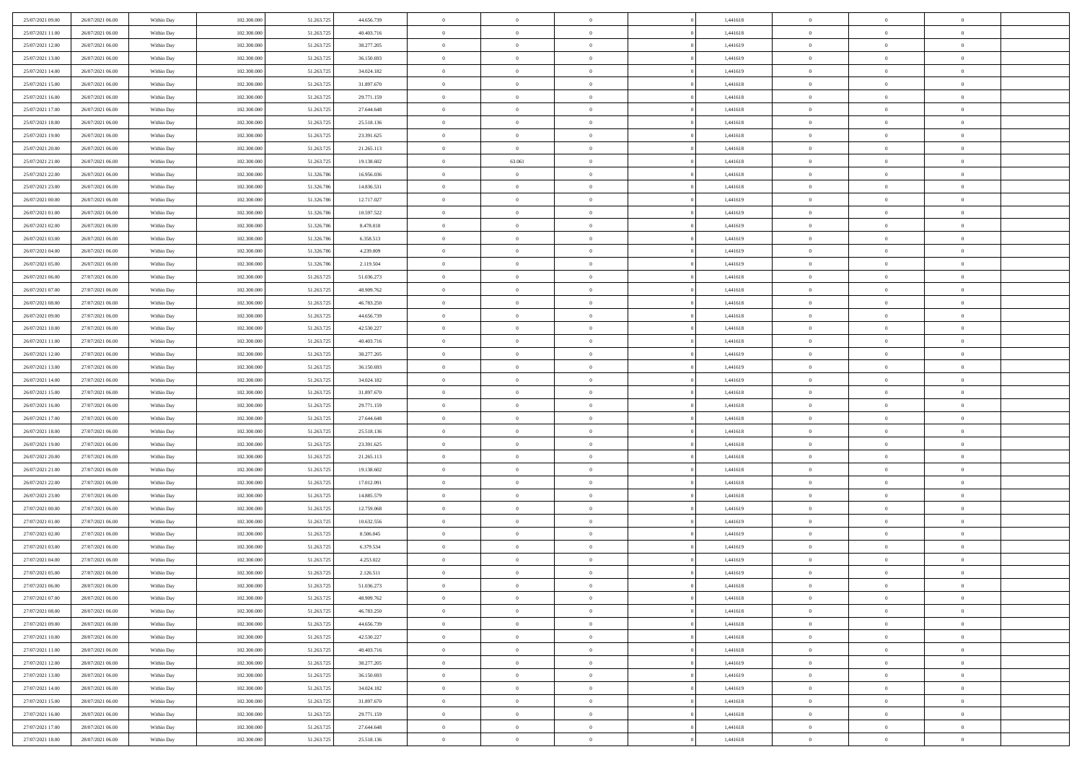| 25/07/2021 09:00 | 26/07/2021 06:00 | Within Day               | 102.300.000 | 51.263.725 | 44.656.739               | $\,$ 0         | $\bf{0}$       | $\theta$                         |          | 1,441618 | $\bf{0}$       | $\overline{0}$                   | $\,0\,$        |  |
|------------------|------------------|--------------------------|-------------|------------|--------------------------|----------------|----------------|----------------------------------|----------|----------|----------------|----------------------------------|----------------|--|
| 25/07/2021 11:00 | 26/07/2021 06:00 | Within Day               | 102.300,000 | 51.263.725 | 40.403.716               | $\overline{0}$ | $\overline{0}$ | $\overline{0}$                   |          | 1,441618 | $\theta$       | $\overline{0}$                   | $\theta$       |  |
| 25/07/2021 12:00 | 26/07/2021 06:00 | Within Dav               | 102.300.000 | 51.263.725 | 38.277.205               | $\mathbf{0}$   | $\overline{0}$ | $\overline{0}$                   |          | 1,441619 | $\mathbf{0}$   | $\overline{0}$                   | $\overline{0}$ |  |
| 25/07/2021 13:00 | 26/07/2021 06:00 | Within Day               | 102.300.000 | 51.263.725 | 36.150.693               | $\bf{0}$       | $\overline{0}$ | $\overline{0}$                   |          | 1,441619 | $\bf{0}$       | $\overline{0}$                   | $\bf{0}$       |  |
| 25/07/2021 14:00 | 26/07/2021 06:00 | Within Day               | 102.300.000 | 51.263.725 | 34.024.182               | $\bf{0}$       | $\bf{0}$       | $\overline{0}$                   |          | 1,441619 | $\bf{0}$       | $\bf{0}$                         | $\,0\,$        |  |
| 25/07/2021 15:00 | 26/07/2021 06:00 | Within Dav               | 102.300.000 | 51.263.725 | 31.897.670               | $\overline{0}$ | $\overline{0}$ | $\overline{0}$                   |          | 1,441618 | $\mathbf{0}$   | $\overline{0}$                   | $\theta$       |  |
| 25/07/2021 16:00 | 26/07/2021 06:00 | Within Day               | 102.300.000 | 51.263.725 | 29.771.159               | $\bf{0}$       | $\bf{0}$       | $\overline{0}$                   |          | 1,441618 | $\bf{0}$       | $\overline{0}$                   | $\,0\,$        |  |
| 25/07/2021 17:00 | 26/07/2021 06:00 | Within Day               | 102.300.000 | 51.263.725 | 27.644.648               | $\overline{0}$ | $\overline{0}$ | $\overline{0}$                   |          | 1,441618 | $\,$ 0 $\,$    | $\overline{0}$                   | $\theta$       |  |
| 25/07/2021 18:00 | 26/07/2021 06:00 | Within Dav               | 102.300.000 | 51.263.725 | 25.518.136               | $\mathbf{0}$   | $\overline{0}$ | $\overline{0}$                   |          | 1,441618 | $\mathbf{0}$   | $\overline{0}$                   | $\overline{0}$ |  |
| 25/07/2021 19:00 | 26/07/2021 06:00 | Within Day               | 102.300.000 | 51.263.725 | 23.391.625               | $\bf{0}$       | $\bf{0}$       | $\overline{0}$                   |          | 1,441618 | $\bf{0}$       | $\overline{0}$                   | $\,0\,$        |  |
| 25/07/2021 20:00 | 26/07/2021 06:00 |                          | 102.300,000 | 51.263.725 |                          | $\bf{0}$       | $\overline{0}$ | $\overline{0}$                   |          | 1,441618 | $\bf{0}$       | $\overline{0}$                   | $\theta$       |  |
| 25/07/2021 21:00 | 26/07/2021 06:00 | Within Day<br>Within Dav | 102.300.000 | 51.263.725 | 21.265.113<br>19.138.602 | $\mathbf{0}$   | 63.061         | $\overline{0}$                   |          | 1,441618 | $\mathbf{0}$   | $\overline{0}$                   | $\overline{0}$ |  |
| 25/07/2021 22.00 | 26/07/2021 06:00 |                          | 102.300.000 | 51.326.786 | 16.956.036               | $\bf{0}$       | $\overline{0}$ | $\bf{0}$                         |          | 1,441618 | $\bf{0}$       | $\overline{0}$                   | $\bf{0}$       |  |
|                  |                  | Within Day               |             | 51.326.786 |                          | $\bf{0}$       | $\overline{0}$ |                                  |          |          | $\bf{0}$       | $\bf{0}$                         | $\,0\,$        |  |
| 25/07/2021 23:00 | 26/07/2021 06:00 | Within Day               | 102.300.000 |            | 14.836.531               | $\overline{0}$ |                | $\overline{0}$                   |          | 1,441618 | $\mathbf{0}$   |                                  | $\overline{0}$ |  |
| 26/07/2021 00:00 | 26/07/2021 06:00 | Within Dav               | 102.300.000 | 51.326.786 | 12.717.027               |                | $\overline{0}$ | $\overline{0}$<br>$\overline{0}$ |          | 1,441619 |                | $\overline{0}$<br>$\overline{0}$ |                |  |
| 26/07/2021 01:00 | 26/07/2021 06:00 | Within Day               | 102.300.000 | 51.326.786 | 10.597.522               | $\bf{0}$       | $\bf{0}$       |                                  |          | 1,441619 | $\bf{0}$       |                                  | $\bf{0}$       |  |
| 26/07/2021 02:00 | 26/07/2021 06:00 | Within Day               | 102.300,000 | 51.326.786 | 8.478.018                | $\bf{0}$       | $\overline{0}$ | $\overline{0}$                   |          | 1,441619 | $\bf{0}$       | $\overline{0}$                   | $\theta$       |  |
| 26/07/2021 03:00 | 26/07/2021 06:00 | Within Day               | 102.300.000 | 51.326.786 | 6.358.513                | $\mathbf{0}$   | $\overline{0}$ | $\overline{0}$                   |          | 1,441619 | $\mathbf{0}$   | $\overline{0}$                   | $\overline{0}$ |  |
| 26/07/2021 04:00 | 26/07/2021 06:00 | Within Day               | 102.300.000 | 51.326.786 | 4.239.009                | $\bf{0}$       | $\bf{0}$       | $\overline{0}$                   |          | 1,441619 | $\bf{0}$       | $\overline{0}$                   | $\,0\,$        |  |
| 26/07/2021 05:00 | 26/07/2021 06:00 | Within Day               | 102.300.000 | 51.326.786 | 2.119.504                | $\bf{0}$       | $\overline{0}$ | $\overline{0}$                   |          | 1,441619 | $\bf{0}$       | $\overline{0}$                   | $\overline{0}$ |  |
| 26/07/2021 06:00 | 27/07/2021 06:00 | Within Dav               | 102.300.000 | 51.263.725 | 51.036.273               | $\overline{0}$ | $\overline{0}$ | $\overline{0}$                   |          | 1,441618 | $\mathbf{0}$   | $\overline{0}$                   | $\overline{0}$ |  |
| 26/07/2021 07:00 | 27/07/2021 06:00 | Within Day               | 102.300.000 | 51.263.725 | 48.909.762               | $\bf{0}$       | $\bf{0}$       | $\overline{0}$                   |          | 1,441618 | $\bf{0}$       | $\overline{0}$                   | $\bf{0}$       |  |
| 26/07/2021 08:00 | 27/07/2021 06:00 | Within Day               | 102.300.000 | 51.263.725 | 46.783.250               | $\bf{0}$       | $\bf{0}$       | $\overline{0}$                   |          | 1,441618 | $\bf{0}$       | $\overline{0}$                   | $\,0\,$        |  |
| 26/07/2021 09:00 | 27/07/2021 06:00 | Within Dav               | 102.300.000 | 51.263.725 | 44,656,739               | $\mathbf{0}$   | $\overline{0}$ | $\overline{0}$                   |          | 1,441618 | $\mathbf{0}$   | $\overline{0}$                   | $\theta$       |  |
| 26/07/2021 10:00 | 27/07/2021 06:00 | Within Day               | 102.300.000 | 51.263.725 | 42.530.227               | $\bf{0}$       | $\bf{0}$       | $\overline{0}$                   |          | 1,441618 | $\bf{0}$       | $\overline{0}$                   | $\,0\,$        |  |
| 26/07/2021 11:00 | 27/07/2021 06:00 | Within Day               | 102.300.000 | 51.263.725 | 40.403.716               | $\overline{0}$ | $\overline{0}$ | $\overline{0}$                   |          | 1,441618 | $\bf{0}$       | $\mathbf{0}$                     | $\overline{0}$ |  |
| 26/07/2021 12:00 | 27/07/2021 06:00 | Within Dav               | 102.300.000 | 51.263.725 | 38.277.205               | $\mathbf{0}$   | $\overline{0}$ | $\overline{0}$                   |          | 1,441619 | $\mathbf{0}$   | $\overline{0}$                   | $\overline{0}$ |  |
| 26/07/2021 13:00 | 27/07/2021 06:00 | Within Day               | 102.300.000 | 51.263.725 | 36.150.693               | $\bf{0}$       | $\bf{0}$       | $\overline{0}$                   |          | 1,441619 | $\bf{0}$       | $\overline{0}$                   | $\,0\,$        |  |
| 26/07/2021 14:00 | 27/07/2021 06:00 | Within Day               | 102.300,000 | 51.263.725 | 34.024.182               | $\bf{0}$       | $\bf{0}$       | $\overline{0}$                   |          | 1,441619 | $\bf{0}$       | $\overline{0}$                   | $\overline{0}$ |  |
| 26/07/2021 15:00 | 27/07/2021 06:00 | Within Dav               | 102.300.000 | 51.263.725 | 31.897.670               | $\mathbf{0}$   | $\overline{0}$ | $\overline{0}$                   |          | 1,441618 | $\mathbf{0}$   | $\overline{0}$                   | $\overline{0}$ |  |
| 26/07/2021 16:00 | 27/07/2021 06:00 | Within Day               | 102.300.000 | 51.263.725 | 29.771.159               | $\bf{0}$       | $\overline{0}$ | $\theta$                         |          | 1,441618 | $\,$ 0         | $\overline{0}$                   | $\theta$       |  |
| 26/07/2021 17:00 | 27/07/2021 06:00 | Within Day               | 102.300.000 | 51.263.725 | 27.644.648               | $\bf{0}$       | $\bf{0}$       | $\overline{0}$                   |          | 1,441618 | $\bf{0}$       | $\overline{0}$                   | $\bf{0}$       |  |
| 26/07/2021 18:00 | 27/07/2021 06:00 | Within Dav               | 102.300.000 | 51.263.725 | 25.518.136               | $\overline{0}$ | $\overline{0}$ | $\overline{0}$                   |          | 1,441618 | $\mathbf{0}$   | $\overline{0}$                   | $\overline{0}$ |  |
| 26/07/2021 19:00 | 27/07/2021 06:00 | Within Day               | 102.300.000 | 51.263.725 | 23.391.625               | $\bf{0}$       | $\overline{0}$ | $\theta$                         |          | 1,441618 | $\,$ 0         | $\overline{0}$                   | $\theta$       |  |
| 26/07/2021 20:00 | 27/07/2021 06:00 | Within Day               | 102.300,000 | 51.263.725 | 21.265.113               | $\bf{0}$       | $\overline{0}$ | $\overline{0}$                   |          | 1,441618 | $\bf{0}$       | $\overline{0}$                   | $\overline{0}$ |  |
| 26/07/2021 21:00 | 27/07/2021 06:00 | Within Day               | 102.300.000 | 51.263.725 | 19.138.602               | $\mathbf{0}$   | $\overline{0}$ | $\overline{0}$                   |          | 1,441618 | $\mathbf{0}$   | $\overline{0}$                   | $\overline{0}$ |  |
| 26/07/2021 22:00 | 27/07/2021 06:00 | Within Day               | 102.300.000 | 51.263.725 | 17.012.091               | $\bf{0}$       | $\overline{0}$ | $\theta$                         |          | 1,441618 | $\,$ 0         | $\overline{0}$                   | $\theta$       |  |
| 26/07/2021 23:00 | 27/07/2021 06:00 | Within Day               | 102.300.000 | 51.263.725 | 14.885.579               | $\bf{0}$       | $\overline{0}$ | $\overline{0}$                   |          | 1,441618 | $\bf{0}$       | $\overline{0}$                   | $\bf{0}$       |  |
| 27/07/2021 00:00 | 27/07/2021 06:00 | Within Dav               | 102.300.000 | 51.263.725 | 12.759.068               | $\mathbf{0}$   | $\overline{0}$ | $\overline{0}$                   |          | 1,441619 | $\mathbf{0}$   | $\overline{0}$                   | $\overline{0}$ |  |
| 27/07/2021 01:00 | 27/07/2021 06:00 | Within Day               | 102.300.000 | 51.263.725 | 10.632.556               | $\,0\,$        | $\overline{0}$ | $\theta$                         |          | 1,441619 | $\,$ 0         | $\overline{0}$                   | $\theta$       |  |
| 27/07/2021 02:00 | 27/07/2021 06:00 | Within Day               | 102.300.000 | 51.263.725 | 8.506.045                | $\bf{0}$       | $\overline{0}$ | $\overline{0}$                   |          | 1,441619 | $\bf{0}$       | $\overline{0}$                   | $\bf{0}$       |  |
| 27/07/2021 03:00 | 27/07/2021 06:00 | Within Dav               | 102.300.000 | 51.263.725 | 6.379.534                | $\mathbf{0}$   | $\overline{0}$ | $\overline{0}$                   |          | 1,441619 | $\mathbf{0}$   | $\overline{0}$                   | $\overline{0}$ |  |
| 27/07/2021 04:00 | 27/07/2021 06:00 | Within Day               | 102.300.000 | 51.263.725 | 4.253.022                | $\bf{0}$       | $\overline{0}$ | $\theta$                         |          | 1,441619 | $\,$ 0         | $\overline{0}$                   | $\theta$       |  |
| 27/07/2021 05:00 | 27/07/2021 06:00 | Within Day               | 102.300,000 | 51.263.725 | 2.126.511                | $\bf{0}$       | $\overline{0}$ | $\overline{0}$                   |          | 1,441619 | $\,$ 0 $\,$    | $\overline{0}$                   | $\bf{0}$       |  |
| 27/07/2021 06:00 | 28/07/2021 06:00 | Within Day               | 102.300.000 | 51.263.725 | 51.036.273               | $\bf{0}$       | $\overline{0}$ | $\Omega$                         |          | 1,441618 | $\overline{0}$ | $\theta$                         | $\theta$       |  |
| 27/07/2021 07:00 | 28/07/2021 06:00 | Within Day               | 102.300.000 | 51.263.725 | 48.909.762               | $\,0\,$        | $\overline{0}$ | $\theta$                         |          | 1,441618 | $\,$ 0 $\,$    | $\bf{0}$                         | $\theta$       |  |
| 27/07/2021 08:00 | 28/07/2021 06:00 | Within Day               | 102.300.000 | 51.263.725 | 46.783.250               | $\overline{0}$ | $\overline{0}$ | $\overline{0}$                   |          | 1,441618 | $\overline{0}$ | $\overline{0}$                   | $\overline{0}$ |  |
| 27/07/2021 09:00 | 28/07/2021 06:00 | Within Day               | 102.300.000 | 51.263.725 | 44.656.739               | $\bf{0}$       | $\overline{0}$ | $\overline{0}$                   |          | 1,441618 | $\overline{0}$ | $\bf{0}$                         | $\mathbf{0}$   |  |
| 27/07/2021 10:00 | 28/07/2021 06:00 | Within Day               | 102.300.000 | 51.263.725 | 42.530.227               | $\bf{0}$       | $\overline{0}$ | $\overline{0}$                   | $\theta$ | 1,441618 | $\,$ 0 $\,$    | $\bf{0}$                         | $\,$ 0 $\,$    |  |
| 27/07/2021 11:00 | 28/07/2021 06:00 | Within Day               | 102.300.000 | 51.263.725 | 40.403.716               | $\bf{0}$       | $\overline{0}$ | $\overline{0}$                   |          | 1,441618 | $\,$ 0 $\,$    | $\overline{0}$                   | $\overline{0}$ |  |
| 27/07/2021 12:00 | 28/07/2021 06:00 | Within Day               | 102.300.000 | 51.263.725 | 38.277.205               | $\bf{0}$       | $\overline{0}$ | $\overline{0}$                   |          | 1,441619 | $\mathbf{0}$   | $\overline{0}$                   | $\overline{0}$ |  |
| 27/07/2021 13:00 | 28/07/2021 06:00 | Within Day               | 102.300.000 | 51.263.725 | 36.150.693               | $\,0\,$        | $\overline{0}$ | $\mathbf{0}$                     | $\theta$ | 1,441619 | $\,$ 0 $\,$    | $\overline{0}$                   | $\overline{0}$ |  |
| 27/07/2021 14:00 | 28/07/2021 06:00 | Within Day               | 102.300.000 | 51.263.725 | 34.024.182               | $\bf{0}$       | $\overline{0}$ | $\overline{0}$                   |          | 1,441619 | $\overline{0}$ | $\overline{0}$                   | $\overline{0}$ |  |
| 27/07/2021 15:00 | 28/07/2021 06:00 | Within Day               | 102.300.000 | 51.263.725 | 31.897.670               | $\bf{0}$       | $\overline{0}$ | $\overline{0}$                   |          | 1,441618 | $\mathbf{0}$   | $\overline{0}$                   | $\overline{0}$ |  |
| 27/07/2021 16:00 | 28/07/2021 06:00 | Within Day               | 102.300.000 | 51.263.725 | 29.771.159               | $\,0\,$        | $\overline{0}$ | $\overline{0}$                   |          | 1,441618 | $\,$ 0 $\,$    | $\mathbf{0}$                     | $\overline{0}$ |  |
| 27/07/2021 17:00 | 28/07/2021 06:00 | Within Day               | 102.300.000 | 51.263.725 | 27.644.648               | $\bf{0}$       | $\bf{0}$       | $\overline{0}$                   |          | 1,441618 | $\bf{0}$       | $\mathbf{0}$                     | $\overline{0}$ |  |
| 27/07/2021 18:00 | 28/07/2021 06:00 | Within Day               | 102.300.000 | 51.263.725 | 25.518.136               | $\overline{0}$ | $\overline{0}$ | $\overline{0}$                   |          | 1,441618 | $\mathbf{0}$   | $\overline{0}$                   | $\overline{0}$ |  |
|                  |                  |                          |             |            |                          |                |                |                                  |          |          |                |                                  |                |  |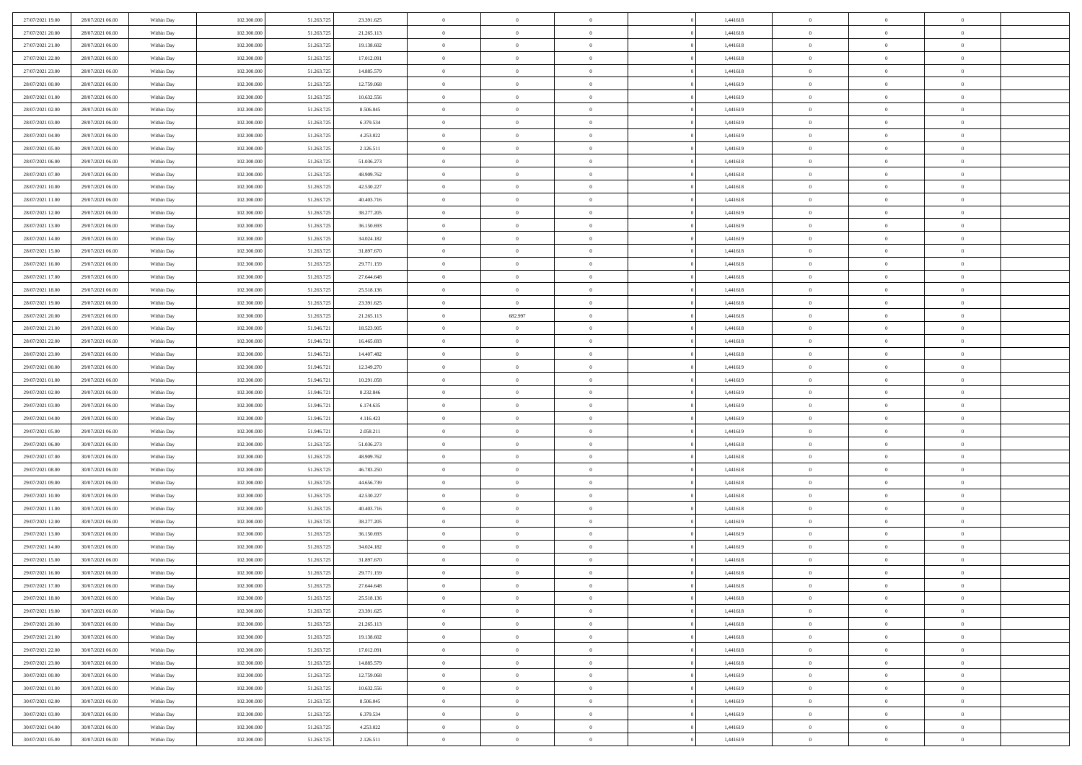| 27/07/2021 19:00 | 28/07/2021 06:00 | Within Day | 102.300,000 | 51.263.725 | 23.391.625 | $\overline{0}$             | $\overline{0}$ | $\Omega$       | 1,441618 | $\bf{0}$                 | $\mathbf{0}$   | $\bf{0}$                  |  |
|------------------|------------------|------------|-------------|------------|------------|----------------------------|----------------|----------------|----------|--------------------------|----------------|---------------------------|--|
| 27/07/2021 20:00 | 28/07/2021 06:00 | Within Dav | 102.300.000 | 51.263.725 | 21.265.113 | $\mathbf{0}$               | $\overline{0}$ | $\overline{0}$ | 1,441618 | $\overline{0}$           | $\overline{0}$ | $\overline{0}$            |  |
| 27/07/2021 21:00 | 28/07/2021 06:00 | Within Day | 102.300.000 | 51.263.725 | 19.138.602 | $\,$ 0                     | $\overline{0}$ | $\bf{0}$       | 1,441618 | $\,$ 0                   | $\overline{0}$ | $\,$ 0 $\,$               |  |
| 27/07/2021 22.00 | 28/07/2021 06:00 | Within Day | 102.300,000 | 51.263.725 | 17.012.091 | $\bf{0}$                   | $\overline{0}$ | $\Omega$       | 1,441618 | $\bf{0}$                 | $\mathbf{0}$   | $\theta$                  |  |
| 27/07/2021 23:00 | 28/07/2021 06:00 | Within Dav | 102.300.000 | 51.263.725 | 14.885.579 | $\bf{0}$                   | $\overline{0}$ | $\overline{0}$ | 1,441618 | $\overline{0}$           | $\overline{0}$ | $\overline{0}$            |  |
| 28/07/2021 00:00 | 28/07/2021 06:00 | Within Day | 102.300.000 | 51.263.725 | 12.759.068 | $\bf{0}$                   | $\overline{0}$ | $\bf{0}$       | 1,441619 | $\,$ 0                   | $\overline{0}$ | $\,$ 0 $\,$               |  |
|                  |                  |            | 102.300,000 |            |            |                            |                | $\Omega$       |          | $\bf{0}$                 | $\overline{0}$ | $\theta$                  |  |
| 28/07/2021 01:00 | 28/07/2021 06:00 | Within Day |             | 51.263.725 | 10.632.556 | $\bf{0}$                   | $\overline{0}$ |                | 1,441619 |                          |                |                           |  |
| 28/07/2021 02:00 | 28/07/2021 06:00 | Within Day | 102.300.000 | 51.263.725 | 8.506.045  | $\overline{0}$             | $\overline{0}$ | $\overline{0}$ | 1,441619 | $\mathbf{0}$             | $\overline{0}$ | $\overline{0}$            |  |
| 28/07/2021 03:00 | 28/07/2021 06:00 | Within Day | 102.300.000 | 51.263.725 | 6.379.534  | $\bf{0}$                   | $\overline{0}$ | $\bf{0}$       | 1,441619 | $\,$ 0                   | $\overline{0}$ | $\,$ 0 $\,$               |  |
| 28/07/2021 04:00 | 28/07/2021 06:00 | Within Day | 102.300,000 | 51.263.725 | 4.253.022  | $\bf{0}$                   | $\overline{0}$ | $\Omega$       | 1,441619 | $\theta$                 | $\mathbf{0}$   | $\theta$                  |  |
| 28/07/2021 05:00 | 28/07/2021 06:00 | Within Day | 102.300.000 | 51.263.725 | 2.126.511  | $\overline{0}$             | $\overline{0}$ | $\overline{0}$ | 1,441619 | $\mathbf{0}$             | $\overline{0}$ | $\overline{0}$            |  |
| 28/07/2021 06:00 | 29/07/2021 06:00 | Within Day | 102.300.000 | 51.263.725 | 51.036.273 | $\bf{0}$                   | $\overline{0}$ | $\bf{0}$       | 1,441618 | $\,$ 0                   | $\overline{0}$ | $\,$ 0 $\,$               |  |
| 28/07/2021 07:00 | 29/07/2021 06:00 | Within Day | 102.300,000 | 51.263.725 | 48.909.762 | $\bf{0}$                   | $\overline{0}$ | $\Omega$       | 1,441618 | $\overline{0}$           | $\mathbf{0}$   | $\theta$                  |  |
| 28/07/2021 10:00 | 29/07/2021 06:00 | Within Day | 102.300.000 | 51.263.725 | 42.530.227 | $\overline{0}$             | $\overline{0}$ | $\overline{0}$ | 1,441618 | $\overline{0}$           | $\overline{0}$ | $\overline{0}$            |  |
| 28/07/2021 11:00 | 29/07/2021 06:00 | Within Day | 102.300.000 | 51.263.725 | 40.403.716 | $\bf{0}$                   | $\overline{0}$ | $\bf{0}$       | 1,441618 | $\,$ 0                   | $\overline{0}$ | $\,$ 0 $\,$               |  |
| 28/07/2021 12:00 | 29/07/2021 06:00 | Within Day | 102.300,000 | 51.263.725 | 38.277.205 | $\bf{0}$                   | $\overline{0}$ | $\overline{0}$ | 1,441619 | $\bf{0}$                 | $\overline{0}$ | $\theta$                  |  |
| 28/07/2021 13:00 | 29/07/2021 06:00 | Within Day | 102.300.000 | 51.263.725 | 36.150.693 | $\overline{0}$             | $\overline{0}$ | $\overline{0}$ | 1,441619 | $\mathbf{0}$             | $\overline{0}$ | $\overline{0}$            |  |
| 28/07/2021 14:00 | 29/07/2021 06:00 | Within Day | 102.300.000 | 51.263.725 | 34.024.182 | $\bf{0}$                   | $\overline{0}$ | $\bf{0}$       | 1,441619 | $\,$ 0                   | $\overline{0}$ | $\,0\,$                   |  |
| 28/07/2021 15:00 | 29/07/2021 06:00 | Within Day | 102.300,000 | 51.263.725 | 31.897.670 | $\bf{0}$                   | $\overline{0}$ | $\Omega$       | 1,441618 | $\theta$                 | $\mathbf{0}$   | $\theta$                  |  |
| 28/07/2021 16:00 | 29/07/2021 06:00 | Within Day | 102.300.000 | 51.263.725 | 29.771.159 | $\overline{0}$             | $\overline{0}$ | $\overline{0}$ | 1,441618 | $\mathbf{0}$             | $\overline{0}$ | $\overline{0}$            |  |
| 28/07/2021 17:00 | 29/07/2021 06:00 | Within Day | 102.300.000 | 51.263.725 | 27.644.648 | $\bf{0}$                   | $\overline{0}$ | $\bf{0}$       | 1,441618 | $\,$ 0                   | $\overline{0}$ | $\,$ 0 $\,$               |  |
| 28/07/2021 18:00 | 29/07/2021 06:00 | Within Day | 102.300,000 | 51.263.725 | 25.518.136 | $\bf{0}$                   | $\overline{0}$ | $\Omega$       | 1,441618 | $\bf{0}$                 | $\theta$       | $\theta$                  |  |
| 28/07/2021 19:00 | 29/07/2021 06:00 | Within Day | 102.300.000 | 51.263.725 | 23.391.625 | $\overline{0}$             | $\overline{0}$ | $\overline{0}$ | 1,441618 | $\mathbf{0}$             | $\overline{0}$ | $\overline{0}$            |  |
| 28/07/2021 20:00 | 29/07/2021 06:00 | Within Day | 102.300.000 | 51.263.725 | 21.265.113 | $\bf{0}$                   | 682.997        | $\bf{0}$       | 1,441618 | $\,$ 0                   | $\overline{0}$ | $\,$ 0 $\,$               |  |
| 28/07/2021 21:00 | 29/07/2021 06:00 | Within Day | 102.300,000 | 51.946.721 | 18.523.905 | $\bf{0}$                   | $\overline{0}$ | $\overline{0}$ | 1,441618 | $\bf{0}$                 | $\overline{0}$ | $\bf{0}$                  |  |
| 28/07/2021 22:00 | 29/07/2021 06:00 | Within Day | 102.300.000 | 51.946.721 | 16.465.693 | $\overline{0}$             | $\overline{0}$ | $\overline{0}$ | 1,441618 | $\mathbf{0}$             | $\overline{0}$ | $\overline{0}$            |  |
| 28/07/2021 23:00 | 29/07/2021 06:00 | Within Day | 102.300.000 | 51.946.721 | 14.407.482 | $\bf{0}$                   | $\overline{0}$ | $\bf{0}$       | 1,441618 | $\,$ 0                   | $\overline{0}$ | $\,$ 0 $\,$               |  |
| 29/07/2021 00:00 | 29/07/2021 06:00 | Within Day | 102.300,000 | 51.946.721 | 12.349.270 | $\bf{0}$                   | $\overline{0}$ | $\Omega$       | 1,441619 | $\theta$                 | $\mathbf{0}$   | $\theta$                  |  |
| 29/07/2021 01:00 | 29/07/2021 06:00 | Within Day | 102.300.000 | 51.946.721 | 10.291.058 | $\overline{0}$             | $\overline{0}$ | $\overline{0}$ | 1,441619 | $\mathbf{0}$             | $\overline{0}$ | $\overline{0}$            |  |
|                  |                  |            |             |            |            | $\bf{0}$                   |                |                |          | $\,$ 0                   | $\overline{0}$ | $\,$ 0 $\,$               |  |
| 29/07/2021 02:00 | 29/07/2021 06:00 | Within Day | 102.300.000 | 51.946.721 | 8.232.846  |                            | $\overline{0}$ | $\bf{0}$       | 1,441619 |                          |                |                           |  |
| 29/07/2021 03:00 | 29/07/2021 06:00 | Within Day | 102.300.000 | 51.946.721 | 6.174.635  | $\bf{0}$<br>$\overline{0}$ | $\bf{0}$       | $\overline{0}$ | 1,441619 | $\bf{0}$<br>$\mathbf{0}$ | $\overline{0}$ | $\,0\,$<br>$\overline{0}$ |  |
| 29/07/2021 04:00 | 29/07/2021 06:00 | Within Day | 102.300.000 | 51.946.721 | 4.116.423  |                            | $\overline{0}$ | $\overline{0}$ | 1,441619 |                          | $\overline{0}$ |                           |  |
| 29/07/2021 05:00 | 29/07/2021 06:00 | Within Day | 102.300.000 | 51.946.721 | 2.058.211  | $\bf{0}$                   | $\overline{0}$ | $\bf{0}$       | 1,441619 | $\,$ 0                   | $\overline{0}$ | $\,$ 0 $\,$               |  |
| 29/07/2021 06:00 | 30/07/2021 06:00 | Within Day | 102.300.000 | 51.263.725 | 51.036.273 | $\bf{0}$                   | $\bf{0}$       | $\bf{0}$       | 1,441618 | $\bf{0}$                 | $\overline{0}$ | $\,0\,$                   |  |
| 29/07/2021 07:00 | 30/07/2021 06:00 | Within Day | 102.300.000 | 51.263.725 | 48.909.762 | $\overline{0}$             | $\overline{0}$ | $\overline{0}$ | 1,441618 | $\overline{0}$           | $\overline{0}$ | $\overline{0}$            |  |
| 29/07/2021 08:00 | 30/07/2021 06:00 | Within Day | 102.300.000 | 51.263.725 | 46.783.250 | $\bf{0}$                   | $\overline{0}$ | $\bf{0}$       | 1,441618 | $\,$ 0                   | $\overline{0}$ | $\,$ 0 $\,$               |  |
| 29/07/2021 09:00 | 30/07/2021 06:00 | Within Day | 102.300.000 | 51.263.725 | 44.656.739 | $\bf{0}$                   | $\bf{0}$       | $\overline{0}$ | 1,441618 | $\bf{0}$                 | $\overline{0}$ | $\,0\,$                   |  |
| 29/07/2021 10:00 | 30/07/2021 06:00 | Within Day | 102.300.000 | 51.263.725 | 42.530.227 | $\overline{0}$             | $\overline{0}$ | $\overline{0}$ | 1,441618 | $\mathbf{0}$             | $\overline{0}$ | $\overline{0}$            |  |
| 29/07/2021 11:00 | 30/07/2021 06:00 | Within Day | 102.300.000 | 51.263.725 | 40.403.716 | $\bf{0}$                   | $\overline{0}$ | $\bf{0}$       | 1,441618 | $\,$ 0                   | $\overline{0}$ | $\,$ 0 $\,$               |  |
| 29/07/2021 12:00 | 30/07/2021 06:00 | Within Day | 102.300.000 | 51.263.725 | 38.277.205 | $\bf{0}$                   | $\bf{0}$       | $\overline{0}$ | 1,441619 | $\bf{0}$                 | $\overline{0}$ | $\,0\,$                   |  |
| 29/07/2021 13:00 | 30/07/2021 06:00 | Within Day | 102.300.000 | 51.263.725 | 36.150.693 | $\overline{0}$             | $\overline{0}$ | $\overline{0}$ | 1,441619 | $\overline{0}$           | $\overline{0}$ | $\overline{0}$            |  |
| 29/07/2021 14:00 | 30/07/2021 06:00 | Within Day | 102.300.000 | 51.263.725 | 34.024.182 | $\bf{0}$                   | $\overline{0}$ | $\bf{0}$       | 1,441619 | $\,$ 0                   | $\overline{0}$ | $\,$ 0 $\,$               |  |
| 29/07/2021 15:00 | 30/07/2021 06:00 | Within Day | 102.300.000 | 51.263.725 | 31.897.670 | $\bf{0}$                   | $\bf{0}$       | $\bf{0}$       | 1,441618 | $\bf{0}$                 | $\overline{0}$ | $\,0\,$                   |  |
| 29/07/2021 16:00 | 30/07/2021 06:00 | Within Dav | 102.300.000 | 51.263.725 | 29.771.159 | $\mathbf{0}$               | $\overline{0}$ | $\overline{0}$ | 1,441618 | $\mathbf{0}$             | $\overline{0}$ | $\overline{0}$            |  |
| 29/07/2021 17:00 | 30/07/2021 06:00 | Within Day | 102.300.000 | 51.263.725 | 27.644.648 | $\bf{0}$                   | $\overline{0}$ | $\overline{0}$ | 1,441618 | $\overline{0}$           | $\overline{0}$ | $\theta$                  |  |
| 29/07/2021 18:00 | 30/07/2021 06:00 | Within Day | 102.300.000 | 51.263.725 | 25.518.136 | $\bf{0}$                   | $\bf{0}$       | $\bf{0}$       | 1,441618 | $\bf{0}$                 | $\overline{0}$ | $\,0\,$                   |  |
| 29/07/2021 19:00 | 30/07/2021 06:00 | Within Day | 102.300.000 | 51.263.725 | 23.391.625 | $\overline{0}$             | $\overline{0}$ | $\overline{0}$ | 1,441618 | $\overline{0}$           | $\bf{0}$       | $\overline{0}$            |  |
| 29/07/2021 20:00 | 30/07/2021 06:00 | Within Day | 102.300.000 | 51.263.725 | 21.265.113 | $\,$ 0 $\,$                | $\overline{0}$ | $\overline{0}$ | 1,441618 | $\mathbf{0}$             | $\overline{0}$ | $\,$ 0 $\,$               |  |
| 29/07/2021 21:00 | 30/07/2021 06:00 | Within Day | 102.300.000 | 51.263.725 | 19.138.602 | $\bf{0}$                   | $\bf{0}$       | $\overline{0}$ | 1,441618 | $\bf{0}$                 | $\overline{0}$ | $\bf{0}$                  |  |
| 29/07/2021 22:00 | 30/07/2021 06:00 | Within Day | 102.300.000 | 51.263.725 | 17.012.091 | $\bf{0}$                   | $\overline{0}$ | $\overline{0}$ | 1,441618 | $\mathbf{0}$             | $\overline{0}$ | $\overline{0}$            |  |
| 29/07/2021 23:00 | 30/07/2021 06:00 | Within Day | 102.300.000 | 51.263.725 | 14.885.579 | $\,$ 0 $\,$                | $\overline{0}$ | $\overline{0}$ | 1,441618 | $\,$ 0 $\,$              | $\overline{0}$ | $\,$ 0 $\,$               |  |
| 30/07/2021 00:00 | 30/07/2021 06:00 | Within Day | 102.300.000 | 51.263.725 | 12.759.068 | $\bf{0}$                   | $\overline{0}$ | $\overline{0}$ | 1,441619 | $\bf{0}$                 | $\overline{0}$ | $\overline{0}$            |  |
| 30/07/2021 01:00 | 30/07/2021 06:00 | Within Day | 102.300.000 | 51.263.725 | 10.632.556 | $\overline{0}$             | $\overline{0}$ | $\overline{0}$ | 1,441619 | $\overline{0}$           | $\bf{0}$       | $\overline{0}$            |  |
| 30/07/2021 02:00 | 30/07/2021 06:00 | Within Day | 102.300.000 | 51.263.725 | 8.506.045  | $\,$ 0 $\,$                | $\overline{0}$ | $\overline{0}$ | 1,441619 | $\,$ 0 $\,$              | $\overline{0}$ | $\,$ 0 $\,$               |  |
| 30/07/2021 03:00 | 30/07/2021 06:00 | Within Day | 102.300.000 | 51.263.725 | 6.379.534  | $\bf{0}$                   | $\bf{0}$       | $\overline{0}$ | 1,441619 | $\mathbf{0}$             | $\overline{0}$ | $\bf{0}$                  |  |
| 30/07/2021 04:00 | 30/07/2021 06:00 | Within Day | 102.300.000 | 51.263.725 | 4.253.022  | $\bf{0}$                   | $\overline{0}$ | $\overline{0}$ | 1,441619 | $\mathbf{0}$             | $\bf{0}$       | $\overline{0}$            |  |
| 30/07/2021 05:00 | 30/07/2021 06:00 | Within Day | 102.300.000 | 51.263.725 | 2.126.511  | $\,0\,$                    | $\overline{0}$ | $\overline{0}$ | 1,441619 | $\,$ 0                   | $\overline{0}$ | $\,$ 0 $\,$               |  |
|                  |                  |            |             |            |            |                            |                |                |          |                          |                |                           |  |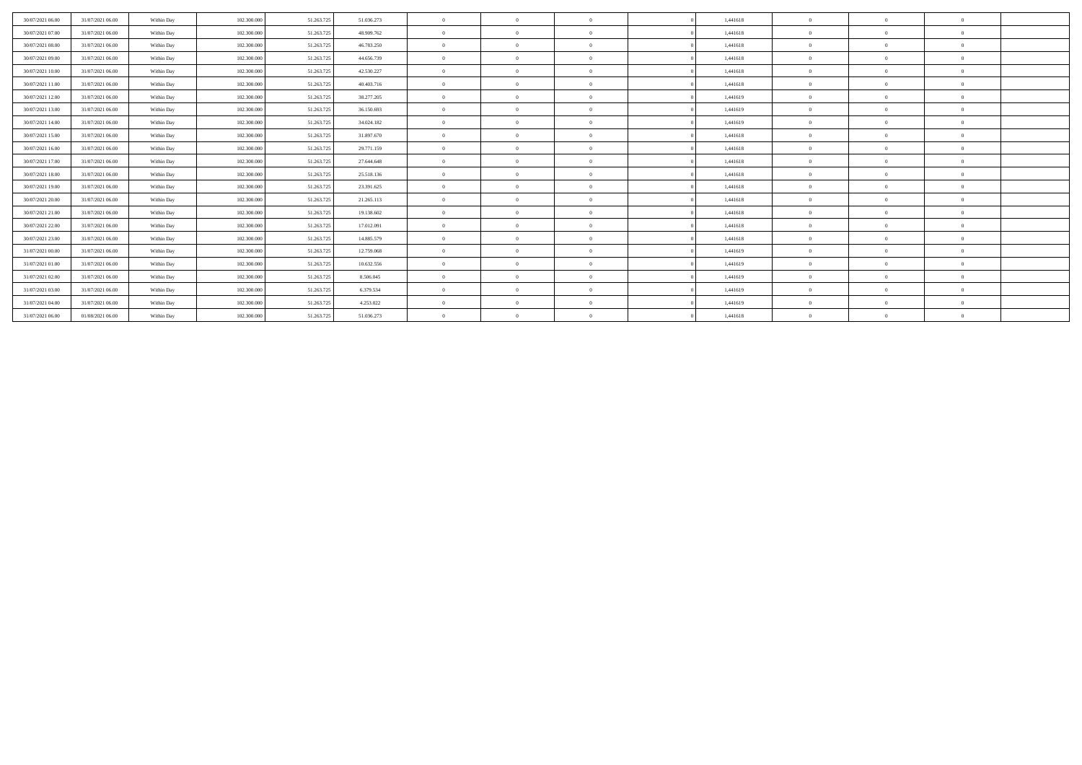| 30/07/2021 06:00 | 31/07/2021 06:00 | Within Day | 102,300,000 | 51.263.725 | 51.036.273 | $\Omega$       | $\Omega$       | $\Omega$ | 1.441618 | $\Omega$     | $\Omega$ | $\Omega$       |  |
|------------------|------------------|------------|-------------|------------|------------|----------------|----------------|----------|----------|--------------|----------|----------------|--|
| 30/07/2021 07:00 | 31/07/2021 06:00 | Within Day | 102.300.000 | 51.263.725 | 48,909,762 | $\Omega$       | $\Omega$       | $\Omega$ | 1.441618 | $\Omega$     | $\Omega$ | $\Omega$       |  |
| 30/07/2021 08:00 | 31/07/2021 06:00 | Within Day | 102.300,000 | 51.263.725 | 46.783.250 | $\Omega$       | $\Omega$       | $\Omega$ | 1.441618 | $\Omega$     | $\Omega$ | $\Omega$       |  |
| 30/07/2021 09:00 | 31/07/2021 06:00 | Within Day | 102.300.000 | 51.263.725 | 44.656.739 | $\Omega$       | $\Omega$       | $\Omega$ | 1,441618 | $\Omega$     | $\Omega$ | $\Omega$       |  |
| 30/07/2021 10:00 | 31/07/2021 06:00 | Within Day | 102.300,000 | 51.263.725 | 42.530.227 | $\Omega$       | $\Omega$       | $\Omega$ | 1.441618 | $\Omega$     | $\Omega$ | $\Omega$       |  |
| 30/07/2021 11:00 | 31/07/2021 06:00 | Within Day | 102.300.000 | 51.263.725 | 40,403,716 | $\Omega$       | $\Omega$       | $\Omega$ | 1.441618 | $\Omega$     | $\Omega$ | $\Omega$       |  |
| 30/07/2021 12:00 | 31/07/2021 06:00 | Within Day | 102.300.000 | 51.263.725 | 38.277.205 | $\Omega$       | $\Omega$       | $\Omega$ | 1,441619 |              | $\Omega$ | $\Omega$       |  |
| 30/07/2021 13:00 | 31/07/2021 06:00 | Within Day | 102.300.000 | 51.263.725 | 36.150.693 | $\Omega$       | $\Omega$       | $\Omega$ | 1.441619 | $\Omega$     | $\Omega$ | $\Omega$       |  |
| 30/07/2021 14:00 | 31/07/2021 06:00 | Within Day | 102.300.000 | 51.263.725 | 34.024.182 | $\Omega$       | $\Omega$       | $\Omega$ | 1.441619 | $\Omega$     | $\Omega$ | $\Omega$       |  |
| 30/07/2021 15:00 | 31/07/2021 06:00 | Within Day | 102.300,000 | 51.263.725 | 31,897,670 | $\Omega$       | $\Omega$       | $\Omega$ | 1.441618 | $\Omega$     | $\Omega$ | $\Omega$       |  |
| 30/07/2021 16:00 | 31/07/2021 06:00 | Within Day | 102.300.000 | 51.263.725 | 29.771.159 | $\Omega$       | $\Omega$       | $\theta$ | 1,441618 | $\Omega$     | $\Omega$ | $\Omega$       |  |
| 30/07/2021 17:00 | 31/07/2021 06:00 | Within Day | 102.300,000 | 51.263.725 | 27.644.648 |                | $\Omega$       | $\Omega$ | 1.441618 | $\Omega$     | $\Omega$ | $\Omega$       |  |
| 30/07/2021 18:00 | 31/07/2021 06:00 | Within Day | 102.300.000 | 51.263.725 | 25.518.136 | $\Omega$       | $\Omega$       | $\Omega$ | 1,441618 | $\Omega$     | $\Omega$ | $\Omega$       |  |
| 30/07/2021 19:00 | 31/07/2021 06:00 | Within Day | 102.300,000 | 51.263.725 | 23.391.625 | $\Omega$       | $\Omega$       | $\Omega$ | 1.441618 | $\Omega$     | $\Omega$ | $\Omega$       |  |
| 30/07/2021 20:00 | 31/07/2021 06:00 | Within Day | 102.300.000 | 51.263.725 | 21.265.113 | $\overline{0}$ | $\overline{0}$ | $\theta$ | 1,441618 | $\mathbf{0}$ | $\theta$ | $\overline{0}$ |  |
| 30/07/2021 21:00 | 31/07/2021 06:00 | Within Day | 102.300,000 | 51.263.725 | 19.138.602 | $\Omega$       | $\Omega$       | $\theta$ | 1.441618 | $\Omega$     | $\Omega$ | $\Omega$       |  |
| 30/07/2021 22.00 | 31/07/2021 06:00 | Within Day | 102.300.000 | 51.263.725 | 17.012.091 | $\Omega$       | $\Omega$       | $\Omega$ | 1,441618 | $\Omega$     | $\Omega$ | $\Omega$       |  |
| 30/07/2021 23:00 | 31/07/2021 06:00 | Within Day | 102,300,000 | 51.263.725 | 14.885.579 | $\Omega$       | $\Omega$       | $\Omega$ | 1.441618 | $\Omega$     | $\Omega$ | $\Omega$       |  |
| 31/07/2021 00:00 | 31/07/2021 06:00 | Within Day | 102.300.000 | 51.263.725 | 12.759.068 | $\Omega$       | $\Omega$       | $\Omega$ | 1,441619 | $\Omega$     | $\Omega$ | $\Omega$       |  |
| 31/07/2021 01:00 | 31/07/2021 06:00 | Within Day | 102.300,000 | 51.263.725 | 10.632.556 | $\Omega$       | $\Omega$       | $\Omega$ | 1.441619 | $\Omega$     | $\Omega$ | $\Omega$       |  |
| 31/07/2021 02:00 | 31/07/2021 06:00 | Within Day | 102.300.000 | 51.263.725 | 8.506.045  | $\Omega$       | $\Omega$       | $\Omega$ | 1,441619 | $\Omega$     | $\Omega$ | $\Omega$       |  |
| 31/07/2021 03:00 | 31/07/2021 06:00 | Within Day | 102.300.000 | 51.263.725 | 6.379.534  | $\Omega$       | $\Omega$       | $\Omega$ | 1,441619 | $\Omega$     | $\Omega$ | $\Omega$       |  |
| 31/07/2021 04:00 | 31/07/2021 06:00 | Within Day | 102.300.000 | 51.263.725 | 4.253.022  | $\Omega$       | $\Omega$       | $\Omega$ | 1,441619 | $\Omega$     | - 0      | $\Omega$       |  |
| 31/07/2021 06:00 | 01/08/2021 06:00 | Within Day | 102.300.000 | 51.263.725 | 51.036.273 | $\Omega$       | $\Omega$       | $\Omega$ | 1,441618 | $\Omega$     | $\Omega$ | $\Omega$       |  |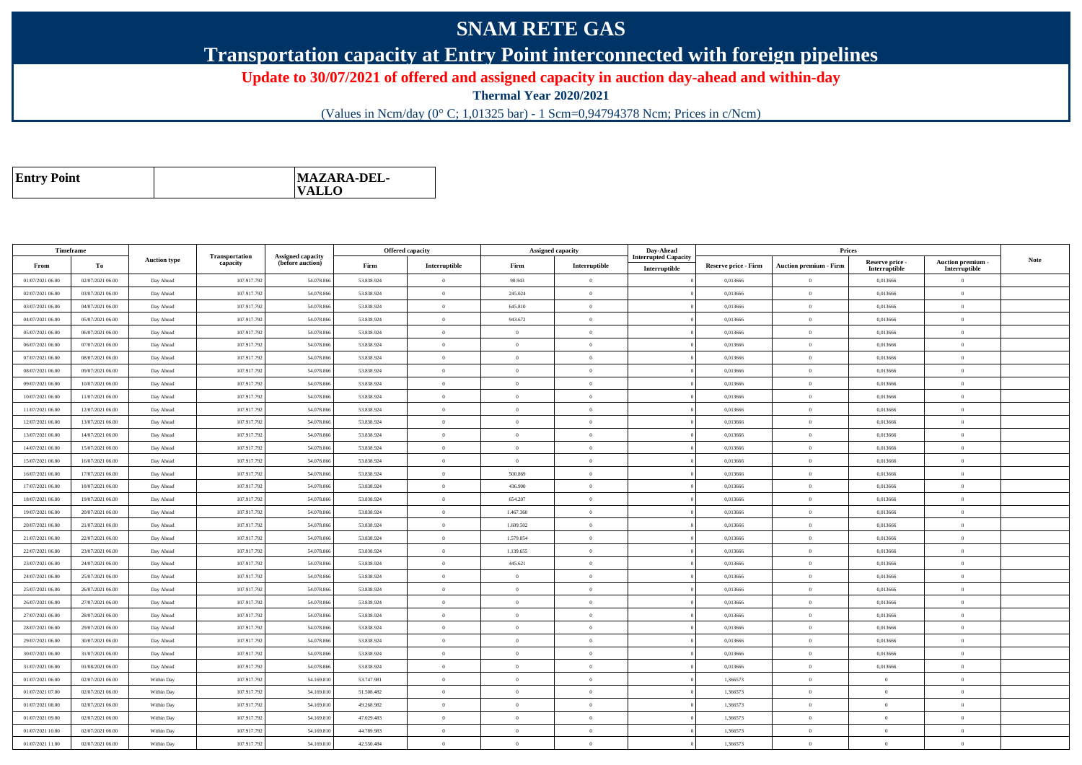## **SNAM RETE GAS**

**Transportation capacity at Entry Point interconnected with foreign pipelines**

**Update to 30/07/2021 of offered and assigned capacity in auction day-ahead and within-day**

**Thermal Year 2020/2021**

(Values in Ncm/day (0° C; 1,01325 bar) - 1 Scm=0,94794378 Ncm; Prices in c/Ncm)

| <b>Entry Point</b> | MAZARA-DEL-<br><b>VALLO</b> |
|--------------------|-----------------------------|
|--------------------|-----------------------------|

| Timeframe        |                  |                     |                            |                                              |            | <b>Offered capacity</b> |                | <b>Assigned capacity</b> | Day-Ahead                   |                             | Prices                        |                           |                                  |             |
|------------------|------------------|---------------------|----------------------------|----------------------------------------------|------------|-------------------------|----------------|--------------------------|-----------------------------|-----------------------------|-------------------------------|---------------------------|----------------------------------|-------------|
| From             | To               | <b>Auction type</b> | Transportation<br>capacity | <b>Assigned capacity</b><br>(before auction) | Firm       | Interruptible           | Firm           | Interruptible            | <b>Interrupted Capacity</b> | <b>Reserve price - Firm</b> | <b>Auction premium - Firm</b> | Reserve price -           | Auction premium -                | <b>Note</b> |
| 01/07/2021 06:00 | 02/07/2021 06:00 | Day Ahead           | 107.917.792                | 54.078.866                                   | 53.838.924 | $\theta$                | 90.943         | $\theta$                 | Interruptible               | 0,013666                    | $\Omega$                      | Interruptible<br>0,013666 | Interruptible<br>$\overline{0}$  |             |
| 02/07/2021 06:00 | 03/07/2021 06:00 | Day Ahead           | 107.917.792                | 54.078.86                                    | 53.838.924 | $\theta$                | 245.024        | $\Omega$                 |                             | 0,013666                    | $\theta$                      | 0,013666                  | $\theta$                         |             |
|                  | 04/07/2021 06:00 |                     | 107.917.792                | 54.078.866                                   | 53.838.924 | $\overline{0}$          | 645.810        | $\mathbf{0}$             |                             | 0,013666                    | $\bf{0}$                      |                           | $\overline{0}$                   |             |
| 03/07/2021 06:00 |                  | Day Ahead           |                            |                                              |            |                         |                | $\Omega$                 |                             |                             |                               | 0,013666                  |                                  |             |
| 04/07/2021 06:00 | 05/07/2021 06:00 | Day Ahead           | 107.917.792                | 54.078.866                                   | 53.838.924 | $\overline{0}$          | 943.672        | $\theta$                 |                             | 0.013666                    | $\bf{0}$                      | 0.013666                  | $\overline{0}$<br>$\overline{0}$ |             |
| 05/07/2021 06:00 | 06/07/2021 06:00 | Day Ahead           | 107.917.792                | 54.078.866                                   | 53.838.924 | $\overline{0}$          | $\Omega$       |                          |                             | 0,013666                    | $\hspace{0.1mm}$ 0            | 0,013666                  |                                  |             |
| 06/07/2021 06:00 | 07/07/2021 06:00 | Day Ahead           | 107.917.792                | 54.078.866                                   | 53.838.924 | $\theta$                | $\Omega$       | $\Omega$                 |                             | 0.013666                    | $\theta$                      | 0.013666                  | $\overline{0}$                   |             |
| 07/07/2021 06:00 | 08/07/2021 06:00 | Day Ahead           | 107.917.792                | 54.078.86                                    | 53.838.924 | $\theta$                | $\theta$       | $\overline{0}$           |                             | 0,013666                    | $\overline{0}$                | 0,013666                  | $\overline{0}$                   |             |
| 08/07/2021 06:00 | 09/07/2021 06:00 | Day Ahead           | 107.917.792                | 54.078.866                                   | 53.838.924 | $\overline{0}$          | $\overline{0}$ | $\theta$                 |                             | 0.013666                    | $\overline{0}$                | 0.013666                  | $\overline{0}$                   |             |
| 09/07/2021 06:00 | 10/07/2021 06:00 | Day Ahead           | 107.917.792                | 54.078.866                                   | 53.838.924 | $\overline{0}$          | $\Omega$       | $\theta$                 |                             | 0,013666                    | $\overline{0}$                | 0,013666                  | $\overline{0}$                   |             |
| 10/07/2021 06:00 | 11/07/2021 06:00 | Day Ahead           | 107.917.792                | 54.078.866                                   | 53.838.924 | $\overline{0}$          | $\Omega$       | $\Omega$                 |                             | 0.013666                    | $\theta$                      | 0.013666                  | $\overline{0}$                   |             |
| 11/07/2021 06:00 | 12/07/2021 06:00 | Day Ahead           | 107.917.792                | 54.078.86                                    | 53.838.924 | $\theta$                | $\Omega$       | $\Omega$                 |                             | 0,013666                    | $\theta$                      | 0,013666                  | $\theta$                         |             |
| 12/07/2021 06:00 | 13/07/2021 06:00 | Day Ahead           | 107.917.792                | 54,078,866                                   | 53.838.924 | $\overline{0}$          | $\theta$       | $\Omega$                 |                             | 0.013666                    | $\overline{0}$                | 0.013666                  | $\overline{0}$                   |             |
| 13/07/2021 06:00 | 14/07/2021 06:00 | Day Ahead           | 107.917.792                | 54.078.866                                   | 53.838.924 | $\overline{0}$          | $\Omega$       | $\theta$                 |                             | 0,013666                    | $\overline{0}$                | 0,013666                  | $\theta$                         |             |
| 14/07/2021 06:00 | 15/07/2021 06:00 | Day Ahead           | 107.917.792                | 54.078.866                                   | 53.838.924 | $\overline{0}$          | $\overline{0}$ | $\theta$                 |                             | 0.013666                    | $\bf{0}$                      | 0,013666                  | $\overline{0}$                   |             |
| 15/07/2021 06:00 | 16/07/2021 06:00 | Day Ahead           | 107.917.792                | 54.078.866                                   | 53.838.924 | $\theta$                | $\Omega$       | $\mathbf{0}$             |                             | 0,013666                    | $\overline{0}$                | 0,013666                  | $\theta$                         |             |
| 16/07/2021 06:00 | 17/07/2021 06:00 | Day Ahead           | 107.917.792                | 54.078.866                                   | 53.838.924 | $\overline{0}$          | 500.869        | $\theta$                 |                             | 0,013666                    | $\,$ 0 $\,$                   | 0,013666                  | $\overline{0}$                   |             |
| 17/07/2021 06:00 | 18/07/2021 06:00 | Day Ahead           | 107.917.792                | 54.078.866                                   | 53.838.924 | $\overline{0}$          | 436,900        | $\Omega$                 |                             | 0.013666                    | $\theta$                      | 0.013666                  | $\overline{0}$                   |             |
| 18/07/2021 06:00 | 19/07/2021 06:00 | Day Ahead           | 107.917.792                | 54.078.866                                   | 53.838.924 | $\overline{0}$          | 654.207        | $\theta$                 |                             | 0,013666                    | $\overline{0}$                | 0,013666                  | $\overline{0}$                   |             |
| 19/07/2021 06:00 | 20/07/2021 06:00 | Day Ahead           | 107.917.792                | 54.078.866                                   | 53.838.924 | $\theta$                | 1.467.360      | $\theta$                 |                             | 0.013666                    | $\theta$                      | 0.013666                  | $\overline{0}$                   |             |
| 20/07/2021 06:00 | 21/07/2021 06:00 | Day Ahead           | 107.917.792                | 54.078.86                                    | 53.838.924 | $\overline{0}$          | 1.609.502      | $\overline{0}$           |                             | 0,013666                    | $\theta$                      | 0,013666                  | $\overline{0}$                   |             |
| 21/07/2021 06:00 | 22/07/2021 06:00 | Day Ahead           | 107.917.792                | 54,078,866                                   | 53.838.924 | $\overline{0}$          | 1.579.054      | $\Omega$                 |                             | 0.013666                    | $\bf{0}$                      | 0.013666                  | $\overline{0}$                   |             |
| 22/07/2021 06:00 | 23/07/2021 06:00 | Day Ahead           | 107.917.792                | 54.078.866                                   | 53.838.924 | $\overline{0}$          | 1.139.655      | $\theta$                 |                             | 0,013666                    | $\overline{0}$                | 0,013666                  | $\overline{0}$                   |             |
| 23/07/2021 06:00 | 24/07/2021 06:00 | Day Ahead           | 107.917.792                | 54.078.866                                   | 53.838.924 | $\overline{0}$          | 445.621        | $\Omega$                 |                             | 0.013666                    | $\bf{0}$                      | 0.013666                  | $\overline{0}$                   |             |
| 24/07/2021 06:00 | 25/07/2021 06:00 | Day Ahead           | 107.917.792                | 54.078.86                                    | 53.838.924 | $\theta$                | $\theta$       | $\overline{0}$           |                             | 0,013666                    | $\overline{0}$                | 0,013666                  | $\overline{0}$                   |             |
| 25/07/2021 06:00 | 26/07/2021 06:00 | Day Ahead           | 107.917.792                | 54.078.866                                   | 53.838.924 | $\overline{0}$          | $\overline{0}$ | $\theta$                 |                             | 0.013666                    | $\overline{0}$                | 0,013666                  | $\overline{0}$                   |             |
| 26/07/2021 06:00 | 27/07/2021 06:00 | Day Ahead           | 107.917.792                | 54.078.866                                   | 53.838.924 | $\overline{0}$          | $\Omega$       | $\theta$                 |                             | 0,013666                    | $\overline{0}$                | 0,013666                  | $\overline{0}$                   |             |
| 27/07/2021 06:00 | 28/07/2021 06:00 | Day Ahead           | 107.917.792                | 54.078.866                                   | 53.838.924 | $\overline{0}$          | $\theta$       | $\Omega$                 |                             | 0.013666                    | $\theta$                      | 0.013666                  | $\overline{0}$                   |             |
| 28/07/2021 06:00 | 29/07/2021 06:00 | Day Ahead           | 107.917.792                | 54.078.86                                    | 53.838.924 | $\theta$                | $\Omega$       | $\theta$                 |                             | 0,013666                    | $\theta$                      | 0,013666                  | $\theta$                         |             |
| 29/07/2021 06:00 | 30/07/2021 06:00 | Day Ahead           | 107.917.792                | 54.078.866                                   | 53.838.924 | $\overline{0}$          | $\overline{0}$ | $\mathbf{0}$             |                             | 0,013666                    | $\bf{0}$                      | 0,013666                  | $\overline{0}$                   |             |
| 30/07/2021 06:00 | 31/07/2021 06:00 | Day Ahead           | 107.917.792                | 54.078.866                                   | 53.838.924 | $\overline{0}$          | $\overline{0}$ | $\theta$                 |                             | 0,013666                    | $\bf{0}$                      | 0,013666                  | $\overline{0}$                   |             |
| 31/07/2021 06:00 | 01/08/2021 06:00 | Day Ahead           | 107.917.792                | 54.078.866                                   | 53.838.924 | $\overline{0}$          | $\overline{0}$ | $\theta$                 |                             | 0,013666                    | $\,$ 0 $\,$                   | 0,013666                  | $\overline{0}$                   |             |
| 01/07/2021 06:00 | 02/07/2021 06:00 | Within Day          | 107.917.792                | 54.169.810                                   | 53,747.981 | $\overline{0}$          | $\theta$       | $\Omega$                 |                             | 1,366573                    | $\overline{0}$                | $\theta$                  | $\overline{0}$                   |             |
| 01/07/2021 07:00 | 02/07/2021 06:00 | Within Day          | 107.917.792                | 54.169.810                                   | 51.508.482 | $\overline{0}$          | $\overline{0}$ | $\mathbf{0}$             |                             | 1,366573                    | $\overline{0}$                | $\overline{0}$            | $\overline{0}$                   |             |
| 01/07/2021 08:00 | 02/07/2021 06:00 | Within Day          | 107.917.792                | 54.169.810                                   | 49.268.982 | $\overline{0}$          | $\overline{0}$ | $\Omega$                 |                             | 1.366573                    | $\overline{0}$                | $\theta$                  | $\overline{0}$                   |             |
| 01/07/2021 09:00 | 02/07/2021 06:00 | Within Day          | 107.917.792                | 54.169.810                                   | 47.029.483 | $\overline{0}$          | $\Omega$       | $\overline{0}$           |                             | 1,366573                    | $\theta$                      | $\overline{0}$            | $\overline{0}$                   |             |
| 01/07/2021 10:00 | 02/07/2021 06:00 | Within Day          | 107.917.792                | 54.169.810                                   | 44.789.983 | $\theta$                | $\Omega$       | $\Omega$                 |                             | 1.366573                    | $\theta$                      | $\Omega$                  | $\overline{0}$                   |             |
| 01/07/2021 11:00 | 02/07/2021 06:00 | Within Day          | 107.917.792                | 54.169.81                                    | 42.550.484 | $\overline{0}$          | $\theta$       | $\overline{0}$           |                             | 1,366573                    | $\theta$                      | $\overline{0}$            | $\overline{0}$                   |             |
|                  |                  |                     |                            |                                              |            |                         |                |                          |                             |                             |                               |                           |                                  |             |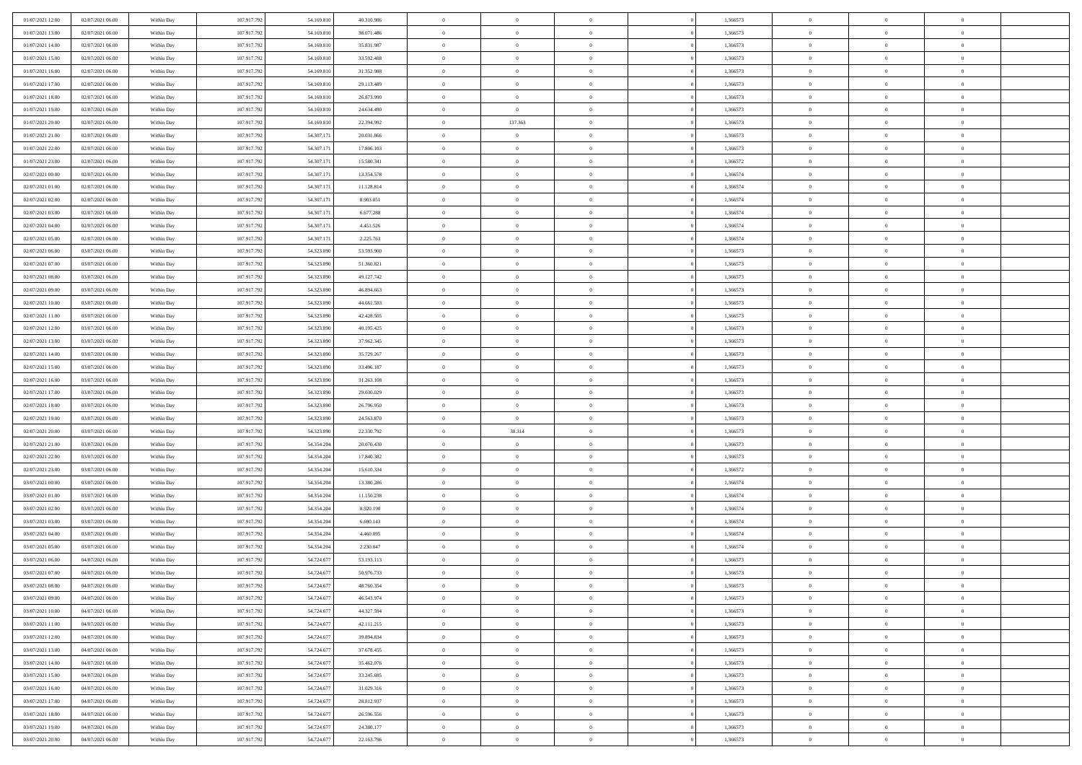| 01/07/2021 12:00                     | 02/07/2021 06:00                     | Within Day               | 107.917.792                | 54.169.810               | 40.310.986               | $\,0\,$                          | $\overline{0}$                   | $\overline{0}$                   | 1,366573             | $\,$ 0 $\,$                    | $\overline{0}$             | $\bf{0}$                         |  |
|--------------------------------------|--------------------------------------|--------------------------|----------------------------|--------------------------|--------------------------|----------------------------------|----------------------------------|----------------------------------|----------------------|--------------------------------|----------------------------|----------------------------------|--|
| 01/07/2021 13:00                     | 02/07/2021 06:00                     | Within Day               | 107.917.792                | 54.169.810               | 38.071.486               | $\overline{0}$                   | $\overline{0}$                   | $\overline{0}$                   | 1,366573             | $\theta$                       | $\overline{0}$             | $\theta$                         |  |
| 01/07/2021 14:00                     | 02/07/2021 06:00                     | Within Day               | 107.917.792                | 54.169.810               | 35.831.987               | $\mathbf{0}$                     | $\overline{0}$                   | $\overline{0}$                   | 1,366573             | $\theta$                       | $\overline{0}$             | $\overline{0}$                   |  |
| 01/07/2021 15:00                     | 02/07/2021 06:00                     | Within Day               | 107.917.792                | 54.169.810               | 33.592.488               | $\bf{0}$                         | $\overline{0}$                   | $\bf{0}$                         | 1,366573             | $\bf{0}$                       | $\overline{0}$             | $\bf{0}$                         |  |
| 01/07/2021 16:00                     | 02/07/2021 06:00                     | Within Day               | 107.917.792                | 54.169.810               | 31.352.988               | $\bf{0}$                         | $\overline{0}$                   | $\overline{0}$                   | 1,366573             | $\bf{0}$                       | $\bf{0}$                   | $\bf{0}$                         |  |
| 01/07/2021 17:00                     | 02/07/2021 06:00                     | Within Day               | 107.917.792                | 54.169.810               | 29.113.489               | $\mathbf{0}$                     | $\overline{0}$                   | $\overline{0}$                   | 1,366573             | $\theta$                       | $\overline{0}$             | $\theta$                         |  |
| 01/07/2021 18:00                     | 02/07/2021 06:00                     | Within Day               | 107.917.792                | 54.169.810               | 26.873.990               | $\mathbf{0}$                     | $\overline{0}$                   | $\overline{0}$                   | 1,366573             | $\bf{0}$                       | $\overline{0}$             | $\theta$                         |  |
| 01/07/2021 19:00                     | 02/07/2021 06:00                     | Within Day               | 107.917.792                | 54.169.81                | 24.634.490               | $\overline{0}$                   | $\overline{0}$                   | $\overline{0}$                   | 1,366573             | $\,$ 0 $\,$                    | $\overline{0}$             | $\theta$                         |  |
| 01/07/2021 20:00                     | 02/07/2021 06:00                     | Within Day               | 107.917.792                | 54.169.810               | 22.394.992               | $\overline{0}$                   | 137.363                          | $\overline{0}$                   | 1,366573             | $\theta$                       | $\overline{0}$             | $\overline{0}$                   |  |
| 01/07/2021 21:00                     | 02/07/2021 06:00                     | Within Day               | 107.917.792                | 54.307.17                | 20.031.866               | $\bf{0}$                         | $\overline{0}$                   | $\bf{0}$                         | 1,366573             | $\bf{0}$                       | $\overline{0}$             | $\bf{0}$                         |  |
| 01/07/2021 22:00                     | 02/07/2021 06:00                     | Within Day               | 107.917.792                | 54.307.17                | 17.806.103               | $\bf{0}$                         | $\overline{0}$                   | $\overline{0}$                   | 1,366573             | $\bf{0}$                       | $\theta$                   | $\theta$                         |  |
| 01/07/2021 23:00                     | 02/07/2021 06:00                     | Within Day               | 107.917.792                | 54.307.171               | 15.580.341               | $\mathbf{0}$                     | $\overline{0}$                   | $\overline{0}$                   | 1,366572             | $\theta$                       | $\overline{0}$             | $\overline{0}$                   |  |
| 02/07/2021 00:00                     | 02/07/2021 06:00                     | Within Day               | 107.917.792                | 54.307.17                | 13.354.578               | $\,0\,$                          | $\overline{0}$                   | $\bf{0}$                         | 1,366574             | $\bf{0}$                       | $\overline{0}$             | $\bf{0}$                         |  |
| 02/07/2021 01:00                     | 02/07/2021 06:00                     | Within Day               | 107.917.792                | 54.307.17                | 11.128.814               | $\bf{0}$                         | $\overline{0}$                   | $\overline{0}$                   | 1,366574             | $\,$ 0 $\,$                    | $\overline{0}$             | $\theta$                         |  |
| 02/07/2021 02:00                     | 02/07/2021 06:00                     | Within Day               | 107.917.792                | 54.307.17                | 8.903.051                | $\mathbf{0}$                     | $\overline{0}$                   | $\overline{0}$                   | 1,366574             | $\theta$                       | $\overline{0}$             | $\overline{0}$                   |  |
| 02/07/2021 03:00                     | 02/07/2021 06:00                     | Within Day               | 107.917.792                | 54.307.17                | 6.677.288                | $\,0\,$                          | $\overline{0}$                   | $\overline{0}$                   | 1,366574             | $\bf{0}$                       | $\overline{0}$             | $\bf{0}$                         |  |
| 02/07/2021 04:00                     | 02/07/2021 06:00                     | Within Day               | 107.917.792                | 54.307.17                | 4.451.526                | $\bf{0}$                         | $\overline{0}$                   | $\overline{0}$                   | 1,366574             | $\bf{0}$                       | $\mathbf{0}$               | $\overline{0}$                   |  |
| 02/07/2021 05:00                     | 02/07/2021 06:00                     | Within Day               | 107.917.792                | 54.307.171               | 2.225.763                | $\mathbf{0}$                     | $\overline{0}$                   | $\overline{0}$                   | 1,366574             | $\theta$                       | $\overline{0}$             | $\overline{0}$                   |  |
| 02/07/2021 06:00                     | 03/07/2021 06:00                     | Within Day               | 107.917.792                | 54.323.890               | 53.593.900               | $\bf{0}$                         | $\overline{0}$                   | $\bf{0}$                         | 1,366573             | $\bf{0}$                       | $\overline{0}$             | $\bf{0}$                         |  |
| 02/07/2021 07:00                     | 03/07/2021 06:00                     | Within Day               | 107.917.792                | 54.323.890               | 51.360.821               | $\bf{0}$                         | $\overline{0}$                   | $\overline{0}$                   | 1,366573             | $\bf{0}$                       | $\overline{0}$             | $\bf{0}$                         |  |
| 02/07/2021 08:00                     | 03/07/2021 06:00                     | Within Day               | 107.917.792                | 54.323.890               | 49.127.742               | $\mathbf{0}$                     | $\overline{0}$                   | $\overline{0}$                   | 1,366573             | $\theta$                       | $\bf{0}$                   | $\overline{0}$                   |  |
| 02/07/2021 09:00                     | 03/07/2021 06:00                     | Within Day               | 107.917.792                | 54.323.890               | 46.894.663               | $\mathbf{0}$                     | $\theta$                         | $\overline{0}$                   | 1,366573             | $\bf{0}$                       | $\overline{0}$             | $\theta$                         |  |
| 02/07/2021 10:00                     | 03/07/2021 06:00                     | Within Day               | 107.917.792                | 54.323.890               | 44.661.583               | $\overline{0}$                   | $\overline{0}$                   | $\overline{0}$                   | 1,366573             | $\bf{0}$                       | $\overline{0}$             | $\overline{0}$                   |  |
| 02/07/2021 11:00                     | 03/07/2021 06:00                     | Within Day               | 107.917.792                | 54.323.890               | 42.428.505               | $\mathbf{0}$                     | $\overline{0}$                   | $\overline{0}$                   | 1,366573             | $\theta$                       | $\overline{0}$             | $\overline{0}$                   |  |
| 02/07/2021 12:00                     | 03/07/2021 06:00                     | Within Day               | 107.917.792                | 54.323.890               | 40.195.425               | $\bf{0}$                         | $\overline{0}$                   | $\overline{0}$                   | 1,366573             | $\bf{0}$                       | $\overline{0}$             | $\bf{0}$                         |  |
| 02/07/2021 13:00                     | 03/07/2021 06:00                     | Within Day               | 107.917.792                | 54.323.890               | 37.962.345               | $\bf{0}$                         | $\overline{0}$                   | $\overline{0}$                   | 1,366573             | $\bf{0}$                       | $\overline{0}$             | $\bf{0}$                         |  |
| 02/07/2021 14:00                     | 03/07/2021 06:00                     | Within Day               | 107.917.792                | 54.323.890               | 35.729.267               | $\mathbf{0}$                     | $\overline{0}$                   | $\overline{0}$                   | 1,366573             | $\theta$                       | $\overline{0}$             | $\overline{0}$                   |  |
| 02/07/2021 15:00                     | 03/07/2021 06:00                     | Within Day               | 107.917.792                | 54.323.890               | 33.496.187               | $\,0\,$                          | $\overline{0}$                   | $\overline{0}$                   | 1,366573             | $\bf{0}$                       | $\overline{0}$             | $\bf{0}$                         |  |
| 02/07/2021 16:00                     | 03/07/2021 06:00                     | Within Day               | 107.917.792                | 54.323.890               | 31.263.108               | $\overline{0}$                   | $\overline{0}$                   | $\overline{0}$                   | 1,366573             | $\,$ 0 $\,$                    | $\overline{0}$             | $\overline{0}$                   |  |
| 02/07/2021 17:00                     | 03/07/2021 06:00                     | Within Day               | 107.917.792                | 54.323.890               | 29.030.029               | $\mathbf{0}$                     | $\overline{0}$                   | $\overline{0}$                   | 1,366573             | $\theta$                       | $\overline{0}$             | $\overline{0}$                   |  |
| 02/07/2021 18:00                     | 03/07/2021 06:00                     | Within Day               | 107.917.792                | 54.323.890               | 26.796.950               | $\mathbf{0}$                     | $\overline{0}$                   | $\overline{0}$                   | 1,366573             | $\,$ 0 $\,$                    | $\overline{0}$             | $\theta$                         |  |
| 02/07/2021 19:00                     | 03/07/2021 06:00                     | Within Day               | 107.917.792                | 54.323.890               | 24.563.870               | $\bf{0}$                         | $\overline{0}$                   | $\overline{0}$                   | 1,366573             | $\bf{0}$                       | $\mathbf{0}$               | $\bf{0}$                         |  |
| 02/07/2021 20:00                     | 03/07/2021 06:00                     | Within Day               | 107.917.792                | 54.323.890               | 22.330.792               | $\mathbf{0}$                     | 30.314                           | $\overline{0}$                   | 1,366573             | $\theta$                       | $\overline{0}$             | $\overline{0}$                   |  |
| 02/07/2021 21:00                     | 03/07/2021 06:00                     | Within Day               | 107.917.792                | 54.354.204               | 20.070.430               | $\,$ 0 $\,$                      | $\overline{0}$                   | $\overline{0}$                   | 1,366573             | $\,$ 0 $\,$                    | $\overline{0}$             | $\theta$                         |  |
| 02/07/2021 22:00                     | 03/07/2021 06:00                     | Within Day               | 107.917.792                | 54.354.204               | 17.840.382               | $\overline{0}$                   | $\overline{0}$                   | $\overline{0}$                   | 1,366573             | $\bf{0}$                       | $\overline{0}$             | $\bf{0}$                         |  |
| 02/07/2021 23:00                     | 03/07/2021 06:00                     | Within Day               | 107.917.792                | 54.354.204               | 15.610.334               | $\mathbf{0}$                     | $\overline{0}$                   | $\overline{0}$                   | 1,366572             | $\theta$                       | $\overline{0}$             | $\theta$                         |  |
| 03/07/2021 00:00                     | 03/07/2021 06:00                     | Within Day               | 107.917.792                | 54.354.204               | 13.380.286               | $\mathbf{0}$                     | $\overline{0}$                   | $\theta$                         | 1,366574             | $\,$ 0 $\,$                    | $\overline{0}$             | $\theta$                         |  |
| 03/07/2021 01:00                     | 03/07/2021 06:00                     | Within Day               | 107.917.792                | 54.354.204               | 11.150.238               | $\bf{0}$                         | $\overline{0}$                   | $\overline{0}$                   | 1,366574             | $\bf{0}$                       | $\overline{0}$             | $\overline{0}$                   |  |
| 03/07/2021 02:00                     | 03/07/2021 06:00                     | Within Day               | 107.917.792                | 54.354.204               | 8.920.190                | $\mathbf{0}$                     | $\overline{0}$                   | $\overline{0}$                   | 1,366574             | $\theta$                       | $\overline{0}$             | $\overline{0}$                   |  |
| 03/07/2021 03:00                     | 03/07/2021 06:00                     | Within Day               | 107.917.792                | 54.354.204               | 6.690.143                | $\mathbf{0}$                     | $\overline{0}$                   | $\bf{0}$                         | 1,366574             | $\,$ 0 $\,$                    | $\overline{0}$             | $\theta$                         |  |
| 03/07/2021 04:00                     | 03/07/2021 06:00                     | Within Day               | 107.917.792                | 54.354.204               | 4.460.095                | $\bf{0}$                         | $\overline{0}$                   | $\overline{0}$                   | 1,366574             | $\bf{0}$                       | $\overline{0}$             | $\bf{0}$                         |  |
| 03/07/2021 05:00                     | 03/07/2021 06:00                     | Within Day               | 107.917.792                | 54.354.204               | 2.230.047                | $\mathbf{0}$                     | $\overline{0}$                   | $\overline{0}$                   | 1,366574             | $\theta$                       | $\overline{0}$             | $\overline{0}$                   |  |
| 03/07/2021 06:00                     | 04/07/2021 06:00                     | Within Day               | 107.917.792                | 54.724.677               | 53.193.113               | $\mathbf{0}$                     | $\overline{0}$                   | $\overline{0}$                   | 1,366573             | $\,$ 0 $\,$                    | $\overline{0}$             | $\theta$                         |  |
| 03/07/2021 07:00<br>03/07/2021 08:00 | 04/07/2021 06:00<br>04/07/2021 06:00 | Within Day               | 107.917.792                | 54.724.677<br>54.724.677 | 50.976.733<br>48.760.354 | $\bf{0}$                         | $\overline{0}$                   | $\overline{0}$                   | 1,366573<br>1,366573 | $\,$ 0 $\,$<br>$\overline{0}$  | $\overline{0}$             | $\bf{0}$                         |  |
|                                      |                                      | Within Day               | 107.917.792                |                          |                          | $\bf{0}$                         | $\overline{0}$                   | $\Omega$                         |                      |                                | $^{\circ}$                 | $\theta$<br>$\theta$             |  |
| 03/07/2021 09:00                     | 04/07/2021 06:00                     | Within Day               | 107.917.792                | 54.724.677               | 46.543.974               | $\,$ 0 $\,$                      | $\overline{0}$                   | $\overline{0}$                   | 1,366573             | $\,$ 0 $\,$                    | $\bf{0}$<br>$\overline{0}$ |                                  |  |
| 03/07/2021 10:00<br>03/07/2021 11:00 | 04/07/2021 06:00<br>04/07/2021 06:00 | Within Day<br>Within Day | 107.917.792<br>107.917.792 | 54.724.677<br>54.724.677 | 44.327.594<br>42.111.215 | $\bf{0}$<br>$\mathbf{0}$         | $\overline{0}$<br>$\overline{0}$ | $\overline{0}$<br>$\overline{0}$ | 1,366573<br>1,366573 | $\overline{0}$<br>$\mathbf{0}$ | $\overline{0}$             | $\overline{0}$<br>$\overline{0}$ |  |
|                                      |                                      |                          |                            |                          |                          |                                  |                                  |                                  |                      |                                |                            | $\overline{0}$                   |  |
| 03/07/2021 12:00                     | 04/07/2021 06:00<br>04/07/2021 06:00 | Within Day               | 107.917.792<br>107.917.792 | 54.724.677<br>54.724.677 | 39.894.834<br>37.678.455 | $\,$ 0<br>$\hspace{0.1mm}\bm{0}$ | $\overline{0}$<br>$\overline{0}$ | $\overline{0}$                   | 1,366573<br>1,366573 | $\,$ 0 $\,$<br>$\,$ 0 $\,$     | $\bf{0}$<br>$\overline{0}$ | $\overline{0}$                   |  |
| 03/07/2021 13:00<br>03/07/2021 14:00 | 04/07/2021 06:00                     | Within Day<br>Within Day | 107.917.792                | 54.724.677               | 35.462.076               | $\mathbf{0}$                     | $\overline{0}$                   | $\overline{0}$<br>$\overline{0}$ | 1,366573             | $\overline{0}$                 | $\overline{0}$             | $\overline{0}$                   |  |
| 03/07/2021 15:00                     | 04/07/2021 06:00                     | Within Day               | 107.917.792                | 54.724.677               | 33.245.695               | $\,$ 0 $\,$                      | $\overline{0}$                   | $\overline{0}$                   | 1,366573             | $\,$ 0 $\,$                    | $\bf{0}$                   | $\overline{0}$                   |  |
| 03/07/2021 16:00                     | 04/07/2021 06:00                     | Within Day               | 107.917.792                | 54.724.677               | 31.029.316               | $\overline{0}$                   | $\overline{0}$                   | $\overline{0}$                   | 1,366573             | $\overline{0}$                 | $\overline{0}$             | $\overline{0}$                   |  |
| 03/07/2021 17:00                     | 04/07/2021 06:00                     | Within Day               | 107.917.792                | 54.724.677               | 28.812.937               | $\mathbf{0}$                     | $\overline{0}$                   | $\overline{0}$                   | 1,366573             | $\mathbf{0}$                   | $\overline{0}$             | $\overline{0}$                   |  |
| 03/07/2021 18:00                     | 04/07/2021 06:00                     | Within Day               | 107.917.792                | 54.724.677               | 26.596.556               | $\,$ 0 $\,$                      | $\overline{0}$                   | $\overline{0}$                   | 1,366573             | $\,$ 0 $\,$                    | $\bf{0}$                   | $\,$ 0 $\,$                      |  |
| 03/07/2021 19:00                     | 04/07/2021 06:00                     | Within Day               | 107.917.792                | 54.724.677               | 24.380.177               | $\bf{0}$                         | $\overline{0}$                   | $\overline{0}$                   | 1,366573             | $\,$ 0 $\,$                    | $\mathbf{0}$               | $\bf{0}$                         |  |
| 03/07/2021 20:00                     | 04/07/2021 06:00                     | Within Day               | 107.917.792                | 54.724.677               | 22.163.796               | $\overline{0}$                   | $\overline{0}$                   | $\overline{0}$                   | 1,366573             | $\overline{0}$                 | $\overline{0}$             | $\overline{0}$                   |  |
|                                      |                                      |                          |                            |                          |                          |                                  |                                  |                                  |                      |                                |                            |                                  |  |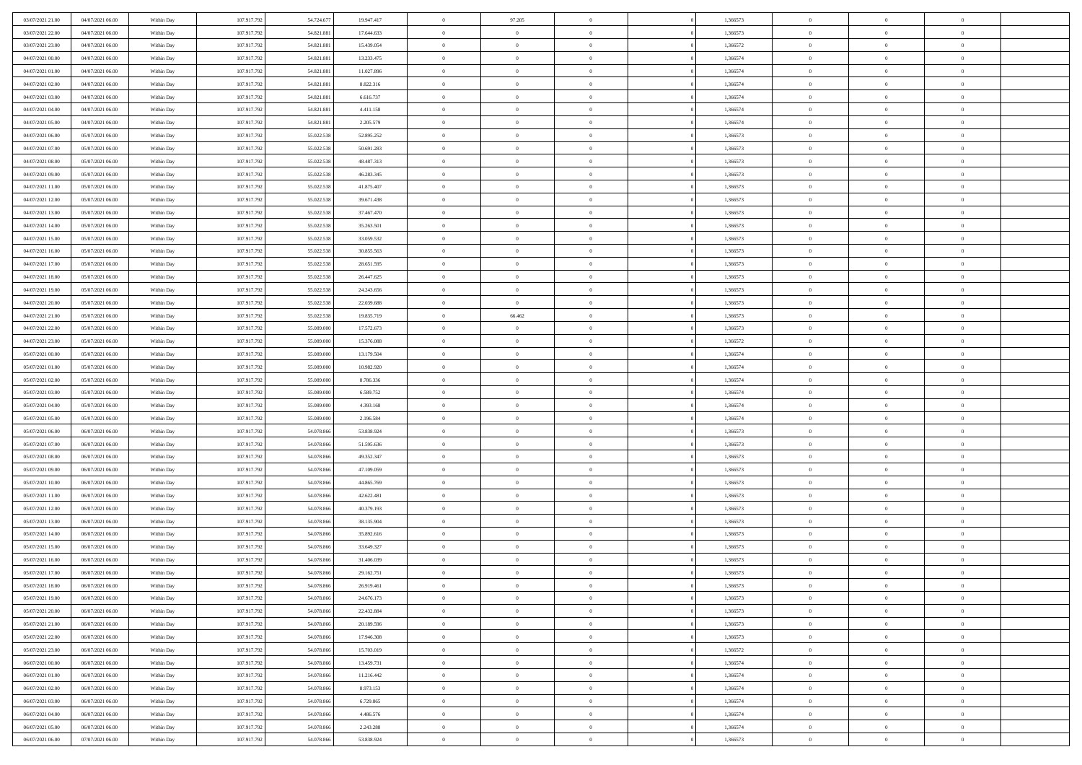| 03/07/2021 21:00                     | 04/07/2021 06:00                     | Within Day               | 107.917.792                | 54.724.67               | 19.947.417               | $\,0\,$                  | 97.205                           | $\overline{0}$                   |                | 1,366573             | $\,$ 0 $\,$          | $\overline{0}$                   | $\bf{0}$                   |  |
|--------------------------------------|--------------------------------------|--------------------------|----------------------------|-------------------------|--------------------------|--------------------------|----------------------------------|----------------------------------|----------------|----------------------|----------------------|----------------------------------|----------------------------|--|
| 03/07/2021 22.00                     | 04/07/2021 06:00                     | Within Day               | 107.917.792                | 54.821.88               | 17.644.633               | $\overline{0}$           | $\overline{0}$                   | $\overline{0}$                   |                | 1,366573             | $\theta$             | $\overline{0}$                   | $\theta$                   |  |
| 03/07/2021 23:00                     | 04/07/2021 06:00                     | Within Day               | 107.917.792                | 54.821.881              | 15.439.054               | $\mathbf{0}$             | $\overline{0}$                   | $\overline{0}$                   |                | 1,366572             | $\theta$             | $\overline{0}$                   | $\overline{0}$             |  |
| 04/07/2021 00:00                     | 04/07/2021 06:00                     | Within Day               | 107.917.792                | 54.821.881              | 13.233.475               | $\bf{0}$                 | $\overline{0}$                   | $\bf{0}$                         |                | 1,366574             | $\bf{0}$             | $\overline{0}$                   | $\bf{0}$                   |  |
| 04/07/2021 01:00                     | 04/07/2021 06:00                     | Within Day               | 107.917.792                | 54.821.881              | 11.027.896               | $\bf{0}$                 | $\overline{0}$                   | $\overline{0}$                   |                | 1,366574             | $\bf{0}$             | $\bf{0}$                         | $\bf{0}$                   |  |
| 04/07/2021 02:00                     | 04/07/2021 06:00                     | Within Day               | 107.917.792                | 54.821.881              | 8.822.316                | $\mathbf{0}$             | $\overline{0}$                   | $\overline{0}$                   |                | 1,366574             | $\theta$             | $\overline{0}$                   | $\theta$                   |  |
| 04/07/2021 03:00                     | 04/07/2021 06:00                     | Within Day               | 107.917.792                | 54.821.881              | 6.616.737                | $\mathbf{0}$             | $\overline{0}$                   | $\overline{0}$                   |                | 1,366574             | $\bf{0}$             | $\overline{0}$                   | $\theta$                   |  |
| 04/07/2021 04:00                     | 04/07/2021 06:00                     | Within Day               | 107.917.792                | 54.821.881              | 4.411.158                | $\overline{0}$           | $\mathbf{0}$                     | $\overline{0}$                   |                | 1,366574             | $\,$ 0 $\,$          | $\overline{0}$                   | $\theta$                   |  |
| 04/07/2021 05:00                     | 04/07/2021 06:00                     | Within Day               | 107.917.792                | 54.821.881              | 2.205.579                | $\mathbf{0}$             | $\overline{0}$                   | $\overline{0}$                   |                | 1,366574             | $\theta$             | $\overline{0}$                   | $\theta$                   |  |
| 04/07/2021 06:00                     | 05/07/2021 06:00                     | Within Day               | 107.917.792                | 55.022.538              | 52.895.252               | $\bf{0}$                 | $\overline{0}$                   | $\bf{0}$                         |                | 1,366573             | $\bf{0}$             | $\overline{0}$                   | $\bf{0}$                   |  |
| 04/07/2021 07:00                     | 05/07/2021 06:00                     | Within Day               | 107.917.792                | 55.022.538              | 50.691.283               | $\bf{0}$                 | $\overline{0}$                   | $\overline{0}$                   |                | 1,366573             | $\bf{0}$             | $\theta$                         | $\theta$                   |  |
| 04/07/2021 08:00                     | 05/07/2021 06:00                     | Within Day               | 107.917.792                | 55.022.538              | 48.487.313               | $\mathbf{0}$             | $\overline{0}$                   | $\overline{0}$                   |                | 1,366573             | $\theta$             | $\overline{0}$                   | $\theta$                   |  |
| 04/07/2021 09:00                     | 05/07/2021 06:00                     | Within Day               | 107.917.792                | 55.022.538              | 46.283.345               | $\,0\,$                  | $\overline{0}$                   | $\bf{0}$                         |                | 1,366573             | $\bf{0}$             | $\overline{0}$                   | $\bf{0}$                   |  |
| 04/07/2021 11:00                     | 05/07/2021 06:00                     | Within Day               | 107.917.792                | 55.022.538              | 41.875.407               | $\bf{0}$                 | $\overline{0}$                   | $\overline{0}$                   |                | 1,366573             | $\,$ 0 $\,$          | $\overline{0}$                   | $\theta$                   |  |
| 04/07/2021 12:00                     | 05/07/2021 06:00                     | Within Day               | 107.917.792                | 55.022.538              | 39.671.438               | $\mathbf{0}$             | $\overline{0}$                   | $\overline{0}$                   |                | 1,366573             | $\theta$             | $\overline{0}$                   | $\overline{0}$             |  |
| 04/07/2021 13:00                     | 05/07/2021 06:00                     | Within Day               | 107.917.792                | 55.022.538              | 37.467.470               | $\,0\,$                  | $\overline{0}$                   | $\overline{0}$                   |                | 1,366573             | $\bf{0}$             | $\overline{0}$                   | $\bf{0}$                   |  |
| 04/07/2021 14:00                     | 05/07/2021 06:00                     | Within Day               | 107.917.792                | 55.022.538              | 35.263.501               | $\bf{0}$                 | $\overline{0}$                   | $\overline{0}$                   |                | 1,366573             | $\bf{0}$             | $\mathbf{0}$                     | $\overline{0}$             |  |
| 04/07/2021 15:00                     | 05/07/2021 06:00                     | Within Day               | 107.917.792                | 55.022.538              | 33.059.532               | $\mathbf{0}$             | $\overline{0}$                   | $\overline{0}$                   |                | 1,366573             | $\theta$             | $\overline{0}$                   | $\overline{0}$             |  |
| 04/07/2021 16:00                     | 05/07/2021 06:00                     | Within Day               | 107.917.792                | 55.022.538              | 30.855.563               | $\,0\,$                  | $\overline{0}$                   | $\bf{0}$                         |                | 1,366573             | $\bf{0}$             | $\overline{0}$                   | $\bf{0}$                   |  |
| 04/07/2021 17:00                     | 05/07/2021 06:00                     | Within Day               | 107.917.792                | 55.022.538              | 28.651.595               | $\bf{0}$                 | $\overline{0}$                   | $\overline{0}$                   |                | 1,366573             | $\bf{0}$             | $\overline{0}$                   | $\bf{0}$                   |  |
| 04/07/2021 18:00                     | 05/07/2021 06:00                     | Within Day               | 107.917.792                | 55.022.538              | 26.447.625               | $\mathbf{0}$             | $\overline{0}$                   | $\overline{0}$                   |                | 1,366573             | $\theta$             | $\bf{0}$                         | $\overline{0}$             |  |
| 04/07/2021 19:00                     | 05/07/2021 06:00                     | Within Day               | 107.917.792                | 55.022.538              | 24.243.656               | $\mathbf{0}$             | $\theta$                         | $\overline{0}$                   |                | 1,366573             | $\bf{0}$             | $\overline{0}$                   | $\theta$                   |  |
| 04/07/2021 20:00                     | 05/07/2021 06:00                     | Within Day               | 107.917.792                | 55.022.53               | 22.039.688               | $\bf{0}$                 | $\mathbf{0}$                     | $\overline{0}$                   |                | 1,366573             | $\bf{0}$             | $\overline{0}$                   | $\overline{0}$             |  |
| 04/07/2021 21:00                     | 05/07/2021 06:00                     | Within Day               | 107.917.792                | 55.022.538              | 19.835.719               | $\mathbf{0}$             | 66.462                           | $\overline{0}$                   |                | 1,366573             | $\theta$             | $\overline{0}$                   | $\overline{0}$             |  |
| 04/07/2021 22.00                     | 05/07/2021 06:00                     | Within Day               | 107.917.792                | 55.089.000              | 17.572.673               | $\bf{0}$                 | $\overline{0}$                   | $\overline{0}$                   |                | 1,366573             | $\bf{0}$             | $\overline{0}$                   | $\bf{0}$                   |  |
| 04/07/2021 23:00                     | 05/07/2021 06:00                     | Within Day               | 107.917.792                | 55.089.000              | 15.376.088               | $\bf{0}$                 | $\overline{0}$                   | $\overline{0}$                   |                | 1,366572             | $\bf{0}$             | $\mathbf{0}$                     | $\bf{0}$                   |  |
| 05/07/2021 00:00                     | 05/07/2021 06:00                     | Within Day               | 107.917.792                | 55.089.000              | 13.179.504               | $\mathbf{0}$             | $\overline{0}$                   | $\overline{0}$                   |                | 1,366574             | $\theta$             | $\overline{0}$                   | $\overline{0}$             |  |
| 05/07/2021 01:00                     | 05/07/2021 06:00                     | Within Day               | 107.917.792                | 55.089.000              | 10.982.920               | $\,0\,$                  | $\overline{0}$                   | $\overline{0}$                   |                | 1,366574             | $\bf{0}$             | $\overline{0}$                   | $\bf{0}$                   |  |
| 05/07/2021 02:00                     | 05/07/2021 06:00                     | Within Day               | 107.917.792                | 55,089,00               | 8.786.336                | $\overline{0}$           | $\overline{0}$                   | $\overline{0}$                   |                | 1,366574             | $\,$ 0 $\,$          | $\overline{0}$                   | $\overline{0}$             |  |
| 05/07/2021 03:00                     | 05/07/2021 06:00                     | Within Day               | 107.917.792                | 55.089.000              | 6.589.752                | $\mathbf{0}$             | $\overline{0}$                   | $\overline{0}$                   |                | 1,366574             | $\theta$             | $\overline{0}$                   | $\overline{0}$             |  |
| 05/07/2021 04:00                     | 05/07/2021 06:00                     | Within Day               | 107.917.792                | 55.089.000              | 4.393.168                | $\mathbf{0}$             | $\overline{0}$                   | $\theta$                         |                | 1,366574             | $\,$ 0 $\,$          | $\overline{0}$                   | $\theta$                   |  |
| 05/07/2021 05:00                     | 05/07/2021 06:00                     | Within Day               | 107.917.792                | 55.089.000              | 2.196.584                | $\bf{0}$                 | $\overline{0}$                   | $\overline{0}$                   |                | 1,366574             | $\bf{0}$             | $\mathbf{0}$                     | $\bf{0}$                   |  |
| 05/07/2021 06:00                     | 06/07/2021 06:00                     | Within Day               | 107.917.792                | 54.078.866              | 53.838.924               | $\mathbf{0}$             | $\overline{0}$                   | $\overline{0}$                   |                | 1,366573             | $\theta$             | $\overline{0}$                   | $\overline{0}$             |  |
| 05/07/2021 07:00                     | 06/07/2021 06:00                     | Within Day               | 107.917.792                | 54.078.866              | 51.595.636               | $\mathbf{0}$             | $\overline{0}$                   | $\theta$                         |                | 1,366573             | $\,$ 0 $\,$          | $\overline{0}$                   | $\theta$                   |  |
| 05/07/2021 08:00                     | 06/07/2021 06:00                     | Within Day               | 107.917.792                | 54.078.866              | 49.352.347               | $\overline{0}$           | $\overline{0}$                   | $\overline{0}$                   |                | 1,366573             | $\bf{0}$             | $\overline{0}$                   | $\bf{0}$                   |  |
| 05/07/2021 09:00                     | 06/07/2021 06:00                     | Within Day               | 107.917.792                | 54.078.866              | 47.109.059               | $\mathbf{0}$             | $\overline{0}$                   | $\overline{0}$                   |                | 1,366573             | $\theta$             | $\overline{0}$                   | $\theta$                   |  |
| 05/07/2021 10:00                     | 06/07/2021 06:00                     | Within Day               | 107.917.792                | 54.078.866<br>54.078.86 | 44.865.769               | $\mathbf{0}$             | $\overline{0}$<br>$\overline{0}$ | $\theta$                         |                | 1,366573             | $\,$ 0 $\,$          | $\overline{0}$<br>$\overline{0}$ | $\theta$<br>$\overline{0}$ |  |
| 05/07/2021 11:00<br>05/07/2021 12:00 | 06/07/2021 06:00<br>06/07/2021 06:00 | Within Day<br>Within Day | 107.917.792<br>107.917.792 | 54.078.866              | 42.622.481<br>40.379.193 | $\bf{0}$<br>$\mathbf{0}$ | $\overline{0}$                   | $\overline{0}$<br>$\overline{0}$ |                | 1,366573<br>1,366573 | $\bf{0}$<br>$\theta$ | $\overline{0}$                   | $\overline{0}$             |  |
| 05/07/2021 13:00                     | 06/07/2021 06:00                     |                          | 107.917.792                | 54.078.866              | 38.135.904               | $\mathbf{0}$             | $\overline{0}$                   | $\bf{0}$                         |                | 1,366573             | $\,$ 0 $\,$          | $\overline{0}$                   | $\theta$                   |  |
|                                      | 06/07/2021 06:00                     | Within Day               | 107.917.792                | 54.078.866              |                          | $\bf{0}$                 | $\overline{0}$                   | $\overline{0}$                   |                | 1,366573             | $\bf{0}$             | $\overline{0}$                   | $\bf{0}$                   |  |
| 05/07/2021 14:00<br>05/07/2021 15:00 | 06/07/2021 06:00                     | Within Day<br>Within Day | 107.917.792                | 54.078.866              | 35.892.616<br>33.649.327 | $\mathbf{0}$             | $\overline{0}$                   | $\overline{0}$                   |                | 1,366573             | $\theta$             | $\overline{0}$                   | $\overline{0}$             |  |
| 05/07/2021 16:00                     | 06/07/2021 06:00                     | Within Day               | 107.917.792                | 54.078.866              | 31.406.039               | $\mathbf{0}$             | $\overline{0}$                   | $\overline{0}$                   |                | 1,366573             | $\,$ 0 $\,$          | $\overline{0}$                   | $\theta$                   |  |
| 05/07/2021 17:00                     | 06/07/2021 06:00                     | Within Day               | 107.917.792                | 54.078.86               | 29.162.751               | $\bf{0}$                 | $\overline{0}$                   | $\overline{0}$                   |                | 1,366573             | $\,$ 0 $\,$          | $\overline{0}$                   | $\bf{0}$                   |  |
| 05/07/2021 18:00                     | 06/07/2021 06:00                     | Within Day               | 107.917.792                | 54.078.866              | 26.919.461               | $\bf{0}$                 | $\overline{0}$                   | $\Omega$                         |                | 1,366573             | $\overline{0}$       | $^{\circ}$                       | $\theta$                   |  |
| 05/07/2021 19:00                     | 06/07/2021 06:00                     | Within Day               | 107.917.792                | 54.078.866              | 24.676.173               | $\,$ 0 $\,$              | $\overline{0}$                   | $\overline{0}$                   |                | 1,366573             | $\,$ 0 $\,$          | $\bf{0}$                         | $\theta$                   |  |
| 05/07/2021 20:00                     | 06/07/2021 06:00                     | Within Day               | 107.917.792                | 54.078.866              | 22.432.884               | $\bf{0}$                 | $\overline{0}$                   | $\overline{0}$                   |                | 1,366573             | $\overline{0}$       | $\overline{0}$                   | $\overline{0}$             |  |
| 05/07/2021 21:00                     | 06/07/2021 06:00                     | Within Day               | 107.917.792                | 54.078.866              | 20.189.596               | $\mathbf{0}$             | $\overline{0}$                   | $\overline{0}$                   |                | 1,366573             | $\mathbf{0}$         | $\overline{0}$                   | $\overline{0}$             |  |
| 05/07/2021 22:00                     | 06/07/2021 06:00                     | Within Day               | 107.917.792                | 54.078.866              | 17.946.308               | $\,$ 0                   | $\overline{0}$                   | $\bf{0}$                         | $\overline{0}$ | 1,366573             | $\,$ 0 $\,$          | $\bf{0}$                         | $\theta$                   |  |
| 05/07/2021 23:00                     | 06/07/2021 06:00                     | Within Day               | 107.917.792                | 54.078.866              | 15.703.019               | $\hspace{0.1mm}\bm{0}$   | $\overline{0}$                   | $\overline{0}$                   |                | 1,366572             | $\,$ 0 $\,$          | $\overline{0}$                   | $\overline{0}$             |  |
| 06/07/2021 00:00                     | 06/07/2021 06:00                     | Within Day               | 107.917.792                | 54.078.866              | 13.459.731               | $\mathbf{0}$             | $\overline{0}$                   | $\overline{0}$                   |                | 1,366574             | $\overline{0}$       | $\overline{0}$                   | $\overline{0}$             |  |
| 06/07/2021 01:00                     | 06/07/2021 06:00                     | Within Day               | 107.917.792                | 54.078.866              | 11.216.442               | $\,$ 0 $\,$              | $\overline{0}$                   | $\overline{0}$                   |                | 1,366574             | $\,$ 0 $\,$          | $\overline{0}$                   | $\theta$                   |  |
| 06/07/2021 02:00                     | 06/07/2021 06:00                     | Within Day               | 107.917.792                | 54.078.866              | 8.973.153                | $\overline{0}$           | $\overline{0}$                   | $\overline{0}$                   |                | 1,366574             | $\overline{0}$       | $\overline{0}$                   | $\bf{0}$                   |  |
| 06/07/2021 03:00                     | 06/07/2021 06:00                     | Within Day               | 107.917.792                | 54.078.866              | 6.729.865                | $\mathbf{0}$             | $\overline{0}$                   | $\overline{0}$                   |                | 1,366574             | $\mathbf{0}$         | $\overline{0}$                   | $\overline{0}$             |  |
| 06/07/2021 04:00                     | 06/07/2021 06:00                     | Within Day               | 107.917.792                | 54.078.866              | 4.486.576                | $\,$ 0 $\,$              | $\overline{0}$                   | $\bf{0}$                         |                | 1,366574             | $\,$ 0 $\,$          | $\bf{0}$                         | $\,$ 0 $\,$                |  |
| 06/07/2021 05:00                     | 06/07/2021 06:00                     | Within Day               | 107.917.792                | 54.078.866              | 2.243.288                | $\bf{0}$                 | $\overline{0}$                   | $\overline{0}$                   |                | 1,366574             | $\,$ 0 $\,$          | $\mathbf{0}$                     | $\overline{0}$             |  |
| 06/07/2021 06:00                     | 07/07/2021 06:00                     | Within Day               | 107.917.792                | 54.078.866              | 53.838.924               | $\overline{0}$           | $\overline{0}$                   | $\overline{0}$                   |                | 1,366573             | $\mathbf{0}$         | $\overline{0}$                   | $\overline{0}$             |  |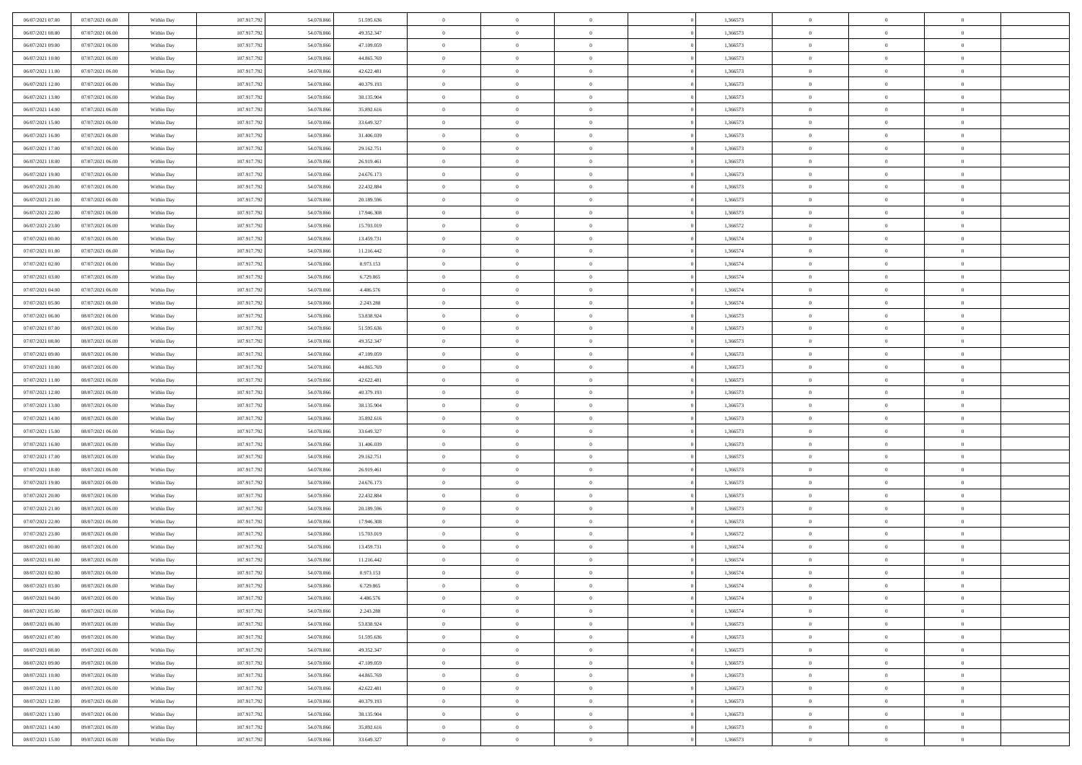| 06/07/2021 07:00                     | 07/07/2021 06:00                     | Within Day               | 107.917.792                | 54.078.866               | 51.595.636               | $\bf{0}$                   | $\overline{0}$                   | $\overline{0}$             | 1,366573             | $\bf{0}$                 | $\bf{0}$                         | $\theta$                   |  |
|--------------------------------------|--------------------------------------|--------------------------|----------------------------|--------------------------|--------------------------|----------------------------|----------------------------------|----------------------------|----------------------|--------------------------|----------------------------------|----------------------------|--|
| 06/07/2021 08:00                     | 07/07/2021 06:00                     | Within Day               | 107.917.792                | 54.078.866               | 49.352.347               | $\overline{0}$             | $\overline{0}$                   | $\overline{0}$             | 1,366573             | $\theta$                 | $\overline{0}$                   | $\theta$                   |  |
| 06/07/2021 09:00                     | 07/07/2021 06:00                     | Within Day               | 107.917.792                | 54.078.866               | 47.109.059               | $\,0\,$                    | $\overline{0}$                   | $\bf{0}$                   | 1,366573             | $\,$ 0 $\,$              | $\overline{0}$                   | $\,$ 0 $\,$                |  |
| 06/07/2021 10:00                     | 07/07/2021 06:00                     | Within Day               | 107.917.792                | 54.078.86                | 44,865,769               | $\mathbf{0}$               | $\theta$                         | $\overline{0}$             | 1,366573             | $\theta$                 | $\mathbf{0}$                     | $\theta$                   |  |
| 06/07/2021 11:00                     | 07/07/2021 06:00                     | Within Day               | 107.917.792                | 54.078.866               | 42.622.481               | $\overline{0}$             | $\overline{0}$                   | $\overline{0}$             | 1,366573             | $\mathbf{0}$             | $\overline{0}$                   | $\overline{0}$             |  |
| 06/07/2021 12:00                     | 07/07/2021 06:00                     | Within Day               | 107.917.792                | 54.078.866               | 40.379.193               | $\,$ 0 $\,$                | $\overline{0}$                   | $\bf{0}$                   | 1,366573             | $\,$ 0 $\,$              | $\overline{0}$                   | $\,$ 0 $\,$                |  |
| 06/07/2021 13:00                     | 07/07/2021 06:00                     | Within Day               | 107.917.792                | 54.078.86                | 38.135.904               | $\overline{0}$             | $\overline{0}$                   | $\overline{0}$             | 1,366573             | $\bf{0}$                 | $\overline{0}$                   | $\theta$                   |  |
| 06/07/2021 14:00                     | 07/07/2021 06:00                     | Within Day               | 107.917.792                | 54.078.866               | 35.892.616               | $\overline{0}$             | $\overline{0}$                   | $\overline{0}$             | 1,366573             | $\mathbf{0}$             | $\overline{0}$                   | $\overline{0}$             |  |
| 06/07/2021 15:00                     | 07/07/2021 06:00                     | Within Day               | 107.917.792                | 54.078.866               | 33.649.327               | $\,$ 0 $\,$                | $\overline{0}$                   | $\bf{0}$                   | 1,366573             | $\,$ 0 $\,$              | $\overline{0}$                   | $\bf{0}$                   |  |
| 06/07/2021 16:00                     | 07/07/2021 06:00                     | Within Day               | 107.917.792                | 54.078.86                | 31.406.039               | $\overline{0}$             | $\Omega$                         | $\overline{0}$             | 1,366573             | $\theta$                 | $\mathbf{0}$                     | $\theta$                   |  |
| 06/07/2021 17:00                     | 07/07/2021 06:00                     | Within Day               | 107.917.792                | 54.078.866               | 29.162.751               | $\overline{0}$             | $\overline{0}$                   | $\overline{0}$             | 1,366573             | $\mathbf{0}$             | $\overline{0}$                   | $\overline{0}$             |  |
| 06/07/2021 18:00                     | 07/07/2021 06:00                     | Within Day               | 107.917.792                | 54.078.866               | 26.919.461               | $\,$ 0 $\,$                | $\overline{0}$                   | $\bf{0}$                   | 1,366573             | $\,$ 0 $\,$              | $\overline{0}$                   | $\,$ 0 $\,$                |  |
| 06/07/2021 19:00                     | 07/07/2021 06:00                     | Within Day               | 107.917.792                | 54.078.86                | 24.676.173               | $\bf{0}$                   | $\overline{0}$                   | $\overline{0}$             | 1,366573             | $\bf{0}$                 | $\mathbf{0}$                     | $\theta$                   |  |
| 06/07/2021 20:00                     | 07/07/2021 06:00                     | Within Day               | 107.917.792                | 54.078.866               | 22.432.884               | $\overline{0}$             | $\overline{0}$                   | $\overline{0}$             | 1,366573             | $\mathbf{0}$             | $\overline{0}$                   | $\overline{0}$             |  |
| 06/07/2021 21:00                     | 07/07/2021 06:00                     | Within Day               | 107.917.792                | 54.078.866               | 20.189.596               | $\,$ 0 $\,$                | $\overline{0}$                   | $\bf{0}$                   | 1,366573             | $\,$ 0 $\,$              | $\overline{0}$                   | $\,$ 0 $\,$                |  |
| 06/07/2021 22.00                     | 07/07/2021 06:00                     | Within Day               | 107.917.792                | 54.078.86                | 17.946.308               | $\bf{0}$                   | $\mathbf{0}$                     | $\overline{0}$             | 1,366573             | $\theta$                 | $\mathbf{0}$                     | $\theta$                   |  |
| 06/07/2021 23:00                     | 07/07/2021 06:00                     | Within Day               | 107.917.792                | 54.078.866               | 15.703.019               | $\overline{0}$             | $\overline{0}$                   | $\overline{0}$             | 1,366572             | $\mathbf{0}$             | $\overline{0}$                   | $\overline{0}$             |  |
| 07/07/2021 00:00                     | 07/07/2021 06:00                     | Within Day               | 107.917.792                | 54.078.866               | 13.459.731               | $\,$ 0 $\,$                | $\overline{0}$                   | $\bf{0}$                   | 1,366574             | $\,$ 0 $\,$              | $\overline{0}$                   | $\,$ 0 $\,$                |  |
| 07/07/2021 01:00                     | 07/07/2021 06:00                     | Within Day               | 107.917.792                | 54.078.86                | 11.216.442               | $\bf{0}$                   | $\Omega$                         | $\Omega$                   | 1,366574             | $\theta$                 | $\theta$                         | $\theta$                   |  |
| 07/07/2021 02:00                     | 07/07/2021 06:00                     | Within Day               | 107.917.792                | 54.078.866               | 8.973.153                | $\overline{0}$             | $\overline{0}$                   | $\overline{0}$             | 1,366574             | $\mathbf{0}$             | $\overline{0}$                   | $\overline{0}$             |  |
| 07/07/2021 03:00                     | 07/07/2021 06:00                     | Within Day               | 107.917.792                | 54.078.866               | 6.729.865                | $\,$ 0 $\,$                | $\overline{0}$                   | $\bf{0}$                   | 1,366574             | $\,$ 0 $\,$              | $\overline{0}$                   | $\,$ 0 $\,$                |  |
| 07/07/2021 04:00                     | 07/07/2021 06:00                     | Within Day               | 107.917.792                | 54.078.86                | 4.486.576                | $\overline{0}$             | $\overline{0}$                   | $\overline{0}$             | 1,366574             | $\bf{0}$                 | $\mathbf{0}$                     | $\theta$                   |  |
| 07/07/2021 05:00                     | 07/07/2021 06:00                     | Within Day               | 107.917.792                | 54.078.866               | 2.243.288                | $\overline{0}$             | $\overline{0}$                   | $\overline{0}$             | 1,366574             | $\mathbf{0}$             | $\overline{0}$                   | $\overline{0}$             |  |
| 07/07/2021 06:00                     | 08/07/2021 06:00                     | Within Day               | 107.917.792                | 54.078.866               | 53.838.924               | $\,$ 0 $\,$                | $\overline{0}$                   | $\bf{0}$                   | 1,366573             | $\,$ 0 $\,$              | $\overline{0}$                   | $\,$ 0 $\,$                |  |
| 07/07/2021 07:00                     | 08/07/2021 06:00                     | Within Day               | 107.917.792                | 54.078.86                | 51.595.636               | $\overline{0}$             | $\mathbf{0}$                     | $\overline{0}$             | 1,366573             | $\theta$                 | $\mathbf{0}$                     | $\theta$                   |  |
| 07/07/2021 08:00                     | 08/07/2021 06:00                     | Within Day               | 107.917.792                | 54.078.866               | 49.352.347               | $\overline{0}$             | $\overline{0}$                   | $\overline{0}$             | 1,366573             | $\mathbf{0}$             | $\overline{0}$                   | $\overline{0}$             |  |
| 07/07/2021 09:00                     | 08/07/2021 06:00                     | Within Day               | 107.917.792                | 54.078.866               | 47.109.059               | $\,$ 0 $\,$                | $\overline{0}$                   | $\bf{0}$                   | 1,366573             | $\,$ 0 $\,$              | $\overline{0}$                   | $\,$ 0 $\,$                |  |
| 07/07/2021 10:00                     | 08/07/2021 06:00                     | Within Day               | 107.917.792                | 54.078.866               | 44.865.769               | $\bf{0}$                   | $\overline{0}$                   | $\overline{0}$             | 1,366573             | $\bf{0}$                 | $\overline{0}$                   | $\theta$                   |  |
| 07/07/2021 11:00                     | 08/07/2021 06:00                     | Within Day               | 107.917.792                | 54.078.866               | 42.622.481               | $\overline{0}$             | $\overline{0}$                   | $\overline{0}$             | 1,366573             | $\mathbf{0}$             | $\overline{0}$                   | $\theta$                   |  |
| 07/07/2021 12:00                     | 08/07/2021 06:00                     | Within Day               | 107.917.792                | 54.078.866               | 40.379.193               | $\,$ 0 $\,$                | $\overline{0}$                   | $\bf{0}$                   | 1,366573             | $\,$ 0 $\,$              | $\overline{0}$                   | $\,$ 0 $\,$                |  |
| 07/07/2021 13:00                     | 08/07/2021 06:00                     | Within Day               | 107.917.792                | 54.078.866               | 38.135.904               | $\,0\,$                    | $\overline{0}$                   | $\bf{0}$                   | 1,366573             | $\,$ 0 $\,$              | $\overline{0}$                   | $\bf{0}$                   |  |
| 07/07/2021 14:00                     | 08/07/2021 06:00                     | Within Day               | 107.917.792                | 54.078.866               | 35.892.616               | $\overline{0}$             | $\overline{0}$                   | $\overline{0}$             | 1,366573             | $\mathbf{0}$             | $\overline{0}$                   | $\overline{0}$             |  |
| 07/07/2021 15:00                     | 08/07/2021 06:00                     | Within Day               | 107.917.792                | 54.078.866               | 33.649.327               | $\,$ 0 $\,$                | $\overline{0}$                   | $\bf{0}$                   | 1,366573             | $\,$ 0 $\,$              | $\overline{0}$                   | $\,$ 0 $\,$                |  |
| 07/07/2021 16:00                     | 08/07/2021 06:00                     | Within Day               | 107.917.792                | 54.078.866               | 31.406.039               | $\,0\,$                    | $\overline{0}$                   | $\overline{0}$             | 1,366573             | $\bf{0}$                 | $\overline{0}$                   | $\bf{0}$                   |  |
| 07/07/2021 17:00                     | 08/07/2021 06:00                     | Within Day               | 107.917.792                | 54.078.866               | 29.162.751               | $\overline{0}$             | $\overline{0}$                   | $\overline{0}$             | 1,366573             | $\overline{0}$           | $\overline{0}$                   | $\theta$                   |  |
| 07/07/2021 18:00                     | 08/07/2021 06:00                     | Within Day               | 107.917.792                | 54.078.866               | 26.919.461               | $\,$ 0 $\,$                | $\overline{0}$<br>$\overline{0}$ | $\bf{0}$                   | 1,366573             | $\,$ 0 $\,$              | $\overline{0}$<br>$\overline{0}$ | $\,$ 0 $\,$                |  |
| 07/07/2021 19:00<br>07/07/2021 20:00 | 08/07/2021 06:00<br>08/07/2021 06:00 | Within Day<br>Within Day | 107.917.792<br>107.917.792 | 54.078.866<br>54.078.866 | 24.676.173<br>22.432.884 | $\bf{0}$<br>$\overline{0}$ | $\overline{0}$                   | $\bf{0}$<br>$\overline{0}$ | 1,366573<br>1,366573 | $\bf{0}$<br>$\mathbf{0}$ | $\overline{0}$                   | $\bf{0}$<br>$\overline{0}$ |  |
| 07/07/2021 21:00                     | 08/07/2021 06:00                     | Within Day               | 107.917.792                | 54.078.866               | 20.189.596               | $\,$ 0 $\,$                | $\overline{0}$                   | $\bf{0}$                   | 1,366573             | $\,$ 0 $\,$              | $\overline{0}$                   | $\,$ 0 $\,$                |  |
| 07/07/2021 22.00                     | 08/07/2021 06:00                     | Within Day               | 107.917.792                | 54.078.866               | 17.946.308               | $\mathbf{0}$               | $\overline{0}$                   | $\overline{0}$             | 1,366573             | $\bf{0}$                 | $\overline{0}$                   | $\theta$                   |  |
| 07/07/2021 23:00                     | 08/07/2021 06:00                     | Within Day               | 107.917.792                | 54.078.866               | 15.703.019               | $\overline{0}$             | $\overline{0}$                   | $\overline{0}$             | 1,366572             | $\mathbf{0}$             | $\overline{0}$                   | $\overline{0}$             |  |
| 08/07/2021 00:00                     | 08/07/2021 06:00                     | Within Day               | 107.917.792                | 54.078.866               | 13.459.731               | $\,$ 0 $\,$                | $\overline{0}$                   | $\bf{0}$                   | 1,366574             | $\,$ 0 $\,$              | $\overline{0}$                   | $\,$ 0 $\,$                |  |
| 08/07/2021 01:00                     | 08/07/2021 06:00                     | Within Day               | 107.917.792                | 54.078.866               | 11.216.442               | $\bf{0}$                   | $\overline{0}$                   | $\bf{0}$                   | 1,366574             | $\bf{0}$                 | $\overline{0}$                   | $\bf{0}$                   |  |
| 08/07/2021 02:00                     | 08/07/2021 06:00                     | Within Day               | 107.917.792                | 54.078.866               | 8.973.153                | $\mathbf{0}$               | $\overline{0}$                   | $\overline{0}$             | 1,366574             | $\theta$                 | $\overline{0}$                   | $\overline{0}$             |  |
| 08/07/2021 03:00                     | 08/07/2021 06:00                     | Within Day               | 107.917.792                | 54.078.866               | 6.729.865                | $\mathbf{0}$               | $\overline{0}$                   | $\theta$                   | 1,366574             | $\overline{0}$           | $\theta$                         | $\theta$                   |  |
| 08/07/2021 04:00                     | 08/07/2021 06:00                     | Within Day               | 107.917.792                | 54.078.866               | 4.486.576                | $\bf{0}$                   | $\overline{0}$                   | $\bf{0}$                   | 1,366574             | $\bf{0}$                 | $\overline{0}$                   | $\bf{0}$                   |  |
| 08/07/2021 05:00                     | 08/07/2021 06:00                     | Within Day               | 107.917.792                | 54.078.866               | 2.243.288                | $\bf{0}$                   | $\overline{0}$                   | $\overline{0}$             | 1,366574             | $\overline{0}$           | $\overline{0}$                   | $\overline{0}$             |  |
| 08/07/2021 06:00                     | 09/07/2021 06:00                     | Within Day               | 107.917.792                | 54.078.866               | 53.838.924               | $\,$ 0                     | $\overline{0}$                   | $\overline{0}$             | 1,366573             | $\,$ 0 $\,$              | $\overline{0}$                   | $\,$ 0 $\,$                |  |
| 08/07/2021 07:00                     | 09/07/2021 06:00                     | Within Day               | 107.917.792                | 54.078.866               | 51.595.636               | $\bf{0}$                   | $\overline{0}$                   | $\overline{0}$             | 1,366573             | $\mathbf{0}$             | $\overline{0}$                   | $\bf{0}$                   |  |
| 08/07/2021 08:00                     | 09/07/2021 06:00                     | Within Day               | 107.917.792                | 54.078.866               | 49.352.347               | $\bf{0}$                   | $\overline{0}$                   | $\overline{0}$             | 1,366573             | $\mathbf{0}$             | $\overline{0}$                   | $\overline{0}$             |  |
| 08/07/2021 09:00                     | 09/07/2021 06:00                     | Within Day               | 107.917.792                | 54.078.866               | 47.109.059               | $\,$ 0                     | $\overline{0}$                   | $\overline{0}$             | 1,366573             | $\,$ 0 $\,$              | $\overline{0}$                   | $\,$ 0 $\,$                |  |
| 08/07/2021 10:00                     | 09/07/2021 06:00                     | Within Day               | 107.917.792                | 54.078.866               | 44.865.769               | $\overline{0}$             | $\overline{0}$                   | $\overline{0}$             | 1,366573             | $\overline{0}$           | $\overline{0}$                   | $\overline{0}$             |  |
| 08/07/2021 11:00                     | 09/07/2021 06:00                     | Within Day               | 107.917.792                | 54.078.866               | 42.622.481               | $\mathbf{0}$               | $\overline{0}$                   | $\overline{0}$             | 1,366573             | $\overline{0}$           | $\overline{0}$                   | $\overline{0}$             |  |
| 08/07/2021 12:00                     | 09/07/2021 06:00                     | Within Day               | 107.917.792                | 54.078.866               | 40.379.193               | $\,$ 0                     | $\overline{0}$                   | $\overline{0}$             | 1,366573             | $\,$ 0 $\,$              | $\bf{0}$                         | $\,$ 0 $\,$                |  |
| 08/07/2021 13:00                     | 09/07/2021 06:00                     | Within Day               | 107.917.792                | 54.078.866               | 38.135.904               | $\bf{0}$                   | $\overline{0}$                   | $\overline{0}$             | 1,366573             | $\mathbf{0}$             | $\overline{0}$                   | $\bf{0}$                   |  |
| 08/07/2021 14:00                     | 09/07/2021 06:00                     | Within Day               | 107.917.792                | 54.078.866               | 35.892.616               | $\mathbf{0}$               | $\overline{0}$                   | $\overline{0}$             | 1,366573             | $\mathbf{0}$             | $\overline{0}$                   | $\overline{0}$             |  |
| 08/07/2021 15:00                     | 09/07/2021 06:00                     | Within Day               | 107.917.792                | 54.078.866               | 33.649.327               | $\,$ 0 $\,$                | $\overline{0}$                   | $\bf{0}$                   | 1,366573             | $\,$ 0 $\,$              | $\overline{0}$                   | $\,$ 0 $\,$                |  |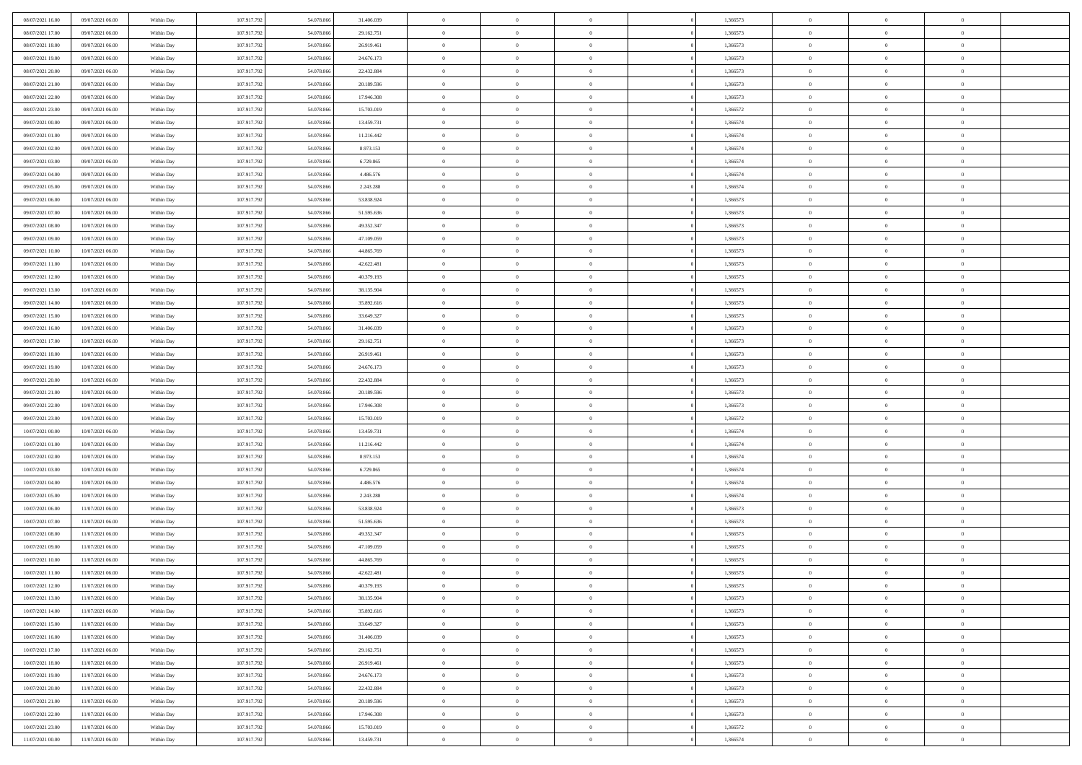| 08/07/2021 16:00                     | 09/07/2021 06:00                     | Within Day               | 107.917.792                | 54.078.866               | 31.406.039             | $\bf{0}$                   | $\overline{0}$                   | $\overline{0}$             | 1,366573             | $\bf{0}$                 | $\bf{0}$                         | $\theta$                   |  |
|--------------------------------------|--------------------------------------|--------------------------|----------------------------|--------------------------|------------------------|----------------------------|----------------------------------|----------------------------|----------------------|--------------------------|----------------------------------|----------------------------|--|
| 08/07/2021 17:00                     | 09/07/2021 06:00                     | Within Day               | 107.917.792                | 54.078.866               | 29.162.751             | $\overline{0}$             | $\overline{0}$                   | $\overline{0}$             | 1,366573             | $\theta$                 | $\overline{0}$                   | $\theta$                   |  |
| 08/07/2021 18:00                     | 09/07/2021 06:00                     | Within Day               | 107.917.792                | 54.078.866               | 26.919.461             | $\,0\,$                    | $\overline{0}$                   | $\bf{0}$                   | 1,366573             | $\,$ 0 $\,$              | $\overline{0}$                   | $\,$ 0 $\,$                |  |
| 08/07/2021 19:00                     | 09/07/2021 06:00                     | Within Day               | 107.917.792                | 54.078.86                | 24.676.173             | $\mathbf{0}$               | $\theta$                         | $\overline{0}$             | 1,366573             | $\theta$                 | $\mathbf{0}$                     | $\theta$                   |  |
| 08/07/2021 20:00                     | 09/07/2021 06:00                     | Within Day               | 107.917.792                | 54.078.866               | 22.432.884             | $\overline{0}$             | $\overline{0}$                   | $\overline{0}$             | 1,366573             | $\mathbf{0}$             | $\overline{0}$                   | $\overline{0}$             |  |
| 08/07/2021 21:00                     | 09/07/2021 06:00                     | Within Day               | 107.917.792                | 54.078.866               | 20.189.596             | $\,$ 0 $\,$                | $\overline{0}$                   | $\bf{0}$                   | 1,366573             | $\,$ 0 $\,$              | $\overline{0}$                   | $\,$ 0 $\,$                |  |
| 08/07/2021 22:00                     | 09/07/2021 06:00                     | Within Day               | 107.917.792                | 54.078.86                | 17.946.308             | $\overline{0}$             | $\overline{0}$                   | $\overline{0}$             | 1,366573             | $\bf{0}$                 | $\overline{0}$                   | $\theta$                   |  |
| 08/07/2021 23:00                     | 09/07/2021 06:00                     | Within Day               | 107.917.792                | 54.078.866               | 15.703.019             | $\overline{0}$             | $\overline{0}$                   | $\overline{0}$             | 1,366572             | $\mathbf{0}$             | $\overline{0}$                   | $\overline{0}$             |  |
| 09/07/2021 00:00                     | 09/07/2021 06:00                     | Within Day               | 107.917.792                | 54.078.866               | 13.459.731             | $\,$ 0 $\,$                | $\overline{0}$                   | $\bf{0}$                   | 1,366574             | $\,$ 0 $\,$              | $\overline{0}$                   | $\bf{0}$                   |  |
| 09/07/2021 01:00                     | 09/07/2021 06:00                     | Within Day               | 107.917.792                | 54.078.86                | 11.216.442             | $\overline{0}$             | $\mathbf{0}$                     | $\overline{0}$             | 1,366574             | $\theta$                 | $\mathbf{0}$                     | $\theta$                   |  |
| 09/07/2021 02:00                     | 09/07/2021 06:00                     | Within Day               | 107.917.792                | 54.078.866               | 8.973.153              | $\overline{0}$             | $\overline{0}$                   | $\overline{0}$             | 1,366574             | $\overline{0}$           | $\overline{0}$                   | $\overline{0}$             |  |
| 09/07/2021 03:00                     | 09/07/2021 06:00                     | Within Day               | 107.917.792                | 54.078.866               | 6.729.865              | $\,$ 0 $\,$                | $\overline{0}$                   | $\bf{0}$                   | 1,366574             | $\,$ 0 $\,$              | $\overline{0}$                   | $\,$ 0 $\,$                |  |
| 09/07/2021 04:00                     | 09/07/2021 06:00                     | Within Day               | 107.917.792                | 54.078.86                | 4.486.576              | $\mathbf{0}$               | $\overline{0}$                   | $\overline{0}$             | 1,366574             | $\bf{0}$                 | $\mathbf{0}$                     | $\theta$                   |  |
| 09/07/2021 05:00                     | 09/07/2021 06:00                     | Within Day               | 107.917.792                | 54.078.866               | 2.243.288              | $\overline{0}$             | $\overline{0}$                   | $\overline{0}$             | 1,366574             | $\overline{0}$           | $\overline{0}$                   | $\overline{0}$             |  |
| 09/07/2021 06:00                     | 10/07/2021 06:00                     | Within Day               | 107.917.792                | 54.078.866               | 53.838.924             | $\,$ 0 $\,$                | $\overline{0}$                   | $\bf{0}$                   | 1,366573             | $\,$ 0 $\,$              | $\overline{0}$                   | $\,$ 0 $\,$                |  |
| 09/07/2021 07:00                     | 10/07/2021 06:00                     | Within Day               | 107.917.792                | 54.078.86                | 51.595.636             | $\mathbf{0}$               | $\mathbf{0}$                     | $\overline{0}$             | 1,366573             | $\theta$                 | $\mathbf{0}$                     | $\theta$                   |  |
| 09/07/2021 08:00                     | 10/07/2021 06:00                     | Within Day               | 107.917.792                | 54.078.866               | 49.352.347             | $\overline{0}$             | $\overline{0}$                   | $\overline{0}$             | 1,366573             | $\overline{0}$           | $\overline{0}$                   | $\overline{0}$             |  |
| 09/07/2021 09:00                     | 10/07/2021 06:00                     | Within Day               | 107.917.792                | 54.078.866               | 47.109.059             | $\,$ 0 $\,$                | $\overline{0}$                   | $\bf{0}$                   | 1,366573             | $\,$ 0 $\,$              | $\overline{0}$                   | $\,$ 0 $\,$                |  |
| 09/07/2021 10:00                     | 10/07/2021 06:00                     | Within Day               | 107.917.792                | 54.078.86                | 44,865,769             | $\mathbf{0}$               | $\Omega$                         | $\Omega$                   | 1,366573             | $\theta$                 | $\theta$                         | $\theta$                   |  |
| 09/07/2021 11:00                     | 10/07/2021 06:00                     | Within Day               | 107.917.792                | 54.078.866               | 42.622.481             | $\overline{0}$             | $\overline{0}$                   | $\overline{0}$             | 1,366573             | $\overline{0}$           | $\overline{0}$                   | $\overline{0}$             |  |
| 09/07/2021 12:00                     | 10/07/2021 06:00                     | Within Day               | 107.917.792                | 54.078.866               | 40.379.193             | $\,$ 0 $\,$                | $\overline{0}$                   | $\bf{0}$                   | 1,366573             | $\,$ 0 $\,$              | $\overline{0}$                   | $\,$ 0 $\,$                |  |
| 09/07/2021 13:00                     | 10/07/2021 06:00                     | Within Day               | 107.917.792                | 54.078.86                | 38.135.904             | $\overline{0}$             | $\overline{0}$                   | $\overline{0}$             | 1,366573             | $\bf{0}$                 | $\mathbf{0}$                     | $\theta$                   |  |
| 09/07/2021 14:00                     | 10/07/2021 06:00                     | Within Day               | 107.917.792                | 54.078.866               | 35.892.616             | $\overline{0}$             | $\overline{0}$                   | $\overline{0}$             | 1,366573             | $\mathbf{0}$             | $\overline{0}$                   | $\overline{0}$             |  |
| 09/07/2021 15:00                     | 10/07/2021 06:00                     | Within Day               | 107.917.792                | 54.078.866               | 33.649.327             | $\,$ 0 $\,$                | $\overline{0}$                   | $\bf{0}$                   | 1,366573             | $\,$ 0 $\,$              | $\overline{0}$                   | $\bf{0}$                   |  |
| 09/07/2021 16:00                     | 10/07/2021 06:00                     | Within Day               | 107.917.792                | 54.078.86                | 31,406,039             | $\overline{0}$             | $\mathbf{0}$                     | $\overline{0}$             | 1,366573             | $\theta$                 | $\mathbf{0}$                     | $\theta$                   |  |
| 09/07/2021 17:00                     | 10/07/2021 06:00                     | Within Day               | 107.917.792                | 54.078.866               | 29.162.751             | $\overline{0}$             | $\overline{0}$                   | $\overline{0}$             | 1,366573             | $\mathbf{0}$             | $\overline{0}$                   | $\overline{0}$             |  |
| 09/07/2021 18:00                     | 10/07/2021 06:00                     | Within Day               | 107.917.792                | 54.078.866               | 26.919.461             | $\,$ 0 $\,$                | $\overline{0}$                   | $\bf{0}$                   | 1,366573             | $\,$ 0 $\,$              | $\overline{0}$                   | $\,$ 0 $\,$                |  |
| 09/07/2021 19:00                     | 10/07/2021 06:00                     | Within Day               | 107.917.792                | 54.078.86                | 24.676.173             | $\mathbf{0}$               | $\overline{0}$                   | $\overline{0}$             | 1,366573             | $\bf{0}$                 | $\overline{0}$                   | $\theta$                   |  |
| 09/07/2021 20:00                     | 10/07/2021 06:00                     | Within Day               | 107.917.792                | 54.078.866               | 22.432.884             | $\overline{0}$             | $\overline{0}$                   | $\overline{0}$             | 1,366573             | $\mathbf{0}$             | $\overline{0}$                   | $\theta$                   |  |
| 09/07/2021 21:00                     | 10/07/2021 06:00                     | Within Day               | 107.917.792                | 54.078.866               | 20.189.596             | $\,$ 0 $\,$                | $\overline{0}$                   | $\bf{0}$                   | 1,366573             | $\,$ 0 $\,$              | $\overline{0}$                   | $\,$ 0 $\,$                |  |
| 09/07/2021 22.00                     | 10/07/2021 06:00                     | Within Day               | 107.917.792                | 54.078.866               | 17.946.308             | $\,0\,$                    | $\overline{0}$                   | $\bf{0}$                   | 1,366573             | $\,$ 0 $\,$              | $\overline{0}$                   | $\bf{0}$                   |  |
| 09/07/2021 23:00                     | 10/07/2021 06:00                     | Within Day               | 107.917.792                | 54.078.866               | 15.703.019             | $\overline{0}$             | $\overline{0}$                   | $\overline{0}$             | 1,366572             | $\mathbf{0}$             | $\overline{0}$                   | $\overline{0}$             |  |
| 10/07/2021 00:00                     | 10/07/2021 06:00                     | Within Day               | 107.917.792                | 54.078.866               | 13.459.731             | $\,$ 0 $\,$                | $\overline{0}$                   | $\bf{0}$                   | 1,366574             | $\,$ 0 $\,$              | $\overline{0}$                   | $\,$ 0 $\,$                |  |
| 10/07/2021 01:00                     | 10/07/2021 06:00                     | Within Day               | 107.917.792                | 54.078.866               | 11.216.442             | $\,0\,$                    | $\overline{0}$                   | $\overline{0}$             | 1,366574             | $\bf{0}$                 | $\overline{0}$                   | $\bf{0}$                   |  |
| 10/07/2021 02:00                     | 10/07/2021 06:00                     | Within Day               | 107.917.792                | 54.078.866               | 8.973.153              | $\overline{0}$             | $\overline{0}$                   | $\overline{0}$             | 1,366574             | $\overline{0}$           | $\overline{0}$                   | $\theta$                   |  |
| 10/07/2021 03:00                     | 10/07/2021 06:00                     | Within Day               | 107.917.792                | 54.078.866               | 6.729.865              | $\,$ 0 $\,$                | $\overline{0}$<br>$\overline{0}$ | $\bf{0}$                   | 1,366574             | $\,$ 0 $\,$              | $\overline{0}$<br>$\overline{0}$ | $\,$ 0 $\,$                |  |
| 10/07/2021 04:00<br>10/07/2021 05:00 | 10/07/2021 06:00<br>10/07/2021 06:00 | Within Day<br>Within Day | 107.917.792<br>107.917.792 | 54.078.866<br>54.078.866 | 4.486.576<br>2.243.288 | $\bf{0}$<br>$\overline{0}$ | $\overline{0}$                   | $\bf{0}$<br>$\overline{0}$ | 1,366574<br>1,366574 | $\bf{0}$<br>$\mathbf{0}$ | $\overline{0}$                   | $\bf{0}$<br>$\overline{0}$ |  |
| 10/07/2021 06:00                     | 11/07/2021 06:00                     | Within Day               | 107.917.792                | 54.078.866               | 53.838.924             | $\,$ 0 $\,$                | $\overline{0}$                   | $\bf{0}$                   | 1,366573             | $\,$ 0 $\,$              | $\overline{0}$                   | $\,$ 0 $\,$                |  |
| 10/07/2021 07:00                     | 11/07/2021 06:00                     | Within Day               | 107.917.792                | 54.078.866               | 51.595.636             | $\mathbf{0}$               | $\overline{0}$                   | $\overline{0}$             | 1,366573             | $\bf{0}$                 | $\overline{0}$                   | $\theta$                   |  |
| 10/07/2021 08:00                     | 11/07/2021 06:00                     | Within Day               | 107.917.792                | 54.078.866               | 49.352.347             | $\overline{0}$             | $\overline{0}$                   | $\overline{0}$             | 1,366573             | $\overline{0}$           | $\overline{0}$                   | $\overline{0}$             |  |
| 10/07/2021 09:00                     | 11/07/2021 06:00                     | Within Day               | 107.917.792                | 54.078.866               | 47.109.059             | $\,$ 0 $\,$                | $\overline{0}$                   | $\bf{0}$                   | 1,366573             | $\,$ 0 $\,$              | $\overline{0}$                   | $\,$ 0 $\,$                |  |
| 10/07/2021 10:00                     | 11/07/2021 06:00                     | Within Day               | 107.917.792                | 54.078.86                | 44.865.769             | $\bf{0}$                   | $\overline{0}$                   | $\bf{0}$                   | 1,366573             | $\bf{0}$                 | $\overline{0}$                   | $\bf{0}$                   |  |
| 10/07/2021 11:00                     | 11/07/2021 06:00                     | Within Day               | 107.917.792                | 54.078.866               | 42.622.481             | $\mathbf{0}$               | $\overline{0}$                   | $\overline{0}$             | 1,366573             | $\theta$                 | $\overline{0}$                   | $\overline{0}$             |  |
| 10/07/2021 12:00                     | 11/07/2021 06:00                     | Within Day               | 107.917.792                | 54.078.866               | 40.379.193             | $\mathbf{0}$               | $\overline{0}$                   | $\theta$                   | 1,366573             | $\overline{0}$           | $\theta$                         | $\theta$                   |  |
| 10/07/2021 13:00                     | 11/07/2021 06:00                     | Within Day               | 107.917.792                | 54.078.866               | 38.135.904             | $\bf{0}$                   | $\overline{0}$                   | $\bf{0}$                   | 1,366573             | $\bf{0}$                 | $\overline{0}$                   | $\bf{0}$                   |  |
| 10/07/2021 14:00                     | 11/07/2021 06:00                     | Within Day               | 107.917.792                | 54.078.866               | 35.892.616             | $\bf{0}$                   | $\overline{0}$                   | $\overline{0}$             | 1,366573             | $\overline{0}$           | $\overline{0}$                   | $\overline{0}$             |  |
| 10/07/2021 15:00                     | 11/07/2021 06:00                     | Within Day               | 107.917.792                | 54.078.866               | 33.649.327             | $\,$ 0                     | $\overline{0}$                   | $\overline{0}$             | 1,366573             | $\,$ 0 $\,$              | $\overline{0}$                   | $\,$ 0 $\,$                |  |
| 10/07/2021 16:00                     | 11/07/2021 06:00                     | Within Day               | 107.917.792                | 54.078.866               | 31.406.039             | $\bf{0}$                   | $\overline{0}$                   | $\overline{0}$             | 1,366573             | $\mathbf{0}$             | $\overline{0}$                   | $\bf{0}$                   |  |
| 10/07/2021 17:00                     | 11/07/2021 06:00                     | Within Day               | 107.917.792                | 54.078.866               | 29.162.751             | $\overline{0}$             | $\overline{0}$                   | $\overline{0}$             | 1,366573             | $\mathbf{0}$             | $\overline{0}$                   | $\overline{0}$             |  |
| 10/07/2021 18:00                     | 11/07/2021 06:00                     | Within Day               | 107.917.792                | 54.078.866               | 26.919.461             | $\,$ 0                     | $\overline{0}$                   | $\overline{0}$             | 1,366573             | $\,$ 0 $\,$              | $\overline{0}$                   | $\,$ 0 $\,$                |  |
| 10/07/2021 19:00                     | 11/07/2021 06:00                     | Within Day               | 107.917.792                | 54.078.866               | 24.676.173             | $\overline{0}$             | $\overline{0}$                   | $\overline{0}$             | 1,366573             | $\overline{0}$           | $\overline{0}$                   | $\bf{0}$                   |  |
| 10/07/2021 20:00                     | 11/07/2021 06:00                     | Within Day               | 107.917.792                | 54.078.866               | 22.432.884             | $\mathbf{0}$               | $\overline{0}$                   | $\overline{0}$             | 1,366573             | $\overline{0}$           | $\overline{0}$                   | $\overline{0}$             |  |
| 10/07/2021 21:00                     | 11/07/2021 06:00                     | Within Day               | 107.917.792                | 54.078.866               | 20.189.596             | $\,$ 0                     | $\overline{0}$                   | $\overline{0}$             | 1,366573             | $\,$ 0 $\,$              | $\bf{0}$                         | $\,$ 0 $\,$                |  |
| 10/07/2021 22:00                     | 11/07/2021 06:00                     | Within Day               | 107.917.792                | 54.078.866               | 17.946.308             | $\bf{0}$                   | $\overline{0}$                   | $\overline{0}$             | 1,366573             | $\mathbf{0}$             | $\overline{0}$                   | $\bf{0}$                   |  |
| 10/07/2021 23:00                     | 11/07/2021 06:00                     | Within Day               | 107.917.792                | 54.078.866               | 15.703.019             | $\mathbf{0}$               | $\overline{0}$                   | $\overline{0}$             | 1,366572             | $\mathbf{0}$             | $\overline{0}$                   | $\overline{0}$             |  |
| 11/07/2021 00:00                     | 11/07/2021 06:00                     | Within Day               | 107.917.792                | 54.078.866               | 13.459.731             | $\,$ 0 $\,$                | $\overline{0}$                   | $\overline{0}$             | 1,366574             | $\,$ 0 $\,$              | $\overline{0}$                   | $\,$ 0 $\,$                |  |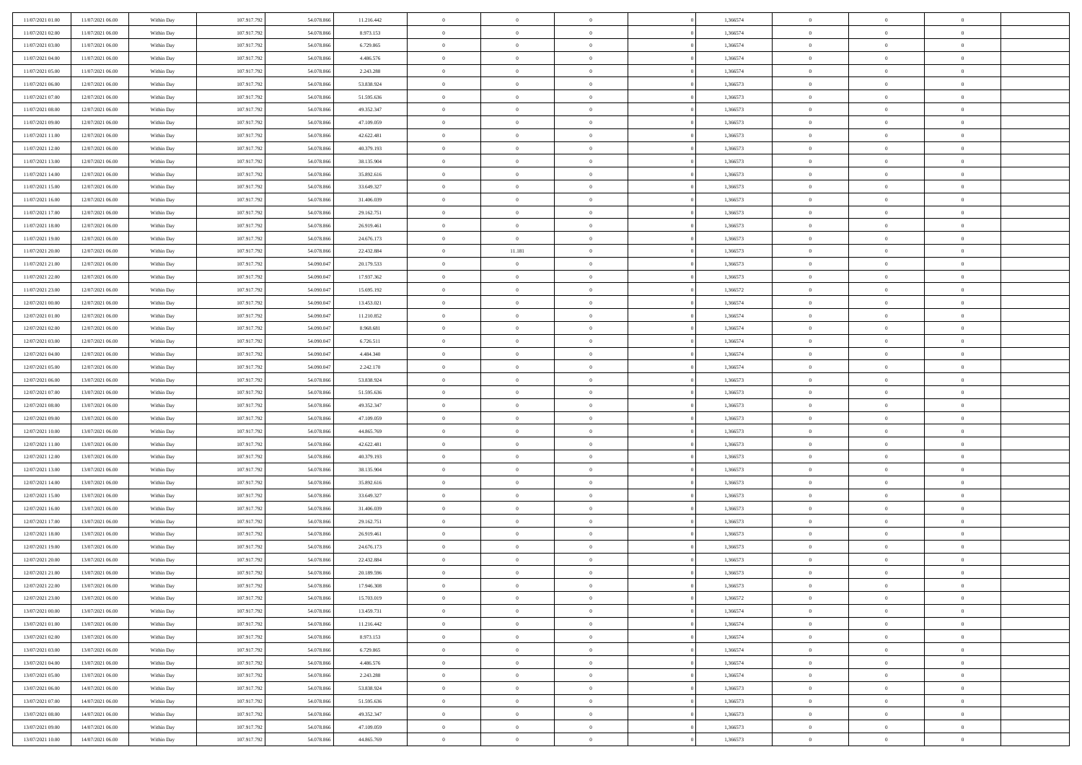| 11/07/2021 01:00                     | 11/07/2021 06:00                     | Within Day               | 107.917.792                | 54.078.866               | 11.216.442               | $\bf{0}$                    | $\overline{0}$                   | $\Omega$                         | 1,366574             | $\bf{0}$                 | $\overline{0}$             | $\bf{0}$                  |  |
|--------------------------------------|--------------------------------------|--------------------------|----------------------------|--------------------------|--------------------------|-----------------------------|----------------------------------|----------------------------------|----------------------|--------------------------|----------------------------|---------------------------|--|
| 11/07/2021 02:00                     | 11/07/2021 06:00                     | Within Day               | 107.917.792                | 54.078.866               | 8.973.153                | $\overline{0}$              | $\overline{0}$                   | $\overline{0}$                   | 1,366574             | $\mathbf{0}$             | $\bf{0}$                   | $\overline{0}$            |  |
| 11/07/2021 03:00                     | 11/07/2021 06:00                     | Within Day               | 107.917.792                | 54.078.866               | 6.729.865                | $\theta$                    | $\overline{0}$                   | $\bf{0}$                         | 1,366574             | $\,$ 0                   | $\overline{0}$             | $\,$ 0 $\,$               |  |
| 11/07/2021 04:00                     | 11/07/2021 06:00                     | Within Day               | 107.917.792                | 54.078.866               | 4.486.576                | $\mathbf{0}$                | $\overline{0}$                   | $\mathbf{0}$                     | 1.366574             | $\bf{0}$                 | $\mathbf{0}$               | $\theta$                  |  |
| 11/07/2021 05:00                     | 11/07/2021 06:00                     | Within Day               | 107.917.792                | 54.078.866               | 2.243.288                | $\mathbf{0}$                | $\overline{0}$                   | $\overline{0}$                   | 1,366574             | $\mathbf{0}$             | $\bf{0}$                   | $\overline{0}$            |  |
| 11/07/2021 06:00                     | 12/07/2021 06:00                     | Within Day               | 107.917.792                | 54.078.866               | 53.838.924               | $\theta$                    | $\overline{0}$                   | $\overline{0}$                   | 1,366573             | $\,$ 0                   | $\overline{0}$             | $\,$ 0 $\,$               |  |
| 11/07/2021 07:00                     | 12/07/2021 06:00                     | Within Day               | 107.917.792                | 54.078.866               | 51.595.636               | $\bf{0}$                    | $\overline{0}$                   | $\mathbf{0}$                     | 1,366573             | $\bf{0}$                 | $\mathbf{0}$               | $\theta$                  |  |
| 11/07/2021 08:00                     | 12/07/2021 06:00                     | Within Day               | 107.917.792                | 54.078.866               | 49.352.347               | $\overline{0}$              | $\overline{0}$                   | $\overline{0}$                   | 1,366573             | $\mathbf{0}$             | $\bf{0}$                   | $\overline{0}$            |  |
| 11/07/2021 09:00                     | 12/07/2021 06:00                     | Within Day               | 107.917.792                | 54.078.866               | 47.109.059               | $\theta$                    | $\overline{0}$                   | $\overline{0}$                   | 1,366573             | $\,$ 0                   | $\overline{0}$             | $\,$ 0 $\,$               |  |
| 11/07/2021 11:00                     | 12/07/2021 06:00                     | Within Day               | 107.917.792                | 54.078.866               | 42.622.481               | $\mathbf{0}$                | $\overline{0}$                   | $\mathbf{0}$                     | 1,366573             | $\bf{0}$                 | $\mathbf{0}$               | $\theta$                  |  |
| 11/07/2021 12:00                     | 12/07/2021 06:00                     | Within Day               | 107.917.792                | 54.078.866               | 40.379.193               | $\mathbf{0}$                | $\overline{0}$                   | $\overline{0}$                   | 1,366573             | $\mathbf{0}$             | $\bf{0}$                   | $\overline{0}$            |  |
| 11/07/2021 13:00                     | 12/07/2021 06:00                     | Within Day               | 107.917.792                | 54.078.866               | 38.135.904               | $\theta$                    | $\overline{0}$                   | $\bf{0}$                         | 1,366573             | $\,$ 0                   | $\overline{0}$             | $\,$ 0 $\,$               |  |
| 11/07/2021 14:00                     | 12/07/2021 06:00                     | Within Day               | 107.917.792                | 54.078.866               | 35.892.616               | $\theta$                    | $\overline{0}$                   | $\mathbf{0}$                     | 1,366573             | $\bf{0}$                 | $\mathbf{0}$               | $\theta$                  |  |
| 11/07/2021 15:00                     | 12/07/2021 06:00                     | Within Day               | 107.917.792                | 54.078.866               | 33.649.327               | $\mathbf{0}$                | $\overline{0}$                   | $\overline{0}$                   | 1,366573             | $\mathbf{0}$             | $\bf{0}$                   | $\overline{0}$            |  |
| 11/07/2021 16:00                     | 12/07/2021 06:00                     | Within Day               | 107.917.792                | 54.078.866               | 31.406.039               | $\theta$                    | $\overline{0}$                   | $\overline{0}$                   | 1,366573             | $\,$ 0                   | $\overline{0}$             | $\,$ 0 $\,$               |  |
| 11/07/2021 17:00                     | 12/07/2021 06:00                     | Within Day               | 107.917.792                | 54.078.866               | 29.162.751               | $\bf{0}$                    | $\overline{0}$                   | $\mathbf{0}$                     | 1,366573             | $\bf{0}$                 | $\mathbf{0}$               | $\theta$                  |  |
| 11/07/2021 18:00                     | 12/07/2021 06:00                     | Within Day               | 107.917.792                | 54.078.866               | 26.919.461               | $\overline{0}$              | $\overline{0}$                   | $\overline{0}$                   | 1,366573             | $\mathbf{0}$             | $\bf{0}$                   | $\overline{0}$            |  |
| 11/07/2021 19:00                     | 12/07/2021 06:00                     | Within Day               | 107.917.792                | 54.078.866               | 24.676.173               | $\theta$                    | $\overline{0}$                   | $\overline{0}$                   | 1,366573             | $\,$ 0                   | $\overline{0}$             | $\,0\,$                   |  |
| 11/07/2021 20:00                     | 12/07/2021 06:00                     | Within Day               | 107.917.792                | 54.078.866               | 22.432.884               | $\mathbf{0}$                | 11.181                           | $\mathbf{0}$                     | 1.366573             | $\bf{0}$                 | $\mathbf{0}$               | $\theta$                  |  |
| 11/07/2021 21:00                     | 12/07/2021 06:00                     | Within Day               | 107.917.792                | 54.090.047               | 20.179.533               | $\overline{0}$              | $\overline{0}$                   | $\overline{0}$                   | 1,366573             | $\mathbf{0}$             | $\bf{0}$                   | $\overline{0}$            |  |
| 11/07/2021 22:00                     | 12/07/2021 06:00                     | Within Day               | 107.917.792                | 54.090.047               | 17.937.362               | $\theta$                    | $\overline{0}$                   | $\bf{0}$                         | 1,366573             | $\,$ 0                   | $\overline{0}$             | $\,$ 0 $\,$               |  |
| 11/07/2021 23:00                     | 12/07/2021 06:00                     | Within Day               | 107.917.792                | 54,090,047               | 15.695.192               | $\theta$                    | $\overline{0}$                   | $\mathbf{0}$                     | 1.366572             | $\bf{0}$                 | $\theta$                   | $\theta$                  |  |
| 12/07/2021 00:00                     | 12/07/2021 06:00                     | Within Day               | 107.917.792                | 54.090.047               | 13.453.021               | $\mathbf{0}$                | $\overline{0}$                   | $\overline{0}$                   | 1,366574             | $\mathbf{0}$             | $\bf{0}$                   | $\overline{0}$            |  |
| 12/07/2021 01:00                     | 12/07/2021 06:00                     | Within Day               | 107.917.792                | 54.090.047               | 11.210.852               | $\theta$                    | $\overline{0}$                   | $\bf{0}$                         | 1,366574             | $\,$ 0                   | $\overline{0}$             | $\,$ 0 $\,$               |  |
| 12/07/2021 02:00                     | 12/07/2021 06:00                     | Within Day               | 107.917.792                | 54,090,047               | 8.968.681                | $\bf{0}$                    | $\overline{0}$                   | $\mathbf{0}$                     | 1.366574             | $\bf{0}$                 | $\bf{0}$                   | $\bf{0}$                  |  |
| 12/07/2021 03:00                     | 12/07/2021 06:00                     | Within Dav               | 107.917.792                | 54.090.047               | 6.726.511                | $\overline{0}$              | $\overline{0}$                   | $\overline{0}$                   | 1,366574             | $\mathbf{0}$             | $\bf{0}$                   | $\overline{0}$            |  |
| 12/07/2021 04:00                     | 12/07/2021 06:00                     | Within Day               | 107.917.792                | 54.090.047               | 4.484.340                | $\theta$                    | $\overline{0}$                   | $\overline{0}$                   | 1,366574             | $\,$ 0                   | $\overline{0}$             | $\,$ 0 $\,$               |  |
| 12/07/2021 05:00                     | 12/07/2021 06:00                     | Within Day               | 107.917.792                | 54,090,047               | 2.242.170                | $\mathbf{0}$                | $\overline{0}$                   | $\mathbf{0}$                     | 1.366574             | $\bf{0}$                 | $\mathbf{0}$               | $\theta$                  |  |
| 12/07/2021 06:00                     | 13/07/2021 06:00                     | Within Dav               | 107.917.792                | 54.078.866               | 53.838.924               | $\overline{0}$              | $\overline{0}$                   | $\overline{0}$                   | 1,366573             | $\mathbf{0}$             | $\bf{0}$                   | $\overline{0}$            |  |
| 12/07/2021 07:00                     | 13/07/2021 06:00                     | Within Day               | 107.917.792                | 54.078.866               | 51.595.636               | $\theta$                    | $\overline{0}$                   | $\bf{0}$                         | 1,366573             | $\,$ 0                   | $\overline{0}$             | $\,$ 0 $\,$               |  |
| 12/07/2021 08:00                     | 13/07/2021 06:00                     | Within Day               | 107.917.792                | 54.078.866               | 49.352.347               | $\,$ 0 $\,$                 | $\overline{0}$                   | $\overline{0}$                   | 1,366573             | $\bf{0}$                 | $\overline{0}$             | $\,0\,$                   |  |
| 12/07/2021 09:00                     | 13/07/2021 06:00                     | Within Dav               | 107.917.792                | 54.078.866               | 47.109.059               | $\overline{0}$              | $\overline{0}$                   | $\overline{0}$                   | 1,366573             | $\mathbf{0}$             | $\bf{0}$                   | $\overline{0}$            |  |
| 12/07/2021 10:00                     | 13/07/2021 06:00                     | Within Day               | 107.917.792                | 54.078.866               | 44.865.769               | $\theta$                    | $\overline{0}$                   | $\overline{0}$                   | 1,366573             | $\,$ 0                   | $\overline{0}$             | $\,$ 0 $\,$               |  |
| 12/07/2021 11:00                     | 13/07/2021 06:00                     | Within Day               | 107.917.792                | 54.078.866               | 42.622.481               | $\,$ 0 $\,$                 | $\overline{0}$                   | $\overline{0}$                   | 1,366573             | $\bf{0}$                 | $\overline{0}$             | $\bf{0}$                  |  |
| 12/07/2021 12:00                     | 13/07/2021 06:00                     | Within Dav               | 107.917.792                | 54.078.866               | 40.379.193               | $\overline{0}$              | $\overline{0}$                   | $\overline{0}$                   | 1,366573             | $\mathbf{0}$             | $\bf{0}$                   | $\overline{0}$            |  |
| 12/07/2021 13:00                     | 13/07/2021 06:00                     | Within Day               | 107.917.792                | 54.078.866               | 38.135.904               | $\theta$                    | $\overline{0}$                   | $\bf{0}$                         | 1,366573             | $\,$ 0                   | $\overline{0}$             | $\,$ 0 $\,$               |  |
| 12/07/2021 14:00<br>12/07/2021 15:00 | 13/07/2021 06:00<br>13/07/2021 06:00 | Within Day<br>Within Dav | 107.917.792<br>107.917.792 | 54.078.866<br>54.078.866 | 35.892.616<br>33.649.327 | $\,$ 0 $\,$<br>$\mathbf{0}$ | $\overline{0}$<br>$\overline{0}$ | $\overline{0}$<br>$\overline{0}$ | 1,366573<br>1,366573 | $\bf{0}$<br>$\mathbf{0}$ | $\overline{0}$<br>$\bf{0}$ | $\,0\,$<br>$\overline{0}$ |  |
| 12/07/2021 16:00                     | 13/07/2021 06:00                     |                          | 107.917.792                | 54.078.866               | 31.406.039               | $\theta$                    | $\overline{0}$                   | $\bf{0}$                         | 1,366573             | $\,$ 0                   | $\overline{0}$             | $\,$ 0 $\,$               |  |
|                                      |                                      | Within Day               |                            |                          |                          | $\,$ 0 $\,$                 |                                  | $\overline{0}$                   |                      | $\bf{0}$                 | $\overline{0}$             | $\,0\,$                   |  |
| 12/07/2021 17:00<br>12/07/2021 18:00 | 13/07/2021 06:00<br>13/07/2021 06:00 | Within Day<br>Within Dav | 107.917.792<br>107.917.792 | 54.078.866<br>54.078.866 | 29.162.751<br>26.919.461 | $\theta$                    | $\overline{0}$<br>$\overline{0}$ | $\overline{0}$                   | 1,366573<br>1,366573 | $\mathbf{0}$             | $\bf{0}$                   | $\overline{0}$            |  |
| 12/07/2021 19:00                     | 13/07/2021 06:00                     | Within Day               | 107.917.792                | 54.078.866               | 24.676.173               | $\theta$                    | $\overline{0}$                   | $\bf{0}$                         | 1,366573             | $\,$ 0                   | $\overline{0}$             | $\,$ 0 $\,$               |  |
| 12/07/2021 20:00                     | 13/07/2021 06:00                     | Within Day               | 107.917.792                | 54.078.866               | 22.432.884               | $\,$ 0 $\,$                 | $\overline{0}$                   | $\overline{0}$                   | 1,366573             | $\bf{0}$                 | $\overline{0}$             | $\,0\,$                   |  |
| 12/07/2021 21:00                     | 13/07/2021 06:00                     | Within Dav               | 107.917.792                | 54.078.866               | 20.189.596               | $\theta$                    | $\overline{0}$                   | $\overline{0}$                   | 1,366573             | $\mathbf{0}$             | $\bf{0}$                   | $\overline{0}$            |  |
| 12/07/2021 22:00                     | 13/07/2021 06:00                     | Within Day               | 107.917.792                | 54.078.866               | 17.946.308               | $\overline{0}$              | $\overline{0}$                   | $\overline{0}$                   | 1,366573             | $\overline{0}$           | $\theta$                   | $\theta$                  |  |
| 12/07/2021 23:00                     | 13/07/2021 06:00                     | Within Day               | 107.917.792                | 54.078.866               | 15.703.019               | $\bf{0}$                    | $\overline{0}$                   | $\overline{0}$                   | 1,366572             | $\mathbf{0}$             | $\overline{0}$             | $\bf{0}$                  |  |
| 13/07/2021 00:00                     | 13/07/2021 06:00                     | Within Day               | 107.917.792                | 54.078.866               | 13.459.731               | $\overline{0}$              | $\overline{0}$                   | $\overline{0}$                   | 1,366574             | $\overline{0}$           | $\overline{0}$             | $\overline{0}$            |  |
| 13/07/2021 01:00                     | 13/07/2021 06:00                     | Within Day               | 107.917.792                | 54.078.866               | 11.216.442               | $\,$ 0                      | $\overline{0}$                   | $\overline{0}$                   | 1,366574             | $\,$ 0 $\,$              | $\,$ 0 $\,$                | $\,$ 0 $\,$               |  |
| 13/07/2021 02:00                     | 13/07/2021 06:00                     | Within Day               | 107.917.792                | 54.078.866               | 8.973.153                | $\bf{0}$                    | $\overline{0}$                   | $\overline{0}$                   | 1,366574             | $\mathbf{0}$             | $\overline{0}$             | $\bf{0}$                  |  |
| 13/07/2021 03:00                     | 13/07/2021 06:00                     | Within Day               | 107.917.792                | 54.078.866               | 6.729.865                | $\,$ 0 $\,$                 | $\overline{0}$                   | $\overline{0}$                   | 1,366574             | $\,$ 0 $\,$              | $\bf{0}$                   | $\overline{0}$            |  |
| 13/07/2021 04:00                     | 13/07/2021 06:00                     | Within Day               | 107.917.792                | 54.078.866               | 4.486.576                | $\,$ 0                      | $\overline{0}$                   | $\overline{0}$                   | 1,366574             | $\,$ 0 $\,$              | $\overline{0}$             | $\,$ 0 $\,$               |  |
| 13/07/2021 05:00                     | 13/07/2021 06:00                     | Within Day               | 107.917.792                | 54.078.866               | 2.243.288                | $\bf{0}$                    | $\overline{0}$                   | $\overline{0}$                   | 1,366574             | $\overline{0}$           | $\overline{0}$             | $\overline{0}$            |  |
| 13/07/2021 06:00                     | 14/07/2021 06:00                     | Within Day               | 107.917.792                | 54.078.866               | 53.838.924               | $\,$ 0 $\,$                 | $\overline{0}$                   | $\overline{0}$                   | 1,366573             | $\,$ 0 $\,$              | $\bf{0}$                   | $\overline{0}$            |  |
| 13/07/2021 07:00                     | 14/07/2021 06:00                     | Within Day               | 107.917.792                | 54.078.866               | 51.595.636               | $\,$ 0                      | $\overline{0}$                   | $\overline{0}$                   | 1,366573             | $\,$ 0 $\,$              | $\,$ 0 $\,$                | $\,$ 0 $\,$               |  |
| 13/07/2021 08:00                     | 14/07/2021 06:00                     | Within Day               | 107.917.792                | 54.078.866               | 49.352.347               | $\bf{0}$                    | $\overline{0}$                   | $\overline{0}$                   | 1,366573             | $\mathbf{0}$             | $\overline{0}$             | $\bf{0}$                  |  |
| 13/07/2021 09:00                     | 14/07/2021 06:00                     | Within Day               | 107.917.792                | 54.078.866               | 47.109.059               | $\mathbf{0}$                | $\overline{0}$                   | $\overline{0}$                   | 1,366573             | $\overline{0}$           | $\bf{0}$                   | $\overline{0}$            |  |
| 13/07/2021 10:00                     | 14/07/2021 06:00                     | Within Day               | 107.917.792                | 54.078.866               | 44.865.769               | $\,$ 0 $\,$                 | $\overline{0}$                   | $\overline{0}$                   | 1,366573             | $\,$ 0 $\,$              | $\overline{0}$             | $\,$ 0 $\,$               |  |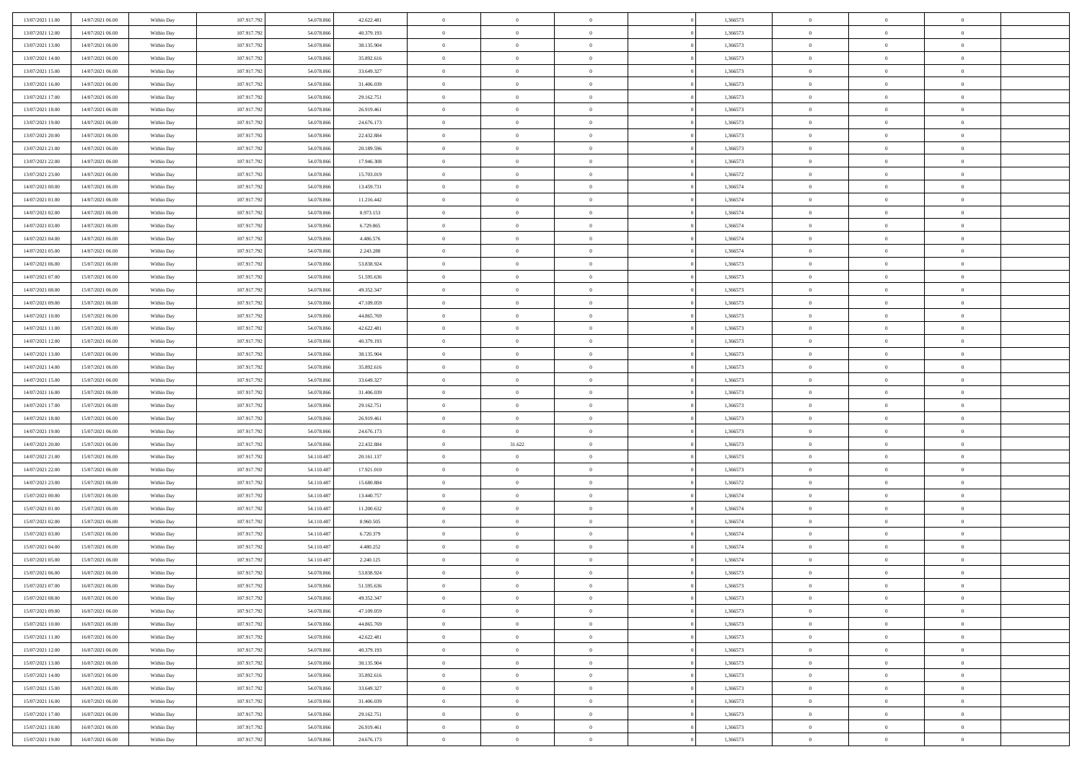| 13/07/2021 11:00 | 14/07/2021 06:00 | Within Day | 107.917.792 | 54.078.866 | 42.622.481 | $\overline{0}$ | $\overline{0}$ | $\Omega$       | 1,366573 | $\bf{0}$       | $\mathbf{0}$   | $\bf{0}$       |  |
|------------------|------------------|------------|-------------|------------|------------|----------------|----------------|----------------|----------|----------------|----------------|----------------|--|
| 13/07/2021 12:00 | 14/07/2021 06:00 | Within Dav | 107.917.792 | 54.078.866 | 40.379.193 | $\mathbf{0}$   | $\overline{0}$ | $\overline{0}$ | 1,366573 | $\overline{0}$ | $\overline{0}$ | $\overline{0}$ |  |
| 13/07/2021 13:00 | 14/07/2021 06:00 | Within Day | 107.917.792 | 54.078.866 | 38.135.904 | $\,$ 0         | $\overline{0}$ | $\bf{0}$       | 1,366573 | $\,$ 0         | $\overline{0}$ | $\,$ 0 $\,$    |  |
| 13/07/2021 14:00 | 14/07/2021 06:00 | Within Day | 107.917.792 | 54,078,866 | 35.892.616 | $\bf{0}$       | $\overline{0}$ | $\Omega$       | 1,366573 | $\bf{0}$       | $\mathbf{0}$   | $\theta$       |  |
| 13/07/2021 15:00 | 14/07/2021 06:00 | Within Dav | 107.917.792 | 54.078.866 | 33.649.327 | $\bf{0}$       | $\overline{0}$ | $\overline{0}$ | 1,366573 | $\mathbf{0}$   | $\overline{0}$ | $\overline{0}$ |  |
| 13/07/2021 16:00 | 14/07/2021 06:00 | Within Day | 107.917.792 | 54.078.866 | 31.406.039 | $\bf{0}$       | $\overline{0}$ | $\bf{0}$       | 1,366573 | $\,$ 0         | $\overline{0}$ | $\,$ 0 $\,$    |  |
| 13/07/2021 17:00 | 14/07/2021 06:00 | Within Day | 107.917.792 | 54,078,866 | 29.162.751 | $\bf{0}$       | $\overline{0}$ | $\Omega$       | 1,366573 | $\theta$       | $\mathbf{0}$   | $\theta$       |  |
| 13/07/2021 18:00 | 14/07/2021 06:00 | Within Dav | 107.917.792 | 54.078.866 | 26.919.461 | $\overline{0}$ | $\overline{0}$ | $\overline{0}$ | 1,366573 | $\mathbf{0}$   | $\overline{0}$ | $\overline{0}$ |  |
| 13/07/2021 19:00 | 14/07/2021 06:00 | Within Day | 107.917.792 | 54.078.866 | 24.676.173 | $\bf{0}$       | $\overline{0}$ | $\bf{0}$       | 1,366573 | $\,$ 0         | $\overline{0}$ | $\,$ 0 $\,$    |  |
| 13/07/2021 20:00 | 14/07/2021 06:00 | Within Day | 107.917.792 | 54.078.866 | 22.432.884 | $\overline{0}$ | $\overline{0}$ | $\Omega$       | 1,366573 | $\theta$       | $\mathbf{0}$   | $\theta$       |  |
| 13/07/2021 21:00 | 14/07/2021 06:00 | Within Day | 107.917.792 | 54.078.866 | 20.189.596 | $\overline{0}$ | $\overline{0}$ | $\overline{0}$ | 1,366573 | $\mathbf{0}$   | $\overline{0}$ | $\overline{0}$ |  |
| 13/07/2021 22:00 | 14/07/2021 06:00 | Within Day | 107.917.792 | 54.078.866 | 17.946.308 | $\bf{0}$       | $\overline{0}$ | $\bf{0}$       | 1,366573 | $\,$ 0         | $\overline{0}$ | $\,$ 0 $\,$    |  |
| 13/07/2021 23:00 | 14/07/2021 06:00 | Within Day | 107.917.792 | 54,078,866 | 15,703,019 | $\bf{0}$       | $\overline{0}$ | $\Omega$       | 1.366572 | $\bf{0}$       | $\mathbf{0}$   | $\theta$       |  |
| 14/07/2021 00:00 | 14/07/2021 06:00 | Within Dav | 107.917.792 | 54.078.866 | 13.459.731 | $\overline{0}$ | $\overline{0}$ | $\overline{0}$ | 1,366574 | $\overline{0}$ | $\overline{0}$ | $\overline{0}$ |  |
| 14/07/2021 01:00 | 14/07/2021 06:00 | Within Day | 107.917.792 | 54.078.866 | 11.216.442 | $\bf{0}$       | $\overline{0}$ | $\bf{0}$       | 1,366574 | $\,$ 0         | $\overline{0}$ | $\,$ 0 $\,$    |  |
| 14/07/2021 02.00 | 14/07/2021 06:00 | Within Day | 107.917.792 | 54,078,866 | 8.973.153  | $\bf{0}$       | $\overline{0}$ | $\overline{0}$ | 1,366574 | $\theta$       | $\mathbf{0}$   | $\theta$       |  |
| 14/07/2021 03:00 | 14/07/2021 06:00 | Within Dav | 107.917.792 | 54.078.866 | 6.729.865  | $\overline{0}$ | $\overline{0}$ | $\overline{0}$ | 1,366574 | $\mathbf{0}$   | $\overline{0}$ | $\overline{0}$ |  |
| 14/07/2021 04:00 | 14/07/2021 06:00 | Within Day | 107.917.792 | 54.078.866 | 4.486.576  | $\bf{0}$       | $\overline{0}$ | $\bf{0}$       | 1,366574 | $\,$ 0         | $\overline{0}$ | $\,$ 0 $\,$    |  |
| 14/07/2021 05:00 | 14/07/2021 06:00 | Within Day | 107.917.792 | 54,078,866 | 2.243.288  | $\bf{0}$       | $\overline{0}$ | $\Omega$       | 1,366574 | $\theta$       | $\mathbf{0}$   | $\theta$       |  |
| 14/07/2021 06:00 | 15/07/2021 06:00 | Within Day | 107.917.792 | 54.078.866 | 53.838.924 | $\overline{0}$ | $\overline{0}$ | $\overline{0}$ | 1,366573 | $\mathbf{0}$   | $\overline{0}$ | $\overline{0}$ |  |
| 14/07/2021 07:00 | 15/07/2021 06:00 | Within Day | 107.917.792 | 54.078.866 | 51.595.636 | $\bf{0}$       | $\overline{0}$ | $\bf{0}$       | 1,366573 | $\,$ 0         | $\overline{0}$ | $\,$ 0 $\,$    |  |
| 14/07/2021 08:00 | 15/07/2021 06:00 | Within Day | 107.917.792 | 54,078,866 | 49.352.347 | $\bf{0}$       | $\overline{0}$ | $\Omega$       | 1,366573 | $\bf{0}$       | $\mathbf{0}$   | $\theta$       |  |
| 14/07/2021 09:00 | 15/07/2021 06:00 | Within Dav | 107.917.792 | 54.078.866 | 47.109.059 | $\overline{0}$ | $\overline{0}$ | $\overline{0}$ | 1,366573 | $\overline{0}$ | $\overline{0}$ | $\overline{0}$ |  |
| 14/07/2021 10:00 | 15/07/2021 06:00 | Within Day | 107.917.792 | 54.078.866 | 44.865.769 | $\bf{0}$       | $\overline{0}$ | $\bf{0}$       | 1,366573 | $\,$ 0         | $\overline{0}$ | $\,$ 0 $\,$    |  |
| 14/07/2021 11:00 | 15/07/2021 06:00 | Within Day | 107.917.792 | 54,078,866 | 42.622.481 | $\bf{0}$       | $\overline{0}$ | $\overline{0}$ | 1,366573 | $\bf{0}$       | $\overline{0}$ | $\theta$       |  |
| 14/07/2021 12:00 | 15/07/2021 06:00 | Within Day | 107.917.792 | 54.078.866 | 40.379.193 | $\overline{0}$ | $\overline{0}$ | $\overline{0}$ | 1,366573 | $\mathbf{0}$   | $\overline{0}$ | $\overline{0}$ |  |
| 14/07/2021 13:00 | 15/07/2021 06:00 | Within Day | 107.917.792 | 54.078.866 | 38.135.904 | $\bf{0}$       | $\overline{0}$ | $\bf{0}$       | 1,366573 | $\,$ 0         | $\overline{0}$ | $\,$ 0 $\,$    |  |
| 14/07/2021 14:00 | 15/07/2021 06:00 | Within Day | 107.917.792 | 54.078.866 | 35,892,616 | $\bf{0}$       | $\overline{0}$ | $\Omega$       | 1,366573 | $\theta$       | $\mathbf{0}$   | $\theta$       |  |
| 14/07/2021 15:00 | 15/07/2021 06:00 | Within Day | 107.917.792 | 54.078.866 | 33.649.327 | $\overline{0}$ | $\overline{0}$ | $\overline{0}$ | 1,366573 | $\overline{0}$ | $\overline{0}$ | $\overline{0}$ |  |
| 14/07/2021 16:00 | 15/07/2021 06:00 | Within Day | 107.917.792 | 54.078.866 | 31.406.039 | $\bf{0}$       | $\overline{0}$ | $\bf{0}$       | 1,366573 | $\,$ 0         | $\overline{0}$ | $\,$ 0 $\,$    |  |
| 14/07/2021 17.00 | 15/07/2021 06:00 | Within Day | 107.917.792 | 54.078.866 | 29.162.751 | $\bf{0}$       | $\bf{0}$       | $\overline{0}$ | 1,366573 | $\bf{0}$       | $\overline{0}$ | $\,0\,$        |  |
| 14/07/2021 18:00 | 15/07/2021 06:00 | Within Dav | 107.917.792 | 54.078.866 | 26.919.461 | $\overline{0}$ | $\overline{0}$ | $\overline{0}$ | 1,366573 | $\mathbf{0}$   | $\overline{0}$ | $\overline{0}$ |  |
| 14/07/2021 19:00 | 15/07/2021 06:00 | Within Day | 107.917.792 | 54.078.866 | 24.676.173 | $\bf{0}$       | $\overline{0}$ | $\bf{0}$       | 1,366573 | $\,$ 0         | $\overline{0}$ | $\,$ 0 $\,$    |  |
| 14/07/2021 20:00 | 15/07/2021 06:00 | Within Day | 107.917.792 | 54.078.866 | 22.432.884 | $\bf{0}$       | 31.622         | $\bf{0}$       | 1,366573 | $\bf{0}$       | $\overline{0}$ | $\,0\,$        |  |
| 14/07/2021 21:00 | 15/07/2021 06:00 | Within Day | 107.917.792 | 54.110.487 | 20.161.137 | $\overline{0}$ | $\overline{0}$ | $\overline{0}$ | 1,366573 | $\mathbf{0}$   | $\overline{0}$ | $\overline{0}$ |  |
| 14/07/2021 22.00 | 15/07/2021 06:00 | Within Day | 107.917.792 | 54.110.487 | 17.921.010 | $\bf{0}$       | $\overline{0}$ | $\bf{0}$       | 1,366573 | $\,$ 0         | $\overline{0}$ | $\,$ 0 $\,$    |  |
| 14/07/2021 23.00 | 15/07/2021 06:00 | Within Day | 107.917.792 | 54.110.487 | 15.680.884 | $\bf{0}$       | $\bf{0}$       | $\overline{0}$ | 1,366572 | $\bf{0}$       | $\overline{0}$ | $\,0\,$        |  |
| 15/07/2021 00:00 | 15/07/2021 06:00 | Within Day | 107.917.792 | 54.110.487 | 13.440.757 | $\overline{0}$ | $\overline{0}$ | $\overline{0}$ | 1,366574 | $\mathbf{0}$   | $\overline{0}$ | $\overline{0}$ |  |
| 15/07/2021 01:00 | 15/07/2021 06:00 | Within Day | 107.917.792 | 54.110.487 | 11.200.632 | $\bf{0}$       | $\overline{0}$ | $\bf{0}$       | 1,366574 | $\,$ 0         | $\overline{0}$ | $\,$ 0 $\,$    |  |
| 15/07/2021 02:00 | 15/07/2021 06:00 | Within Day | 107.917.792 | 54.110.487 | 8.960.505  | $\bf{0}$       | $\bf{0}$       | $\overline{0}$ | 1,366574 | $\bf{0}$       | $\overline{0}$ | $\,0\,$        |  |
| 15/07/2021 03:00 | 15/07/2021 06:00 | Within Dav | 107.917.792 | 54.110.487 | 6.720.379  | $\overline{0}$ | $\overline{0}$ | $\overline{0}$ | 1,366574 | $\mathbf{0}$   | $\overline{0}$ | $\overline{0}$ |  |
| 15/07/2021 04:00 | 15/07/2021 06:00 | Within Day | 107.917.792 | 54.110.487 | 4.480.252  | $\bf{0}$       | $\overline{0}$ | $\bf{0}$       | 1,366574 | $\,$ 0         | $\overline{0}$ | $\,$ 0 $\,$    |  |
| 15/07/2021 05:00 | 15/07/2021 06:00 | Within Day | 107.917.792 | 54.110.487 | 2.240.125  | $\bf{0}$       | $\bf{0}$       | $\bf{0}$       | 1,366574 | $\bf{0}$       | $\overline{0}$ | $\,0\,$        |  |
| 15/07/2021 06:00 | 16/07/2021 06:00 | Within Day | 107.917.792 | 54.078.866 | 53.838.924 | $\mathbf{0}$   | $\overline{0}$ | $\overline{0}$ | 1,366573 | $\mathbf{0}$   | $\overline{0}$ | $\overline{0}$ |  |
| 15/07/2021 07:00 | 16/07/2021 06:00 | Within Day | 107.917.792 | 54.078.866 | 51.595.636 | $\bf{0}$       | $\overline{0}$ | $\overline{0}$ | 1,366573 | $\overline{0}$ | $\theta$       | $\theta$       |  |
| 15/07/2021 08:00 | 16/07/2021 06:00 | Within Day | 107.917.792 | 54.078.866 | 49.352.347 | $\bf{0}$       | $\bf{0}$       | $\bf{0}$       | 1,366573 | $\bf{0}$       | $\overline{0}$ | $\bf{0}$       |  |
| 15/07/2021 09:00 | 16/07/2021 06:00 | Within Day | 107.917.792 | 54.078.866 | 47.109.059 | $\overline{0}$ | $\overline{0}$ | $\overline{0}$ | 1,366573 | $\overline{0}$ | $\bf{0}$       | $\overline{0}$ |  |
| 15/07/2021 10:00 | 16/07/2021 06:00 | Within Day | 107.917.792 | 54.078.866 | 44.865.769 | $\,$ 0 $\,$    | $\overline{0}$ | $\overline{0}$ | 1,366573 | $\mathbf{0}$   | $\,$ 0 $\,$    | $\,$ 0 $\,$    |  |
| 15/07/2021 11:00 | 16/07/2021 06:00 | Within Day | 107.917.792 | 54.078.866 | 42.622.481 | $\bf{0}$       | $\bf{0}$       | $\overline{0}$ | 1,366573 | $\bf{0}$       | $\overline{0}$ | $\bf{0}$       |  |
| 15/07/2021 12:00 | 16/07/2021 06:00 | Within Day | 107.917.792 | 54.078.866 | 40.379.193 | $\bf{0}$       | $\overline{0}$ | $\overline{0}$ | 1,366573 | $\overline{0}$ | $\overline{0}$ | $\overline{0}$ |  |
| 15/07/2021 13:00 | 16/07/2021 06:00 | Within Day | 107.917.792 | 54.078.866 | 38.135.904 | $\,$ 0 $\,$    | $\overline{0}$ | $\overline{0}$ | 1,366573 | $\,$ 0 $\,$    | $\overline{0}$ | $\,$ 0 $\,$    |  |
| 15/07/2021 14:00 | 16/07/2021 06:00 | Within Day | 107.917.792 | 54.078.866 | 35.892.616 | $\overline{0}$ | $\overline{0}$ | $\overline{0}$ | 1,366573 | $\bf{0}$       | $\overline{0}$ | $\overline{0}$ |  |
| 15/07/2021 15:00 | 16/07/2021 06:00 | Within Day | 107.917.792 | 54.078.866 | 33.649.327 | $\overline{0}$ | $\overline{0}$ | $\overline{0}$ | 1,366573 | $\overline{0}$ | $\bf{0}$       | $\overline{0}$ |  |
| 15/07/2021 16:00 | 16/07/2021 06:00 | Within Day | 107.917.792 | 54.078.866 | 31.406.039 | $\,$ 0 $\,$    | $\overline{0}$ | $\overline{0}$ | 1,366573 | $\,$ 0 $\,$    | $\,$ 0 $\,$    | $\,$ 0 $\,$    |  |
| 15/07/2021 17:00 | 16/07/2021 06:00 | Within Day | 107.917.792 | 54.078.866 | 29.162.751 | $\bf{0}$       | $\bf{0}$       | $\overline{0}$ | 1,366573 | $\bf{0}$       | $\overline{0}$ | $\bf{0}$       |  |
| 15/07/2021 18:00 | 16/07/2021 06:00 | Within Day | 107.917.792 | 54.078.866 | 26.919.461 | $\bf{0}$       | $\overline{0}$ | $\overline{0}$ | 1,366573 | $\mathbf{0}$   | $\bf{0}$       | $\overline{0}$ |  |
| 15/07/2021 19:00 | 16/07/2021 06:00 | Within Day | 107.917.792 | 54.078.866 | 24.676.173 | $\,0\,$        | $\overline{0}$ | $\overline{0}$ | 1,366573 | $\,$ 0         | $\overline{0}$ | $\,$ 0 $\,$    |  |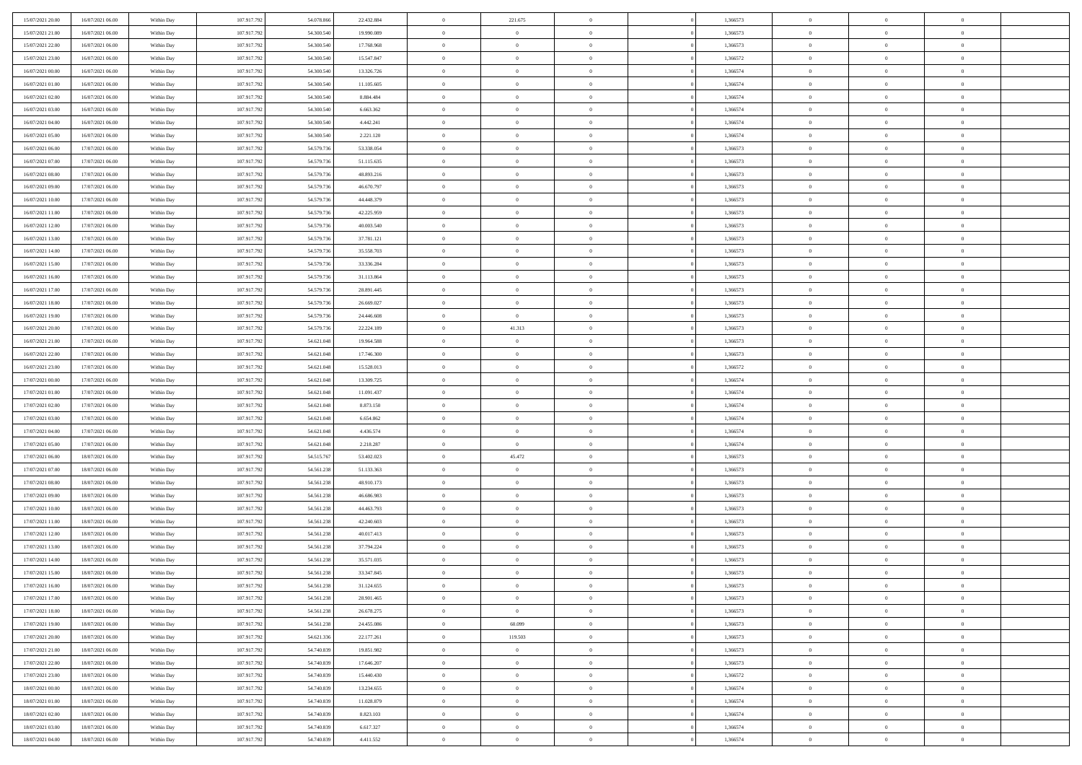| 15/07/2021 20:00 | 16/07/2021 06:00 | Within Day | 107.917.792 | 54.078.866 | 22.432.884 | $\,0\,$                | 221.675        | $\overline{0}$ |                | 1,366573 | $\,$ 0 $\,$    | $\overline{0}$ | $\bf{0}$       |  |
|------------------|------------------|------------|-------------|------------|------------|------------------------|----------------|----------------|----------------|----------|----------------|----------------|----------------|--|
| 15/07/2021 21:00 | 16/07/2021 06:00 | Within Day | 107.917.792 | 54,300,54  | 19.990.089 | $\overline{0}$         | $\overline{0}$ | $\overline{0}$ |                | 1,366573 | $\overline{0}$ | $\overline{0}$ | $\overline{0}$ |  |
| 15/07/2021 22:00 | 16/07/2021 06:00 | Within Day | 107.917.792 | 54.300.540 | 17.768.968 | $\mathbf{0}$           | $\overline{0}$ | $\overline{0}$ |                | 1,366573 | $\theta$       | $\overline{0}$ | $\overline{0}$ |  |
| 15/07/2021 23:00 | 16/07/2021 06:00 | Within Day | 107.917.792 | 54.300.540 | 15.547.847 | $\bf{0}$               | $\overline{0}$ | $\overline{0}$ |                | 1,366572 | $\bf{0}$       | $\overline{0}$ | $\bf{0}$       |  |
| 16/07/2021 00:00 | 16/07/2021 06:00 | Within Day | 107.917.792 | 54.300.540 | 13.326.726 | $\overline{0}$         | $\overline{0}$ | $\overline{0}$ |                | 1,366574 | $\bf{0}$       | $\bf{0}$       | $\bf{0}$       |  |
| 16/07/2021 01:00 | 16/07/2021 06:00 | Within Day | 107.917.792 | 54.300.540 | 11.105.605 | $\mathbf{0}$           | $\overline{0}$ | $\overline{0}$ |                | 1,366574 | $\theta$       | $\overline{0}$ | $\theta$       |  |
| 16/07/2021 02:00 | 16/07/2021 06:00 | Within Day | 107.917.792 | 54.300.540 | 8.884.484  | $\mathbf{0}$           | $\overline{0}$ | $\overline{0}$ |                | 1,366574 | $\bf{0}$       | $\overline{0}$ | $\theta$       |  |
| 16/07/2021 03:00 | 16/07/2021 06:00 | Within Day | 107.917.792 | 54,300,54  | 6.663.362  | $\overline{0}$         | $\mathbf{0}$   | $\overline{0}$ |                | 1,366574 | $\,$ 0 $\,$    | $\overline{0}$ | $\overline{0}$ |  |
| 16/07/2021 04:00 | 16/07/2021 06:00 | Within Day | 107.917.792 | 54.300.540 | 4.442.241  | $\mathbf{0}$           | $\overline{0}$ | $\overline{0}$ |                | 1,366574 | $\theta$       | $\overline{0}$ | $\overline{0}$ |  |
| 16/07/2021 05:00 | 16/07/2021 06:00 | Within Day | 107.917.792 | 54.300.540 | 2.221.120  | $\bf{0}$               | $\overline{0}$ | $\overline{0}$ |                | 1,366574 | $\mathbf{0}$   | $\overline{0}$ | $\bf{0}$       |  |
| 16/07/2021 06:00 | 17/07/2021 06:00 | Within Day | 107.917.792 | 54.579.736 | 53.338.054 | $\bf{0}$               | $\overline{0}$ | $\overline{0}$ |                | 1,366573 | $\bf{0}$       | $\theta$       | $\theta$       |  |
| 16/07/2021 07:00 | 17/07/2021 06:00 | Within Day | 107.917.792 | 54.579.736 | 51.115.635 | $\mathbf{0}$           | $\overline{0}$ | $\overline{0}$ |                | 1,366573 | $\theta$       | $\overline{0}$ | $\overline{0}$ |  |
| 16/07/2021 08:00 | 17/07/2021 06:00 | Within Day | 107.917.792 | 54.579.736 | 48.893.216 | $\,0\,$                | $\overline{0}$ | $\bf{0}$       |                | 1,366573 | $\bf{0}$       | $\overline{0}$ | $\bf{0}$       |  |
| 16/07/2021 09:00 | 17/07/2021 06:00 | Within Day | 107.917.792 | 54.579.736 | 46.670.797 | $\bf{0}$               | $\overline{0}$ | $\overline{0}$ |                | 1,366573 | $\,$ 0 $\,$    | $\overline{0}$ | $\overline{0}$ |  |
| 16/07/2021 10:00 | 17/07/2021 06:00 | Within Day | 107.917.792 | 54.579.736 | 44.448.379 | $\mathbf{0}$           | $\overline{0}$ | $\overline{0}$ |                | 1,366573 | $\theta$       | $\overline{0}$ | $\overline{0}$ |  |
| 16/07/2021 11:00 | 17/07/2021 06:00 | Within Day | 107.917.792 | 54.579.736 | 42.225.959 | $\,0\,$                | $\overline{0}$ | $\overline{0}$ |                | 1,366573 | $\bf{0}$       | $\overline{0}$ | $\bf{0}$       |  |
| 16/07/2021 12:00 | 17/07/2021 06:00 | Within Day | 107.917.792 | 54.579.736 | 40.003.540 | $\bf{0}$               | $\overline{0}$ | $\overline{0}$ |                | 1,366573 | $\bf{0}$       | $\overline{0}$ | $\overline{0}$ |  |
| 16/07/2021 13:00 | 17/07/2021 06:00 | Within Day | 107.917.792 | 54.579.736 | 37.781.121 | $\mathbf{0}$           | $\overline{0}$ | $\overline{0}$ |                | 1,366573 | $\theta$       | $\overline{0}$ | $\overline{0}$ |  |
| 16/07/2021 14:00 | 17/07/2021 06:00 | Within Day | 107.917.792 | 54.579.736 | 35.558.703 | $\bf{0}$               | $\overline{0}$ | $\bf{0}$       |                | 1,366573 | $\bf{0}$       | $\overline{0}$ | $\bf{0}$       |  |
| 16/07/2021 15:00 | 17/07/2021 06:00 | Within Day | 107.917.792 | 54.579.736 | 33.336.284 | $\bf{0}$               | $\overline{0}$ | $\overline{0}$ |                | 1,366573 | $\bf{0}$       | $\overline{0}$ | $\bf{0}$       |  |
| 16/07/2021 16:00 | 17/07/2021 06:00 | Within Day | 107.917.792 | 54.579.736 | 31.113.864 | $\overline{0}$         | $\overline{0}$ | $\overline{0}$ |                | 1,366573 | $\theta$       | $\overline{0}$ | $\overline{0}$ |  |
| 16/07/2021 17:00 | 17/07/2021 06:00 | Within Day | 107.917.792 | 54.579.736 | 28.891.445 | $\mathbf{0}$           | $\overline{0}$ | $\overline{0}$ |                | 1,366573 | $\bf{0}$       | $\overline{0}$ | $\theta$       |  |
| 16/07/2021 18:00 | 17/07/2021 06:00 | Within Day | 107.917.792 | 54.579.736 | 26.669.027 | $\overline{0}$         | $\overline{0}$ | $\overline{0}$ |                | 1,366573 | $\bf{0}$       | $\overline{0}$ | $\overline{0}$ |  |
| 16/07/2021 19:00 | 17/07/2021 06:00 | Within Day | 107.917.792 | 54.579.736 | 24.446.608 | $\mathbf{0}$           | $\overline{0}$ | $\overline{0}$ |                | 1,366573 | $\theta$       | $\overline{0}$ | $\overline{0}$ |  |
| 16/07/2021 20:00 | 17/07/2021 06:00 | Within Day | 107.917.792 | 54.579.736 | 22.224.189 | $\bf{0}$               | 41.313         | $\overline{0}$ |                | 1,366573 | $\bf{0}$       | $\overline{0}$ | $\bf{0}$       |  |
| 16/07/2021 21:00 | 17/07/2021 06:00 | Within Day | 107.917.792 | 54.621.048 | 19.964.588 | $\bf{0}$               | $\overline{0}$ | $\overline{0}$ |                | 1,366573 | $\bf{0}$       | $\overline{0}$ | $\bf{0}$       |  |
| 16/07/2021 22:00 | 17/07/2021 06:00 | Within Day | 107.917.792 | 54.621.048 | 17.746.300 | $\overline{0}$         | $\overline{0}$ | $\overline{0}$ |                | 1,366573 | $\theta$       | $\overline{0}$ | $\overline{0}$ |  |
| 16/07/2021 23:00 | 17/07/2021 06:00 | Within Day | 107.917.792 | 54.621.048 | 15.528.013 | $\,0\,$                | $\overline{0}$ | $\overline{0}$ |                | 1,366572 | $\bf{0}$       | $\overline{0}$ | $\bf{0}$       |  |
| 17/07/2021 00:00 | 17/07/2021 06:00 | Within Day | 107.917.792 | 54.621.048 | 13.309.725 | $\overline{0}$         | $\overline{0}$ | $\overline{0}$ |                | 1,366574 | $\,$ 0 $\,$    | $\overline{0}$ | $\overline{0}$ |  |
| 17/07/2021 01:00 | 17/07/2021 06:00 | Within Day | 107.917.792 | 54.621.048 | 11.091.437 | $\mathbf{0}$           | $\overline{0}$ | $\overline{0}$ |                | 1,366574 | $\theta$       | $\overline{0}$ | $\overline{0}$ |  |
| 17/07/2021 02:00 | 17/07/2021 06:00 | Within Day | 107.917.792 | 54.621.048 | 8.873.150  | $\mathbf{0}$           | $\overline{0}$ | $\theta$       |                | 1,366574 | $\,$ 0 $\,$    | $\overline{0}$ | $\theta$       |  |
| 17/07/2021 03:00 | 17/07/2021 06:00 | Within Day | 107.917.792 | 54.621.048 | 6.654.862  | $\bf{0}$               | $\overline{0}$ | $\overline{0}$ |                | 1,366574 | $\bf{0}$       | $\bf{0}$       | $\overline{0}$ |  |
| 17/07/2021 04:00 | 17/07/2021 06:00 | Within Day | 107.917.792 | 54.621.048 | 4.436.574  | $\mathbf{0}$           | $\overline{0}$ | $\overline{0}$ |                | 1,366574 | $\theta$       | $\overline{0}$ | $\overline{0}$ |  |
| 17/07/2021 05:00 | 17/07/2021 06:00 | Within Day | 107.917.792 | 54.621.048 | 2.218.287  | $\mathbf{0}$           | $\overline{0}$ | $\overline{0}$ |                | 1,366574 | $\,$ 0 $\,$    | $\overline{0}$ | $\theta$       |  |
| 17/07/2021 06:00 | 18/07/2021 06:00 | Within Day | 107.917.792 | 54.515.767 | 53.402.023 | $\overline{0}$         | 45.472         | $\overline{0}$ |                | 1,366573 | $\,$ 0 $\,$    | $\overline{0}$ | $\overline{0}$ |  |
| 17/07/2021 07:00 | 18/07/2021 06:00 | Within Day | 107.917.792 | 54.561.238 | 51.133.363 | $\mathbf{0}$           | $\overline{0}$ | $\overline{0}$ |                | 1,366573 | $\theta$       | $\bf{0}$       | $\theta$       |  |
| 17/07/2021 08:00 | 18/07/2021 06:00 | Within Day | 107.917.792 | 54.561.238 | 48.910.173 | $\mathbf{0}$           | $\overline{0}$ | $\theta$       |                | 1,366573 | $\,$ 0 $\,$    | $\overline{0}$ | $\theta$       |  |
| 17/07/2021 09:00 | 18/07/2021 06:00 | Within Day | 107.917.792 | 54.561.238 | 46,686,983 | $\bf{0}$               | $\overline{0}$ | $\overline{0}$ |                | 1,366573 | $\bf{0}$       | $\overline{0}$ | $\overline{0}$ |  |
| 17/07/2021 10:00 | 18/07/2021 06:00 | Within Day | 107.917.792 | 54.561.238 | 44.463.793 | $\mathbf{0}$           | $\overline{0}$ | $\overline{0}$ |                | 1,366573 | $\theta$       | $\overline{0}$ | $\overline{0}$ |  |
| 17/07/2021 11:00 | 18/07/2021 06:00 | Within Day | 107.917.792 | 54.561.238 | 42.240.603 | $\mathbf{0}$           | $\overline{0}$ | $\bf{0}$       |                | 1,366573 | $\,$ 0 $\,$    | $\overline{0}$ | $\theta$       |  |
| 17/07/2021 12:00 | 18/07/2021 06:00 | Within Day | 107.917.792 | 54.561.238 | 40.017.413 | $\bf{0}$               | $\overline{0}$ | $\overline{0}$ |                | 1,366573 | $\bf{0}$       | $\overline{0}$ | $\overline{0}$ |  |
| 17/07/2021 13:00 | 18/07/2021 06:00 | Within Day | 107.917.792 | 54.561.238 | 37.794.224 | $\mathbf{0}$           | $\overline{0}$ | $\overline{0}$ |                | 1,366573 | $\theta$       | $\overline{0}$ | $\overline{0}$ |  |
| 17/07/2021 14:00 | 18/07/2021 06:00 | Within Day | 107.917.792 | 54.561.238 | 35.571.035 | $\mathbf{0}$           | $\overline{0}$ | $\overline{0}$ |                | 1,366573 | $\,$ 0 $\,$    | $\overline{0}$ | $\theta$       |  |
| 17/07/2021 15:00 | 18/07/2021 06:00 | Within Day | 107.917.792 | 54.561.238 | 33.347.845 | $\bf{0}$               | $\overline{0}$ | $\overline{0}$ |                | 1,366573 | $\,$ 0 $\,$    | $\overline{0}$ | $\overline{0}$ |  |
| 17/07/2021 16:00 | 18/07/2021 06:00 | Within Day | 107.917.792 | 54.561.238 | 31.124.655 | $\bf{0}$               | $\overline{0}$ | $\Omega$       |                | 1,366573 | $\overline{0}$ | $^{\circ}$     | $\theta$       |  |
| 17/07/2021 17:00 | 18/07/2021 06:00 | Within Day | 107.917.792 | 54.561.238 | 28.901.465 | $\,$ 0 $\,$            | $\overline{0}$ | $\overline{0}$ |                | 1,366573 | $\,$ 0 $\,$    | $\bf{0}$       | $\theta$       |  |
| 17/07/2021 18:00 | 18/07/2021 06:00 | Within Day | 107.917.792 | 54.561.238 | 26.678.275 | $\bf{0}$               | $\overline{0}$ | $\overline{0}$ |                | 1,366573 | $\overline{0}$ | $\overline{0}$ | $\overline{0}$ |  |
| 17/07/2021 19:00 | 18/07/2021 06:00 | Within Day | 107.917.792 | 54.561.238 | 24.455.086 | $\mathbf{0}$           | 60.099         | $\overline{0}$ |                | 1,366573 | $\mathbf{0}$   | $\overline{0}$ | $\overline{0}$ |  |
| 17/07/2021 20:00 | 18/07/2021 06:00 | Within Day | 107.917.792 | 54.621.336 | 22.177.261 | $\,$ 0                 | 119.503        | $\bf{0}$       | $\overline{0}$ | 1,366573 | $\,$ 0 $\,$    | $\bf{0}$       | $\overline{0}$ |  |
| 17/07/2021 21:00 | 18/07/2021 06:00 | Within Day | 107.917.792 | 54.740.839 | 19.851.982 | $\hspace{0.1mm}\bm{0}$ | $\overline{0}$ | $\overline{0}$ |                | 1,366573 | $\,$ 0 $\,$    | $\overline{0}$ | $\overline{0}$ |  |
| 17/07/2021 22:00 | 18/07/2021 06:00 | Within Day | 107.917.792 | 54.740.839 | 17.646.207 | $\mathbf{0}$           | $\overline{0}$ | $\overline{0}$ |                | 1,366573 | $\overline{0}$ | $\overline{0}$ | $\overline{0}$ |  |
| 17/07/2021 23:00 | 18/07/2021 06:00 | Within Day | 107.917.792 | 54.740.839 | 15.440.430 | $\,$ 0 $\,$            | $\overline{0}$ | $\overline{0}$ |                | 1,366572 | $\,$ 0 $\,$    | $\bf{0}$       | $\overline{0}$ |  |
| 18/07/2021 00:00 | 18/07/2021 06:00 | Within Day | 107.917.792 | 54.740.839 | 13.234.655 | $\overline{0}$         | $\overline{0}$ | $\overline{0}$ |                | 1,366574 | $\overline{0}$ | $\overline{0}$ | $\overline{0}$ |  |
| 18/07/2021 01:00 | 18/07/2021 06:00 | Within Day | 107.917.792 | 54.740.839 | 11.028.879 | $\mathbf{0}$           | $\overline{0}$ | $\overline{0}$ |                | 1,366574 | $\mathbf{0}$   | $\overline{0}$ | $\overline{0}$ |  |
| 18/07/2021 02:00 | 18/07/2021 06:00 | Within Day | 107.917.792 | 54.740.839 | 8.823.103  | $\,$ 0 $\,$            | $\overline{0}$ | $\overline{0}$ |                | 1,366574 | $\,$ 0 $\,$    | $\bf{0}$       | $\,$ 0 $\,$    |  |
| 18/07/2021 03:00 | 18/07/2021 06:00 | Within Day | 107.917.792 | 54.740.839 | 6.617.327  | $\bf{0}$               | $\overline{0}$ | $\overline{0}$ |                | 1,366574 | $\,$ 0 $\,$    | $\overline{0}$ | $\overline{0}$ |  |
| 18/07/2021 04:00 | 18/07/2021 06:00 | Within Day | 107.917.792 | 54.740.839 | 4.411.552  | $\mathbf{0}$           | $\overline{0}$ | $\overline{0}$ |                | 1,366574 | $\mathbf{0}$   | $\overline{0}$ | $\overline{0}$ |  |
|                  |                  |            |             |            |            |                        |                |                |                |          |                |                |                |  |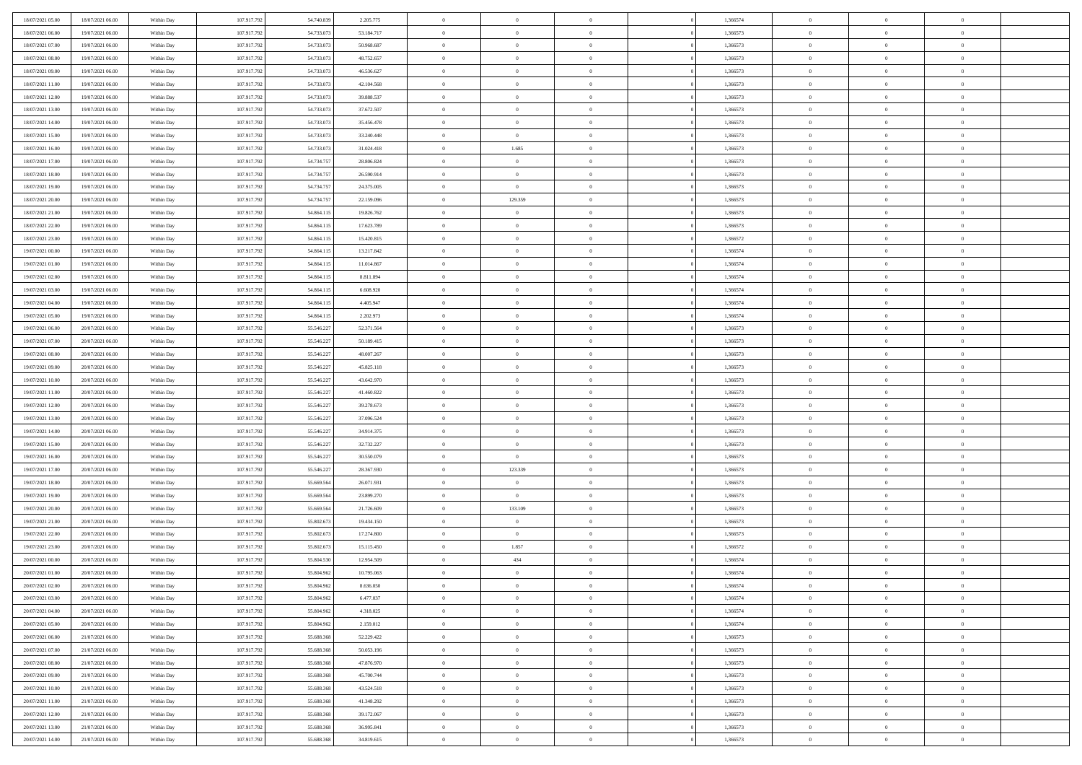| 18/07/2021 05:00                     | 18/07/2021 06:00                     | Within Day               | 107.917.792                | 54.740.839               | 2.205.775              | $\bf{0}$       | $\bf{0}$                         | $\theta$                         |          | 1,366574             | $\bf{0}$       | $\overline{0}$                   | $\,0\,$        |  |
|--------------------------------------|--------------------------------------|--------------------------|----------------------------|--------------------------|------------------------|----------------|----------------------------------|----------------------------------|----------|----------------------|----------------|----------------------------------|----------------|--|
| 18/07/2021 06:00                     | 19/07/2021 06:00                     | Within Day               | 107.917.792                | 54.733.073               | 53.184.717             | $\overline{0}$ | $\overline{0}$                   | $\Omega$                         |          | 1,366573             | $\overline{0}$ | $\overline{0}$                   | $\theta$       |  |
| 18/07/2021 07:00                     | 19/07/2021 06:00                     | Within Dav               | 107.917.792                | 54.733.073               | 50.968.687             | $\mathbf{0}$   | $\overline{0}$                   | $\overline{0}$                   |          | 1,366573             | $\mathbf{0}$   | $\overline{0}$                   | $\overline{0}$ |  |
| 18/07/2021 08:00                     | 19/07/2021 06:00                     | Within Day               | 107.917.792                | 54.733.073               | 48.752.657             | $\bf{0}$       | $\overline{0}$                   | $\bf{0}$                         |          | 1,366573             | $\bf{0}$       | $\overline{0}$                   | $\bf{0}$       |  |
| 18/07/2021 09:00                     | 19/07/2021 06:00                     | Within Day               | 107.917.792                | 54.733.073               | 46.536.627             | $\bf{0}$       | $\overline{0}$                   | $\overline{0}$                   |          | 1,366573             | $\bf{0}$       | $\bf{0}$                         | $\theta$       |  |
| 18/07/2021 11:00                     | 19/07/2021 06:00                     | Within Dav               | 107.917.792                | 54.733.073               | 42.104.568             | $\mathbf{0}$   | $\overline{0}$                   | $\overline{0}$                   |          | 1,366573             | $\mathbf{0}$   | $\overline{0}$                   | $\theta$       |  |
| 18/07/2021 12:00                     | 19/07/2021 06:00                     | Within Day               | 107.917.792                | 54.733.073               | 39.888.537             | $\bf{0}$       | $\bf{0}$                         | $\overline{0}$                   |          | 1,366573             | $\bf{0}$       | $\overline{0}$                   | $\,0\,$        |  |
| 18/07/2021 13:00                     | 19/07/2021 06:00                     | Within Day               | 107.917.792                | 54.733.073               | 37.672.507             | $\overline{0}$ | $\overline{0}$                   | $\overline{0}$                   |          | 1,366573             | $\,$ 0 $\,$    | $\overline{0}$                   | $\theta$       |  |
| 18/07/2021 14:00                     | 19/07/2021 06:00                     | Within Dav               | 107.917.792                | 54.733.073               | 35.456.478             | $\mathbf{0}$   | $\overline{0}$                   | $\overline{0}$                   |          | 1,366573             | $\mathbf{0}$   | $\overline{0}$                   | $\overline{0}$ |  |
| 18/07/2021 15:00                     | 19/07/2021 06:00                     | Within Day               | 107.917.792                | 54.733.073               | 33.240.448             | $\bf{0}$       | $\bf{0}$                         | $\overline{0}$                   |          | 1,366573             | $\bf{0}$       | $\overline{0}$                   | $\,0\,$        |  |
| 18/07/2021 16:00                     | 19/07/2021 06:00                     | Within Day               | 107.917.792                | 54.733.073               | 31.024.418             | $\overline{0}$ | 1.685                            | $\overline{0}$                   |          | 1,366573             | $\bf{0}$       | $\overline{0}$                   | $\theta$       |  |
| 18/07/2021 17:00                     | 19/07/2021 06:00                     | Within Dav               | 107.917.792                | 54.734.757               | 28.806.824             | $\mathbf{0}$   | $\overline{0}$                   | $\overline{0}$                   |          | 1,366573             | $\mathbf{0}$   | $\overline{0}$                   | $\overline{0}$ |  |
| 18/07/2021 18:00                     | 19/07/2021 06:00                     | Within Day               | 107.917.792                | 54.734.757               | 26.590.914             | $\bf{0}$       | $\overline{0}$                   | $\bf{0}$                         |          | 1,366573             | $\bf{0}$       | $\overline{0}$                   | $\bf{0}$       |  |
| 18/07/2021 19:00                     | 19/07/2021 06:00                     | Within Day               | 107.917.792                | 54.734.757               | 24.375.005             | $\bf{0}$       | $\overline{0}$                   | $\overline{0}$                   |          | 1,366573             | $\bf{0}$       | $\theta$                         | $\,0\,$        |  |
| 18/07/2021 20:00                     | 19/07/2021 06:00                     | Within Dav               | 107.917.792                | 54.734.757               | 22.159.096             | $\overline{0}$ | 129.359                          | $\overline{0}$                   |          | 1,366573             | $\mathbf{0}$   | $\overline{0}$                   | $\overline{0}$ |  |
| 18/07/2021 21:00                     | 19/07/2021 06:00                     | Within Day               | 107.917.792                | 54.864.115               | 19.826.762             | $\bf{0}$       | $\overline{0}$                   | $\overline{0}$                   |          | 1,366573             | $\bf{0}$       | $\overline{0}$                   | $\bf{0}$       |  |
| 18/07/2021 22:00                     | 19/07/2021 06:00                     |                          | 107.917.792                | 54.864.115               | 17.623.789             | $\overline{0}$ | $\overline{0}$                   | $\overline{0}$                   |          | 1,366573             | $\bf{0}$       | $\overline{0}$                   | $\theta$       |  |
| 18/07/2021 23:00                     | 19/07/2021 06:00                     | Within Day<br>Within Day | 107.917.792                | 54.864.115               | 15.420.815             | $\mathbf{0}$   | $\overline{0}$                   | $\overline{0}$                   |          | 1,366572             | $\mathbf{0}$   | $\overline{0}$                   | $\overline{0}$ |  |
| 19/07/2021 00:00                     | 19/07/2021 06:00                     | Within Day               | 107.917.792                | 54.864.115               | 13.217.842             | $\bf{0}$       | $\overline{0}$                   | $\overline{0}$                   |          | 1,366574             | $\bf{0}$       | $\overline{0}$                   | $\,0\,$        |  |
| 19/07/2021 01:00                     | 19/07/2021 06:00                     |                          | 107.917.792                | 54.864.115               | 11.014.867             | $\overline{0}$ | $\overline{0}$                   | $\overline{0}$                   |          | 1,366574             | $\bf{0}$       | $\overline{0}$                   | $\overline{0}$ |  |
|                                      |                                      | Within Day               |                            |                          |                        | $\mathbf{0}$   |                                  |                                  |          |                      | $\mathbf{0}$   |                                  | $\overline{0}$ |  |
| 19/07/2021 02:00<br>19/07/2021 03:00 | 19/07/2021 06:00<br>19/07/2021 06:00 | Within Dav<br>Within Day | 107.917.792<br>107.917.792 | 54.864.115<br>54.864.115 | 8.811.894<br>6.608.920 | $\bf{0}$       | $\overline{0}$<br>$\overline{0}$ | $\overline{0}$<br>$\overline{0}$ |          | 1,366574<br>1,366574 | $\bf{0}$       | $\overline{0}$<br>$\overline{0}$ | $\bf{0}$       |  |
|                                      |                                      |                          |                            |                          |                        |                |                                  |                                  |          |                      |                |                                  |                |  |
| 19/07/2021 04:00<br>19/07/2021 05:00 | 19/07/2021 06:00                     | Within Day               | 107.917.792                | 54.864.115               | 4.405.947              | $\bf{0}$       | $\overline{0}$                   | $\overline{0}$                   |          | 1,366574             | $\bf{0}$       | $\bf{0}$                         | $\,0\,$        |  |
|                                      | 19/07/2021 06:00                     | Within Dav               | 107.917.792                | 54.864.115               | 2.202.973              | $\mathbf{0}$   | $\overline{0}$                   | $\overline{0}$                   |          | 1,366574             | $\mathbf{0}$   | $\overline{0}$                   | $\theta$       |  |
| 19/07/2021 06:00                     | 20/07/2021 06:00                     | Within Day               | 107.917.792                | 55.546.227               | 52.371.564             | $\bf{0}$       | $\overline{0}$                   | $\overline{0}$                   |          | 1,366573             | $\bf{0}$       | $\overline{0}$                   | $\,0\,$        |  |
| 19/07/2021 07:00                     | 20/07/2021 06:00                     | Within Day               | 107.917.792                | 55.546.227               | 50.189.415             | $\overline{0}$ | $\overline{0}$                   | $\overline{0}$                   |          | 1,366573             | $\bf{0}$       | $\overline{0}$                   | $\overline{0}$ |  |
| 19/07/2021 08:00                     | 20/07/2021 06:00                     | Within Dav               | 107.917.792                | 55.546.227               | 48.007.267             | $\mathbf{0}$   | $\overline{0}$                   | $\overline{0}$                   |          | 1,366573             | $\mathbf{0}$   | $\overline{0}$                   | $\overline{0}$ |  |
| 19/07/2021 09:00                     | 20/07/2021 06:00                     | Within Day               | 107.917.792                | 55.546.227               | 45.825.118             | $\bf{0}$       | $\bf{0}$                         | $\overline{0}$                   |          | 1,366573             | $\bf{0}$       | $\overline{0}$                   | $\,0\,$        |  |
| 19/07/2021 10:00                     | 20/07/2021 06:00                     | Within Day               | 107.917.792                | 55.546.227               | 43.642.970             | $\bf{0}$       | $\overline{0}$                   | $\overline{0}$                   |          | 1,366573             | $\bf{0}$       | $\mathbf{0}$                     | $\overline{0}$ |  |
| 19/07/2021 11:00                     | 20/07/2021 06:00                     | Within Dav               | 107.917.792                | 55.546.227               | 41.460.822             | $\mathbf{0}$   | $\overline{0}$                   | $\overline{0}$                   |          | 1,366573             | $\mathbf{0}$   | $\overline{0}$                   | $\overline{0}$ |  |
| 19/07/2021 12:00                     | 20/07/2021 06:00                     | Within Day               | 107.917.792                | 55.546.227               | 39.278.673             | $\bf{0}$       | $\overline{0}$                   | $\overline{0}$                   |          | 1,366573             | $\,$ 0         | $\overline{0}$                   | $\theta$       |  |
| 19/07/2021 13:00                     | 20/07/2021 06:00                     | Within Day               | 107.917.792                | 55.546.227               | 37.096.524             | $\bf{0}$       | $\bf{0}$                         | $\overline{0}$                   |          | 1,366573             | $\bf{0}$       | $\overline{0}$                   | $\bf{0}$       |  |
| 19/07/2021 14:00                     | 20/07/2021 06:00                     | Within Dav               | 107.917.792                | 55.546.227               | 34.914.375             | $\overline{0}$ | $\overline{0}$                   | $\overline{0}$                   |          | 1,366573             | $\mathbf{0}$   | $\overline{0}$                   | $\overline{0}$ |  |
| 19/07/2021 15:00                     | 20/07/2021 06:00                     | Within Day               | 107.917.792                | 55.546.227               | 32.732.227             | $\bf{0}$       | $\overline{0}$                   | $\overline{0}$                   |          | 1,366573             | $\,$ 0         | $\overline{0}$                   | $\theta$       |  |
| 19/07/2021 16:00                     | 20/07/2021 06:00                     | Within Day               | 107.917.792                | 55.546.227               | 30.550.079             | $\overline{0}$ | $\overline{0}$                   | $\overline{0}$                   |          | 1,366573             | $\bf{0}$       | $\overline{0}$                   | $\overline{0}$ |  |
| 19/07/2021 17:00                     | 20/07/2021 06:00                     | Within Day               | 107.917.792                | 55.546.227               | 28.367.930             | $\mathbf{0}$   | 123.339                          | $\overline{0}$                   |          | 1,366573             | $\mathbf{0}$   | $\overline{0}$                   | $\overline{0}$ |  |
| 19/07/2021 18:00                     | 20/07/2021 06:00                     | Within Day               | 107.917.792                | 55.669.564               | 26.071.931             | $\bf{0}$       | $\overline{0}$                   | $\overline{0}$                   |          | 1,366573             | $\,$ 0         | $\overline{0}$                   | $\theta$       |  |
| 19/07/2021 19:00                     | 20/07/2021 06:00                     | Within Day               | 107.917.792                | 55.669.56                | 23.899.270             | $\bf{0}$       | $\overline{0}$                   | $\overline{0}$                   |          | 1,366573             | $\bf{0}$       | $\overline{0}$                   | $\bf{0}$       |  |
| 19/07/2021 20:00                     | 20/07/2021 06:00                     | Within Dav               | 107.917.792                | 55.669.564               | 21.726.609             | $\mathbf{0}$   | 133.109                          | $\overline{0}$                   |          | 1,366573             | $\mathbf{0}$   | $\overline{0}$                   | $\overline{0}$ |  |
| 19/07/2021 21:00                     | 20/07/2021 06:00                     | Within Day               | 107.917.792                | 55.802.673               | 19.434.150             | $\,0\,$        | $\overline{0}$                   | $\overline{0}$                   |          | 1,366573             | $\,$ 0         | $\overline{0}$                   | $\theta$       |  |
| 19/07/2021 22:00                     | 20/07/2021 06:00                     | Within Day               | 107.917.792                | 55.802.673               | 17.274.800             | $\bf{0}$       | $\overline{0}$                   | $\overline{0}$                   |          | 1,366573             | $\bf{0}$       | $\overline{0}$                   | $\bf{0}$       |  |
| 19/07/2021 23:00                     | 20/07/2021 06:00                     | Within Dav               | 107.917.792                | 55.802.673               | 15.115.450             | $\mathbf{0}$   | 1.857                            | $\overline{0}$                   |          | 1,366572             | $\mathbf{0}$   | $\overline{0}$                   | $\theta$       |  |
| 20/07/2021 00:00                     | 20/07/2021 06:00                     | Within Day               | 107.917.792                | 55.804.530               | 12.954.509             | $\bf{0}$       | 434                              | $\overline{0}$                   |          | 1,366574             | $\,$ 0         | $\overline{0}$                   | $\theta$       |  |
| 20/07/2021 01:00                     | 20/07/2021 06:00                     | Within Day               | 107.917.792                | 55.804.962               | 10.795.063             | $\bf{0}$       | $\bf{0}$                         | $\overline{0}$                   |          | 1,366574             | $\bf{0}$       | $\overline{0}$                   | $\overline{0}$ |  |
| 20/07/2021 02:00                     | 20/07/2021 06:00                     | Within Day               | 107.917.792                | 55.804.962               | 8.636.050              | $\bf{0}$       | $\overline{0}$                   |                                  |          | 1,366574             | $\overline{0}$ | $\theta$                         | $\theta$       |  |
| 20/07/2021 03:00                     | 20/07/2021 06:00                     | Within Day               | 107.917.792                | 55.804.962               | 6.477.037              | $\,0\,$        | $\overline{0}$                   | $\overline{0}$                   |          | 1,366574             | $\,$ 0 $\,$    | $\bf{0}$                         | $\theta$       |  |
| 20/07/2021 04:00                     | 20/07/2021 06:00                     | Within Day               | 107.917.792                | 55.804.962               | 4.318.025              | $\overline{0}$ | $\overline{0}$                   | $\overline{0}$                   |          | 1,366574             | $\overline{0}$ | $\overline{0}$                   | $\overline{0}$ |  |
| 20/07/2021 05:00                     | 20/07/2021 06:00                     | Within Day               | 107.917.792                | 55.804.962               | 2.159.012              | $\bf{0}$       | $\overline{0}$                   | $\overline{0}$                   |          | 1,366574             | $\overline{0}$ | $\bf{0}$                         | $\mathbf{0}$   |  |
| 20/07/2021 06:00                     | 21/07/2021 06:00                     | Within Day               | 107.917.792                | 55.688.368               | 52.229.422             | $\bf{0}$       | $\overline{0}$                   | $\overline{0}$                   | $\theta$ | 1,366573             | $\mathbf{0}$   | $\bf{0}$                         | $\,$ 0 $\,$    |  |
| 20/07/2021 07:00                     | 21/07/2021 06:00                     | Within Day               | 107.917.792                | 55.688.368               | 50.053.196             | $\bf{0}$       | $\overline{0}$                   | $\overline{0}$                   |          | 1,366573             | $\,$ 0 $\,$    | $\overline{0}$                   | $\overline{0}$ |  |
| 20/07/2021 08:00                     | 21/07/2021 06:00                     | Within Day               | 107.917.792                | 55.688.368               | 47.876.970             | $\bf{0}$       | $\overline{0}$                   | $\overline{0}$                   |          | 1,366573             | $\mathbf{0}$   | $\overline{0}$                   | $\overline{0}$ |  |
| 20/07/2021 09:00                     | 21/07/2021 06:00                     | Within Day               | 107.917.792                | 55.688.368               | 45.700.744             | $\,$ 0 $\,$    | $\overline{0}$                   | $\overline{0}$                   | $\theta$ | 1,366573             | $\,$ 0 $\,$    | $\mathbf{0}$                     | $\overline{0}$ |  |
| 20/07/2021 10:00                     | 21/07/2021 06:00                     | Within Day               | 107.917.792                | 55,688,368               | 43.524.518             | $\bf{0}$       | $\overline{0}$                   | $\overline{0}$                   |          | 1,366573             | $\overline{0}$ | $\overline{0}$                   | $\overline{0}$ |  |
| 20/07/2021 11:00                     | 21/07/2021 06:00                     | Within Day               | 107.917.792                | 55.688.368               | 41.348.292             | $\bf{0}$       | $\overline{0}$                   | $\overline{0}$                   |          | 1,366573             | $\mathbf{0}$   | $\bf{0}$                         | $\overline{0}$ |  |
| 20/07/2021 12:00                     | 21/07/2021 06:00                     | Within Day               | 107.917.792                | 55.688.368               | 39.172.067             | $\,0\,$        | $\overline{0}$                   | $\overline{0}$                   |          | 1,366573             | $\,$ 0 $\,$    | $\mathbf{0}$                     | $\overline{0}$ |  |
| 20/07/2021 13:00                     | 21/07/2021 06:00                     | Within Day               | 107.917.792                | 55,688,368               | 36.995.841             | $\bf{0}$       | $\bf{0}$                         | $\overline{0}$                   |          | 1,366573             | $\bf{0}$       | $\mathbf{0}$                     | $\overline{0}$ |  |
| 20/07/2021 14:00                     | 21/07/2021 06:00                     | Within Day               | 107.917.792                | 55.688.368               | 34.819.615             | $\overline{0}$ | $\overline{0}$                   | $\overline{0}$                   |          | 1,366573             | $\mathbf{0}$   | $\overline{0}$                   | $\overline{0}$ |  |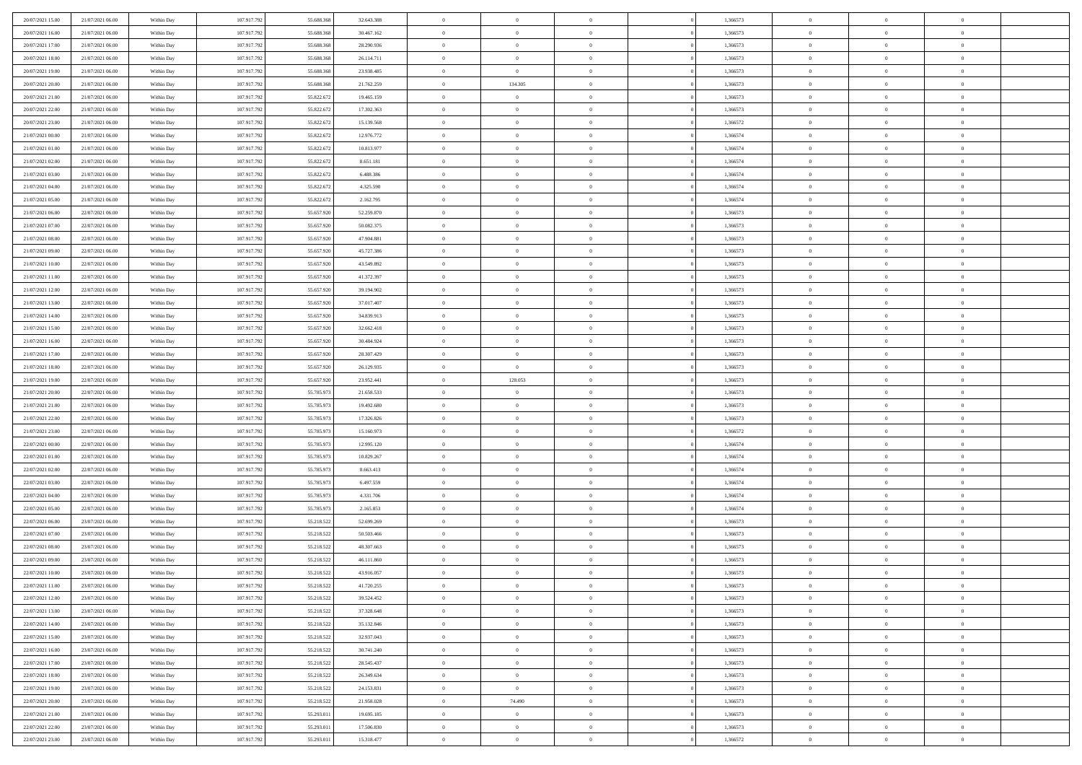| 20/07/2021 15:00                     | 21/07/2021 06:00                     | Within Day               | 107.917.792                | 55.688.368               | 32.643.388               | $\,$ 0                     | $\bf{0}$                         | $\theta$                         |          | 1,366573             | $\bf{0}$                 | $\overline{0}$                   | $\,0\,$                    |  |
|--------------------------------------|--------------------------------------|--------------------------|----------------------------|--------------------------|--------------------------|----------------------------|----------------------------------|----------------------------------|----------|----------------------|--------------------------|----------------------------------|----------------------------|--|
| 20/07/2021 16:00                     | 21/07/2021 06:00                     | Within Day               | 107.917.792                | 55.688.368               | 30.467.162               | $\overline{0}$             | $\overline{0}$                   | $\overline{0}$                   |          | 1,366573             | $\overline{0}$           | $\overline{0}$                   | $\theta$                   |  |
| 20/07/2021 17:00                     | 21/07/2021 06:00                     | Within Dav               | 107.917.792                | 55.688.368               | 28.290.936               | $\mathbf{0}$               | $\overline{0}$                   | $\overline{0}$                   |          | 1,366573             | $\mathbf{0}$             | $\overline{0}$                   | $\overline{0}$             |  |
| 20/07/2021 18:00                     | 21/07/2021 06:00                     | Within Day               | 107.917.792                | 55.688.368               | 26.114.711               | $\bf{0}$                   | $\overline{0}$                   | $\bf{0}$                         |          | 1,366573             | $\bf{0}$                 | $\overline{0}$                   | $\bf{0}$                   |  |
| 20/07/2021 19:00                     | 21/07/2021 06:00                     | Within Day               | 107.917.792                | 55,688,368               | 23.938.485               | $\bf{0}$                   | $\overline{0}$                   | $\overline{0}$                   |          | 1,366573             | $\bf{0}$                 | $\bf{0}$                         | $\,0\,$                    |  |
| 20/07/2021 20:00                     | 21/07/2021 06:00                     | Within Dav               | 107.917.792                | 55.688.368               | 21.762.259               | $\mathbf{0}$               | 134.305                          | $\overline{0}$                   |          | 1,366573             | $\mathbf{0}$             | $\overline{0}$                   | $\theta$                   |  |
| 20/07/2021 21:00                     | 21/07/2021 06:00                     | Within Day               | 107.917.792                | 55.822.672               | 19.465.159               | $\bf{0}$                   | $\bf{0}$                         | $\overline{0}$                   |          | 1,366573             | $\bf{0}$                 | $\overline{0}$                   | $\,0\,$                    |  |
| 20/07/2021 22:00                     | 21/07/2021 06:00                     | Within Day               | 107.917.792                | 55.822.672               | 17.302.363               | $\overline{0}$             | $\overline{0}$                   | $\overline{0}$                   |          | 1,366573             | $\,$ 0 $\,$              | $\overline{0}$                   | $\theta$                   |  |
| 20/07/2021 23:00                     | 21/07/2021 06:00                     | Within Dav               | 107.917.792                | 55.822.672               | 15.139.568               | $\mathbf{0}$               | $\overline{0}$                   | $\overline{0}$                   |          | 1,366572             | $\mathbf{0}$             | $\overline{0}$                   | $\overline{0}$             |  |
| 21/07/2021 00:00                     | 21/07/2021 06:00                     | Within Day               | 107.917.792                | 55.822.672               | 12.976.772               | $\bf{0}$                   | $\bf{0}$                         | $\overline{0}$                   |          | 1,366574             | $\bf{0}$                 | $\overline{0}$                   | $\,0\,$                    |  |
| 21/07/2021 01:00                     | 21/07/2021 06:00                     | Within Day               | 107.917.792                | 55.822.672               | 10.813.977               | $\bf{0}$                   | $\overline{0}$                   | $\overline{0}$                   |          | 1,366574             | $\bf{0}$                 | $\overline{0}$                   | $\theta$                   |  |
| 21/07/2021 02:00                     | 21/07/2021 06:00                     | Within Dav               | 107.917.792                | 55.822.672               | 8.651.181                | $\mathbf{0}$               | $\overline{0}$                   | $\overline{0}$                   |          | 1,366574             | $\mathbf{0}$             | $\overline{0}$                   | $\overline{0}$             |  |
| 21/07/2021 03:00                     | 21/07/2021 06:00                     | Within Day               | 107.917.792                | 55.822.672               | 6.488.386                | $\bf{0}$                   | $\overline{0}$                   | $\bf{0}$                         |          | 1,366574             | $\bf{0}$                 | $\overline{0}$                   | $\bf{0}$                   |  |
| 21/07/2021 04:00                     | 21/07/2021 06:00                     | Within Day               | 107.917.792                | 55.822.672               | 4.325.590                | $\bf{0}$                   | $\overline{0}$                   | $\overline{0}$                   |          | 1,366574             | $\bf{0}$                 | $\theta$                         | $\,0\,$                    |  |
| 21/07/2021 05:00                     | 21/07/2021 06:00                     | Within Dav               | 107.917.792                | 55.822.672               | 2.162.795                | $\overline{0}$             | $\overline{0}$                   | $\overline{0}$                   |          | 1,366574             | $\mathbf{0}$             | $\overline{0}$                   | $\overline{0}$             |  |
| 21/07/2021 06:00                     | 22/07/2021 06:00                     | Within Day               | 107.917.792                | 55.657.920               | 52.259.870               | $\bf{0}$                   | $\overline{0}$                   | $\overline{0}$                   |          | 1,366573             | $\bf{0}$                 | $\overline{0}$                   | $\bf{0}$                   |  |
| 21/07/2021 07:00                     | 22/07/2021 06:00                     | Within Day               | 107.917.792                | 55.657.920               | 50.082.375               | $\overline{0}$             | $\overline{0}$                   | $\overline{0}$                   |          | 1,366573             | $\bf{0}$                 | $\overline{0}$                   | $\theta$                   |  |
| 21/07/2021 08:00                     | 22/07/2021 06:00                     | Within Day               | 107.917.792                | 55.657.920               | 47.904.881               | $\mathbf{0}$               | $\overline{0}$                   | $\overline{0}$                   |          | 1,366573             | $\mathbf{0}$             | $\overline{0}$                   | $\overline{0}$             |  |
| 21/07/2021 09:00                     | 22/07/2021 06:00                     | Within Day               | 107.917.792                | 55.657.920               | 45.727.386               | $\bf{0}$                   | $\overline{0}$                   | $\overline{0}$                   |          | 1,366573             | $\bf{0}$                 | $\overline{0}$                   | $\,0\,$                    |  |
| 21/07/2021 10:00                     | 22/07/2021 06:00                     | Within Day               | 107.917.792                | 55.657.920               | 43.549.892               | $\bf{0}$                   | $\overline{0}$                   | $\overline{0}$                   |          | 1,366573             | $\bf{0}$                 | $\overline{0}$                   | $\overline{0}$             |  |
| 21/07/2021 11:00                     | 22/07/2021 06:00                     | Within Dav               | 107.917.792                | 55.657.920               | 41.372.397               | $\mathbf{0}$               | $\overline{0}$                   | $\overline{0}$                   |          | 1,366573             | $\mathbf{0}$             | $\overline{0}$                   | $\overline{0}$             |  |
| 21/07/2021 12:00                     | 22/07/2021 06:00                     | Within Day               | 107.917.792                | 55.657.920               | 39.194.902               | $\bf{0}$                   | $\overline{0}$                   | $\overline{0}$                   |          | 1,366573             | $\bf{0}$                 | $\overline{0}$                   | $\bf{0}$                   |  |
|                                      | 22/07/2021 06:00                     |                          | 107.917.792                | 55.657.920               | 37.017.407               | $\bf{0}$                   | $\overline{0}$                   | $\overline{0}$                   |          | 1,366573             | $\bf{0}$                 | $\overline{0}$                   | $\,0\,$                    |  |
| 21/07/2021 13:00<br>21/07/2021 14:00 | 22/07/2021 06:00                     | Within Day<br>Within Dav | 107.917.792                | 55.657.920               | 34.839.913               | $\mathbf{0}$               | $\overline{0}$                   | $\overline{0}$                   |          | 1,366573             | $\mathbf{0}$             | $\overline{0}$                   | $\theta$                   |  |
| 21/07/2021 15:00                     | 22/07/2021 06:00                     | Within Day               | 107.917.792                | 55.657.920               | 32.662.418               | $\bf{0}$                   | $\bf{0}$                         | $\overline{0}$                   |          | 1,366573             | $\bf{0}$                 | $\overline{0}$                   | $\,0\,$                    |  |
|                                      |                                      |                          |                            | 55.657.920               |                          | $\overline{0}$             | $\overline{0}$                   | $\overline{0}$                   |          |                      |                          | $\mathbf{0}$                     | $\overline{0}$             |  |
| 21/07/2021 16:00                     | 22/07/2021 06:00<br>22/07/2021 06:00 | Within Day               | 107.917.792                |                          | 30.484.924               | $\mathbf{0}$               |                                  |                                  |          | 1,366573             | $\bf{0}$<br>$\mathbf{0}$ |                                  | $\overline{0}$             |  |
| 21/07/2021 17:00                     |                                      | Within Dav               | 107.917.792                | 55.657.920               | 28.307.429               |                            | $\overline{0}$                   | $\overline{0}$<br>$\theta$       |          | 1,366573             |                          | $\overline{0}$<br>$\overline{0}$ |                            |  |
| 21/07/2021 18:00                     | 22/07/2021 06:00                     | Within Day               | 107.917.792                | 55.657.920               | 26.129.935               | $\bf{0}$                   | $\overline{0}$                   |                                  |          | 1,366573             | $\bf{0}$                 | $\mathbf{0}$                     | $\,0\,$<br>$\overline{0}$  |  |
| 21/07/2021 19:00<br>21/07/2021 20:00 | 22/07/2021 06:00<br>22/07/2021 06:00 | Within Day<br>Within Dav | 107.917.792<br>107.917.792 | 55.657.920<br>55.785.973 | 23.952.441<br>21.658.533 | $\bf{0}$<br>$\mathbf{0}$   | 128.053<br>$\overline{0}$        | $\overline{0}$<br>$\overline{0}$ |          | 1,366573<br>1,366573 | $\bf{0}$<br>$\mathbf{0}$ | $\overline{0}$                   | $\overline{0}$             |  |
|                                      |                                      |                          |                            |                          |                          |                            |                                  |                                  |          |                      |                          | $\overline{0}$                   | $\theta$                   |  |
| 21/07/2021 21:00                     | 22/07/2021 06:00                     | Within Day               | 107.917.792                | 55.785.973               | 19.492.680               | $\bf{0}$                   | $\overline{0}$                   | $\theta$                         |          | 1,366573             | $\,$ 0                   | $\overline{0}$                   |                            |  |
| 21/07/2021 22:00                     | 22/07/2021 06:00                     | Within Day               | 107.917.792                | 55.785.973               | 17.326.826               | $\bf{0}$<br>$\overline{0}$ | $\bf{0}$                         | $\overline{0}$                   |          | 1,366573             | $\bf{0}$<br>$\mathbf{0}$ |                                  | $\bf{0}$<br>$\overline{0}$ |  |
| 21/07/2021 23:00                     | 22/07/2021 06:00                     | Within Dav               | 107.917.792                | 55.785.973               | 15.160.973               | $\bf{0}$                   | $\overline{0}$                   | $\overline{0}$                   |          | 1,366572             |                          | $\overline{0}$                   | $\theta$                   |  |
| 22/07/2021 00:00                     | 22/07/2021 06:00                     | Within Day               | 107.917.792                | 55.785.973               | 12.995.120               |                            | $\overline{0}$<br>$\overline{0}$ | $\theta$                         |          | 1,366574             | $\,$ 0                   | $\overline{0}$<br>$\overline{0}$ | $\overline{0}$             |  |
| 22/07/2021 01:00<br>22/07/2021 02:00 | 22/07/2021 06:00<br>22/07/2021 06:00 | Within Day<br>Within Day | 107.917.792<br>107.917.792 | 55.785.973<br>55.785.973 | 10.829.267<br>8.663.413  | $\bf{0}$<br>$\mathbf{0}$   | $\overline{0}$                   | $\overline{0}$                   |          | 1,366574<br>1,366574 | $\bf{0}$<br>$\mathbf{0}$ | $\overline{0}$                   | $\overline{0}$             |  |
|                                      |                                      |                          |                            |                          |                          | $\bf{0}$                   | $\overline{0}$                   | $\overline{0}$<br>$\theta$       |          |                      | $\,$ 0                   | $\overline{0}$                   | $\theta$                   |  |
| 22/07/2021 03:00<br>22/07/2021 04:00 | 22/07/2021 06:00<br>22/07/2021 06:00 | Within Day               | 107.917.792<br>107.917.792 | 55.785.973<br>55.785.973 | 6.497.559<br>4.331.706   | $\bf{0}$                   | $\overline{0}$                   | $\overline{0}$                   |          | 1,366574<br>1,366574 | $\bf{0}$                 | $\overline{0}$                   | $\bf{0}$                   |  |
| 22/07/2021 05:00                     | 22/07/2021 06:00                     | Within Day<br>Within Dav | 107.917.792                | 55.785.973               | 2.165.853                | $\mathbf{0}$               | $\overline{0}$                   | $\overline{0}$                   |          | 1,366574             | $\mathbf{0}$             | $\overline{0}$                   | $\overline{0}$             |  |
|                                      |                                      |                          |                            |                          |                          | $\,0\,$                    | $\overline{0}$                   | $\theta$                         |          |                      | $\,$ 0                   | $\overline{0}$                   | $\theta$                   |  |
| 22/07/2021 06:00<br>22/07/2021 07:00 | 23/07/2021 06:00<br>23/07/2021 06:00 | Within Day               | 107.917.792<br>107.917.792 | 55.218.522<br>55.218.522 | 52.699.269<br>50.503.466 | $\bf{0}$                   | $\overline{0}$                   | $\overline{0}$                   |          | 1,366573<br>1,366573 | $\bf{0}$                 | $\overline{0}$                   | $\bf{0}$                   |  |
| 22/07/2021 08:00                     | 23/07/2021 06:00                     | Within Day<br>Within Dav | 107.917.792                | 55.218.522               | 48.307.663               | $\mathbf{0}$               | $\overline{0}$                   | $\overline{0}$                   |          | 1,366573             | $\mathbf{0}$             | $\overline{0}$                   | $\theta$                   |  |
| 22/07/2021 09:00                     | 23/07/2021 06:00                     | Within Day               | 107.917.792                | 55.218.522               | 46.111.860               | $\bf{0}$                   | $\overline{0}$                   | $\theta$                         |          | 1,366573             | $\,$ 0                   | $\overline{0}$                   | $\theta$                   |  |
| 22/07/2021 10:00                     | 23/07/2021 06:00                     | Within Day               | 107.917.792                | 55.218.522               | 43.916.057               | $\bf{0}$                   | $\overline{0}$                   | $\overline{0}$                   |          | 1,366573             | $\,$ 0 $\,$              | $\overline{0}$                   | $\bf{0}$                   |  |
| 22/07/2021 11:00                     | 23/07/2021 06:00                     | Within Day               | 107.917.792                | 55.218.522               | 41.720.255               | $\bf{0}$                   | $\overline{0}$                   |                                  |          | 1,366573             | $\overline{0}$           | $\theta$                         | $\theta$                   |  |
| 22/07/2021 12:00                     | 23/07/2021 06:00                     | Within Day               | 107.917.792                | 55.218.522               | 39.524.452               | $\,0\,$                    | $\overline{0}$                   | $\theta$                         |          | 1,366573             | $\,$ 0 $\,$              | $\bf{0}$                         | $\theta$                   |  |
| 22/07/2021 13:00                     | 23/07/2021 06:00                     | Within Day               | 107.917.792                | 55.218.522               | 37.328.648               | $\overline{0}$             | $\overline{0}$                   | $\overline{0}$                   |          | 1,366573             | $\overline{0}$           | $\overline{0}$                   | $\overline{0}$             |  |
| 22/07/2021 14:00                     | 23/07/2021 06:00                     | Within Day               | 107.917.792                | 55.218.522               | 35.132.846               | $\bf{0}$                   | $\overline{0}$                   | $\overline{0}$                   |          | 1,366573             | $\overline{0}$           | $\bf{0}$                         | $\mathbf{0}$               |  |
| 22/07/2021 15:00                     | 23/07/2021 06:00                     | Within Day               | 107.917.792                | 55.218.522               | 32.937.043               | $\bf{0}$                   | $\overline{0}$                   | $\overline{0}$                   | $\theta$ | 1,366573             | $\mathbf{0}$             | $\bf{0}$                         | $\,$ 0 $\,$                |  |
| 22/07/2021 16:00                     | 23/07/2021 06:00                     | Within Day               | 107.917.792                | 55.218.522               | 30.741.240               | $\bf{0}$                   | $\overline{0}$                   | $\overline{0}$                   |          | 1,366573             | $\,$ 0 $\,$              | $\overline{0}$                   | $\overline{0}$             |  |
| 22/07/2021 17:00                     | 23/07/2021 06:00                     | Within Day               | 107.917.792                | 55.218.522               | 28.545.437               | $\bf{0}$                   | $\overline{0}$                   | $\overline{0}$                   |          | 1,366573             | $\mathbf{0}$             | $\overline{0}$                   | $\overline{0}$             |  |
|                                      |                                      |                          |                            |                          |                          |                            |                                  |                                  |          |                      |                          |                                  | $\overline{0}$             |  |
| 22/07/2021 18:00                     | 23/07/2021 06:00                     | Within Day               | 107.917.792                | 55.218.522               | 26.349.634               | $\,$ 0 $\,$                | $\overline{0}$                   | $\mathbf{0}$<br>$\overline{0}$   | $\theta$ | 1,366573             | $\,$ 0 $\,$              | $\mathbf{0}$<br>$\overline{0}$   |                            |  |
| 22/07/2021 19:00                     | 23/07/2021 06:00                     | Within Day               | 107.917.792                | 55.218.522               | 24.153.831               | $\bf{0}$                   | $\overline{0}$<br>74.490         |                                  |          | 1,366573             | $\overline{0}$           |                                  | $\overline{0}$             |  |
| 22/07/2021 20:00                     | 23/07/2021 06:00                     | Within Day               | 107.917.792                | 55.218.522               | 21.958.028               | $\bf{0}$                   |                                  | $\overline{0}$                   |          | 1,366573             | $\mathbf{0}$             | $\bf{0}$                         | $\overline{0}$             |  |
| 22/07/2021 21:00                     | 23/07/2021 06:00                     | Within Day               | 107.917.792                | 55.293.011               | 19.695.185               | $\,0\,$                    | $\overline{0}$                   | $\overline{0}$                   |          | 1,366573             | $\,$ 0 $\,$              | $\mathbf{0}$                     | $\overline{0}$             |  |
| 22/07/2021 22.00                     | 23/07/2021 06:00                     | Within Day               | 107.917.792                | 55.293.011               | 17.506.830               | $\overline{0}$             | $\bf{0}$                         | $\overline{0}$                   |          | 1,366573             | $\bf{0}$                 | $\mathbf{0}$                     | $\overline{0}$             |  |
| 22/07/2021 23:00                     | 23/07/2021 06:00                     | Within Day               | 107.917.792                | 55.293.011               | 15.318.477               | $\mathbf{0}$               | $\overline{0}$                   | $\overline{0}$                   |          | 1,366572             | $\mathbf{0}$             | $\overline{0}$                   | $\overline{0}$             |  |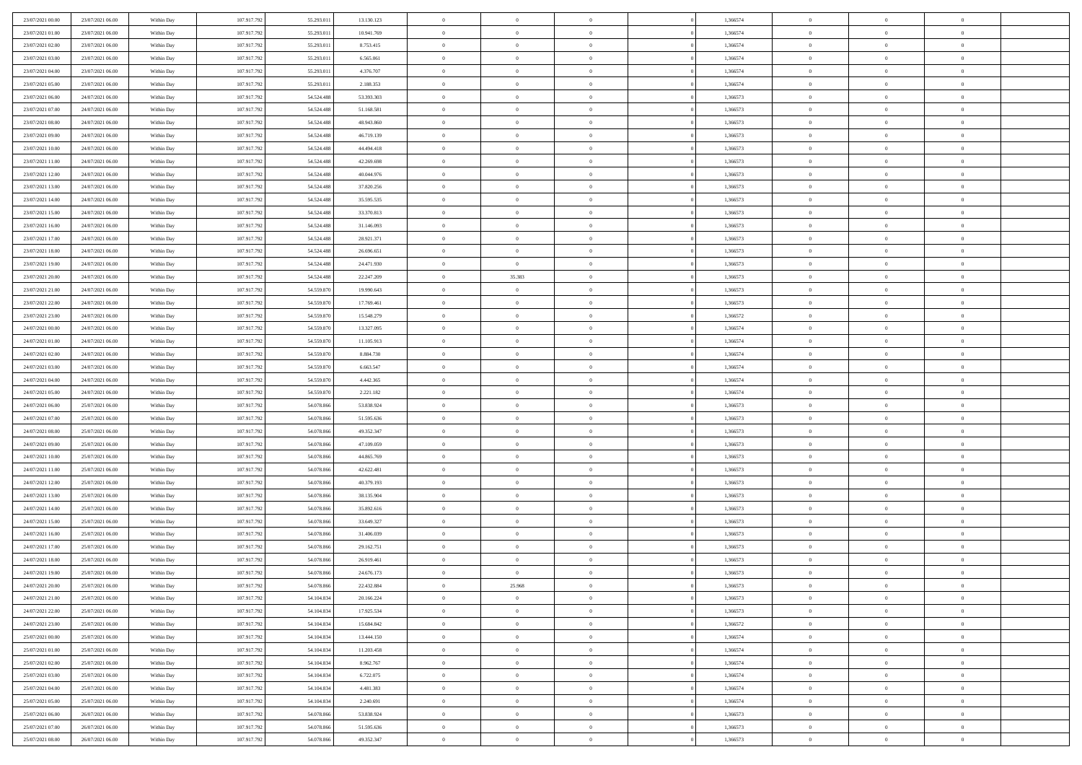| 23/07/2021 00:00                     | 23/07/2021 06:00                     | Within Day               | 107.917.792                | 55.293.011               | 13.130.123               | $\bf{0}$                   | $\overline{0}$                   | $\overline{0}$             | 1,366574             | $\bf{0}$                 | $\bf{0}$                         | $\theta$                   |  |
|--------------------------------------|--------------------------------------|--------------------------|----------------------------|--------------------------|--------------------------|----------------------------|----------------------------------|----------------------------|----------------------|--------------------------|----------------------------------|----------------------------|--|
| 23/07/2021 01:00                     | 23/07/2021 06:00                     | Within Day               | 107.917.792                | 55.293.01                | 10.941.769               | $\overline{0}$             | $\overline{0}$                   | $\overline{0}$             | 1,366574             | $\theta$                 | $\overline{0}$                   | $\theta$                   |  |
| 23/07/2021 02:00                     | 23/07/2021 06:00                     | Within Day               | 107.917.792                | 55.293.011               | 8.753.415                | $\,0\,$                    | $\overline{0}$                   | $\bf{0}$                   | 1,366574             | $\,$ 0 $\,$              | $\overline{0}$                   | $\,$ 0 $\,$                |  |
| 23/07/2021 03:00                     | 23/07/2021 06:00                     | Within Day               | 107.917.792                | 55.293.011               | 6.565.061                | $\bf{0}$                   | $\Omega$                         | $\overline{0}$             | 1,366574             | $\theta$                 | $\mathbf{0}$                     | $\theta$                   |  |
| 23/07/2021 04:00                     | 23/07/2021 06:00                     | Within Day               | 107.917.792                | 55.293.011               | 4.376.707                | $\overline{0}$             | $\overline{0}$                   | $\overline{0}$             | 1,366574             | $\overline{0}$           | $\overline{0}$                   | $\overline{0}$             |  |
| 23/07/2021 05:00                     | 23/07/2021 06:00                     | Within Day               | 107.917.792                | 55.293.011               | 2.188.353                | $\,$ 0 $\,$                | $\overline{0}$                   | $\bf{0}$                   | 1,366574             | $\,$ 0 $\,$              | $\overline{0}$                   | $\,$ 0 $\,$                |  |
| 23/07/2021 06:00                     | 24/07/2021 06:00                     | Within Day               | 107.917.792                | 54.524.488               | 53.393.303               | $\bf{0}$                   | $\overline{0}$                   | $\overline{0}$             | 1,366573             | $\bf{0}$                 | $\overline{0}$                   | $\theta$                   |  |
| 23/07/2021 07:00                     | 24/07/2021 06:00                     | Within Day               | 107.917.792                | 54.524.488               | 51.168.581               | $\overline{0}$             | $\overline{0}$                   | $\overline{0}$             | 1,366573             | $\mathbf{0}$             | $\overline{0}$                   | $\overline{0}$             |  |
| 23/07/2021 08:00                     | 24/07/2021 06:00                     | Within Day               | 107.917.792                | 54.524.488               | 48.943.860               | $\,$ 0 $\,$                | $\overline{0}$                   | $\bf{0}$                   | 1,366573             | $\,$ 0 $\,$              | $\overline{0}$                   | $\bf{0}$                   |  |
| 23/07/2021 09:00                     | 24/07/2021 06:00                     | Within Day               | 107.917.792                | 54.524.488               | 46.719.139               | $\overline{0}$             | $\Omega$                         | $\overline{0}$             | 1,366573             | $\theta$                 | $\mathbf{0}$                     | $\theta$                   |  |
| 23/07/2021 10:00                     | 24/07/2021 06:00                     | Within Day               | 107.917.792                | 54.524.488               | 44.494.418               | $\overline{0}$             | $\overline{0}$                   | $\overline{0}$             | 1,366573             | $\mathbf{0}$             | $\overline{0}$                   | $\overline{0}$             |  |
| 23/07/2021 11:00                     | 24/07/2021 06:00                     | Within Day               | 107.917.792                | 54.524.488               | 42.269.698               | $\,$ 0 $\,$                | $\overline{0}$                   | $\bf{0}$                   | 1,366573             | $\,$ 0 $\,$              | $\overline{0}$                   | $\,$ 0 $\,$                |  |
| 23/07/2021 12:00                     | 24/07/2021 06:00                     | Within Day               | 107.917.792                | 54.524.488               | 40.044.976               | $\bf{0}$                   | $\overline{0}$                   | $\overline{0}$             | 1,366573             | $\bf{0}$                 | $\bf{0}$                         | $\theta$                   |  |
| 23/07/2021 13:00                     | 24/07/2021 06:00                     | Within Day               | 107.917.792                | 54.524.488               | 37.820.256               | $\overline{0}$             | $\overline{0}$                   | $\overline{0}$             | 1,366573             | $\mathbf{0}$             | $\overline{0}$                   | $\overline{0}$             |  |
| 23/07/2021 14:00                     | 24/07/2021 06:00                     | Within Day               | 107.917.792                | 54.524.488               | 35.595.535               | $\,$ 0 $\,$                | $\overline{0}$                   | $\bf{0}$                   | 1,366573             | $\,$ 0 $\,$              | $\overline{0}$                   | $\,$ 0 $\,$                |  |
| 23/07/2021 15:00                     | 24/07/2021 06:00                     | Within Day               | 107.917.792                | 54.524.488               | 33.370.813               | $\bf{0}$                   | $\mathbf{0}$                     | $\overline{0}$             | 1,366573             | $\theta$                 | $\mathbf{0}$                     | $\theta$                   |  |
| 23/07/2021 16:00                     | 24/07/2021 06:00                     | Within Day               | 107.917.792                | 54.524.488               | 31.146.093               | $\overline{0}$             | $\overline{0}$                   | $\overline{0}$             | 1,366573             | $\mathbf{0}$             | $\overline{0}$                   | $\overline{0}$             |  |
| 23/07/2021 17:00                     | 24/07/2021 06:00                     | Within Day               | 107.917.792                | 54.524.488               | 28.921.371               | $\,$ 0 $\,$                | $\overline{0}$                   | $\bf{0}$                   | 1,366573             | $\,$ 0 $\,$              | $\overline{0}$                   | $\,$ 0 $\,$                |  |
| 23/07/2021 18:00                     | 24/07/2021 06:00                     | Within Day               | 107.917.792                | 54.524.488               | 26.696.651               | $\bf{0}$                   | $\Omega$                         | $\Omega$                   | 1,366573             | $\theta$                 | $\theta$                         | $\theta$                   |  |
| 23/07/2021 19:00                     | 24/07/2021 06:00                     | Within Day               | 107.917.792                | 54.524.488               | 24.471.930               | $\overline{0}$             | $\overline{0}$                   | $\overline{0}$             | 1,366573             | $\mathbf{0}$             | $\overline{0}$                   | $\overline{0}$             |  |
| 23/07/2021 20:00                     | 24/07/2021 06:00                     | Within Day               | 107.917.792                | 54.524.488               | 22.247.209               | $\,$ 0 $\,$                | 35.383                           | $\bf{0}$                   | 1,366573             | $\,$ 0 $\,$              | $\overline{0}$                   | $\,$ 0 $\,$                |  |
| 23/07/2021 21:00                     | 24/07/2021 06:00                     | Within Day               | 107.917.792                | 54.559.870               | 19.990.643               | $\overline{0}$             | $\overline{0}$                   | $\overline{0}$             | 1,366573             | $\bf{0}$                 | $\bf{0}$                         | $\theta$                   |  |
| 23/07/2021 22:00                     | 24/07/2021 06:00                     | Within Day               | 107.917.792                | 54.559.870               | 17.769.461               | $\overline{0}$             | $\overline{0}$                   | $\overline{0}$             | 1,366573             | $\mathbf{0}$             | $\overline{0}$                   | $\overline{0}$             |  |
| 23/07/2021 23:00                     | 24/07/2021 06:00                     | Within Day               | 107.917.792                | 54.559.870               | 15.548.279               | $\,$ 0 $\,$                | $\overline{0}$                   | $\bf{0}$                   | 1,366572             | $\,$ 0 $\,$              | $\overline{0}$                   | $\bf{0}$                   |  |
| 24/07/2021 00:00                     | 24/07/2021 06:00                     | Within Day               | 107.917.792                | 54.559.870               | 13.327.095               | $\overline{0}$             | $\mathbf{0}$                     | $\overline{0}$             | 1,366574             | $\theta$                 | $\mathbf{0}$                     | $\theta$                   |  |
| 24/07/2021 01:00                     | 24/07/2021 06:00                     | Within Day               | 107.917.792                | 54.559.870               | 11.105.913               | $\overline{0}$             | $\overline{0}$                   | $\overline{0}$             | 1,366574             | $\mathbf{0}$             | $\overline{0}$                   | $\overline{0}$             |  |
| 24/07/2021 02:00                     | 24/07/2021 06:00                     | Within Day               | 107.917.792                | 54.559.870               | 8.884.730                | $\,$ 0 $\,$                | $\overline{0}$                   | $\bf{0}$                   | 1,366574             | $\,$ 0 $\,$              | $\overline{0}$                   | $\,$ 0 $\,$                |  |
| 24/07/2021 03:00                     | 24/07/2021 06:00                     | Within Day               | 107.917.792                | 54.559.870               | 6.663.547                | $\bf{0}$                   | $\overline{0}$                   | $\overline{0}$             | 1,366574             | $\bf{0}$                 | $\bf{0}$                         | $\theta$                   |  |
| 24/07/2021 04:00                     | 24/07/2021 06:00                     | Within Day               | 107.917.792                | 54.559.870               | 4.442.365                | $\overline{0}$             | $\overline{0}$                   | $\overline{0}$             | 1,366574             | $\mathbf{0}$             | $\overline{0}$                   | $\overline{0}$             |  |
| 24/07/2021 05:00                     | 24/07/2021 06:00                     | Within Day               | 107.917.792                | 54.559.870               | 2.221.182                | $\,$ 0 $\,$                | $\overline{0}$                   | $\bf{0}$                   | 1,366574             | $\,$ 0 $\,$              | $\overline{0}$                   | $\bf{0}$                   |  |
| 24/07/2021 06:00                     | 25/07/2021 06:00                     | Within Day               | 107.917.792                | 54.078.866               | 53.838.924               | $\,0\,$                    | $\overline{0}$                   | $\bf{0}$                   | 1,366573             | $\,$ 0 $\,$              | $\overline{0}$                   | $\bf{0}$                   |  |
| 24/07/2021 07:00                     | 25/07/2021 06:00                     | Within Day               | 107.917.792                | 54.078.866               | 51.595.636               | $\overline{0}$             | $\overline{0}$                   | $\overline{0}$             | 1,366573             | $\mathbf{0}$             | $\overline{0}$                   | $\overline{0}$             |  |
| 24/07/2021 08:00                     | 25/07/2021 06:00                     | Within Day               | 107.917.792                | 54.078.866               | 49.352.347               | $\,$ 0 $\,$                | $\overline{0}$                   | $\bf{0}$                   | 1,366573             | $\,$ 0 $\,$              | $\overline{0}$                   | $\,$ 0 $\,$                |  |
| 24/07/2021 09:00                     | 25/07/2021 06:00                     | Within Day               | 107.917.792                | 54.078.866               | 47.109.059               | $\,0\,$                    | $\overline{0}$                   | $\overline{0}$             | 1,366573             | $\bf{0}$                 | $\overline{0}$                   | $\bf{0}$                   |  |
| 24/07/2021 10:00                     | 25/07/2021 06:00                     | Within Day               | 107.917.792                | 54.078.866               | 44.865.769               | $\overline{0}$             | $\overline{0}$                   | $\overline{0}$             | 1,366573             | $\mathbf{0}$             | $\overline{0}$                   | $\theta$                   |  |
| 24/07/2021 11:00                     | 25/07/2021 06:00                     | Within Day               | 107.917.792                | 54.078.866               | 42.622.481               | $\,$ 0 $\,$                | $\overline{0}$<br>$\overline{0}$ | $\bf{0}$                   | 1,366573             | $\,$ 0 $\,$              | $\overline{0}$<br>$\overline{0}$ | $\,$ 0 $\,$                |  |
| 24/07/2021 12:00<br>24/07/2021 13:00 | 25/07/2021 06:00<br>25/07/2021 06:00 | Within Day<br>Within Day | 107.917.792<br>107.917.792 | 54.078.866<br>54.078.866 | 40.379.193<br>38.135.904 | $\bf{0}$<br>$\overline{0}$ | $\overline{0}$                   | $\bf{0}$<br>$\overline{0}$ | 1,366573<br>1,366573 | $\bf{0}$<br>$\mathbf{0}$ | $\overline{0}$                   | $\bf{0}$<br>$\overline{0}$ |  |
| 24/07/2021 14:00                     | 25/07/2021 06:00                     | Within Day               | 107.917.792                | 54.078.866               | 35.892.616               | $\,$ 0 $\,$                | $\overline{0}$                   | $\bf{0}$                   | 1,366573             | $\,$ 0 $\,$              | $\overline{0}$                   | $\,$ 0 $\,$                |  |
| 24/07/2021 15:00                     | 25/07/2021 06:00                     | Within Day               | 107.917.792                | 54.078.866               | 33.649.327               | $\,0\,$                    | $\overline{0}$                   | $\overline{0}$             | 1,366573             | $\bf{0}$                 | $\overline{0}$                   | $\bf{0}$                   |  |
| 24/07/2021 16:00                     | 25/07/2021 06:00                     | Within Day               | 107.917.792                | 54.078.866               | 31.406.039               | $\overline{0}$             | $\overline{0}$                   | $\overline{0}$             | 1,366573             | $\mathbf{0}$             | $\overline{0}$                   | $\overline{0}$             |  |
| 24/07/2021 17:00                     | 25/07/2021 06:00                     | Within Day               | 107.917.792                | 54.078.866               | 29.162.751               | $\,$ 0 $\,$                | $\overline{0}$                   | $\bf{0}$                   | 1,366573             | $\,$ 0 $\,$              | $\overline{0}$                   | $\,$ 0 $\,$                |  |
| 24/07/2021 18:00                     | 25/07/2021 06:00                     | Within Day               | 107.917.792                | 54.078.86                | 26.919.461               | $\,0\,$                    | $\overline{0}$                   | $\bf{0}$                   | 1,366573             | $\bf{0}$                 | $\overline{0}$                   | $\bf{0}$                   |  |
| 24/07/2021 19:00                     | 25/07/2021 06:00                     | Within Day               | 107.917.792                | 54.078.866               | 24.676.173               | $\mathbf{0}$               | $\overline{0}$                   | $\overline{0}$             | 1,366573             | $\theta$                 | $\overline{0}$                   | $\overline{0}$             |  |
| 24/07/2021 20:00                     | 25/07/2021 06:00                     | Within Day               | 107.917.792                | 54.078.866               | 22.432.884               | $\mathbf{0}$               | 25.968                           | $\theta$                   | 1,366573             | $\overline{0}$           | $\theta$                         | $\theta$                   |  |
| 24/07/2021 21:00                     | 25/07/2021 06:00                     | Within Day               | 107.917.792                | 54.104.834               | 20.166.224               | $\bf{0}$                   | $\overline{0}$                   | $\bf{0}$                   | 1,366573             | $\bf{0}$                 | $\overline{0}$                   | $\bf{0}$                   |  |
| 24/07/2021 22:00                     | 25/07/2021 06:00                     | Within Day               | 107.917.792                | 54.104.834               | 17.925.534               | $\bf{0}$                   | $\overline{0}$                   | $\overline{0}$             | 1,366573             | $\overline{0}$           | $\overline{0}$                   | $\overline{0}$             |  |
| 24/07/2021 23:00                     | 25/07/2021 06:00                     | Within Day               | 107.917.792                | 54.104.834               | 15.684.842               | $\,$ 0                     | $\overline{0}$                   | $\overline{0}$             | 1,366572             | $\,$ 0 $\,$              | $\overline{0}$                   | $\,$ 0 $\,$                |  |
| 25/07/2021 00:00                     | 25/07/2021 06:00                     | Within Day               | 107.917.792                | 54.104.834               | 13.444.150               | $\bf{0}$                   | $\overline{0}$                   | $\overline{0}$             | 1,366574             | $\mathbf{0}$             | $\overline{0}$                   | $\bf{0}$                   |  |
| 25/07/2021 01:00                     | 25/07/2021 06:00                     | Within Day               | 107.917.792                | 54.104.834               | 11.203.458               | $\overline{0}$             | $\overline{0}$                   | $\overline{0}$             | 1,366574             | $\mathbf{0}$             | $\overline{0}$                   | $\overline{0}$             |  |
| 25/07/2021 02:00                     | 25/07/2021 06:00                     | Within Day               | 107.917.792                | 54.104.834               | 8.962.767                | $\,$ 0                     | $\overline{0}$                   | $\overline{0}$             | 1,366574             | $\,$ 0 $\,$              | $\overline{0}$                   | $\,$ 0 $\,$                |  |
| 25/07/2021 03:00                     | 25/07/2021 06:00                     | Within Day               | 107.917.792                | 54.104.834               | 6.722.075                | $\overline{0}$             | $\overline{0}$                   | $\overline{0}$             | 1,366574             | $\overline{0}$           | $\overline{0}$                   | $\bf{0}$                   |  |
| 25/07/2021 04:00                     | 25/07/2021 06:00                     | Within Day               | 107.917.792                | 54.104.834               | 4.481.383                | $\mathbf{0}$               | $\overline{0}$                   | $\overline{0}$             | 1,366574             | $\overline{0}$           | $\overline{0}$                   | $\overline{0}$             |  |
| 25/07/2021 05:00                     | 25/07/2021 06:00                     | Within Day               | 107.917.792                | 54.104.834               | 2.240.691                | $\,$ 0                     | $\overline{0}$                   | $\overline{0}$             | 1,366574             | $\,$ 0 $\,$              | $\bf{0}$                         | $\,$ 0 $\,$                |  |
| 25/07/2021 06:00                     | 26/07/2021 06:00                     | Within Day               | 107.917.792                | 54.078.866               | 53.838.924               | $\bf{0}$                   | $\overline{0}$                   | $\overline{0}$             | 1,366573             | $\mathbf{0}$             | $\overline{0}$                   | $\bf{0}$                   |  |
| 25/07/2021 07:00                     | 26/07/2021 06:00                     | Within Day               | 107.917.792                | 54.078.866               | 51.595.636               | $\mathbf{0}$               | $\overline{0}$                   | $\overline{0}$             | 1,366573             | $\mathbf{0}$             | $\overline{0}$                   | $\overline{0}$             |  |
| 25/07/2021 08:00                     | 26/07/2021 06:00                     | Within Day               | 107.917.792                | 54.078.866               | 49.352.347               | $\,$ 0                     | $\overline{0}$                   | $\overline{0}$             | 1,366573             | $\,$ 0 $\,$              | $\overline{0}$                   | $\,$ 0 $\,$                |  |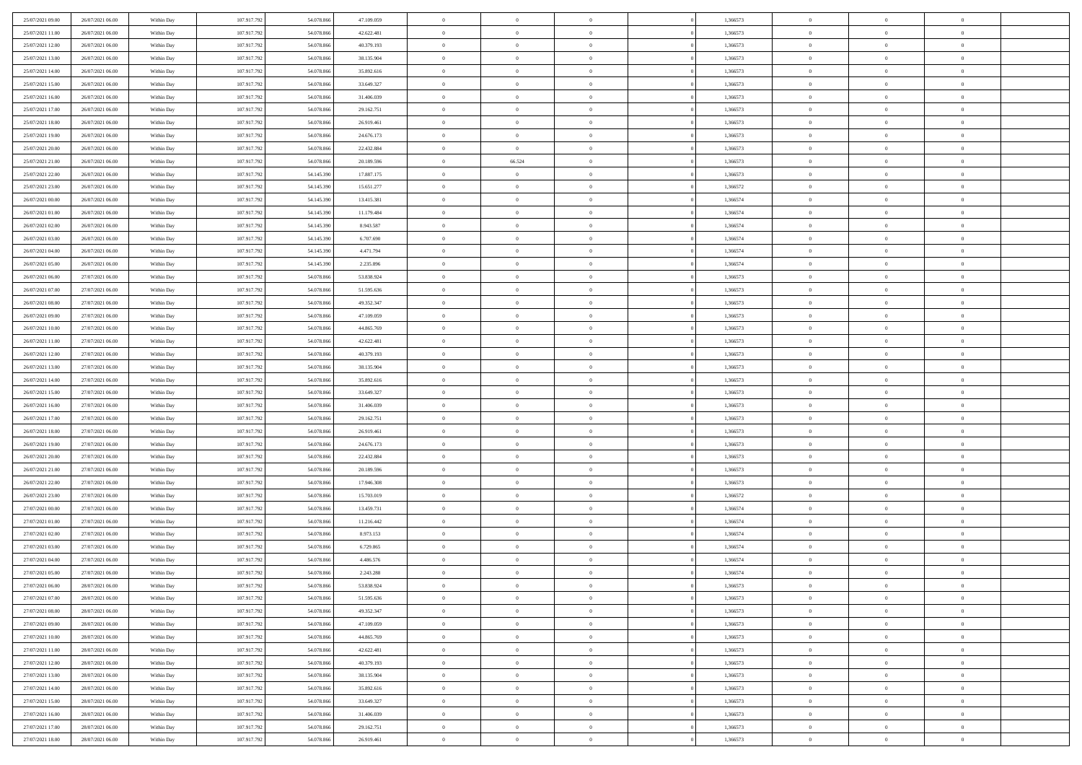| 25/07/2021 09:00 | 26/07/2021 06:00                     | Within Day               | 107.917.792 | 54.078.866               | 47.109.059 | $\,$ 0         | $\bf{0}$       | $\overline{0}$ |          | 1,366573 | $\bf{0}$       | $\overline{0}$                   | $\,0\,$        |  |
|------------------|--------------------------------------|--------------------------|-------------|--------------------------|------------|----------------|----------------|----------------|----------|----------|----------------|----------------------------------|----------------|--|
| 25/07/2021 11:00 | 26/07/2021 06:00                     | Within Day               | 107.917.792 | 54,078,866               | 42.622.481 | $\overline{0}$ | $\overline{0}$ | $\overline{0}$ |          | 1,366573 | $\overline{0}$ | $\overline{0}$                   | $\theta$       |  |
| 25/07/2021 12:00 | 26/07/2021 06:00                     | Within Dav               | 107.917.792 | 54.078.866               | 40.379.193 | $\mathbf{0}$   | $\overline{0}$ | $\overline{0}$ |          | 1,366573 | $\mathbf{0}$   | $\overline{0}$                   | $\overline{0}$ |  |
| 25/07/2021 13:00 | 26/07/2021 06:00                     | Within Day               | 107.917.792 | 54.078.866               | 38.135.904 | $\bf{0}$       | $\overline{0}$ | $\overline{0}$ |          | 1,366573 | $\bf{0}$       | $\overline{0}$                   | $\bf{0}$       |  |
| 25/07/2021 14:00 | 26/07/2021 06:00                     | Within Day               | 107.917.792 | 54.078.866               | 35.892.616 | $\bf{0}$       | $\bf{0}$       | $\overline{0}$ |          | 1,366573 | $\bf{0}$       | $\bf{0}$                         | $\,0\,$        |  |
| 25/07/2021 15:00 | 26/07/2021 06:00                     | Within Dav               | 107.917.792 | 54.078.866               | 33.649.327 | $\mathbf{0}$   | $\overline{0}$ | $\overline{0}$ |          | 1,366573 | $\mathbf{0}$   | $\overline{0}$                   | $\theta$       |  |
|                  |                                      |                          |             |                          |            |                |                |                |          |          |                |                                  |                |  |
| 25/07/2021 16:00 | 26/07/2021 06:00                     | Within Day               | 107.917.792 | 54.078.866               | 31.406.039 | $\bf{0}$       | $\bf{0}$       | $\overline{0}$ |          | 1,366573 | $\bf{0}$       | $\overline{0}$                   | $\,0\,$        |  |
| 25/07/2021 17:00 | 26/07/2021 06:00                     | Within Day               | 107.917.792 | 54,078,866               | 29.162.751 | $\overline{0}$ | $\overline{0}$ | $\overline{0}$ |          | 1,366573 | $\,$ 0 $\,$    | $\overline{0}$                   | $\theta$       |  |
| 25/07/2021 18:00 | 26/07/2021 06:00                     | Within Dav               | 107.917.792 | 54.078.866               | 26.919.461 | $\mathbf{0}$   | $\overline{0}$ | $\overline{0}$ |          | 1,366573 | $\mathbf{0}$   | $\overline{0}$                   | $\overline{0}$ |  |
| 25/07/2021 19:00 | 26/07/2021 06:00                     | Within Day               | 107.917.792 | 54.078.866               | 24.676.173 | $\bf{0}$       | $\bf{0}$       | $\overline{0}$ |          | 1,366573 | $\bf{0}$       | $\overline{0}$                   | $\,0\,$        |  |
| 25/07/2021 20:00 | 26/07/2021 06:00                     | Within Day               | 107.917.792 | 54,078,866               | 22.432.884 | $\overline{0}$ | $\overline{0}$ | $\overline{0}$ |          | 1,366573 | $\bf{0}$       | $\overline{0}$                   | $\theta$       |  |
| 25/07/2021 21:00 | 26/07/2021 06:00                     | Within Dav               | 107.917.792 | 54.078.866               | 20.189.596 | $\mathbf{0}$   | 66.524         | $\overline{0}$ |          | 1,366573 | $\mathbf{0}$   | $\overline{0}$                   | $\overline{0}$ |  |
| 25/07/2021 22.00 | 26/07/2021 06:00                     | Within Day               | 107.917.792 | 54.145.390               | 17.887.175 | $\bf{0}$       | $\overline{0}$ | $\bf{0}$       |          | 1,366573 | $\bf{0}$       | $\overline{0}$                   | $\bf{0}$       |  |
| 25/07/2021 23:00 | 26/07/2021 06:00                     | Within Day               | 107.917.792 | 54.145.390               | 15.651.277 | $\bf{0}$       | $\overline{0}$ | $\overline{0}$ |          | 1,366572 | $\bf{0}$       | $\theta$                         | $\,0\,$        |  |
| 26/07/2021 00:00 | 26/07/2021 06:00                     | Within Dav               | 107.917.792 | 54.145.390               | 13.415.381 | $\overline{0}$ | $\overline{0}$ | $\overline{0}$ |          | 1,366574 | $\mathbf{0}$   | $\overline{0}$                   | $\overline{0}$ |  |
| 26/07/2021 01:00 | 26/07/2021 06:00                     | Within Day               | 107.917.792 | 54.145.390               | 11.179.484 | $\bf{0}$       | $\bf{0}$       | $\overline{0}$ |          | 1,366574 | $\bf{0}$       | $\overline{0}$                   | $\bf{0}$       |  |
| 26/07/2021 02:00 | 26/07/2021 06:00                     | Within Day               | 107.917.792 | 54.145.390               | 8.943.587  | $\overline{0}$ | $\overline{0}$ | $\overline{0}$ |          | 1,366574 | $\bf{0}$       | $\overline{0}$                   | $\theta$       |  |
| 26/07/2021 03:00 | 26/07/2021 06:00                     | Within Day               | 107.917.792 | 54.145.390               | 6.707.690  | $\mathbf{0}$   | $\overline{0}$ | $\overline{0}$ |          | 1,366574 | $\mathbf{0}$   | $\overline{0}$                   | $\overline{0}$ |  |
| 26/07/2021 04:00 | 26/07/2021 06:00                     | Within Day               | 107.917.792 | 54.145.390               | 4.471.794  | $\bf{0}$       | $\bf{0}$       | $\overline{0}$ |          | 1,366574 | $\bf{0}$       | $\overline{0}$                   | $\,0\,$        |  |
| 26/07/2021 05:00 | 26/07/2021 06:00                     | Within Day               | 107.917.792 | 54.145.390               | 2.235.896  | $\overline{0}$ | $\overline{0}$ | $\overline{0}$ |          | 1,366574 | $\bf{0}$       | $\overline{0}$                   | $\overline{0}$ |  |
| 26/07/2021 06:00 | 27/07/2021 06:00                     | Within Dav               | 107.917.792 | 54.078.866               | 53.838.924 | $\mathbf{0}$   | $\overline{0}$ | $\overline{0}$ |          | 1,366573 | $\mathbf{0}$   | $\overline{0}$                   | $\overline{0}$ |  |
| 26/07/2021 07:00 | 27/07/2021 06:00                     | Within Day               | 107.917.792 | 54.078.866               | 51.595.636 | $\bf{0}$       | $\overline{0}$ | $\overline{0}$ |          | 1,366573 | $\bf{0}$       | $\overline{0}$                   | $\bf{0}$       |  |
| 26/07/2021 08:00 | 27/07/2021 06:00                     | Within Day               | 107.917.792 | 54.078.866               | 49.352.347 | $\bf{0}$       | $\bf{0}$       | $\overline{0}$ |          | 1,366573 | $\bf{0}$       | $\overline{0}$                   | $\,0\,$        |  |
| 26/07/2021 09:00 | 27/07/2021 06:00                     | Within Dav               | 107.917.792 | 54.078.866               | 47.109.059 | $\mathbf{0}$   | $\overline{0}$ | $\overline{0}$ |          | 1,366573 | $\mathbf{0}$   | $\overline{0}$                   | $\theta$       |  |
| 26/07/2021 10:00 | 27/07/2021 06:00                     | Within Day               | 107.917.792 | 54.078.866               | 44.865.769 | $\bf{0}$       | $\bf{0}$       | $\overline{0}$ |          | 1,366573 | $\bf{0}$       | $\overline{0}$                   | $\,0\,$        |  |
| 26/07/2021 11:00 | 27/07/2021 06:00                     | Within Day               | 107.917.792 | 54,078,866               | 42.622.481 | $\overline{0}$ | $\overline{0}$ | $\overline{0}$ |          | 1,366573 | $\bf{0}$       | $\mathbf{0}$                     | $\overline{0}$ |  |
| 26/07/2021 12:00 | 27/07/2021 06:00                     | Within Dav               | 107.917.792 | 54.078.866               | 40.379.193 | $\overline{0}$ | $\overline{0}$ | $\overline{0}$ |          | 1,366573 | $\mathbf{0}$   | $\overline{0}$                   | $\overline{0}$ |  |
| 26/07/2021 13:00 | 27/07/2021 06:00                     | Within Day               | 107.917.792 | 54.078.866               | 38.135.904 | $\bf{0}$       | $\bf{0}$       | $\overline{0}$ |          | 1,366573 | $\bf{0}$       | $\overline{0}$                   | $\,0\,$        |  |
| 26/07/2021 14:00 | 27/07/2021 06:00                     | Within Day               | 107.917.792 | 54,078,866               | 35.892.616 | $\bf{0}$       | $\overline{0}$ | $\overline{0}$ |          | 1,366573 | $\bf{0}$       | $\mathbf{0}$                     | $\overline{0}$ |  |
| 26/07/2021 15:00 | 27/07/2021 06:00                     | Within Dav               | 107.917.792 | 54.078.866               | 33.649.327 | $\mathbf{0}$   | $\overline{0}$ | $\overline{0}$ |          | 1,366573 | $\mathbf{0}$   | $\overline{0}$                   | $\overline{0}$ |  |
| 26/07/2021 16:00 | 27/07/2021 06:00                     | Within Day               | 107.917.792 | 54.078.866               | 31.406.039 | $\bf{0}$       | $\overline{0}$ | $\theta$       |          | 1,366573 | $\,$ 0         | $\overline{0}$                   | $\theta$       |  |
| 26/07/2021 17:00 | 27/07/2021 06:00                     | Within Day               | 107.917.792 | 54.078.866               | 29.162.751 | $\bf{0}$       | $\bf{0}$       | $\overline{0}$ |          | 1,366573 | $\bf{0}$       | $\overline{0}$                   | $\bf{0}$       |  |
| 26/07/2021 18:00 | 27/07/2021 06:00                     | Within Dav               | 107.917.792 | 54.078.866               | 26.919.461 | $\overline{0}$ | $\overline{0}$ | $\overline{0}$ |          | 1,366573 | $\mathbf{0}$   | $\overline{0}$                   | $\overline{0}$ |  |
| 26/07/2021 19:00 | 27/07/2021 06:00                     | Within Day               | 107.917.792 | 54.078.866               | 24.676.173 | $\bf{0}$       | $\overline{0}$ | $\theta$       |          | 1,366573 | $\,$ 0         | $\overline{0}$                   | $\theta$       |  |
| 26/07/2021 20:00 | 27/07/2021 06:00                     | Within Day               | 107.917.792 | 54,078,866               | 22.432.884 | $\overline{0}$ | $\overline{0}$ | $\overline{0}$ |          | 1,366573 | $\bf{0}$       | $\overline{0}$                   | $\overline{0}$ |  |
| 26/07/2021 21:00 | 27/07/2021 06:00                     | Within Day               | 107.917.792 | 54.078.866               | 20.189.596 | $\mathbf{0}$   | $\overline{0}$ | $\overline{0}$ |          | 1,366573 | $\mathbf{0}$   | $\overline{0}$                   | $\overline{0}$ |  |
| 26/07/2021 22:00 | 27/07/2021 06:00                     | Within Day               | 107.917.792 | 54.078.866               | 17.946.308 | $\bf{0}$       | $\overline{0}$ | $\theta$       |          | 1,366573 | $\,$ 0         | $\overline{0}$                   | $\theta$       |  |
| 26/07/2021 23:00 | 27/07/2021 06:00                     |                          | 107.917.792 | 54,078,866               | 15.703.019 | $\bf{0}$       | $\overline{0}$ | $\overline{0}$ |          | 1,366572 | $\bf{0}$       | $\overline{0}$                   | $\bf{0}$       |  |
| 27/07/2021 00:00 | 27/07/2021 06:00                     | Within Day<br>Within Dav | 107.917.792 | 54.078.866               | 13.459.731 | $\mathbf{0}$   | $\overline{0}$ | $\overline{0}$ |          | 1,366574 | $\mathbf{0}$   | $\overline{0}$                   | $\overline{0}$ |  |
|                  |                                      |                          |             |                          |            |                |                |                |          |          |                |                                  |                |  |
| 27/07/2021 01:00 | 27/07/2021 06:00                     | Within Day               | 107.917.792 | 54.078.866<br>54.078.866 | 11.216.442 | $\,0\,$        | $\overline{0}$ | $\theta$       |          | 1,366574 | $\,$ 0         | $\overline{0}$<br>$\overline{0}$ | $\theta$       |  |
| 27/07/2021 02:00 | 27/07/2021 06:00<br>27/07/2021 06:00 | Within Day               | 107.917.792 |                          | 8.973.153  | $\bf{0}$       | $\overline{0}$ | $\overline{0}$ |          | 1,366574 | $\bf{0}$       |                                  | $\bf{0}$       |  |
| 27/07/2021 03:00 |                                      | Within Dav               | 107.917.792 | 54.078.866               | 6.729.865  | $\mathbf{0}$   | $\overline{0}$ | $\overline{0}$ |          | 1,366574 | $\mathbf{0}$   | $\overline{0}$                   | $\overline{0}$ |  |
| 27/07/2021 04:00 | 27/07/2021 06:00                     | Within Day               | 107.917.792 | 54.078.866               | 4.486.576  | $\bf{0}$       | $\overline{0}$ | $\theta$       |          | 1,366574 | $\,$ 0         | $\overline{0}$                   | $\theta$       |  |
| 27/07/2021 05:00 | 27/07/2021 06:00                     | Within Day               | 107.917.792 | 54.078.866               | 2.243.288  | $\bf{0}$       | $\overline{0}$ | $\overline{0}$ |          | 1,366574 | $\bf{0}$       | $\overline{0}$                   | $\bf{0}$       |  |
| 27/07/2021 06:00 | 28/07/2021 06:00                     | Within Day               | 107.917.792 | 54.078.866               | 53.838.924 | $\bf{0}$       | $\overline{0}$ |                |          | 1,366573 | $\overline{0}$ | $\theta$                         | $\theta$       |  |
| 27/07/2021 07:00 | 28/07/2021 06:00                     | Within Day               | 107.917.792 | 54.078.866               | 51.595.636 | $\,0\,$        | $\overline{0}$ | $\theta$       |          | 1,366573 | $\,$ 0 $\,$    | $\bf{0}$                         | $\theta$       |  |
| 27/07/2021 08:00 | 28/07/2021 06:00                     | Within Day               | 107.917.792 | 54.078.866               | 49.352.347 | $\overline{0}$ | $\overline{0}$ | $\overline{0}$ |          | 1,366573 | $\overline{0}$ | $\overline{0}$                   | $\overline{0}$ |  |
| 27/07/2021 09:00 | 28/07/2021 06:00                     | Within Day               | 107.917.792 | 54.078.866               | 47.109.059 | $\bf{0}$       | $\overline{0}$ | $\overline{0}$ |          | 1,366573 | $\overline{0}$ | $\bf{0}$                         | $\mathbf{0}$   |  |
| 27/07/2021 10:00 | 28/07/2021 06:00                     | Within Day               | 107.917.792 | 54.078.866               | 44.865.769 | $\bf{0}$       | $\overline{0}$ | $\overline{0}$ | $\theta$ | 1,366573 | $\mathbf{0}$   | $\bf{0}$                         | $\,$ 0 $\,$    |  |
| 27/07/2021 11:00 | 28/07/2021 06:00                     | Within Day               | 107.917.792 | 54.078.866               | 42.622.481 | $\bf{0}$       | $\overline{0}$ | $\overline{0}$ |          | 1,366573 | $\,$ 0 $\,$    | $\overline{0}$                   | $\overline{0}$ |  |
| 27/07/2021 12:00 | 28/07/2021 06:00                     | Within Day               | 107.917.792 | 54.078.866               | 40.379.193 | $\bf{0}$       | $\overline{0}$ | $\overline{0}$ |          | 1,366573 | $\mathbf{0}$   | $\overline{0}$                   | $\overline{0}$ |  |
| 27/07/2021 13:00 | 28/07/2021 06:00                     | Within Day               | 107.917.792 | 54.078.866               | 38.135.904 | $\,0\,$        | $\overline{0}$ | $\overline{0}$ | $\theta$ | 1,366573 | $\,$ 0 $\,$    | $\mathbf{0}$                     | $\overline{0}$ |  |
| 27/07/2021 14:00 | 28/07/2021 06:00                     | Within Day               | 107.917.792 | 54.078.866               | 35.892.616 | $\bf{0}$       | $\overline{0}$ | $\overline{0}$ |          | 1,366573 | $\overline{0}$ | $\overline{0}$                   | $\overline{0}$ |  |
| 27/07/2021 15:00 | 28/07/2021 06:00                     | Within Day               | 107.917.792 | 54.078.866               | 33.649.327 | $\bf{0}$       | $\overline{0}$ | $\overline{0}$ |          | 1,366573 | $\mathbf{0}$   | $\bf{0}$                         | $\overline{0}$ |  |
| 27/07/2021 16:00 | 28/07/2021 06:00                     | Within Day               | 107.917.792 | 54.078.866               | 31.406.039 | $\,0\,$        | $\overline{0}$ | $\overline{0}$ |          | 1,366573 | $\,$ 0 $\,$    | $\mathbf{0}$                     | $\overline{0}$ |  |
| 27/07/2021 17:00 | 28/07/2021 06:00                     | Within Day               | 107.917.792 | 54.078.866               | 29.162.751 | $\bf{0}$       | $\bf{0}$       | $\overline{0}$ |          | 1,366573 | $\bf{0}$       | $\mathbf{0}$                     | $\overline{0}$ |  |
| 27/07/2021 18:00 | 28/07/2021 06:00                     | Within Day               | 107.917.792 | 54.078.866               | 26.919.461 | $\overline{0}$ | $\overline{0}$ | $\overline{0}$ |          | 1,366573 | $\mathbf{0}$   | $\overline{0}$                   | $\overline{0}$ |  |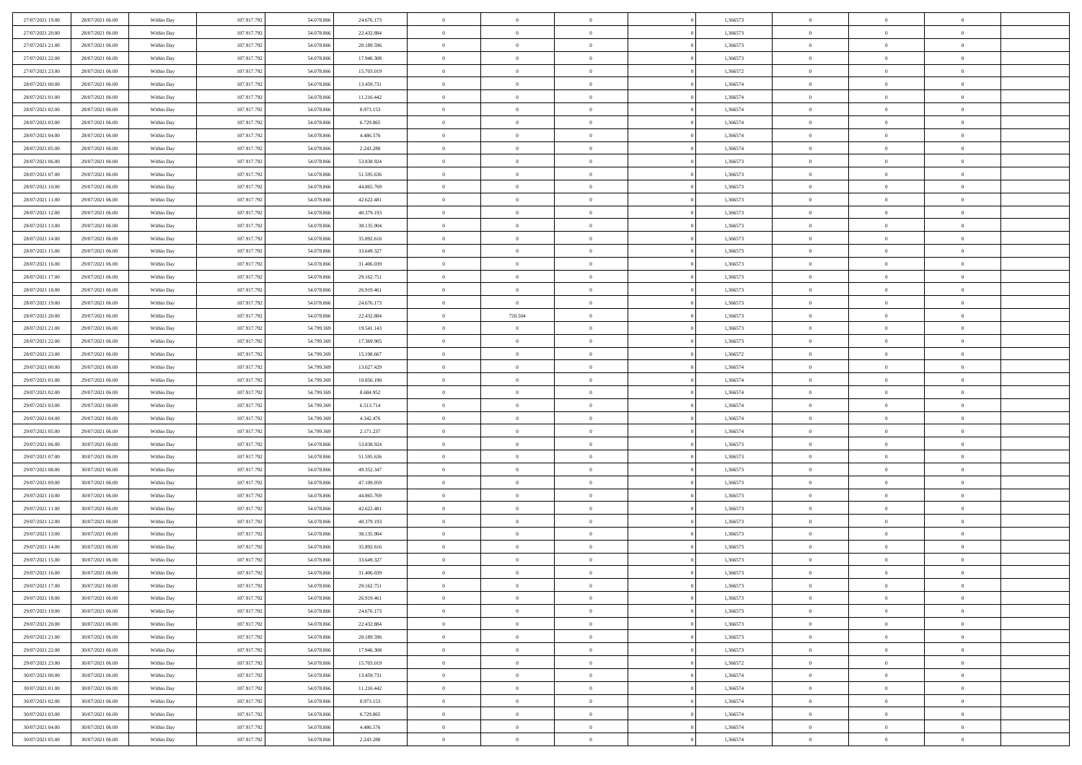| 27/07/2021 19:00 | 28/07/2021 06:00 | Within Day | 107.917.792 | 54.078.866 | 24.676.173 | $\,0\,$                | $\overline{0}$ | $\overline{0}$ |                | 1,366573 | $\,$ 0 $\,$    | $\overline{0}$ | $\bf{0}$       |  |
|------------------|------------------|------------|-------------|------------|------------|------------------------|----------------|----------------|----------------|----------|----------------|----------------|----------------|--|
| 27/07/2021 20:00 | 28/07/2021 06:00 | Within Day | 107.917.792 | 54,078,86  | 22.432.884 | $\overline{0}$         | $\overline{0}$ | $\overline{0}$ |                | 1,366573 | $\theta$       | $\overline{0}$ | $\overline{0}$ |  |
| 27/07/2021 21:00 | 28/07/2021 06:00 | Within Day | 107.917.792 | 54.078.866 | 20.189.596 | $\mathbf{0}$           | $\overline{0}$ | $\overline{0}$ |                | 1,366573 | $\theta$       | $\overline{0}$ | $\overline{0}$ |  |
| 27/07/2021 22.00 | 28/07/2021 06:00 | Within Day | 107.917.792 | 54.078.866 | 17.946.308 | $\bf{0}$               | $\overline{0}$ | $\overline{0}$ |                | 1,366573 | $\bf{0}$       | $\overline{0}$ | $\bf{0}$       |  |
| 27/07/2021 23:00 | 28/07/2021 06:00 | Within Day | 107.917.792 | 54.078.866 | 15.703.019 | $\bf{0}$               | $\overline{0}$ | $\overline{0}$ |                | 1,366572 | $\bf{0}$       | $\bf{0}$       | $\bf{0}$       |  |
| 28/07/2021 00:00 | 28/07/2021 06:00 | Within Day | 107.917.792 | 54.078.866 | 13.459.731 | $\mathbf{0}$           | $\overline{0}$ | $\overline{0}$ |                | 1,366574 | $\theta$       | $\bf{0}$       | $\theta$       |  |
| 28/07/2021 01:00 | 28/07/2021 06:00 | Within Day | 107.917.792 | 54.078.866 | 11.216.442 | $\mathbf{0}$           | $\overline{0}$ | $\overline{0}$ |                | 1,366574 | $\bf{0}$       | $\overline{0}$ | $\theta$       |  |
| 28/07/2021 02:00 | 28/07/2021 06:00 | Within Day | 107.917.792 | 54.078.86  | 8.973.153  | $\overline{0}$         | $\Omega$       | $\overline{0}$ |                | 1,366574 | $\,$ 0 $\,$    | $\overline{0}$ | $\overline{0}$ |  |
| 28/07/2021 03:00 | 28/07/2021 06:00 | Within Day | 107.917.792 | 54.078.866 | 6.729.865  | $\mathbf{0}$           | $\overline{0}$ | $\overline{0}$ |                | 1,366574 | $\theta$       | $\overline{0}$ | $\overline{0}$ |  |
| 28/07/2021 04:00 | 28/07/2021 06:00 | Within Day | 107.917.792 | 54.078.866 | 4.486.576  | $\bf{0}$               | $\overline{0}$ | $\overline{0}$ |                | 1,366574 | $\bf{0}$       | $\overline{0}$ | $\bf{0}$       |  |
| 28/07/2021 05:00 | 28/07/2021 06:00 | Within Day | 107.917.792 | 54.078.866 | 2.243.288  | $\bf{0}$               | $\overline{0}$ | $\overline{0}$ |                | 1,366574 | $\bf{0}$       | $\theta$       | $\theta$       |  |
| 28/07/2021 06:00 | 29/07/2021 06:00 | Within Day | 107.917.792 | 54.078.866 | 53.838.924 | $\mathbf{0}$           | $\overline{0}$ | $\overline{0}$ |                | 1,366573 | $\theta$       | $\overline{0}$ | $\overline{0}$ |  |
| 28/07/2021 07:00 | 29/07/2021 06:00 | Within Day | 107.917.792 | 54.078.866 | 51.595.636 | $\,0\,$                | $\overline{0}$ | $\overline{0}$ |                | 1,366573 | $\bf{0}$       | $\overline{0}$ | $\bf{0}$       |  |
| 28/07/2021 10:00 | 29/07/2021 06:00 | Within Day | 107.917.792 | 54.078.86  | 44.865.769 | $\bf{0}$               | $\overline{0}$ | $\overline{0}$ |                | 1,366573 | $\,$ 0 $\,$    | $\overline{0}$ | $\overline{0}$ |  |
| 28/07/2021 11:00 | 29/07/2021 06:00 | Within Day | 107.917.792 | 54.078.866 | 42.622.481 | $\mathbf{0}$           | $\overline{0}$ | $\overline{0}$ |                | 1,366573 | $\theta$       | $\bf{0}$       | $\overline{0}$ |  |
| 28/07/2021 12:00 | 29/07/2021 06:00 | Within Day | 107.917.792 | 54.078.866 | 40.379.193 | $\,0\,$                | $\overline{0}$ | $\overline{0}$ |                | 1,366573 | $\bf{0}$       | $\overline{0}$ | $\bf{0}$       |  |
| 28/07/2021 13:00 | 29/07/2021 06:00 | Within Day | 107.917.792 | 54.078.866 | 38.135.904 | $\bf{0}$               | $\overline{0}$ | $\overline{0}$ |                | 1,366573 | $\bf{0}$       | $\bf{0}$       | $\overline{0}$ |  |
| 28/07/2021 14:00 | 29/07/2021 06:00 | Within Day | 107.917.792 | 54.078.866 | 35.892.616 | $\mathbf{0}$           | $\overline{0}$ | $\overline{0}$ |                | 1,366573 | $\theta$       | $\overline{0}$ | $\overline{0}$ |  |
| 28/07/2021 15:00 | 29/07/2021 06:00 | Within Day | 107.917.792 | 54.078.866 | 33.649.327 | $\bf{0}$               | $\overline{0}$ | $\bf{0}$       |                | 1,366573 | $\bf{0}$       | $\overline{0}$ | $\bf{0}$       |  |
| 28/07/2021 16:00 | 29/07/2021 06:00 | Within Day | 107.917.792 | 54.078.866 | 31.406.039 | $\bf{0}$               | $\overline{0}$ | $\overline{0}$ |                | 1,366573 | $\bf{0}$       | $\overline{0}$ | $\bf{0}$       |  |
| 28/07/2021 17:00 | 29/07/2021 06:00 | Within Day | 107.917.792 | 54.078.866 | 29.162.751 | $\mathbf{0}$           | $\overline{0}$ | $\overline{0}$ |                | 1,366573 | $\theta$       | $\bf{0}$       | $\overline{0}$ |  |
| 28/07/2021 18:00 | 29/07/2021 06:00 | Within Day | 107.917.792 | 54.078.866 | 26.919.461 | $\mathbf{0}$           | $\theta$       | $\overline{0}$ |                | 1,366573 | $\bf{0}$       | $\overline{0}$ | $\theta$       |  |
| 28/07/2021 19:00 | 29/07/2021 06:00 | Within Day | 107.917.792 | 54.078.86  | 24.676.173 | $\bf{0}$               | $\overline{0}$ | $\overline{0}$ |                | 1,366573 | $\bf{0}$       | $\overline{0}$ | $\overline{0}$ |  |
| 28/07/2021 20:00 | 29/07/2021 06:00 | Within Day | 107.917.792 | 54.078.866 | 22.432.884 | $\mathbf{0}$           | 720.504        | $\overline{0}$ |                | 1,366573 | $\theta$       | $\overline{0}$ | $\overline{0}$ |  |
| 28/07/2021 21:00 | 29/07/2021 06:00 | Within Day | 107.917.792 | 54.799.369 | 19.541.143 | $\bf{0}$               | $\overline{0}$ | $\overline{0}$ |                | 1,366573 | $\bf{0}$       | $\overline{0}$ | $\bf{0}$       |  |
| 28/07/2021 22:00 | 29/07/2021 06:00 | Within Day | 107.917.792 | 54.799.369 | 17.369.905 | $\bf{0}$               | $\overline{0}$ | $\overline{0}$ |                | 1,366573 | $\bf{0}$       | $\bf{0}$       | $\bf{0}$       |  |
| 28/07/2021 23:00 | 29/07/2021 06:00 | Within Day | 107.917.792 | 54.799.369 | 15.198.667 | $\mathbf{0}$           | $\overline{0}$ | $\overline{0}$ |                | 1,366572 | $\theta$       | $\overline{0}$ | $\overline{0}$ |  |
| 29/07/2021 00:00 | 29/07/2021 06:00 | Within Day | 107.917.792 | 54.799.369 | 13.027.429 | $\,0\,$                | $\overline{0}$ | $\bf{0}$       |                | 1,366574 | $\bf{0}$       | $\overline{0}$ | $\bf{0}$       |  |
| 29/07/2021 01:00 | 29/07/2021 06:00 | Within Day | 107.917.792 | 54.799.369 | 10.856.190 | $\overline{0}$         | $\overline{0}$ | $\overline{0}$ |                | 1,366574 | $\,$ 0 $\,$    | $\overline{0}$ | $\overline{0}$ |  |
| 29/07/2021 02:00 | 29/07/2021 06:00 | Within Day | 107.917.792 | 54.799.369 | 8.684.952  | $\mathbf{0}$           | $\overline{0}$ | $\overline{0}$ |                | 1,366574 | $\theta$       | $\overline{0}$ | $\overline{0}$ |  |
| 29/07/2021 03:00 | 29/07/2021 06:00 | Within Day | 107.917.792 | 54.799.369 | 6.513.714  | $\mathbf{0}$           | $\overline{0}$ | $\overline{0}$ |                | 1,366574 | $\,$ 0 $\,$    | $\overline{0}$ | $\theta$       |  |
| 29/07/2021 04:00 | 29/07/2021 06:00 | Within Day | 107.917.792 | 54.799.369 | 4.342.476  | $\bf{0}$               | $\overline{0}$ | $\overline{0}$ |                | 1,366574 | $\bf{0}$       | $\bf{0}$       | $\overline{0}$ |  |
| 29/07/2021 05:00 | 29/07/2021 06:00 | Within Day | 107.917.792 | 54.799.369 | 2.171.237  | $\mathbf{0}$           | $\overline{0}$ | $\overline{0}$ |                | 1,366574 | $\theta$       | $\overline{0}$ | $\overline{0}$ |  |
| 29/07/2021 06:00 | 30/07/2021 06:00 | Within Day | 107.917.792 | 54.078.866 | 53.838.924 | $\mathbf{0}$           | $\overline{0}$ | $\overline{0}$ |                | 1,366573 | $\,$ 0 $\,$    | $\overline{0}$ | $\theta$       |  |
| 29/07/2021 07:00 | 30/07/2021 06:00 | Within Day | 107.917.792 | 54.078.866 | 51.595.636 | $\overline{0}$         | $\overline{0}$ | $\overline{0}$ |                | 1,366573 | $\bf{0}$       | $\overline{0}$ | $\overline{0}$ |  |
| 29/07/2021 08:00 | 30/07/2021 06:00 | Within Day | 107.917.792 | 54.078.866 | 49.352.347 | $\mathbf{0}$           | $\overline{0}$ | $\overline{0}$ |                | 1,366573 | $\theta$       | $\bf{0}$       | $\theta$       |  |
| 29/07/2021 09:00 | 30/07/2021 06:00 | Within Day | 107.917.792 | 54.078.866 | 47.109.059 | $\mathbf{0}$           | $\overline{0}$ | $\theta$       |                | 1,366573 | $\,$ 0 $\,$    | $\overline{0}$ | $\theta$       |  |
| 29/07/2021 10:00 | 30/07/2021 06:00 | Within Day | 107.917.792 | 54.078.86  | 44.865.769 | $\bf{0}$               | $\overline{0}$ | $\overline{0}$ |                | 1,366573 | $\bf{0}$       | $\overline{0}$ | $\overline{0}$ |  |
| 29/07/2021 11:00 | 30/07/2021 06:00 | Within Day | 107.917.792 | 54.078.866 | 42.622.481 | $\mathbf{0}$           | $\overline{0}$ | $\overline{0}$ |                | 1,366573 | $\theta$       | $\overline{0}$ | $\overline{0}$ |  |
| 29/07/2021 12:00 | 30/07/2021 06:00 | Within Day | 107.917.792 | 54.078.866 | 40.379.193 | $\mathbf{0}$           | $\overline{0}$ | $\bf{0}$       |                | 1,366573 | $\,$ 0 $\,$    | $\overline{0}$ | $\theta$       |  |
| 29/07/2021 13:00 | 30/07/2021 06:00 | Within Day | 107.917.792 | 54.078.866 | 38.135.904 | $\bf{0}$               | $\overline{0}$ | $\overline{0}$ |                | 1,366573 | $\bf{0}$       | $\overline{0}$ | $\overline{0}$ |  |
| 29/07/2021 14:00 | 30/07/2021 06:00 | Within Day | 107.917.792 | 54.078.866 | 35.892.616 | $\mathbf{0}$           | $\overline{0}$ | $\overline{0}$ |                | 1,366573 | $\theta$       | $\overline{0}$ | $\overline{0}$ |  |
| 29/07/2021 15:00 | 30/07/2021 06:00 | Within Day | 107.917.792 | 54.078.866 | 33.649.327 | $\mathbf{0}$           | $\overline{0}$ | $\overline{0}$ |                | 1,366573 | $\,$ 0 $\,$    | $\overline{0}$ | $\theta$       |  |
| 29/07/2021 16:00 | 30/07/2021 06:00 | Within Day | 107.917.792 | 54.078.86  | 31.406.039 | $\bf{0}$               | $\overline{0}$ | $\overline{0}$ |                | 1,366573 | $\,$ 0 $\,$    | $\overline{0}$ | $\bf{0}$       |  |
| 29/07/2021 17:00 | 30/07/2021 06:00 | Within Day | 107.917.792 | 54.078.866 | 29.162.751 | $\mathbf{0}$           | $\overline{0}$ | $\Omega$       |                | 1,366573 | $\overline{0}$ | $^{\circ}$     | $\theta$       |  |
| 29/07/2021 18:00 | 30/07/2021 06:00 | Within Day | 107.917.792 | 54.078.866 | 26.919.461 | $\,$ 0 $\,$            | $\overline{0}$ | $\overline{0}$ |                | 1,366573 | $\,$ 0 $\,$    | $\bf{0}$       | $\theta$       |  |
| 29/07/2021 19:00 | 30/07/2021 06:00 | Within Day | 107.917.792 | 54.078.866 | 24.676.173 | $\bf{0}$               | $\overline{0}$ | $\overline{0}$ |                | 1,366573 | $\,$ 0 $\,$    | $\overline{0}$ | $\overline{0}$ |  |
| 29/07/2021 20:00 | 30/07/2021 06:00 | Within Day | 107.917.792 | 54.078.866 | 22.432.884 | $\mathbf{0}$           | $\overline{0}$ | $\overline{0}$ |                | 1,366573 | $\mathbf{0}$   | $\overline{0}$ | $\overline{0}$ |  |
| 29/07/2021 21:00 | 30/07/2021 06:00 | Within Day | 107.917.792 | 54.078.866 | 20.189.596 | $\,$ 0                 | $\overline{0}$ | $\overline{0}$ | $\overline{0}$ | 1,366573 | $\,$ 0 $\,$    | $\bf{0}$       | $\,$ 0 $\,$    |  |
| 29/07/2021 22:00 | 30/07/2021 06:00 | Within Day | 107.917.792 | 54.078.866 | 17.946.308 | $\hspace{0.1mm}\bm{0}$ | $\overline{0}$ | $\overline{0}$ |                | 1,366573 | $\,$ 0 $\,$    | $\overline{0}$ | $\overline{0}$ |  |
| 29/07/2021 23:00 | 30/07/2021 06:00 | Within Day | 107.917.792 | 54.078.866 | 15.703.019 | $\mathbf{0}$           | $\overline{0}$ | $\overline{0}$ |                | 1,366572 | $\overline{0}$ | $\overline{0}$ | $\overline{0}$ |  |
| 30/07/2021 00:00 | 30/07/2021 06:00 | Within Day | 107.917.792 | 54.078.866 | 13.459.731 | $\,$ 0 $\,$            | $\overline{0}$ | $\overline{0}$ |                | 1,366574 | $\,$ 0 $\,$    | $\bf{0}$       | $\overline{0}$ |  |
| 30/07/2021 01:00 | 30/07/2021 06:00 | Within Day | 107.917.792 | 54.078.866 | 11.216.442 | $\overline{0}$         | $\overline{0}$ | $\overline{0}$ |                | 1,366574 | $\overline{0}$ | $\overline{0}$ | $\overline{0}$ |  |
| 30/07/2021 02:00 | 30/07/2021 06:00 | Within Day | 107.917.792 | 54.078.866 | 8.973.153  | $\mathbf{0}$           | $\overline{0}$ | $\overline{0}$ |                | 1,366574 | $\mathbf{0}$   | $\overline{0}$ | $\overline{0}$ |  |
| 30/07/2021 03:00 | 30/07/2021 06:00 | Within Day | 107.917.792 | 54.078.866 | 6.729.865  | $\,$ 0 $\,$            | $\overline{0}$ | $\overline{0}$ |                | 1,366574 | $\,$ 0 $\,$    | $\bf{0}$       | $\,$ 0 $\,$    |  |
| 30/07/2021 04:00 | 30/07/2021 06:00 | Within Day | 107.917.792 | 54.078.866 | 4.486.576  | $\bf{0}$               | $\overline{0}$ | $\overline{0}$ |                | 1,366574 | $\,$ 0 $\,$    | $\mathbf{0}$   | $\overline{0}$ |  |
| 30/07/2021 05:00 | 30/07/2021 06:00 | Within Day | 107.917.792 | 54.078.866 | 2.243.288  | $\mathbf{0}$           | $\overline{0}$ | $\overline{0}$ |                | 1,366574 | $\mathbf{0}$   | $\overline{0}$ | $\overline{0}$ |  |